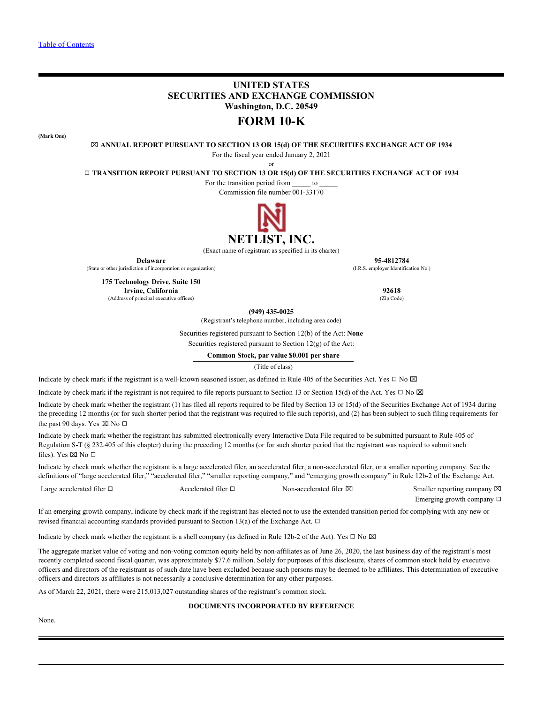# **UNITED STATES SECURITIES AND EXCHANGE COMMISSION Washington, D.C. 20549 FORM 10-K**

**(Mark One)**

⌧ **ANNUAL REPORT PURSUANT TO SECTION 13 OR 15(d) OF THE SECURITIES EXCHANGE ACT OF 1934**

For the fiscal year ended January 2, 2021

or

◻ **TRANSITION REPORT PURSUANT TO SECTION 13 OR 15(d) OF THE SECURITIES EXCHANGE ACT OF 1934**

For the transition period from to

Commission file number 001-33170



(Exact name of registrant as specified in its charter)

**Delaware 95-4812784**

(State or other jurisdiction of incorporation or organization) (I.R.S. employer Identification No.)

**175 Technology Drive, Suite 150 Irvine, California 92618** (Address of principal executive offices) (Zip Code)

**(949) 435-0025**

(Registrant's telephone number, including area code)

Securities registered pursuant to Section 12(b) of the Act: **None**

Securities registered pursuant to Section 12(g) of the Act:

**Common Stock, par value \$0.001 per share**

(Title of class)

Indicate by check mark if the registrant is a well-known seasoned issuer, as defined in Rule 405 of the Securities Act. Yes  $\Box$  No  $\boxtimes$ 

Indicate by check mark if the registrant is not required to file reports pursuant to Section 13 or Section 15(d) of the Act. Yes ◻ No ⌧

Indicate by check mark whether the registrant (1) has filed all reports required to be filed by Section 13 or 15(d) of the Securities Exchange Act of 1934 during the preceding 12 months (or for such shorter period that the registrant was required to file such reports), and (2) has been subject to such filing requirements for the past 90 days. Yes  $\boxtimes$  No  $\Box$ 

Indicate by check mark whether the registrant has submitted electronically every Interactive Data File required to be submitted pursuant to Rule 405 of Regulation S-T (§ 232.405 of this chapter) during the preceding 12 months (or for such shorter period that the registrant was required to submit such files). Yes ⊠ No □

Indicate by check mark whether the registrant is a large accelerated filer, an accelerated filer, a non-accelerated filer, or a smaller reporting company. See the definitions of "large accelerated filer," "accelerated filer," "smaller reporting company," and "emerging growth company" in Rule 12b-2 of the Exchange Act.

Large accelerated filer □ Accelerated filer □ Non-accelerated filer ⊠ Smaller reporting company ⊠

Emerging growth company ◻

If an emerging growth company, indicate by check mark if the registrant has elected not to use the extended transition period for complying with any new or revised financial accounting standards provided pursuant to Section 13(a) of the Exchange Act. □

Indicate by check mark whether the registrant is a shell company (as defined in Rule 12b-2 of the Act). Yes  $\Box$  No  $\boxtimes$ 

The aggregate market value of voting and non-voting common equity held by non-affiliates as of June 26, 2020, the last business day of the registrant's most recently completed second fiscal quarter, was approximately \$77.6 million. Solely for purposes of this disclosure, shares of common stock held by executive officers and directors of the registrant as of such date have been excluded because such persons may be deemed to be affiliates. This determination of executive officers and directors as affiliates is not necessarily a conclusive determination for any other purposes.

As of March 22, 2021, there were 215,013,027 outstanding shares of the registrant's common stock.

**DOCUMENTS INCORPORATED BY REFERENCE**

None.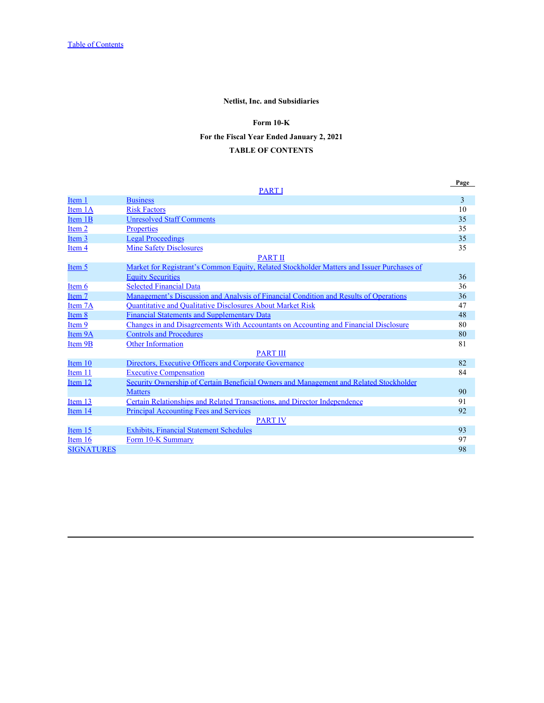# **Netlist, Inc. and Subsidiaries**

# **Form 10-K**

# **For the Fiscal Year Ended January 2, 2021**

# <span id="page-1-0"></span>**TABLE OF CONTENTS**

|                   |                                                                                            | Page |
|-------------------|--------------------------------------------------------------------------------------------|------|
|                   | <b>PART</b>                                                                                |      |
| Item 1            | <b>Business</b>                                                                            | 3    |
| Item 1A           | <b>Risk Factors</b>                                                                        | 10   |
| Item 1B           | <b>Unresolved Staff Comments</b>                                                           | 35   |
| Item 2            | Properties                                                                                 | 35   |
| Item 3            | <b>Legal Proceedings</b>                                                                   | 35   |
| Item 4            | <b>Mine Safety Disclosures</b>                                                             | 35   |
|                   | <b>PART II</b>                                                                             |      |
| <u>Item 5</u>     | Market for Registrant's Common Equity, Related Stockholder Matters and Issuer Purchases of |      |
|                   | <b>Equity Securities</b>                                                                   | 36   |
| Item 6            | <b>Selected Financial Data</b>                                                             | 36   |
| Item <sub>7</sub> | Management's Discussion and Analysis of Financial Condition and Results of Operations      | 36   |
| Item 7A           | <b>Quantitative and Qualitative Disclosures About Market Risk</b>                          | 47   |
| Item 8            | <b>Financial Statements and Supplementary Data</b>                                         | 48   |
| Item 9            | Changes in and Disagreements With Accountants on Accounting and Financial Disclosure       | 80   |
| Item 9A           | <b>Controls and Procedures</b>                                                             | 80   |
| Item 9B           | <b>Other Information</b>                                                                   | 81   |
|                   | <b>PART III</b>                                                                            |      |
| Item 10           | Directors, Executive Officers and Corporate Governance                                     | 82   |
| Item 11           | <b>Executive Compensation</b>                                                              | 84   |
| Item 12           | Security Ownership of Certain Beneficial Owners and Management and Related Stockholder     |      |
|                   | <b>Matters</b>                                                                             | 90   |
| Item 13           | <b>Certain Relationships and Related Transactions, and Director Independence</b>           | 91   |
| Item 14           | <b>Principal Accounting Fees and Services</b>                                              | 92   |
|                   | <b>PART IV</b>                                                                             |      |
| Item 15           | <b>Exhibits, Financial Statement Schedules</b>                                             | 93   |
| Item 16           | Form 10-K Summary                                                                          | 97   |
| <b>SIGNATURES</b> |                                                                                            | 98   |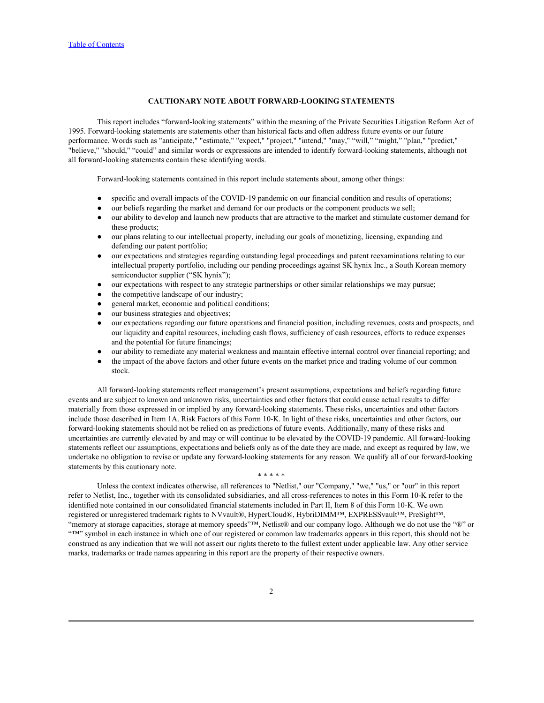# **CAUTIONARY NOTE ABOUT FORWARD-LOOKING STATEMENTS**

This report includes "forward-looking statements" within the meaning of the Private Securities Litigation Reform Act of 1995. Forward-looking statements are statements other than historical facts and often address future events or our future performance. Words such as "anticipate," "estimate," "expect," "project," "intend," "may," "will," "might," "plan," "predict," "believe," "should," "could" and similar words or expressions are intended to identify forward-looking statements, although not all forward-looking statements contain these identifying words.

Forward-looking statements contained in this report include statements about, among other things:

- specific and overall impacts of the COVID-19 pandemic on our financial condition and results of operations;
- our beliefs regarding the market and demand for our products or the component products we sell;
- our ability to develop and launch new products that are attractive to the market and stimulate customer demand for these products;
- our plans relating to our intellectual property, including our goals of monetizing, licensing, expanding and defending our patent portfolio;
- our expectations and strategies regarding outstanding legal proceedings and patent reexaminations relating to our intellectual property portfolio, including our pending proceedings against SK hynix Inc., a South Korean memory semiconductor supplier ("SK hynix");
- our expectations with respect to any strategic partnerships or other similar relationships we may pursue;
- the competitive landscape of our industry;
- general market, economic and political conditions;
- our business strategies and objectives;
- our expectations regarding our future operations and financial position, including revenues, costs and prospects, and our liquidity and capital resources, including cash flows, sufficiency of cash resources, efforts to reduce expenses and the potential for future financings;
- our ability to remediate any material weakness and maintain effective internal control over financial reporting; and
- the impact of the above factors and other future events on the market price and trading volume of our common stock.

All forward-looking statements reflect management's present assumptions, expectations and beliefs regarding future events and are subject to known and unknown risks, uncertainties and other factors that could cause actual results to differ materially from those expressed in or implied by any forward-looking statements. These risks, uncertainties and other factors include those described in Item 1A. Risk Factors of this Form 10-K. In light of these risks, uncertainties and other factors, our forward-looking statements should not be relied on as predictions of future events. Additionally, many of these risks and uncertainties are currently elevated by and may or will continue to be elevated by the COVID-19 pandemic. All forward-looking statements reflect our assumptions, expectations and beliefs only as of the date they are made, and except as required by law, we undertake no obligation to revise or update any forward-looking statements for any reason. We qualify all of our forward-looking statements by this cautionary note.

#### \* \* \* \* \*

Unless the context indicates otherwise, all references to "Netlist," our "Company," "we," "us," or "our" in this report refer to Netlist, Inc., together with its consolidated subsidiaries, and all cross-references to notes in this Form 10-K refer to the identified note contained in our consolidated financial statements included in Part II, Item 8 of this Form 10-K. We own registered or unregistered trademark rights to NVvault®, HyperCloud®, HybriDIMM™, EXPRESSvault™, PreSight™, "memory at storage capacities, storage at memory speeds"™, Netlist® and our company logo. Although we do not use the "®" or "™" symbol in each instance in which one of our registered or common law trademarks appears in this report, this should not be construed as any indication that we will not assert our rights thereto to the fullest extent under applicable law. Any other service marks, trademarks or trade names appearing in this report are the property of their respective owners.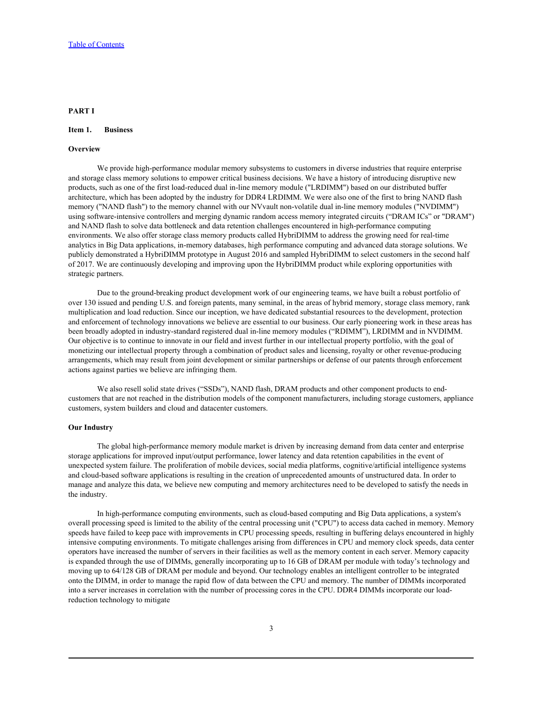# <span id="page-3-0"></span>**PART I**

### <span id="page-3-1"></span>**Item 1. Business**

#### **Overview Overview** *COVERS <b>COVERS*

We provide high-performance modular memory subsystems to customers in diverse industries that require enterprise and storage class memory solutions to empower critical business decisions. We have a history of introducing disruptive new products, such as one of the first load-reduced dual in-line memory module ("LRDIMM") based on our distributed buffer architecture, which has been adopted by the industry for DDR4 LRDIMM. We were also one of the first to bring NAND flash memory ("NAND flash") to the memory channel with our NVvault non-volatile dual in-line memory modules ("NVDIMM") using software-intensive controllers and merging dynamic random access memory integrated circuits ("DRAM ICs" or "DRAM") and NAND flash to solve data bottleneck and data retention challenges encountered in high-performance computing environments. We also offer storage class memory products called HybriDIMM to address the growing need for real-time analytics in Big Data applications, in-memory databases, high performance computing and advanced data storage solutions. We publicly demonstrated a HybriDIMM prototype in August 2016 and sampled HybriDIMM to select customers in the second half of 2017. We are continuously developing and improving upon the HybriDIMM product while exploring opportunities with strategic partners.

Due to the ground-breaking product development work of our engineering teams, we have built a robust portfolio of over 130 issued and pending U.S. and foreign patents, many seminal, in the areas of hybrid memory, storage class memory, rank multiplication and load reduction. Since our inception, we have dedicated substantial resources to the development, protection and enforcement of technology innovations we believe are essential to our business. Our early pioneering work in these areas has been broadly adopted in industry-standard registered dual in-line memory modules ("RDIMM"), LRDIMM and in NVDIMM. Our objective is to continue to innovate in our field and invest further in our intellectual property portfolio, with the goal of monetizing our intellectual property through a combination of product sales and licensing, royalty or other revenue-producing arrangements, which may result from joint development or similar partnerships or defense of our patents through enforcement actions against parties we believe are infringing them.

We also resell solid state drives ("SSDs"), NAND flash, DRAM products and other component products to endcustomers that are not reached in the distribution models of the component manufacturers, including storage customers, appliance customers, system builders and cloud and datacenter customers.

### **Our Industry**

The global high-performance memory module market is driven by increasing demand from data center and enterprise storage applications for improved input/output performance, lower latency and data retention capabilities in the event of unexpected system failure. The proliferation of mobile devices, social media platforms, cognitive/artificial intelligence systems and cloud-based software applications is resulting in the creation of unprecedented amounts of unstructured data. In order to manage and analyze this data, we believe new computing and memory architectures need to be developed to satisfy the needs in the industry.

In high-performance computing environments, such as cloud-based computing and Big Data applications, a system's overall processing speed is limited to the ability of the central processing unit ("CPU") to access data cached in memory. Memory speeds have failed to keep pace with improvements in CPU processing speeds, resulting in buffering delays encountered in highly intensive computing environments. To mitigate challenges arising from differences in CPU and memory clock speeds, data center operators have increased the number of servers in their facilities as well as the memory content in each server. Memory capacity is expanded through the use of DIMMs, generally incorporating up to 16 GB of DRAM per module with today's technology and moving up to 64/128 GB of DRAM per module and beyond. Our technology enables an intelligent controller to be integrated onto the DIMM, in order to manage the rapid flow of data between the CPU and memory. The number of DIMMs incorporated into a server increases in correlation with the number of processing cores in the CPU. DDR4 DIMMs incorporate our loadreduction technology to mitigate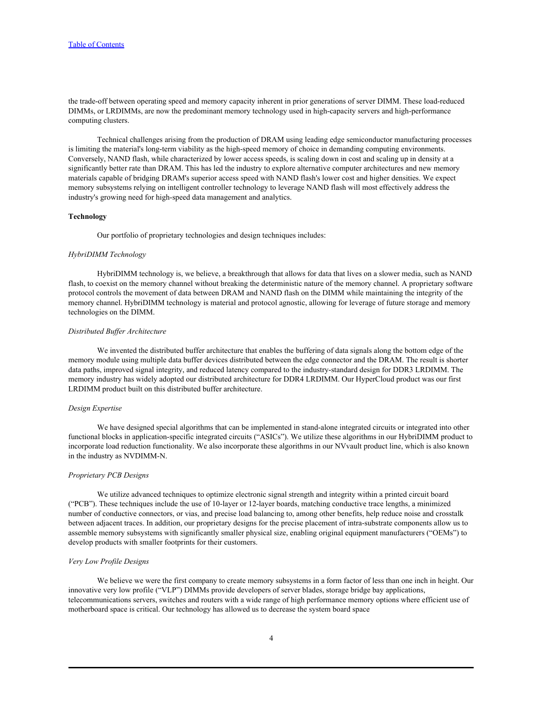the trade-off between operating speed and memory capacity inherent in prior generations of server DIMM. These load-reduced DIMMs, or LRDIMMs, are now the predominant memory technology used in high-capacity servers and high-performance computing clusters.

Technical challenges arising from the production of DRAM using leading edge semiconductor manufacturing processes is limiting the material's long-term viability as the high-speed memory of choice in demanding computing environments. Conversely, NAND flash, while characterized by lower access speeds, is scaling down in cost and scaling up in density at a significantly better rate than DRAM. This has led the industry to explore alternative computer architectures and new memory materials capable of bridging DRAM's superior access speed with NAND flash's lower cost and higher densities. We expect memory subsystems relying on intelligent controller technology to leverage NAND flash will most effectively address the industry's growing need for high-speed data management and analytics.

# **Technology**

Our portfolio of proprietary technologies and design techniques includes:

### *HybriDIMM Technology*

HybriDIMM technology is, we believe, a breakthrough that allows for data that lives on a slower media, such as NAND flash, to coexist on the memory channel without breaking the deterministic nature of the memory channel. A proprietary software protocol controls the movement of data between DRAM and NAND flash on the DIMM while maintaining the integrity of the memory channel. HybriDIMM technology is material and protocol agnostic, allowing for leverage of future storage and memory technologies on the DIMM.

### *Distributed Buffer Architecture*

We invented the distributed buffer architecture that enables the buffering of data signals along the bottom edge of the memory module using multiple data buffer devices distributed between the edge connector and the DRAM. The result is shorter data paths, improved signal integrity, and reduced latency compared to the industry-standard design for DDR3 LRDIMM. The memory industry has widely adopted our distributed architecture for DDR4 LRDIMM. Our HyperCloud product was our first LRDIMM product built on this distributed buffer architecture.

### *Design Expertise*

We have designed special algorithms that can be implemented in stand-alone integrated circuits or integrated into other functional blocks in application-specific integrated circuits ("ASICs"). We utilize these algorithms in our HybriDIMM product to incorporate load reduction functionality. We also incorporate these algorithms in our NVvault product line, which is also known in the industry as NVDIMM-N.

#### *Proprietary PCB Designs*

We utilize advanced techniques to optimize electronic signal strength and integrity within a printed circuit board ("PCB"). These techniques include the use of 10-layer or 12-layer boards, matching conductive trace lengths, a minimized number of conductive connectors, or vias, and precise load balancing to, among other benefits, help reduce noise and crosstalk between adjacent traces. In addition, our proprietary designs for the precise placement of intra-substrate components allow us to assemble memory subsystems with significantly smaller physical size, enabling original equipment manufacturers ("OEMs") to develop products with smaller footprints for their customers.

### *Very Low Profile Designs*

We believe we were the first company to create memory subsystems in a form factor of less than one inch in height. Our innovative very low profile ("VLP") DIMMs provide developers of server blades, storage bridge bay applications, telecommunications servers, switches and routers with a wide range of high performance memory options where efficient use of motherboard space is critical. Our technology has allowed us to decrease the system board space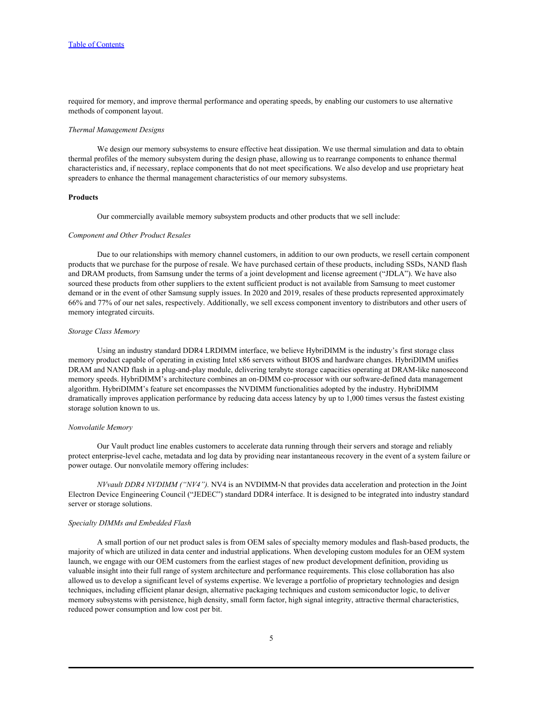required for memory, and improve thermal performance and operating speeds, by enabling our customers to use alternative methods of component layout.

#### *Thermal Management Designs*

We design our memory subsystems to ensure effective heat dissipation. We use thermal simulation and data to obtain thermal profiles of the memory subsystem during the design phase, allowing us to rearrange components to enhance thermal characteristics and, if necessary, replace components that do not meet specifications. We also develop and use proprietary heat spreaders to enhance the thermal management characteristics of our memory subsystems.

### **Products**

Our commercially available memory subsystem products and other products that we sell include:

#### *Component and Other Product Resales*

Due to our relationships with memory channel customers, in addition to our own products, we resell certain component products that we purchase for the purpose of resale. We have purchased certain of these products, including SSDs, NAND flash and DRAM products, from Samsung under the terms of a joint development and license agreement ("JDLA"). We have also sourced these products from other suppliers to the extent sufficient product is not available from Samsung to meet customer demand or in the event of other Samsung supply issues. In 2020 and 2019, resales of these products represented approximately 66% and 77% of our net sales, respectively. Additionally, we sell excess component inventory to distributors and other users of memory integrated circuits.

#### *Storage Class Memory*

Using an industry standard DDR4 LRDIMM interface, we believe HybriDIMM is the industry's first storage class memory product capable of operating in existing Intel x86 servers without BIOS and hardware changes. HybriDIMM unifies DRAM and NAND flash in a plug-and-play module, delivering terabyte storage capacities operating at DRAM-like nanosecond memory speeds. HybriDIMM's architecture combines an on-DIMM co-processor with our software-defined data management algorithm. HybriDIMM's feature set encompasses the NVDIMM functionalities adopted by the industry. HybriDIMM dramatically improves application performance by reducing data access latency by up to 1,000 times versus the fastest existing storage solution known to us.

#### *Nonvolatile Memory*

Our Vault product line enables customers to accelerate data running through their servers and storage and reliably protect enterprise-level cache, metadata and log data by providing near instantaneous recovery in the event of a system failure or power outage. Our nonvolatile memory offering includes:

*NVvault DDR4 NVDIMM ("NV4").* NV4 is an NVDIMM-N that provides data acceleration and protection in the Joint Electron Device Engineering Council ("JEDEC") standard DDR4 interface. It is designed to be integrated into industry standard server or storage solutions.

#### *Specialty DIMMs and Embedded Flash*

A small portion of our net product sales is from OEM sales of specialty memory modules and flash-based products, the majority of which are utilized in data center and industrial applications. When developing custom modules for an OEM system launch, we engage with our OEM customers from the earliest stages of new product development definition, providing us valuable insight into their full range of system architecture and performance requirements. This close collaboration has also allowed us to develop a significant level of systems expertise. We leverage a portfolio of proprietary technologies and design techniques, including efficient planar design, alternative packaging techniques and custom semiconductor logic, to deliver memory subsystems with persistence, high density, small form factor, high signal integrity, attractive thermal characteristics, reduced power consumption and low cost per bit.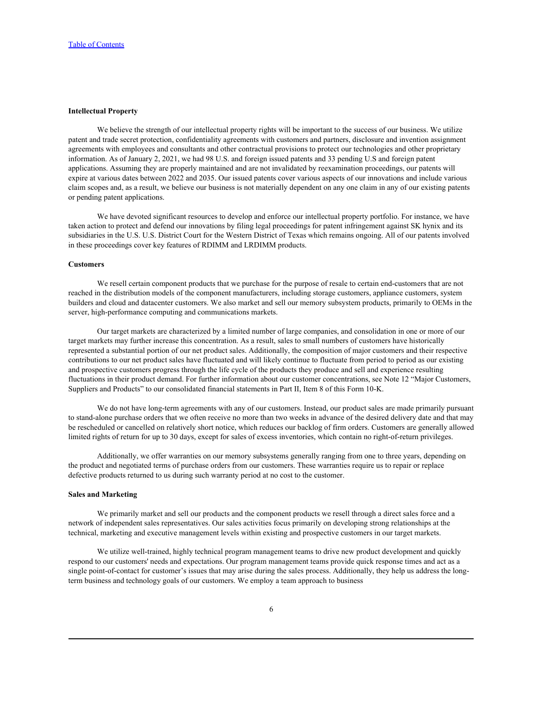#### **Intellectual Property**

We believe the strength of our intellectual property rights will be important to the success of our business. We utilize patent and trade secret protection, confidentiality agreements with customers and partners, disclosure and invention assignment agreements with employees and consultants and other contractual provisions to protect our technologies and other proprietary information. As of January 2, 2021, we had 98 U.S. and foreign issued patents and 33 pending U.S and foreign patent applications. Assuming they are properly maintained and are not invalidated by reexamination proceedings, our patents will expire at various dates between 2022 and 2035. Our issued patents cover various aspects of our innovations and include various claim scopes and, as a result, we believe our business is not materially dependent on any one claim in any of our existing patents or pending patent applications.

We have devoted significant resources to develop and enforce our intellectual property portfolio. For instance, we have taken action to protect and defend our innovations by filing legal proceedings for patent infringement against SK hynix and its subsidiaries in the U.S. U.S. District Court for the Western District of Texas which remains ongoing. All of our patents involved in these proceedings cover key features of RDIMM and LRDIMM products.

#### **Customers**

We resell certain component products that we purchase for the purpose of resale to certain end-customers that are not reached in the distribution models of the component manufacturers, including storage customers, appliance customers, system builders and cloud and datacenter customers. We also market and sell our memory subsystem products, primarily to OEMs in the server, high-performance computing and communications markets.

Our target markets are characterized by a limited number of large companies, and consolidation in one or more of our target markets may further increase this concentration. As a result, sales to small numbers of customers have historically represented a substantial portion of our net product sales. Additionally, the composition of major customers and their respective contributions to our net product sales have fluctuated and will likely continue to fluctuate from period to period as our existing and prospective customers progress through the life cycle of the products they produce and sell and experience resulting fluctuations in their product demand. For further information about our customer concentrations, see Note 12 "Major Customers, Suppliers and Products" to our consolidated financial statements in Part II, Item 8 of this Form 10-K.

We do not have long-term agreements with any of our customers. Instead, our product sales are made primarily pursuant to stand-alone purchase orders that we often receive no more than two weeks in advance of the desired delivery date and that may be rescheduled or cancelled on relatively short notice, which reduces our backlog of firm orders. Customers are generally allowed limited rights of return for up to 30 days, except for sales of excess inventories, which contain no right-of-return privileges.

Additionally, we offer warranties on our memory subsystems generally ranging from one to three years, depending on the product and negotiated terms of purchase orders from our customers. These warranties require us to repair or replace defective products returned to us during such warranty period at no cost to the customer.

### **Sales and Marketing**

We primarily market and sell our products and the component products we resell through a direct sales force and a network of independent sales representatives. Our sales activities focus primarily on developing strong relationships at the technical, marketing and executive management levels within existing and prospective customers in our target markets.

We utilize well-trained, highly technical program management teams to drive new product development and quickly respond to our customers' needs and expectations. Our program management teams provide quick response times and act as a single point-of-contact for customer's issues that may arise during the sales process. Additionally, they help us address the longterm business and technology goals of our customers. We employ a team approach to business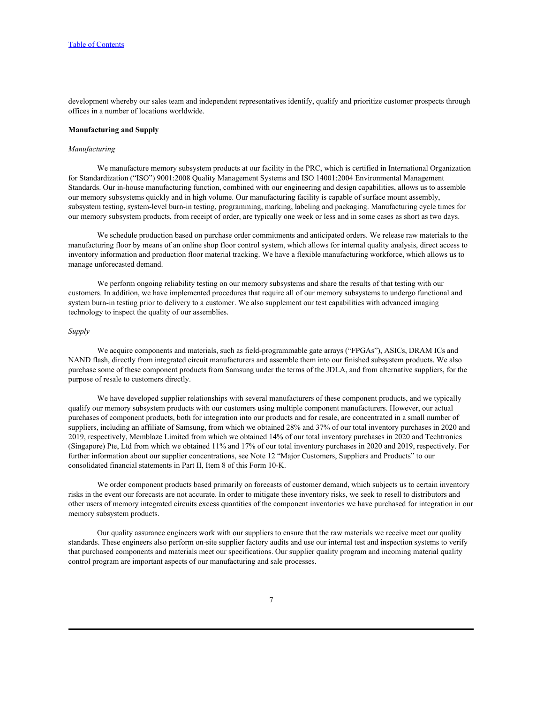development whereby our sales team and independent representatives identify, qualify and prioritize customer prospects through offices in a number of locations worldwide.

#### **Manufacturing and Supply**

#### *Manufacturing*

We manufacture memory subsystem products at our facility in the PRC, which is certified in International Organization for Standardization ("ISO") 9001:2008 Quality Management Systems and ISO 14001:2004 Environmental Management Standards. Our in-house manufacturing function, combined with our engineering and design capabilities, allows us to assemble our memory subsystems quickly and in high volume. Our manufacturing facility is capable of surface mount assembly, subsystem testing, system-level burn-in testing, programming, marking, labeling and packaging. Manufacturing cycle times for our memory subsystem products, from receipt of order, are typically one week or less and in some cases as short as two days.

We schedule production based on purchase order commitments and anticipated orders. We release raw materials to the manufacturing floor by means of an online shop floor control system, which allows for internal quality analysis, direct access to inventory information and production floor material tracking. We have a flexible manufacturing workforce, which allows us to manage unforecasted demand.

We perform ongoing reliability testing on our memory subsystems and share the results of that testing with our customers. In addition, we have implemented procedures that require all of our memory subsystems to undergo functional and system burn-in testing prior to delivery to a customer. We also supplement our test capabilities with advanced imaging technology to inspect the quality of our assemblies.

### *Supply*

We acquire components and materials, such as field-programmable gate arrays ("FPGAs"), ASICs, DRAM ICs and NAND flash, directly from integrated circuit manufacturers and assemble them into our finished subsystem products. We also purchase some of these component products from Samsung under the terms of the JDLA, and from alternative suppliers, for the purpose of resale to customers directly.

We have developed supplier relationships with several manufacturers of these component products, and we typically qualify our memory subsystem products with our customers using multiple component manufacturers. However, our actual purchases of component products, both for integration into our products and for resale, are concentrated in a small number of suppliers, including an affiliate of Samsung, from which we obtained 28% and 37% of our total inventory purchases in 2020 and 2019, respectively, Memblaze Limited from which we obtained 14% of our total inventory purchases in 2020 and Techtronics (Singapore) Pte, Ltd from which we obtained 11% and 17% of our total inventory purchases in 2020 and 2019, respectively. For further information about our supplier concentrations, see Note 12 "Major Customers, Suppliers and Products" to our consolidated financial statements in Part II, Item 8 of this Form 10-K.

We order component products based primarily on forecasts of customer demand, which subjects us to certain inventory risks in the event our forecasts are not accurate. In order to mitigate these inventory risks, we seek to resell to distributors and other users of memory integrated circuits excess quantities of the component inventories we have purchased for integration in our memory subsystem products.

Our quality assurance engineers work with our suppliers to ensure that the raw materials we receive meet our quality standards. These engineers also perform on-site supplier factory audits and use our internal test and inspection systems to verify that purchased components and materials meet our specifications. Our supplier quality program and incoming material quality control program are important aspects of our manufacturing and sale processes.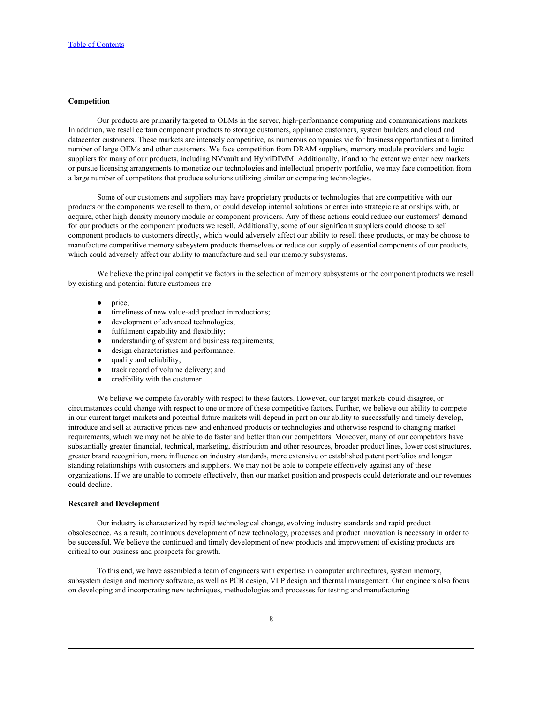# **Competition**

Our products are primarily targeted to OEMs in the server, high-performance computing and communications markets. In addition, we resell certain component products to storage customers, appliance customers, system builders and cloud and datacenter customers. These markets are intensely competitive, as numerous companies vie for business opportunities at a limited number of large OEMs and other customers. We face competition from DRAM suppliers, memory module providers and logic suppliers for many of our products, including NVvault and HybriDIMM. Additionally, if and to the extent we enter new markets or pursue licensing arrangements to monetize our technologies and intellectual property portfolio, we may face competition from a large number of competitors that produce solutions utilizing similar or competing technologies.

Some of our customers and suppliers may have proprietary products or technologies that are competitive with our products or the components we resell to them, or could develop internal solutions or enter into strategic relationships with, or acquire, other high-density memory module or component providers. Any of these actions could reduce our customers' demand for our products or the component products we resell. Additionally, some of our significant suppliers could choose to sell component products to customers directly, which would adversely affect our ability to resell these products, or may be choose to manufacture competitive memory subsystem products themselves or reduce our supply of essential components of our products, which could adversely affect our ability to manufacture and sell our memory subsystems.

We believe the principal competitive factors in the selection of memory subsystems or the component products we resell by existing and potential future customers are:

- price;
- timeliness of new value-add product introductions;
- development of advanced technologies;
- fulfillment capability and flexibility;
- understanding of system and business requirements;
- design characteristics and performance;
- quality and reliability;
- track record of volume delivery; and
- credibility with the customer

We believe we compete favorably with respect to these factors. However, our target markets could disagree, or circumstances could change with respect to one or more of these competitive factors. Further, we believe our ability to compete in our current target markets and potential future markets will depend in part on our ability to successfully and timely develop, introduce and sell at attractive prices new and enhanced products or technologies and otherwise respond to changing market requirements, which we may not be able to do faster and better than our competitors. Moreover, many of our competitors have substantially greater financial, technical, marketing, distribution and other resources, broader product lines, lower cost structures, greater brand recognition, more influence on industry standards, more extensive or established patent portfolios and longer standing relationships with customers and suppliers. We may not be able to compete effectively against any of these organizations. If we are unable to compete effectively, then our market position and prospects could deteriorate and our revenues could decline.

# **Research and Development**

Our industry is characterized by rapid technological change, evolving industry standards and rapid product obsolescence. As a result, continuous development of new technology, processes and product innovation is necessary in order to be successful. We believe the continued and timely development of new products and improvement of existing products are critical to our business and prospects for growth.

To this end, we have assembled a team of engineers with expertise in computer architectures, system memory, subsystem design and memory software, as well as PCB design, VLP design and thermal management. Our engineers also focus on developing and incorporating new techniques, methodologies and processes for testing and manufacturing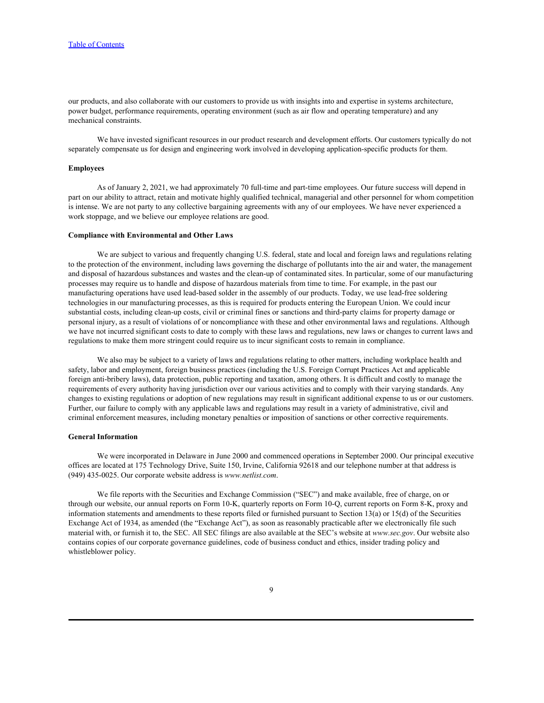our products, and also collaborate with our customers to provide us with insights into and expertise in systems architecture, power budget, performance requirements, operating environment (such as air flow and operating temperature) and any mechanical constraints.

We have invested significant resources in our product research and development efforts. Our customers typically do not separately compensate us for design and engineering work involved in developing application-specific products for them.

#### **Employees**

As of January 2, 2021, we had approximately 70 full-time and part-time employees. Our future success will depend in part on our ability to attract, retain and motivate highly qualified technical, managerial and other personnel for whom competition is intense. We are not party to any collective bargaining agreements with any of our employees. We have never experienced a work stoppage, and we believe our employee relations are good.

#### **Compliance with Environmental and Other Laws**

We are subject to various and frequently changing U.S. federal, state and local and foreign laws and regulations relating to the protection of the environment, including laws governing the discharge of pollutants into the air and water, the management and disposal of hazardous substances and wastes and the clean-up of contaminated sites. In particular, some of our manufacturing processes may require us to handle and dispose of hazardous materials from time to time. For example, in the past our manufacturing operations have used lead-based solder in the assembly of our products. Today, we use lead-free soldering technologies in our manufacturing processes, as this is required for products entering the European Union. We could incur substantial costs, including clean-up costs, civil or criminal fines or sanctions and third-party claims for property damage or personal injury, as a result of violations of or noncompliance with these and other environmental laws and regulations. Although we have not incurred significant costs to date to comply with these laws and regulations, new laws or changes to current laws and regulations to make them more stringent could require us to incur significant costs to remain in compliance.

We also may be subject to a variety of laws and regulations relating to other matters, including workplace health and safety, labor and employment, foreign business practices (including the U.S. Foreign Corrupt Practices Act and applicable foreign anti-bribery laws), data protection, public reporting and taxation, among others. It is difficult and costly to manage the requirements of every authority having jurisdiction over our various activities and to comply with their varying standards. Any changes to existing regulations or adoption of new regulations may result in significant additional expense to us or our customers. Further, our failure to comply with any applicable laws and regulations may result in a variety of administrative, civil and criminal enforcement measures, including monetary penalties or imposition of sanctions or other corrective requirements.

### **General Information**

We were incorporated in Delaware in June 2000 and commenced operations in September 2000. Our principal executive offices are located at 175 Technology Drive, Suite 150, Irvine, California 92618 and our telephone number at that address is (949) 435-0025. Our corporate website address is *www.netlist.com*.

We file reports with the Securities and Exchange Commission ("SEC") and make available, free of charge, on or through our website, our annual reports on Form 10-K, quarterly reports on Form 10-Q, current reports on Form 8-K, proxy and information statements and amendments to these reports filed or furnished pursuant to Section 13(a) or 15(d) of the Securities Exchange Act of 1934, as amended (the "Exchange Act"), as soon as reasonably practicable after we electronically file such material with, or furnish it to, the SEC. All SEC filings are also available at the SEC's website at *www.sec.gov*. Our website also contains copies of our corporate governance guidelines, code of business conduct and ethics, insider trading policy and whistleblower policy.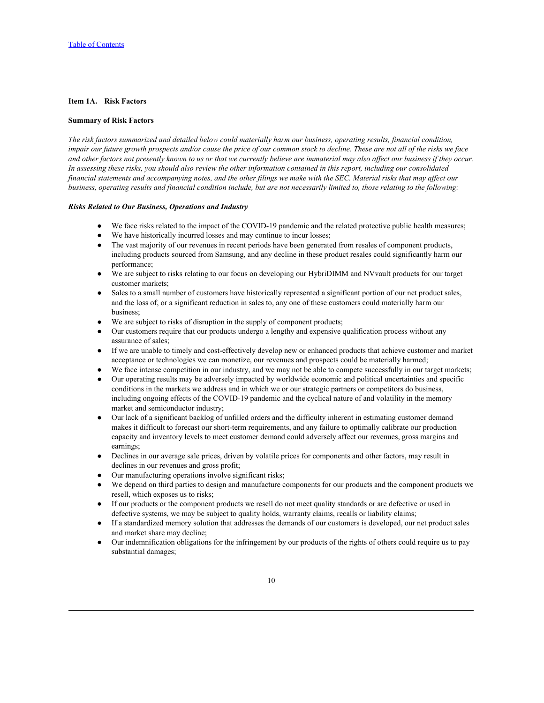## <span id="page-10-0"></span>**Item 1A. Risk Factors**

### **Summary of Risk Factors**

*The risk factors summarized and detailed below could materially harm our business, operating results, financial condition, impair our future growth prospects and/or cause the price of our common stock to decline. These are not all of the risks we face and other factors not presently known to us or that we currently believe are immaterial may also affect our business if they occur. In assessing these risks, you should also review the other information contained in this report, including our consolidated financial statements and accompanying notes, and the other filings we make with the SEC. Material risks that may affect our business, operating results and financial condition include, but are not necessarily limited to, those relating to the following:*

#### *Risks Related to Our Business, Operations and Industry*

- We face risks related to the impact of the COVID-19 pandemic and the related protective public health measures;
- We have historically incurred losses and may continue to incur losses;
- The vast majority of our revenues in recent periods have been generated from resales of component products, including products sourced from Samsung, and any decline in these product resales could significantly harm our performance;
- We are subject to risks relating to our focus on developing our HybriDIMM and NVvault products for our target customer markets;
- Sales to a small number of customers have historically represented a significant portion of our net product sales, and the loss of, or a significant reduction in sales to, any one of these customers could materially harm our business;
- We are subject to risks of disruption in the supply of component products;
- Our customers require that our products undergo a lengthy and expensive qualification process without any assurance of sales;
- If we are unable to timely and cost-effectively develop new or enhanced products that achieve customer and market acceptance or technologies we can monetize, our revenues and prospects could be materially harmed;
- We face intense competition in our industry, and we may not be able to compete successfully in our target markets;
- Our operating results may be adversely impacted by worldwide economic and political uncertainties and specific conditions in the markets we address and in which we or our strategic partners or competitors do business, including ongoing effects of the COVID-19 pandemic and the cyclical nature of and volatility in the memory market and semiconductor industry;
- Our lack of a significant backlog of unfilled orders and the difficulty inherent in estimating customer demand makes it difficult to forecast our short-term requirements, and any failure to optimally calibrate our production capacity and inventory levels to meet customer demand could adversely affect our revenues, gross margins and earnings;
- Declines in our average sale prices, driven by volatile prices for components and other factors, may result in declines in our revenues and gross profit;
- Our manufacturing operations involve significant risks;
- We depend on third parties to design and manufacture components for our products and the component products we resell, which exposes us to risks;
- If our products or the component products we resell do not meet quality standards or are defective or used in defective systems, we may be subject to quality holds, warranty claims, recalls or liability claims;
- If a standardized memory solution that addresses the demands of our customers is developed, our net product sales and market share may decline;
- Our indemnification obligations for the infringement by our products of the rights of others could require us to pay substantial damages;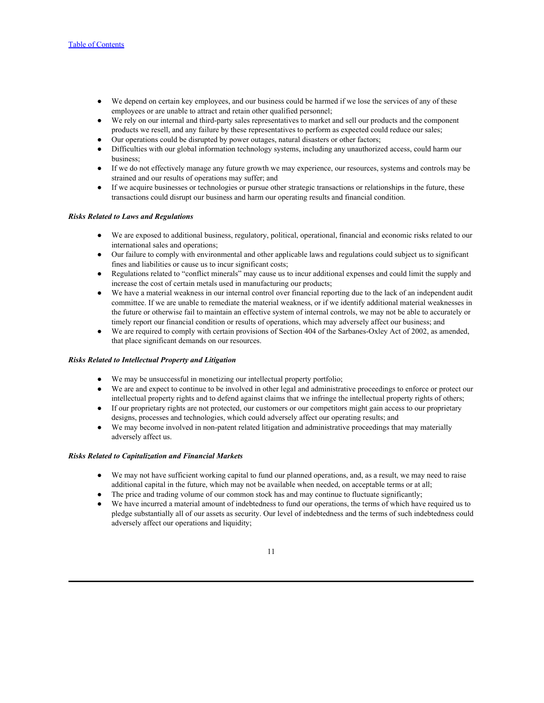- We depend on certain key employees, and our business could be harmed if we lose the services of any of these employees or are unable to attract and retain other qualified personnel;
- We rely on our internal and third-party sales representatives to market and sell our products and the component products we resell, and any failure by these representatives to perform as expected could reduce our sales;
- Our operations could be disrupted by power outages, natural disasters or other factors;
- Difficulties with our global information technology systems, including any unauthorized access, could harm our business;
- If we do not effectively manage any future growth we may experience, our resources, systems and controls may be strained and our results of operations may suffer; and
- If we acquire businesses or technologies or pursue other strategic transactions or relationships in the future, these transactions could disrupt our business and harm our operating results and financial condition.

#### *Risks Related to Laws and Regulations*

- We are exposed to additional business, regulatory, political, operational, financial and economic risks related to our international sales and operations;
- Our failure to comply with environmental and other applicable laws and regulations could subject us to significant fines and liabilities or cause us to incur significant costs;
- Regulations related to "conflict minerals" may cause us to incur additional expenses and could limit the supply and increase the cost of certain metals used in manufacturing our products;
- We have a material weakness in our internal control over financial reporting due to the lack of an independent audit committee. If we are unable to remediate the material weakness, or if we identify additional material weaknesses in the future or otherwise fail to maintain an effective system of internal controls, we may not be able to accurately or timely report our financial condition or results of operations, which may adversely affect our business; and
- We are required to comply with certain provisions of Section 404 of the Sarbanes-Oxley Act of 2002, as amended, that place significant demands on our resources.

#### *Risks Related to Intellectual Property and Litigation*

- We may be unsuccessful in monetizing our intellectual property portfolio;
- We are and expect to continue to be involved in other legal and administrative proceedings to enforce or protect our intellectual property rights and to defend against claims that we infringe the intellectual property rights of others;
- If our proprietary rights are not protected, our customers or our competitors might gain access to our proprietary designs, processes and technologies, which could adversely affect our operating results; and
- We may become involved in non-patent related litigation and administrative proceedings that may materially adversely affect us.

#### *Risks Related to Capitalization and Financial Markets*

- We may not have sufficient working capital to fund our planned operations, and, as a result, we may need to raise additional capital in the future, which may not be available when needed, on acceptable terms or at all;
- The price and trading volume of our common stock has and may continue to fluctuate significantly;
- We have incurred a material amount of indebtedness to fund our operations, the terms of which have required us to pledge substantially all of our assets as security. Our level of indebtedness and the terms of such indebtedness could adversely affect our operations and liquidity;

#### 11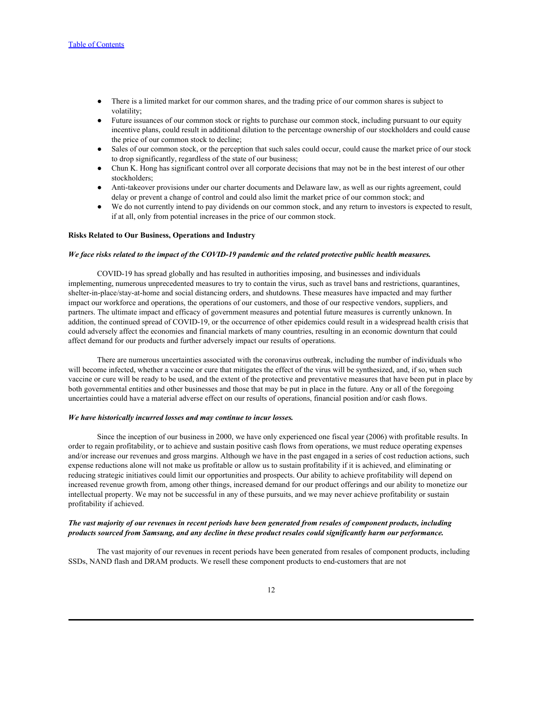- There is a limited market for our common shares, and the trading price of our common shares is subject to volatility;
- Future issuances of our common stock or rights to purchase our common stock, including pursuant to our equity incentive plans, could result in additional dilution to the percentage ownership of our stockholders and could cause the price of our common stock to decline;
- Sales of our common stock, or the perception that such sales could occur, could cause the market price of our stock to drop significantly, regardless of the state of our business;
- Chun K. Hong has significant control over all corporate decisions that may not be in the best interest of our other stockholders;
- Anti-takeover provisions under our charter documents and Delaware law, as well as our rights agreement, could delay or prevent a change of control and could also limit the market price of our common stock; and
- We do not currently intend to pay dividends on our common stock, and any return to investors is expected to result, if at all, only from potential increases in the price of our common stock.

### **Risks Related to Our Business, Operations and Industry**

### *We face risks related to the impact of the COVID-19 pandemic and the related protective public health measures.*

COVID-19 has spread globally and has resulted in authorities imposing, and businesses and individuals implementing, numerous unprecedented measures to try to contain the virus, such as travel bans and restrictions, quarantines, shelter-in-place/stay-at-home and social distancing orders, and shutdowns. These measures have impacted and may further impact our workforce and operations, the operations of our customers, and those of our respective vendors, suppliers, and partners. The ultimate impact and efficacy of government measures and potential future measures is currently unknown. In addition, the continued spread of COVID-19, or the occurrence of other epidemics could result in a widespread health crisis that could adversely affect the economies and financial markets of many countries, resulting in an economic downturn that could affect demand for our products and further adversely impact our results of operations.

There are numerous uncertainties associated with the coronavirus outbreak, including the number of individuals who will become infected, whether a vaccine or cure that mitigates the effect of the virus will be synthesized, and, if so, when such vaccine or cure will be ready to be used, and the extent of the protective and preventative measures that have been put in place by both governmental entities and other businesses and those that may be put in place in the future. Any or all of the foregoing uncertainties could have a material adverse effect on our results of operations, financial position and/or cash flows.

### *We have historically incurred losses and may continue to incur losses.*

Since the inception of our business in 2000, we have only experienced one fiscal year (2006) with profitable results. In order to regain profitability, or to achieve and sustain positive cash flows from operations, we must reduce operating expenses and/or increase our revenues and gross margins. Although we have in the past engaged in a series of cost reduction actions, such expense reductions alone will not make us profitable or allow us to sustain profitability if it is achieved, and eliminating or reducing strategic initiatives could limit our opportunities and prospects. Our ability to achieve profitability will depend on increased revenue growth from, among other things, increased demand for our product offerings and our ability to monetize our intellectual property. We may not be successful in any of these pursuits, and we may never achieve profitability or sustain profitability if achieved.

# *The vast majority of our revenues in recent periods have been generated from resales of component products, including products sourced from Samsung, and any decline in these product resales could significantly harm our performance.*

The vast majority of our revenues in recent periods have been generated from resales of component products, including SSDs, NAND flash and DRAM products. We resell these component products to end-customers that are not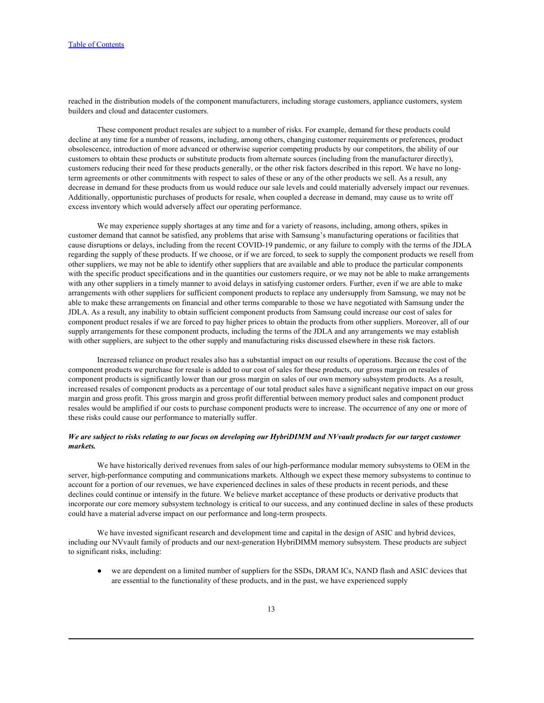reached in the distribution models of the component manufacturers, including storage customers, appliance customers, system builders and cloud and datacenter customers.

These component product resales are subject to a number of risks. For example, demand for these products could decline at any time for a number of reasons, including, among others, changing customer requirements or preferences, product obsolescence, introduction of more advanced or otherwise superior competing products by our competitors, the ability of our customers to obtain these products or substitute products from alternate sources (including from the manufacturer directly), customers reducing their need for these products generally, or the other risk factors described in this report. We have no longterm agreements or other commitments with respect to sales of these or any of the other products we sell. As a result, any decrease in demand for these products from us would reduce our sale levels and could materially adversely impact our revenues. Additionally, opportunistic purchases of products for resale, when coupled a decrease in demand, may cause us to write off excess inventory which would adversely affect our operating performance.

We may experience supply shortages at any time and for a variety of reasons, including, among others, spikes in customer demand that cannot be satisfied, any problems that arise with Samsung's manufacturing operations or facilities that cause disruptions or delays, including from the recent COVID-19 pandemic, or any failure to comply with the terms of the JDLA regarding the supply of these products. If we choose, or if we are forced, to seek to supply the component products we resell from other suppliers, we may not be able to identify other suppliers that are available and able to produce the particular components with the specific product specifications and in the quantities our customers require, or we may not be able to make arrangements with any other suppliers in a timely manner to avoid delays in satisfying customer orders. Further, even if we are able to make arrangements with other suppliers for sufficient component products to replace any undersupply from Samsung, we may not be able to make these arrangements on financial and other terms comparable to those we have negotiated with Samsung under the JDLA. As a result, any inability to obtain sufficient component products from Samsung could increase our cost of sales for component product resales if we are forced to pay higher prices to obtain the products from other suppliers. Moreover, all of our supply arrangements for these component products, including the terms of the JDLA and any arrangements we may establish with other suppliers, are subject to the other supply and manufacturing risks discussed elsewhere in these risk factors.

Increased reliance on product resales also has a substantial impact on our results of operations. Because the cost of the component products we purchase for resale is added to our cost of sales for these products, our gross margin on resales of component products is significantly lower than our gross margin on sales of our own memory subsystem products. As a result, increased resales of component products as a percentage of our total product sales have a significant negative impact on our gross margin and gross profit. This gross margin and gross profit differential between memory product sales and component product resales would be amplified if our costs to purchase component products were to increase. The occurrence of any one or more of these risks could cause our performance to materially suffer.

### *We are subject to risks relating to our focus on developing our HybriDIMM and NVvault products for our target customer markets.*

We have historically derived revenues from sales of our high-performance modular memory subsystems to OEM in the server, high-performance computing and communications markets. Although we expect these memory subsystems to continue to account for a portion of our revenues, we have experienced declines in sales of these products in recent periods, and these declines could continue or intensify in the future. We believe market acceptance of these products or derivative products that incorporate our core memory subsystem technology is critical to our success, and any continued decline in sales of these products could have a material adverse impact on our performance and long-term prospects.

We have invested significant research and development time and capital in the design of ASIC and hybrid devices, including our NVvault family of products and our next-generation HybriDIMM memory subsystem. These products are subject to significant risks, including:

we are dependent on a limited number of suppliers for the SSDs, DRAM ICs, NAND flash and ASIC devices that are essential to the functionality of these products, and in the past, we have experienced supply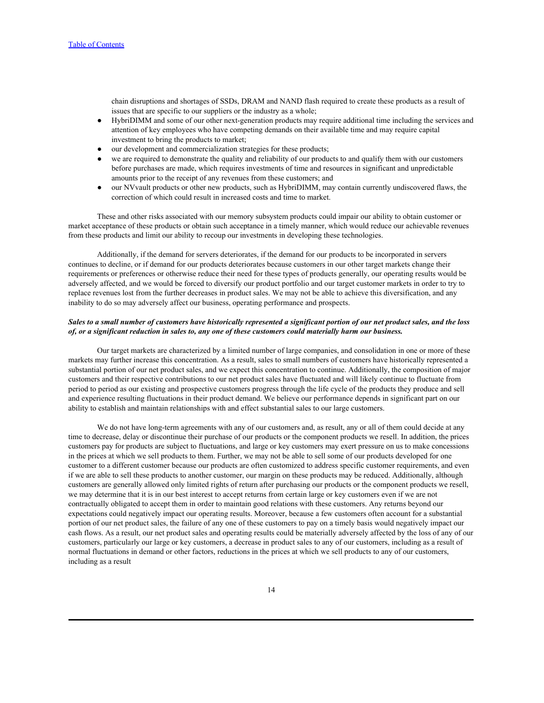chain disruptions and shortages of SSDs, DRAM and NAND flash required to create these products as a result of issues that are specific to our suppliers or the industry as a whole;

- HybriDIMM and some of our other next-generation products may require additional time including the services and attention of key employees who have competing demands on their available time and may require capital investment to bring the products to market;
- our development and commercialization strategies for these products;
- we are required to demonstrate the quality and reliability of our products to and qualify them with our customers before purchases are made, which requires investments of time and resources in significant and unpredictable amounts prior to the receipt of any revenues from these customers; and
- our NVvault products or other new products, such as HybriDIMM, may contain currently undiscovered flaws, the correction of which could result in increased costs and time to market.

These and other risks associated with our memory subsystem products could impair our ability to obtain customer or market acceptance of these products or obtain such acceptance in a timely manner, which would reduce our achievable revenues from these products and limit our ability to recoup our investments in developing these technologies.

Additionally, if the demand for servers deteriorates, if the demand for our products to be incorporated in servers continues to decline, or if demand for our products deteriorates because customers in our other target markets change their requirements or preferences or otherwise reduce their need for these types of products generally, our operating results would be adversely affected, and we would be forced to diversify our product portfolio and our target customer markets in order to try to replace revenues lost from the further decreases in product sales. We may not be able to achieve this diversification, and any inability to do so may adversely affect our business, operating performance and prospects.

# *Sales to a small number of customers have historically represented a significant portion of our net product sales, and the loss of, or a significant reduction in sales to, any one of these customers could materially harm our business.*

Our target markets are characterized by a limited number of large companies, and consolidation in one or more of these markets may further increase this concentration. As a result, sales to small numbers of customers have historically represented a substantial portion of our net product sales, and we expect this concentration to continue. Additionally, the composition of major customers and their respective contributions to our net product sales have fluctuated and will likely continue to fluctuate from period to period as our existing and prospective customers progress through the life cycle of the products they produce and sell and experience resulting fluctuations in their product demand. We believe our performance depends in significant part on our ability to establish and maintain relationships with and effect substantial sales to our large customers.

We do not have long-term agreements with any of our customers and, as result, any or all of them could decide at any time to decrease, delay or discontinue their purchase of our products or the component products we resell. In addition, the prices customers pay for products are subject to fluctuations, and large or key customers may exert pressure on us to make concessions in the prices at which we sell products to them. Further, we may not be able to sell some of our products developed for one customer to a different customer because our products are often customized to address specific customer requirements, and even if we are able to sell these products to another customer, our margin on these products may be reduced. Additionally, although customers are generally allowed only limited rights of return after purchasing our products or the component products we resell, we may determine that it is in our best interest to accept returns from certain large or key customers even if we are not contractually obligated to accept them in order to maintain good relations with these customers. Any returns beyond our expectations could negatively impact our operating results. Moreover, because a few customers often account for a substantial portion of our net product sales, the failure of any one of these customers to pay on a timely basis would negatively impact our cash flows. As a result, our net product sales and operating results could be materially adversely affected by the loss of any of our customers, particularly our large or key customers, a decrease in product sales to any of our customers, including as a result of normal fluctuations in demand or other factors, reductions in the prices at which we sell products to any of our customers, including as a result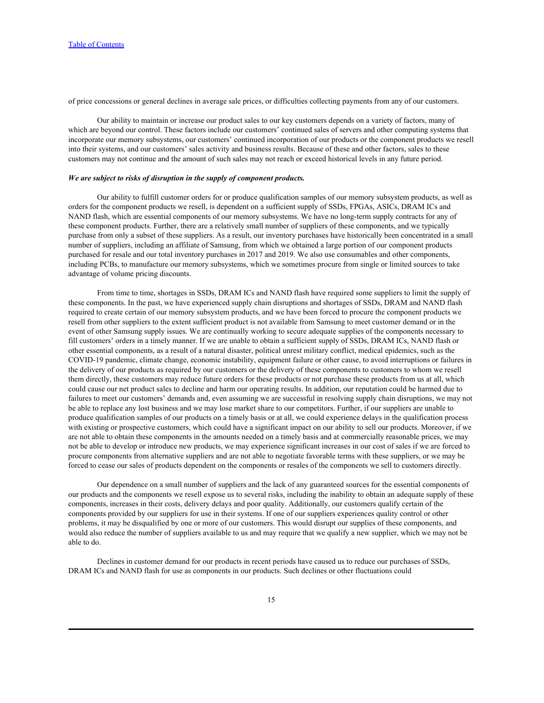of price concessions or general declines in average sale prices, or difficulties collecting payments from any of our customers.

Our ability to maintain or increase our product sales to our key customers depends on a variety of factors, many of which are beyond our control. These factors include our customers' continued sales of servers and other computing systems that incorporate our memory subsystems, our customers' continued incorporation of our products or the component products we resell into their systems, and our customers' sales activity and business results. Because of these and other factors, sales to these customers may not continue and the amount of such sales may not reach or exceed historical levels in any future period.

### *We are subject to risks of disruption in the supply of component products.*

Our ability to fulfill customer orders for or produce qualification samples of our memory subsystem products, as well as orders for the component products we resell, is dependent on a sufficient supply of SSDs, FPGAs, ASICs, DRAM ICs and NAND flash, which are essential components of our memory subsystems. We have no long-term supply contracts for any of these component products. Further, there are a relatively small number of suppliers of these components, and we typically purchase from only a subset of these suppliers. As a result, our inventory purchases have historically been concentrated in a small number of suppliers, including an affiliate of Samsung, from which we obtained a large portion of our component products purchased for resale and our total inventory purchases in 2017 and 2019. We also use consumables and other components, including PCBs, to manufacture our memory subsystems, which we sometimes procure from single or limited sources to take advantage of volume pricing discounts.

From time to time, shortages in SSDs, DRAM ICs and NAND flash have required some suppliers to limit the supply of these components. In the past, we have experienced supply chain disruptions and shortages of SSDs, DRAM and NAND flash required to create certain of our memory subsystem products, and we have been forced to procure the component products we resell from other suppliers to the extent sufficient product is not available from Samsung to meet customer demand or in the event of other Samsung supply issues. We are continually working to secure adequate supplies of the components necessary to fill customers' orders in a timely manner. If we are unable to obtain a sufficient supply of SSDs, DRAM ICs, NAND flash or other essential components, as a result of a natural disaster, political unrest military conflict, medical epidemics, such as the COVID-19 pandemic, climate change, economic instability, equipment failure or other cause, to avoid interruptions or failures in the delivery of our products as required by our customers or the delivery of these components to customers to whom we resell them directly, these customers may reduce future orders for these products or not purchase these products from us at all, which could cause our net product sales to decline and harm our operating results. In addition, our reputation could be harmed due to failures to meet our customers' demands and, even assuming we are successful in resolving supply chain disruptions, we may not be able to replace any lost business and we may lose market share to our competitors. Further, if our suppliers are unable to produce qualification samples of our products on a timely basis or at all, we could experience delays in the qualification process with existing or prospective customers, which could have a significant impact on our ability to sell our products. Moreover, if we are not able to obtain these components in the amounts needed on a timely basis and at commercially reasonable prices, we may not be able to develop or introduce new products, we may experience significant increases in our cost of sales if we are forced to procure components from alternative suppliers and are not able to negotiate favorable terms with these suppliers, or we may be forced to cease our sales of products dependent on the components or resales of the components we sell to customers directly.

Our dependence on a small number of suppliers and the lack of any guaranteed sources for the essential components of our products and the components we resell expose us to several risks, including the inability to obtain an adequate supply of these components, increases in their costs, delivery delays and poor quality. Additionally, our customers qualify certain of the components provided by our suppliers for use in their systems. If one of our suppliers experiences quality control or other problems, it may be disqualified by one or more of our customers. This would disrupt our supplies of these components, and would also reduce the number of suppliers available to us and may require that we qualify a new supplier, which we may not be able to do.

Declines in customer demand for our products in recent periods have caused us to reduce our purchases of SSDs, DRAM ICs and NAND flash for use as components in our products. Such declines or other fluctuations could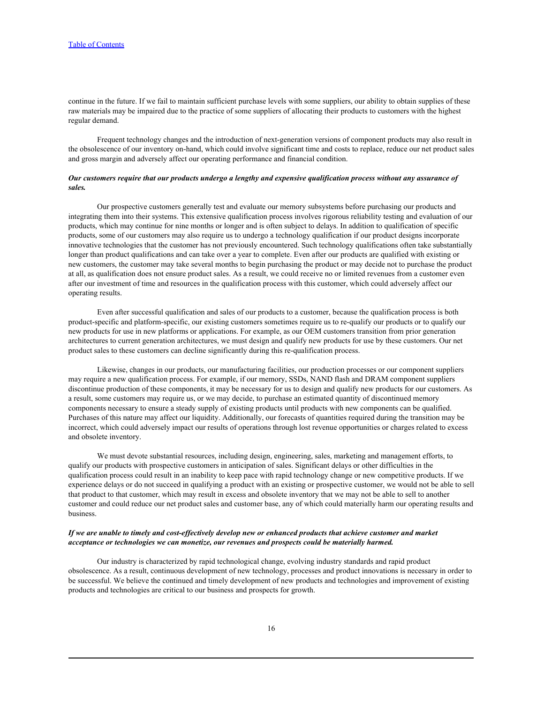continue in the future. If we fail to maintain sufficient purchase levels with some suppliers, our ability to obtain supplies of these raw materials may be impaired due to the practice of some suppliers of allocating their products to customers with the highest regular demand.

Frequent technology changes and the introduction of next-generation versions of component products may also result in the obsolescence of our inventory on-hand, which could involve significant time and costs to replace, reduce our net product sales and gross margin and adversely affect our operating performance and financial condition.

### *Our customers require that our products undergo a lengthy and expensive qualification process without any assurance of sales.*

Our prospective customers generally test and evaluate our memory subsystems before purchasing our products and integrating them into their systems. This extensive qualification process involves rigorous reliability testing and evaluation of our products, which may continue for nine months or longer and is often subject to delays. In addition to qualification of specific products, some of our customers may also require us to undergo a technology qualification if our product designs incorporate innovative technologies that the customer has not previously encountered. Such technology qualifications often take substantially longer than product qualifications and can take over a year to complete. Even after our products are qualified with existing or new customers, the customer may take several months to begin purchasing the product or may decide not to purchase the product at all, as qualification does not ensure product sales. As a result, we could receive no or limited revenues from a customer even after our investment of time and resources in the qualification process with this customer, which could adversely affect our operating results.

Even after successful qualification and sales of our products to a customer, because the qualification process is both product-specific and platform-specific, our existing customers sometimes require us to re-qualify our products or to qualify our new products for use in new platforms or applications. For example, as our OEM customers transition from prior generation architectures to current generation architectures, we must design and qualify new products for use by these customers. Our net product sales to these customers can decline significantly during this re-qualification process.

Likewise, changes in our products, our manufacturing facilities, our production processes or our component suppliers may require a new qualification process. For example, if our memory, SSDs, NAND flash and DRAM component suppliers discontinue production of these components, it may be necessary for us to design and qualify new products for our customers. As a result, some customers may require us, or we may decide, to purchase an estimated quantity of discontinued memory components necessary to ensure a steady supply of existing products until products with new components can be qualified. Purchases of this nature may affect our liquidity. Additionally, our forecasts of quantities required during the transition may be incorrect, which could adversely impact our results of operations through lost revenue opportunities or charges related to excess and obsolete inventory.

We must devote substantial resources, including design, engineering, sales, marketing and management efforts, to qualify our products with prospective customers in anticipation of sales. Significant delays or other difficulties in the qualification process could result in an inability to keep pace with rapid technology change or new competitive products. If we experience delays or do not succeed in qualifying a product with an existing or prospective customer, we would not be able to sell that product to that customer, which may result in excess and obsolete inventory that we may not be able to sell to another customer and could reduce our net product sales and customer base, any of which could materially harm our operating results and business.

# *If we are unable to timely and cost-effectively develop new or enhanced products that achieve customer and market acceptance or technologies we can monetize, our revenues and prospects could be materially harmed.*

Our industry is characterized by rapid technological change, evolving industry standards and rapid product obsolescence. As a result, continuous development of new technology, processes and product innovations is necessary in order to be successful. We believe the continued and timely development of new products and technologies and improvement of existing products and technologies are critical to our business and prospects for growth.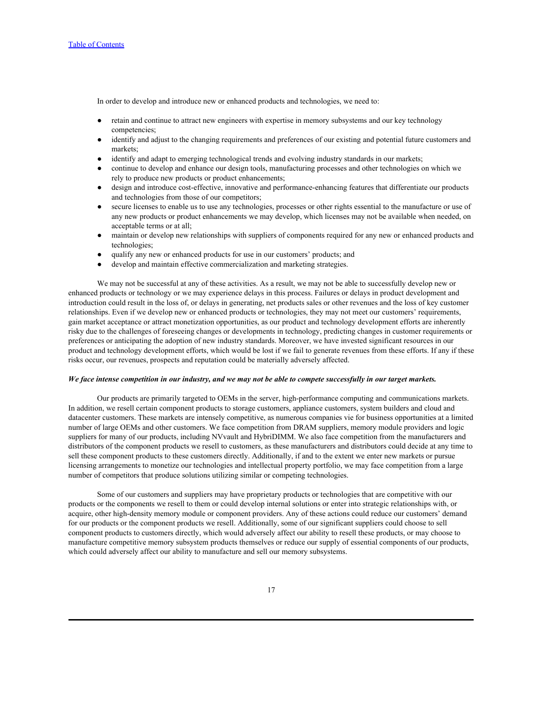In order to develop and introduce new or enhanced products and technologies, we need to:

- retain and continue to attract new engineers with expertise in memory subsystems and our key technology competencies;
- identify and adjust to the changing requirements and preferences of our existing and potential future customers and markets;
- identify and adapt to emerging technological trends and evolving industry standards in our markets;
- continue to develop and enhance our design tools, manufacturing processes and other technologies on which we rely to produce new products or product enhancements;
- design and introduce cost-effective, innovative and performance-enhancing features that differentiate our products and technologies from those of our competitors;
- secure licenses to enable us to use any technologies, processes or other rights essential to the manufacture or use of any new products or product enhancements we may develop, which licenses may not be available when needed, on acceptable terms or at all;
- maintain or develop new relationships with suppliers of components required for any new or enhanced products and technologies;
- qualify any new or enhanced products for use in our customers' products; and
- develop and maintain effective commercialization and marketing strategies.

We may not be successful at any of these activities. As a result, we may not be able to successfully develop new or enhanced products or technology or we may experience delays in this process. Failures or delays in product development and introduction could result in the loss of, or delays in generating, net products sales or other revenues and the loss of key customer relationships. Even if we develop new or enhanced products or technologies, they may not meet our customers' requirements, gain market acceptance or attract monetization opportunities, as our product and technology development efforts are inherently risky due to the challenges of foreseeing changes or developments in technology, predicting changes in customer requirements or preferences or anticipating the adoption of new industry standards. Moreover, we have invested significant resources in our product and technology development efforts, which would be lost if we fail to generate revenues from these efforts. If any if these risks occur, our revenues, prospects and reputation could be materially adversely affected.

# *We face intense competition in our industry, and we may not be able to compete successfully in our target markets.*

Our products are primarily targeted to OEMs in the server, high-performance computing and communications markets. In addition, we resell certain component products to storage customers, appliance customers, system builders and cloud and datacenter customers. These markets are intensely competitive, as numerous companies vie for business opportunities at a limited number of large OEMs and other customers. We face competition from DRAM suppliers, memory module providers and logic suppliers for many of our products, including NVvault and HybriDIMM. We also face competition from the manufacturers and distributors of the component products we resell to customers, as these manufacturers and distributors could decide at any time to sell these component products to these customers directly. Additionally, if and to the extent we enter new markets or pursue licensing arrangements to monetize our technologies and intellectual property portfolio, we may face competition from a large number of competitors that produce solutions utilizing similar or competing technologies.

Some of our customers and suppliers may have proprietary products or technologies that are competitive with our products or the components we resell to them or could develop internal solutions or enter into strategic relationships with, or acquire, other high-density memory module or component providers. Any of these actions could reduce our customers' demand for our products or the component products we resell. Additionally, some of our significant suppliers could choose to sell component products to customers directly, which would adversely affect our ability to resell these products, or may choose to manufacture competitive memory subsystem products themselves or reduce our supply of essential components of our products, which could adversely affect our ability to manufacture and sell our memory subsystems.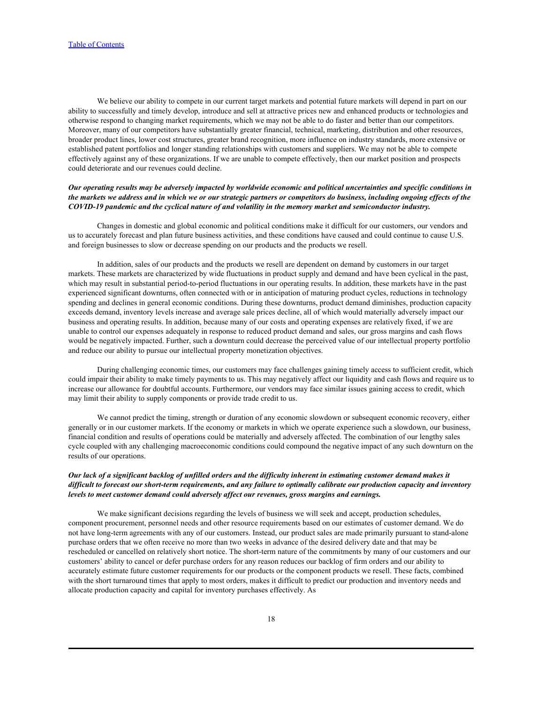We believe our ability to compete in our current target markets and potential future markets will depend in part on our ability to successfully and timely develop, introduce and sell at attractive prices new and enhanced products or technologies and otherwise respond to changing market requirements, which we may not be able to do faster and better than our competitors. Moreover, many of our competitors have substantially greater financial, technical, marketing, distribution and other resources, broader product lines, lower cost structures, greater brand recognition, more influence on industry standards, more extensive or established patent portfolios and longer standing relationships with customers and suppliers. We may not be able to compete effectively against any of these organizations. If we are unable to compete effectively, then our market position and prospects could deteriorate and our revenues could decline.

### *Our operating results may be adversely impacted by worldwide economic and political uncertainties and specific conditions in the markets we address and in which we or our strategic partners or competitors do business, including ongoing effects of the COVID-19 pandemic and the cyclical nature of and volatility in the memory market and semiconductor industry.*

Changes in domestic and global economic and political conditions make it difficult for our customers, our vendors and us to accurately forecast and plan future business activities, and these conditions have caused and could continue to cause U.S. and foreign businesses to slow or decrease spending on our products and the products we resell.

In addition, sales of our products and the products we resell are dependent on demand by customers in our target markets. These markets are characterized by wide fluctuations in product supply and demand and have been cyclical in the past, which may result in substantial period-to-period fluctuations in our operating results. In addition, these markets have in the past experienced significant downturns, often connected with or in anticipation of maturing product cycles, reductions in technology spending and declines in general economic conditions. During these downturns, product demand diminishes, production capacity exceeds demand, inventory levels increase and average sale prices decline, all of which would materially adversely impact our business and operating results. In addition, because many of our costs and operating expenses are relatively fixed, if we are unable to control our expenses adequately in response to reduced product demand and sales, our gross margins and cash flows would be negatively impacted. Further, such a downturn could decrease the perceived value of our intellectual property portfolio and reduce our ability to pursue our intellectual property monetization objectives.

During challenging economic times, our customers may face challenges gaining timely access to sufficient credit, which could impair their ability to make timely payments to us. This may negatively affect our liquidity and cash flows and require us to increase our allowance for doubtful accounts. Furthermore, our vendors may face similar issues gaining access to credit, which may limit their ability to supply components or provide trade credit to us.

We cannot predict the timing, strength or duration of any economic slowdown or subsequent economic recovery, either generally or in our customer markets. If the economy or markets in which we operate experience such a slowdown, our business, financial condition and results of operations could be materially and adversely affected. The combination of our lengthy sales cycle coupled with any challenging macroeconomic conditions could compound the negative impact of any such downturn on the results of our operations.

# *Our lack of a significant backlog of unfilled orders and the difficulty inherent in estimating customer demand makes it difficult to forecast our short-term requirements, and any failure to optimally calibrate our production capacity and inventory levels to meet customer demand could adversely affect our revenues, gross margins and earnings.*

We make significant decisions regarding the levels of business we will seek and accept, production schedules, component procurement, personnel needs and other resource requirements based on our estimates of customer demand. We do not have long-term agreements with any of our customers. Instead, our product sales are made primarily pursuant to stand-alone purchase orders that we often receive no more than two weeks in advance of the desired delivery date and that may be rescheduled or cancelled on relatively short notice. The short-term nature of the commitments by many of our customers and our customers' ability to cancel or defer purchase orders for any reason reduces our backlog of firm orders and our ability to accurately estimate future customer requirements for our products or the component products we resell. These facts, combined with the short turnaround times that apply to most orders, makes it difficult to predict our production and inventory needs and allocate production capacity and capital for inventory purchases effectively. As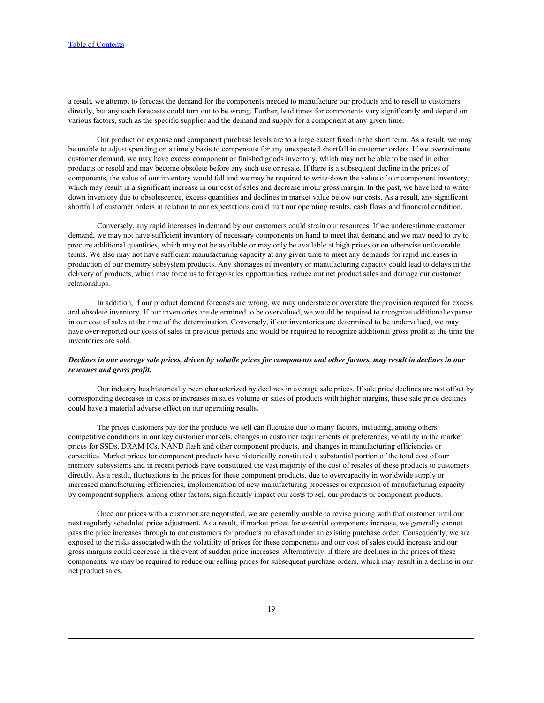a result, we attempt to forecast the demand for the components needed to manufacture our products and to resell to customers directly, but any such forecasts could turn out to be wrong. Further, lead times for components vary significantly and depend on various factors, such as the specific supplier and the demand and supply for a component at any given time.

Our production expense and component purchase levels are to a large extent fixed in the short term. As a result, we may be unable to adjust spending on a timely basis to compensate for any unexpected shortfall in customer orders. If we overestimate customer demand, we may have excess component or finished goods inventory, which may not be able to be used in other products or resold and may become obsolete before any such use or resale. If there is a subsequent decline in the prices of components, the value of our inventory would fall and we may be required to write-down the value of our component inventory, which may result in a significant increase in our cost of sales and decrease in our gross margin. In the past, we have had to writedown inventory due to obsolescence, excess quantities and declines in market value below our costs. As a result, any significant shortfall of customer orders in relation to our expectations could hurt our operating results, cash flows and financial condition.

Conversely, any rapid increases in demand by our customers could strain our resources. If we underestimate customer demand, we may not have sufficient inventory of necessary components on hand to meet that demand and we may need to try to procure additional quantities, which may not be available or may only be available at high prices or on otherwise unfavorable terms. We also may not have sufficient manufacturing capacity at any given time to meet any demands for rapid increases in production of our memory subsystem products. Any shortages of inventory or manufacturing capacity could lead to delays in the delivery of products, which may force us to forego sales opportunities, reduce our net product sales and damage our customer relationships.

In addition, if our product demand forecasts are wrong, we may understate or overstate the provision required for excess and obsolete inventory. If our inventories are determined to be overvalued, we would be required to recognize additional expense in our cost of sales at the time of the determination. Conversely, if our inventories are determined to be undervalued, we may have over-reported our costs of sales in previous periods and would be required to recognize additional gross profit at the time the inventories are sold.

### *Declines in our average sale prices, driven by volatile prices for components and other factors, may result in declines in our revenues and gross profit.*

Our industry has historically been characterized by declines in average sale prices. If sale price declines are not offset by corresponding decreases in costs or increases in sales volume or sales of products with higher margins, these sale price declines could have a material adverse effect on our operating results.

The prices customers pay for the products we sell can fluctuate due to many factors, including, among others, competitive conditions in our key customer markets, changes in customer requirements or preferences, volatility in the market prices for SSDs, DRAM ICs, NAND flash and other component products, and changes in manufacturing efficiencies or capacities. Market prices for component products have historically constituted a substantial portion of the total cost of our memory subsystems and in recent periods have constituted the vast majority of the cost of resales of these products to customers directly. As a result, fluctuations in the prices for these component products, due to overcapacity in worldwide supply or increased manufacturing efficiencies, implementation of new manufacturing processes or expansion of manufacturing capacity by component suppliers, among other factors, significantly impact our costs to sell our products or component products.

Once our prices with a customer are negotiated, we are generally unable to revise pricing with that customer until our next regularly scheduled price adjustment. As a result, if market prices for essential components increase, we generally cannot pass the price increases through to our customers for products purchased under an existing purchase order. Consequently, we are exposed to the risks associated with the volatility of prices for these components and our cost of sales could increase and our gross margins could decrease in the event of sudden price increases. Alternatively, if there are declines in the prices of these components, we may be required to reduce our selling prices for subsequent purchase orders, which may result in a decline in our net product sales.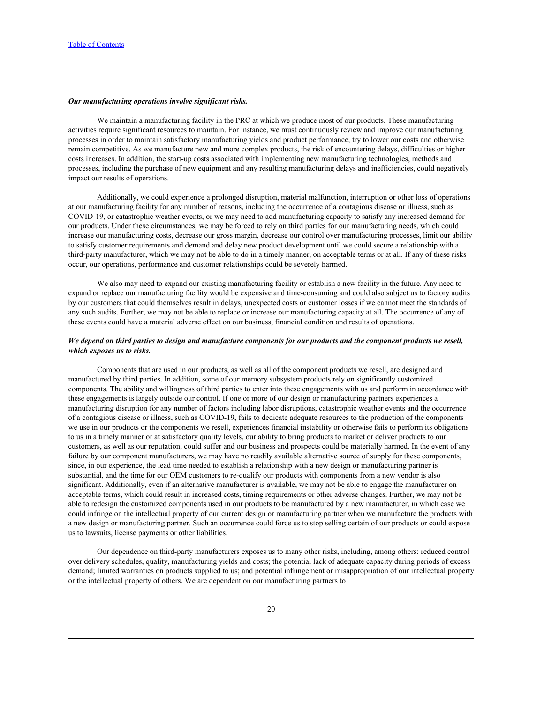### *Our manufacturing operations involve significant risks.*

We maintain a manufacturing facility in the PRC at which we produce most of our products. These manufacturing activities require significant resources to maintain. For instance, we must continuously review and improve our manufacturing processes in order to maintain satisfactory manufacturing yields and product performance, try to lower our costs and otherwise remain competitive. As we manufacture new and more complex products, the risk of encountering delays, difficulties or higher costs increases. In addition, the start-up costs associated with implementing new manufacturing technologies, methods and processes, including the purchase of new equipment and any resulting manufacturing delays and inefficiencies, could negatively impact our results of operations.

Additionally, we could experience a prolonged disruption, material malfunction, interruption or other loss of operations at our manufacturing facility for any number of reasons, including the occurrence of a contagious disease or illness, such as COVID-19, or catastrophic weather events, or we may need to add manufacturing capacity to satisfy any increased demand for our products. Under these circumstances, we may be forced to rely on third parties for our manufacturing needs, which could increase our manufacturing costs, decrease our gross margin, decrease our control over manufacturing processes, limit our ability to satisfy customer requirements and demand and delay new product development until we could secure a relationship with a third-party manufacturer, which we may not be able to do in a timely manner, on acceptable terms or at all. If any of these risks occur, our operations, performance and customer relationships could be severely harmed.

We also may need to expand our existing manufacturing facility or establish a new facility in the future. Any need to expand or replace our manufacturing facility would be expensive and time-consuming and could also subject us to factory audits by our customers that could themselves result in delays, unexpected costs or customer losses if we cannot meet the standards of any such audits. Further, we may not be able to replace or increase our manufacturing capacity at all. The occurrence of any of these events could have a material adverse effect on our business, financial condition and results of operations.

### *We depend on third parties to design and manufacture components for our products and the component products we resell, which exposes us to risks.*

Components that are used in our products, as well as all of the component products we resell, are designed and manufactured by third parties. In addition, some of our memory subsystem products rely on significantly customized components. The ability and willingness of third parties to enter into these engagements with us and perform in accordance with these engagements is largely outside our control. If one or more of our design or manufacturing partners experiences a manufacturing disruption for any number of factors including labor disruptions, catastrophic weather events and the occurrence of a contagious disease or illness, such as COVID-19, fails to dedicate adequate resources to the production of the components we use in our products or the components we resell, experiences financial instability or otherwise fails to perform its obligations to us in a timely manner or at satisfactory quality levels, our ability to bring products to market or deliver products to our customers, as well as our reputation, could suffer and our business and prospects could be materially harmed. In the event of any failure by our component manufacturers, we may have no readily available alternative source of supply for these components, since, in our experience, the lead time needed to establish a relationship with a new design or manufacturing partner is substantial, and the time for our OEM customers to re-qualify our products with components from a new vendor is also significant. Additionally, even if an alternative manufacturer is available, we may not be able to engage the manufacturer on acceptable terms, which could result in increased costs, timing requirements or other adverse changes. Further, we may not be able to redesign the customized components used in our products to be manufactured by a new manufacturer, in which case we could infringe on the intellectual property of our current design or manufacturing partner when we manufacture the products with a new design or manufacturing partner. Such an occurrence could force us to stop selling certain of our products or could expose us to lawsuits, license payments or other liabilities.

Our dependence on third-party manufacturers exposes us to many other risks, including, among others: reduced control over delivery schedules, quality, manufacturing yields and costs; the potential lack of adequate capacity during periods of excess demand; limited warranties on products supplied to us; and potential infringement or misappropriation of our intellectual property or the intellectual property of others. We are dependent on our manufacturing partners to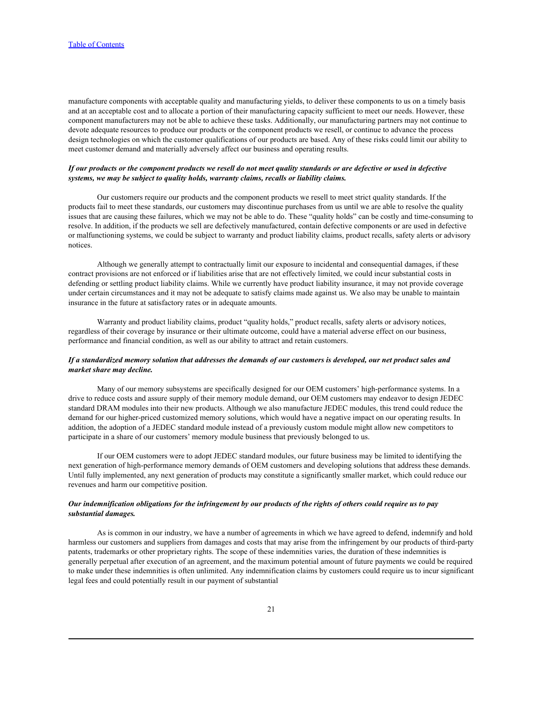manufacture components with acceptable quality and manufacturing yields, to deliver these components to us on a timely basis and at an acceptable cost and to allocate a portion of their manufacturing capacity sufficient to meet our needs. However, these component manufacturers may not be able to achieve these tasks. Additionally, our manufacturing partners may not continue to devote adequate resources to produce our products or the component products we resell, or continue to advance the process design technologies on which the customer qualifications of our products are based. Any of these risks could limit our ability to meet customer demand and materially adversely affect our business and operating results.

### *If our products or the component products we resell do not meet quality standards or are defective or used in defective systems, we may be subject to quality holds, warranty claims, recalls or liability claims.*

Our customers require our products and the component products we resell to meet strict quality standards. If the products fail to meet these standards, our customers may discontinue purchases from us until we are able to resolve the quality issues that are causing these failures, which we may not be able to do. These "quality holds" can be costly and time-consuming to resolve. In addition, if the products we sell are defectively manufactured, contain defective components or are used in defective or malfunctioning systems, we could be subject to warranty and product liability claims, product recalls, safety alerts or advisory notices.

Although we generally attempt to contractually limit our exposure to incidental and consequential damages, if these contract provisions are not enforced or if liabilities arise that are not effectively limited, we could incur substantial costs in defending or settling product liability claims. While we currently have product liability insurance, it may not provide coverage under certain circumstances and it may not be adequate to satisfy claims made against us. We also may be unable to maintain insurance in the future at satisfactory rates or in adequate amounts.

Warranty and product liability claims, product "quality holds," product recalls, safety alerts or advisory notices, regardless of their coverage by insurance or their ultimate outcome, could have a material adverse effect on our business, performance and financial condition, as well as our ability to attract and retain customers.

### *If a standardized memory solution that addresses the demands of our customers is developed, our net product sales and market share may decline.*

Many of our memory subsystems are specifically designed for our OEM customers' high-performance systems. In a drive to reduce costs and assure supply of their memory module demand, our OEM customers may endeavor to design JEDEC standard DRAM modules into their new products. Although we also manufacture JEDEC modules, this trend could reduce the demand for our higher-priced customized memory solutions, which would have a negative impact on our operating results. In addition, the adoption of a JEDEC standard module instead of a previously custom module might allow new competitors to participate in a share of our customers' memory module business that previously belonged to us.

If our OEM customers were to adopt JEDEC standard modules, our future business may be limited to identifying the next generation of high-performance memory demands of OEM customers and developing solutions that address these demands. Until fully implemented, any next generation of products may constitute a significantly smaller market, which could reduce our revenues and harm our competitive position.

# *Our indemnification obligations for the infringement by our products of the rights of others could require us to pay substantial damages.*

As is common in our industry, we have a number of agreements in which we have agreed to defend, indemnify and hold harmless our customers and suppliers from damages and costs that may arise from the infringement by our products of third-party patents, trademarks or other proprietary rights. The scope of these indemnities varies, the duration of these indemnities is generally perpetual after execution of an agreement, and the maximum potential amount of future payments we could be required to make under these indemnities is often unlimited. Any indemnification claims by customers could require us to incur significant legal fees and could potentially result in our payment of substantial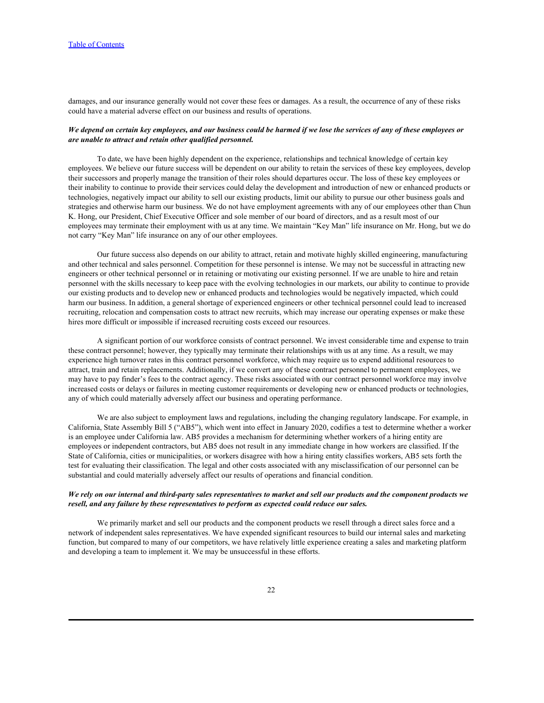damages, and our insurance generally would not cover these fees or damages. As a result, the occurrence of any of these risks could have a material adverse effect on our business and results of operations.

# *We depend on certain key employees, and our business could be harmed if we lose the services of any of these employees or are unable to attract and retain other qualified personnel.*

To date, we have been highly dependent on the experience, relationships and technical knowledge of certain key employees. We believe our future success will be dependent on our ability to retain the services of these key employees, develop their successors and properly manage the transition of their roles should departures occur. The loss of these key employees or their inability to continue to provide their services could delay the development and introduction of new or enhanced products or technologies, negatively impact our ability to sell our existing products, limit our ability to pursue our other business goals and strategies and otherwise harm our business. We do not have employment agreements with any of our employees other than Chun K. Hong, our President, Chief Executive Officer and sole member of our board of directors, and as a result most of our employees may terminate their employment with us at any time. We maintain "Key Man" life insurance on Mr. Hong, but we do not carry "Key Man" life insurance on any of our other employees.

Our future success also depends on our ability to attract, retain and motivate highly skilled engineering, manufacturing and other technical and sales personnel. Competition for these personnel is intense. We may not be successful in attracting new engineers or other technical personnel or in retaining or motivating our existing personnel. If we are unable to hire and retain personnel with the skills necessary to keep pace with the evolving technologies in our markets, our ability to continue to provide our existing products and to develop new or enhanced products and technologies would be negatively impacted, which could harm our business. In addition, a general shortage of experienced engineers or other technical personnel could lead to increased recruiting, relocation and compensation costs to attract new recruits, which may increase our operating expenses or make these hires more difficult or impossible if increased recruiting costs exceed our resources.

A significant portion of our workforce consists of contract personnel. We invest considerable time and expense to train these contract personnel; however, they typically may terminate their relationships with us at any time. As a result, we may experience high turnover rates in this contract personnel workforce, which may require us to expend additional resources to attract, train and retain replacements. Additionally, if we convert any of these contract personnel to permanent employees, we may have to pay finder's fees to the contract agency. These risks associated with our contract personnel workforce may involve increased costs or delays or failures in meeting customer requirements or developing new or enhanced products or technologies, any of which could materially adversely affect our business and operating performance.

We are also subject to employment laws and regulations, including the changing regulatory landscape. For example, in California, State Assembly Bill 5 ("AB5"), which went into effect in January 2020, codifies a test to determine whether a worker is an employee under California law. AB5 provides a mechanism for determining whether workers of a hiring entity are employees or independent contractors, but AB5 does not result in any immediate change in how workers are classified. If the State of California, cities or municipalities, or workers disagree with how a hiring entity classifies workers, AB5 sets forth the test for evaluating their classification. The legal and other costs associated with any misclassification of our personnel can be substantial and could materially adversely affect our results of operations and financial condition.

# *We rely on our internal and third-party sales representatives to market and sell our products and the component products we resell, and any failure by these representatives to perform as expected could reduce our sales.*

We primarily market and sell our products and the component products we resell through a direct sales force and a network of independent sales representatives. We have expended significant resources to build our internal sales and marketing function, but compared to many of our competitors, we have relatively little experience creating a sales and marketing platform and developing a team to implement it. We may be unsuccessful in these efforts.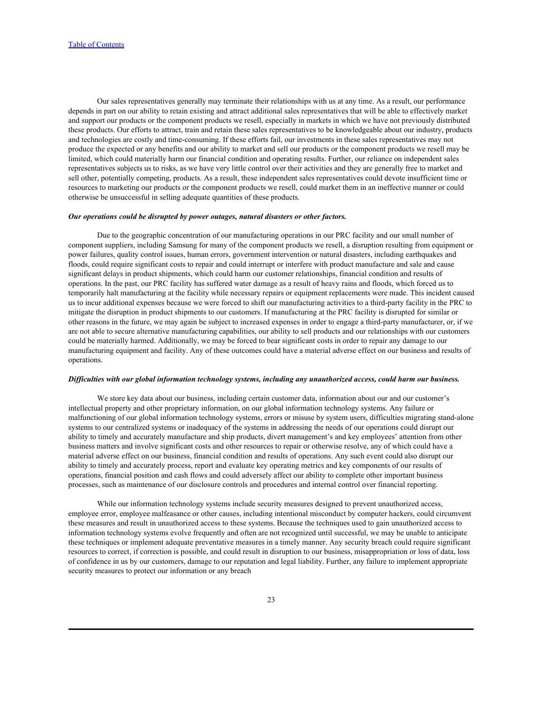Our sales representatives generally may terminate their relationships with us at any time. As a result, our performance depends in part on our ability to retain existing and attract additional sales representatives that will be able to effectively market and support our products or the component products we resell, especially in markets in which we have not previously distributed these products. Our efforts to attract, train and retain these sales representatives to be knowledgeable about our industry, products and technologies are costly and time-consuming. If these efforts fail, our investments in these sales representatives may not produce the expected or any benefits and our ability to market and sell our products or the component products we resell may be limited, which could materially harm our financial condition and operating results. Further, our reliance on independent sales representatives subjects us to risks, as we have very little control over their activities and they are generally free to market and sell other, potentially competing, products. As a result, these independent sales representatives could devote insufficient time or resources to marketing our products or the component products we resell, could market them in an ineffective manner or could otherwise be unsuccessful in selling adequate quantities of these products.

#### *Our operations could be disrupted by power outages, natural disasters or other factors.*

Due to the geographic concentration of our manufacturing operations in our PRC facility and our small number of component suppliers, including Samsung for many of the component products we resell, a disruption resulting from equipment or power failures, quality control issues, human errors, government intervention or natural disasters, including earthquakes and floods, could require significant costs to repair and could interrupt or interfere with product manufacture and sale and cause significant delays in product shipments, which could harm our customer relationships, financial condition and results of operations. In the past, our PRC facility has suffered water damage as a result of heavy rains and floods, which forced us to temporarily halt manufacturing at the facility while necessary repairs or equipment replacements were made. This incident caused us to incur additional expenses because we were forced to shift our manufacturing activities to a third-party facility in the PRC to mitigate the disruption in product shipments to our customers. If manufacturing at the PRC facility is disrupted for similar or other reasons in the future, we may again be subject to increased expenses in order to engage a third-party manufacturer, or, if we are not able to secure alternative manufacturing capabilities, our ability to sell products and our relationships with our customers could be materially harmed. Additionally, we may be forced to bear significant costs in order to repair any damage to our manufacturing equipment and facility. Any of these outcomes could have a material adverse effect on our business and results of operations.

### *Difficulties with our global information technology systems, including any unauthorized access, could harm our business.*

We store key data about our business, including certain customer data, information about our and our customer's intellectual property and other proprietary information, on our global information technology systems. Any failure or malfunctioning of our global information technology systems, errors or misuse by system users, difficulties migrating stand-alone systems to our centralized systems or inadequacy of the systems in addressing the needs of our operations could disrupt our ability to timely and accurately manufacture and ship products, divert management's and key employees' attention from other business matters and involve significant costs and other resources to repair or otherwise resolve, any of which could have a material adverse effect on our business, financial condition and results of operations. Any such event could also disrupt our ability to timely and accurately process, report and evaluate key operating metrics and key components of our results of operations, financial position and cash flows and could adversely affect our ability to complete other important business processes, such as maintenance of our disclosure controls and procedures and internal control over financial reporting.

While our information technology systems include security measures designed to prevent unauthorized access, employee error, employee malfeasance or other causes, including intentional misconduct by computer hackers, could circumvent these measures and result in unauthorized access to these systems. Because the techniques used to gain unauthorized access to information technology systems evolve frequently and often are not recognized until successful, we may be unable to anticipate these techniques or implement adequate preventative measures in a timely manner. Any security breach could require significant resources to correct, if correction is possible, and could result in disruption to our business, misappropriation or loss of data, loss of confidence in us by our customers, damage to our reputation and legal liability. Further, any failure to implement appropriate security measures to protect our information or any breach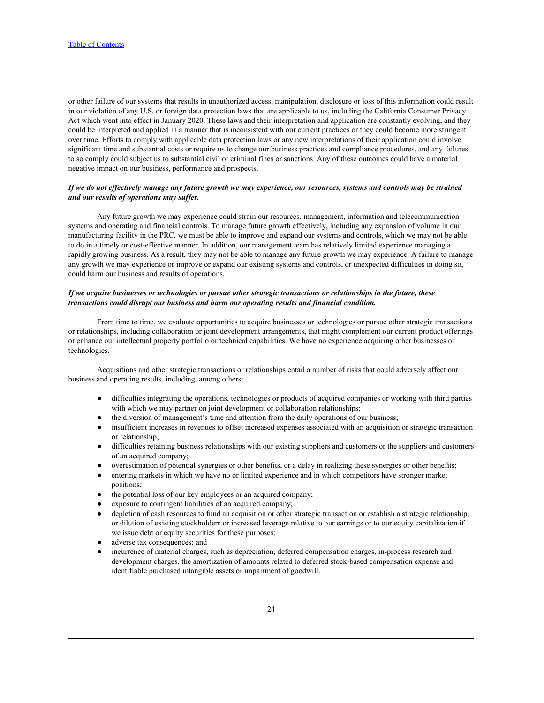or other failure of our systems that results in unauthorized access, manipulation, disclosure or loss of this information could result in our violation of any U.S. or foreign data protection laws that are applicable to us, including the California Consumer Privacy Act which went into effect in January 2020. These laws and their interpretation and application are constantly evolving, and they could be interpreted and applied in a manner that is inconsistent with our current practices or they could become more stringent over time. Efforts to comply with applicable data protection laws or any new interpretations of their application could involve significant time and substantial costs or require us to change our business practices and compliance procedures, and any failures to so comply could subject us to substantial civil or criminal fines or sanctions. Any of these outcomes could have a material negative impact on our business, performance and prospects.

### *If we do not effectively manage any future growth we may experience, our resources, systems and controls may be strained and our results of operations may suffer.*

Any future growth we may experience could strain our resources, management, information and telecommunication systems and operating and financial controls. To manage future growth effectively, including any expansion of volume in our manufacturing facility in the PRC, we must be able to improve and expand our systems and controls, which we may not be able to do in a timely or cost-effective manner. In addition, our management team has relatively limited experience managing a rapidly growing business. As a result, they may not be able to manage any future growth we may experience. A failure to manage any growth we may experience or improve or expand our existing systems and controls, or unexpected difficulties in doing so, could harm our business and results of operations.

# *If we acquire businesses or technologies or pursue other strategic transactions or relationships in the future, these transactions could disrupt our business and harm our operating results and financial condition.*

From time to time, we evaluate opportunities to acquire businesses or technologies or pursue other strategic transactions or relationships, including collaboration or joint development arrangements, that might complement our current product offerings or enhance our intellectual property portfolio or technical capabilities. We have no experience acquiring other businesses or technologies.

Acquisitions and other strategic transactions or relationships entail a number of risks that could adversely affect our business and operating results, including, among others:

- difficulties integrating the operations, technologies or products of acquired companies or working with third parties with which we may partner on joint development or collaboration relationships;
- the diversion of management's time and attention from the daily operations of our business;
- insufficient increases in revenues to offset increased expenses associated with an acquisition or strategic transaction or relationship;
- difficulties retaining business relationships with our existing suppliers and customers or the suppliers and customers of an acquired company;
- overestimation of potential synergies or other benefits, or a delay in realizing these synergies or other benefits;
- entering markets in which we have no or limited experience and in which competitors have stronger market positions;
- the potential loss of our key employees or an acquired company;
- exposure to contingent liabilities of an acquired company;
- depletion of cash resources to fund an acquisition or other strategic transaction or establish a strategic relationship, or dilution of existing stockholders or increased leverage relative to our earnings or to our equity capitalization if we issue debt or equity securities for these purposes;
- adverse tax consequences; and
- incurrence of material charges, such as depreciation, deferred compensation charges, in-process research and development charges, the amortization of amounts related to deferred stock-based compensation expense and identifiable purchased intangible assets or impairment of goodwill.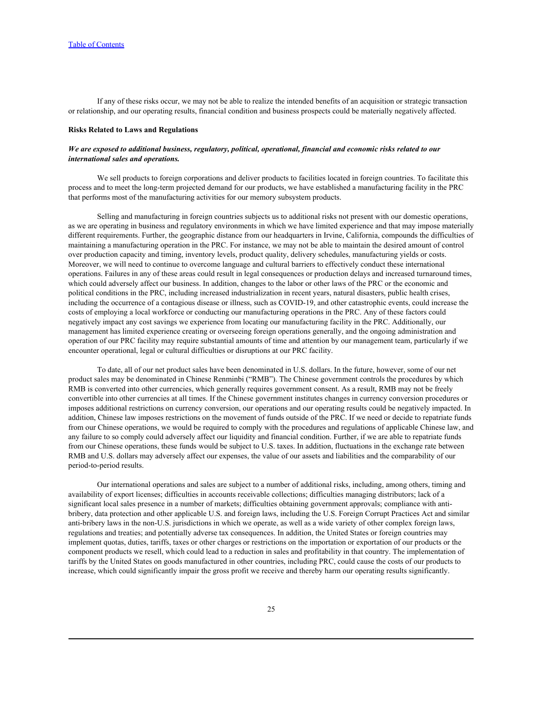If any of these risks occur, we may not be able to realize the intended benefits of an acquisition or strategic transaction or relationship, and our operating results, financial condition and business prospects could be materially negatively affected.

#### **Risks Related to Laws and Regulations**

#### *We are exposed to additional business, regulatory, political, operational, financial and economic risks related to our international sales and operations.*

We sell products to foreign corporations and deliver products to facilities located in foreign countries. To facilitate this process and to meet the long-term projected demand for our products, we have established a manufacturing facility in the PRC that performs most of the manufacturing activities for our memory subsystem products.

Selling and manufacturing in foreign countries subjects us to additional risks not present with our domestic operations, as we are operating in business and regulatory environments in which we have limited experience and that may impose materially different requirements. Further, the geographic distance from our headquarters in Irvine, California, compounds the difficulties of maintaining a manufacturing operation in the PRC. For instance, we may not be able to maintain the desired amount of control over production capacity and timing, inventory levels, product quality, delivery schedules, manufacturing yields or costs. Moreover, we will need to continue to overcome language and cultural barriers to effectively conduct these international operations. Failures in any of these areas could result in legal consequences or production delays and increased turnaround times, which could adversely affect our business. In addition, changes to the labor or other laws of the PRC or the economic and political conditions in the PRC, including increased industrialization in recent years, natural disasters, public health crises, including the occurrence of a contagious disease or illness, such as COVID-19, and other catastrophic events, could increase the costs of employing a local workforce or conducting our manufacturing operations in the PRC. Any of these factors could negatively impact any cost savings we experience from locating our manufacturing facility in the PRC. Additionally, our management has limited experience creating or overseeing foreign operations generally, and the ongoing administration and operation of our PRC facility may require substantial amounts of time and attention by our management team, particularly if we encounter operational, legal or cultural difficulties or disruptions at our PRC facility.

To date, all of our net product sales have been denominated in U.S. dollars. In the future, however, some of our net product sales may be denominated in Chinese Renminbi ("RMB"). The Chinese government controls the procedures by which RMB is converted into other currencies, which generally requires government consent. As a result, RMB may not be freely convertible into other currencies at all times. If the Chinese government institutes changes in currency conversion procedures or imposes additional restrictions on currency conversion, our operations and our operating results could be negatively impacted. In addition, Chinese law imposes restrictions on the movement of funds outside of the PRC. If we need or decide to repatriate funds from our Chinese operations, we would be required to comply with the procedures and regulations of applicable Chinese law, and any failure to so comply could adversely affect our liquidity and financial condition. Further, if we are able to repatriate funds from our Chinese operations, these funds would be subject to U.S. taxes. In addition, fluctuations in the exchange rate between RMB and U.S. dollars may adversely affect our expenses, the value of our assets and liabilities and the comparability of our period-to-period results.

Our international operations and sales are subject to a number of additional risks, including, among others, timing and availability of export licenses; difficulties in accounts receivable collections; difficulties managing distributors; lack of a significant local sales presence in a number of markets; difficulties obtaining government approvals; compliance with antibribery, data protection and other applicable U.S. and foreign laws, including the U.S. Foreign Corrupt Practices Act and similar anti-bribery laws in the non-U.S. jurisdictions in which we operate, as well as a wide variety of other complex foreign laws, regulations and treaties; and potentially adverse tax consequences. In addition, the United States or foreign countries may implement quotas, duties, tariffs, taxes or other charges or restrictions on the importation or exportation of our products or the component products we resell, which could lead to a reduction in sales and profitability in that country. The implementation of tariffs by the United States on goods manufactured in other countries, including PRC, could cause the costs of our products to increase, which could significantly impair the gross profit we receive and thereby harm our operating results significantly.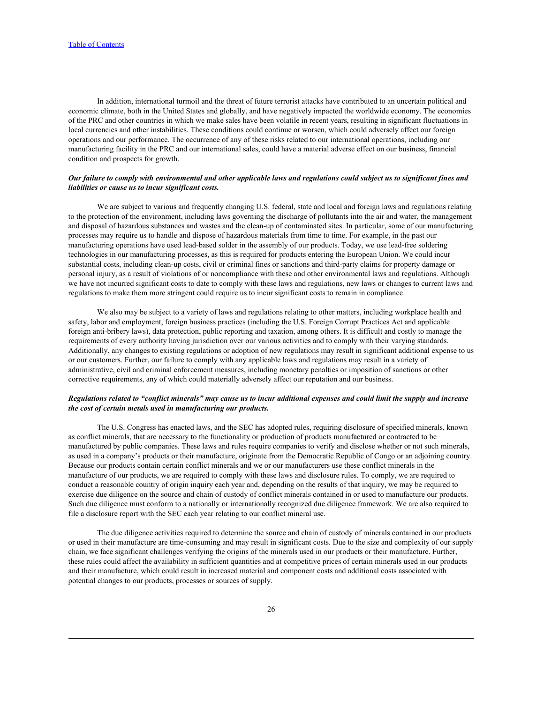In addition, international turmoil and the threat of future terrorist attacks have contributed to an uncertain political and economic climate, both in the United States and globally, and have negatively impacted the worldwide economy. The economies of the PRC and other countries in which we make sales have been volatile in recent years, resulting in significant fluctuations in local currencies and other instabilities. These conditions could continue or worsen, which could adversely affect our foreign operations and our performance. The occurrence of any of these risks related to our international operations, including our manufacturing facility in the PRC and our international sales, could have a material adverse effect on our business, financial condition and prospects for growth.

### *Our failure to comply with environmental and other applicable laws and regulations could subject us to significant fines and liabilities or cause us to incur significant costs.*

We are subject to various and frequently changing U.S. federal, state and local and foreign laws and regulations relating to the protection of the environment, including laws governing the discharge of pollutants into the air and water, the management and disposal of hazardous substances and wastes and the clean-up of contaminated sites. In particular, some of our manufacturing processes may require us to handle and dispose of hazardous materials from time to time. For example, in the past our manufacturing operations have used lead-based solder in the assembly of our products. Today, we use lead-free soldering technologies in our manufacturing processes, as this is required for products entering the European Union. We could incur substantial costs, including clean-up costs, civil or criminal fines or sanctions and third-party claims for property damage or personal injury, as a result of violations of or noncompliance with these and other environmental laws and regulations. Although we have not incurred significant costs to date to comply with these laws and regulations, new laws or changes to current laws and regulations to make them more stringent could require us to incur significant costs to remain in compliance.

We also may be subject to a variety of laws and regulations relating to other matters, including workplace health and safety, labor and employment, foreign business practices (including the U.S. Foreign Corrupt Practices Act and applicable foreign anti-bribery laws), data protection, public reporting and taxation, among others. It is difficult and costly to manage the requirements of every authority having jurisdiction over our various activities and to comply with their varying standards. Additionally, any changes to existing regulations or adoption of new regulations may result in significant additional expense to us or our customers. Further, our failure to comply with any applicable laws and regulations may result in a variety of administrative, civil and criminal enforcement measures, including monetary penalties or imposition of sanctions or other corrective requirements, any of which could materially adversely affect our reputation and our business.

# *Regulations related to "conflict minerals" may cause us to incur additional expenses and could limit the supply and increase the cost of certain metals used in manufacturing our products.*

The U.S. Congress has enacted laws, and the SEC has adopted rules, requiring disclosure of specified minerals, known as conflict minerals, that are necessary to the functionality or production of products manufactured or contracted to be manufactured by public companies. These laws and rules require companies to verify and disclose whether or not such minerals, as used in a company's products or their manufacture, originate from the Democratic Republic of Congo or an adjoining country. Because our products contain certain conflict minerals and we or our manufacturers use these conflict minerals in the manufacture of our products, we are required to comply with these laws and disclosure rules. To comply, we are required to conduct a reasonable country of origin inquiry each year and, depending on the results of that inquiry, we may be required to exercise due diligence on the source and chain of custody of conflict minerals contained in or used to manufacture our products. Such due diligence must conform to a nationally or internationally recognized due diligence framework. We are also required to file a disclosure report with the SEC each year relating to our conflict mineral use.

The due diligence activities required to determine the source and chain of custody of minerals contained in our products or used in their manufacture are time-consuming and may result in significant costs. Due to the size and complexity of our supply chain, we face significant challenges verifying the origins of the minerals used in our products or their manufacture. Further, these rules could affect the availability in sufficient quantities and at competitive prices of certain minerals used in our products and their manufacture, which could result in increased material and component costs and additional costs associated with potential changes to our products, processes or sources of supply.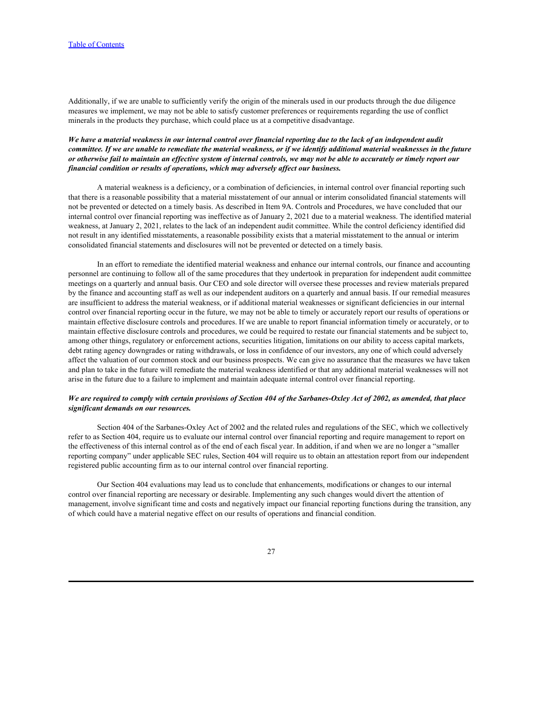Additionally, if we are unable to sufficiently verify the origin of the minerals used in our products through the due diligence measures we implement, we may not be able to satisfy customer preferences or requirements regarding the use of conflict minerals in the products they purchase, which could place us at a competitive disadvantage.

# *We have a material weakness in our internal control over financial reporting due to the lack of an independent audit committee. If we are unable to remediate the material weakness, or if we identify additional material weaknesses in the future or otherwise fail to maintain an effective system of internal controls, we may not be able to accurately or timely report our financial condition or results of operations, which may adversely affect our business.*

A material weakness is a deficiency, or a combination of deficiencies, in internal control over financial reporting such that there is a reasonable possibility that a material misstatement of our annual or interim consolidated financial statements will not be prevented or detected on a timely basis. As described in Item 9A. Controls and Procedures, we have concluded that our internal control over financial reporting was ineffective as of January 2, 2021 due to a material weakness. The identified material weakness, at January 2, 2021, relates to the lack of an independent audit committee. While the control deficiency identified did not result in any identified misstatements, a reasonable possibility exists that a material misstatement to the annual or interim consolidated financial statements and disclosures will not be prevented or detected on a timely basis.

In an effort to remediate the identified material weakness and enhance our internal controls, our finance and accounting personnel are continuing to follow all of the same procedures that they undertook in preparation for independent audit committee meetings on a quarterly and annual basis. Our CEO and sole director will oversee these processes and review materials prepared by the finance and accounting staff as well as our independent auditors on a quarterly and annual basis. If our remedial measures are insufficient to address the material weakness, or if additional material weaknesses or significant deficiencies in our internal control over financial reporting occur in the future, we may not be able to timely or accurately report our results of operations or maintain effective disclosure controls and procedures. If we are unable to report financial information timely or accurately, or to maintain effective disclosure controls and procedures, we could be required to restate our financial statements and be subject to, among other things, regulatory or enforcement actions, securities litigation, limitations on our ability to access capital markets, debt rating agency downgrades or rating withdrawals, or loss in confidence of our investors, any one of which could adversely affect the valuation of our common stock and our business prospects. We can give no assurance that the measures we have taken and plan to take in the future will remediate the material weakness identified or that any additional material weaknesses will not arise in the future due to a failure to implement and maintain adequate internal control over financial reporting.

# *We are required to comply with certain provisions of Section 404 of the Sarbanes-Oxley Act of 2002, as amended, that place significant demands on our resources.*

Section 404 of the Sarbanes-Oxley Act of 2002 and the related rules and regulations of the SEC, which we collectively refer to as Section 404, require us to evaluate our internal control over financial reporting and require management to report on the effectiveness of this internal control as of the end of each fiscal year. In addition, if and when we are no longer a "smaller reporting company" under applicable SEC rules, Section 404 will require us to obtain an attestation report from our independent registered public accounting firm as to our internal control over financial reporting.

Our Section 404 evaluations may lead us to conclude that enhancements, modifications or changes to our internal control over financial reporting are necessary or desirable. Implementing any such changes would divert the attention of management, involve significant time and costs and negatively impact our financial reporting functions during the transition, any of which could have a material negative effect on our results of operations and financial condition.

### 27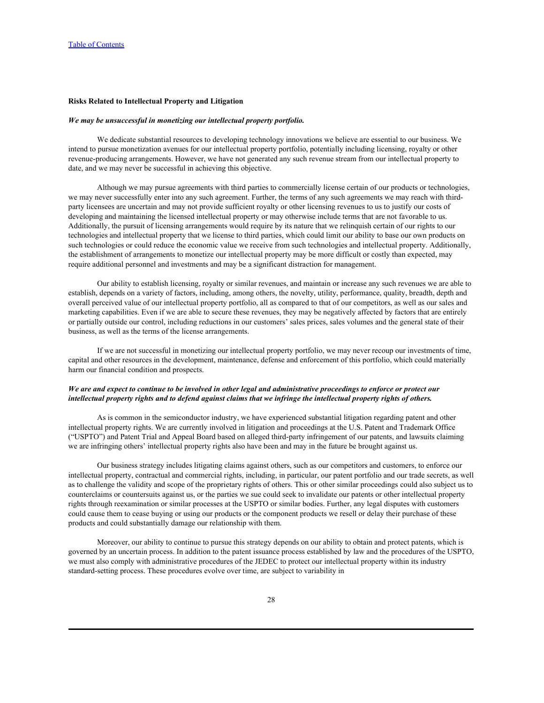# **Risks Related to Intellectual Property and Litigation**

#### *We may be unsuccessful in monetizing our intellectual property portfolio.*

We dedicate substantial resources to developing technology innovations we believe are essential to our business. We intend to pursue monetization avenues for our intellectual property portfolio, potentially including licensing, royalty or other revenue-producing arrangements. However, we have not generated any such revenue stream from our intellectual property to date, and we may never be successful in achieving this objective.

Although we may pursue agreements with third parties to commercially license certain of our products or technologies, we may never successfully enter into any such agreement. Further, the terms of any such agreements we may reach with thirdparty licensees are uncertain and may not provide sufficient royalty or other licensing revenues to us to justify our costs of developing and maintaining the licensed intellectual property or may otherwise include terms that are not favorable to us. Additionally, the pursuit of licensing arrangements would require by its nature that we relinquish certain of our rights to our technologies and intellectual property that we license to third parties, which could limit our ability to base our own products on such technologies or could reduce the economic value we receive from such technologies and intellectual property. Additionally, the establishment of arrangements to monetize our intellectual property may be more difficult or costly than expected, may require additional personnel and investments and may be a significant distraction for management.

Our ability to establish licensing, royalty or similar revenues, and maintain or increase any such revenues we are able to establish, depends on a variety of factors, including, among others, the novelty, utility, performance, quality, breadth, depth and overall perceived value of our intellectual property portfolio, all as compared to that of our competitors, as well as our sales and marketing capabilities. Even if we are able to secure these revenues, they may be negatively affected by factors that are entirely or partially outside our control, including reductions in our customers' sales prices, sales volumes and the general state of their business, as well as the terms of the license arrangements.

If we are not successful in monetizing our intellectual property portfolio, we may never recoup our investments of time, capital and other resources in the development, maintenance, defense and enforcement of this portfolio, which could materially harm our financial condition and prospects.

### *We are and expect to continue to be involved in other legal and administrative proceedings to enforce or protect our intellectual property rights and to defend against claims that we infringe the intellectual property rights of others.*

As is common in the semiconductor industry, we have experienced substantial litigation regarding patent and other intellectual property rights. We are currently involved in litigation and proceedings at the U.S. Patent and Trademark Office ("USPTO") and Patent Trial and Appeal Board based on alleged third-party infringement of our patents, and lawsuits claiming we are infringing others' intellectual property rights also have been and may in the future be brought against us.

Our business strategy includes litigating claims against others, such as our competitors and customers, to enforce our intellectual property, contractual and commercial rights, including, in particular, our patent portfolio and our trade secrets, as well as to challenge the validity and scope of the proprietary rights of others. This or other similar proceedings could also subject us to counterclaims or countersuits against us, or the parties we sue could seek to invalidate our patents or other intellectual property rights through reexamination or similar processes at the USPTO or similar bodies. Further, any legal disputes with customers could cause them to cease buying or using our products or the component products we resell or delay their purchase of these products and could substantially damage our relationship with them.

Moreover, our ability to continue to pursue this strategy depends on our ability to obtain and protect patents, which is governed by an uncertain process. In addition to the patent issuance process established by law and the procedures of the USPTO, we must also comply with administrative procedures of the JEDEC to protect our intellectual property within its industry standard-setting process. These procedures evolve over time, are subject to variability in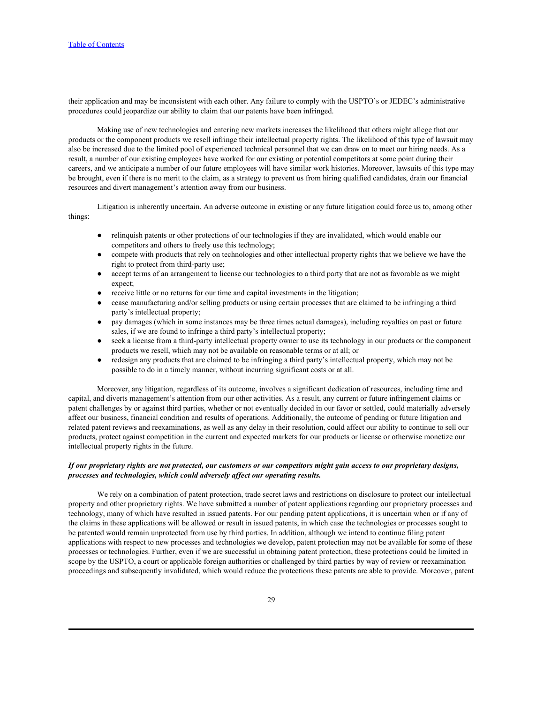their application and may be inconsistent with each other. Any failure to comply with the USPTO's or JEDEC's administrative procedures could jeopardize our ability to claim that our patents have been infringed.

Making use of new technologies and entering new markets increases the likelihood that others might allege that our products or the component products we resell infringe their intellectual property rights. The likelihood of this type of lawsuit may also be increased due to the limited pool of experienced technical personnel that we can draw on to meet our hiring needs. As a result, a number of our existing employees have worked for our existing or potential competitors at some point during their careers, and we anticipate a number of our future employees will have similar work histories. Moreover, lawsuits of this type may be brought, even if there is no merit to the claim, as a strategy to prevent us from hiring qualified candidates, drain our financial resources and divert management's attention away from our business.

Litigation is inherently uncertain. An adverse outcome in existing or any future litigation could force us to, among other things:

- relinquish patents or other protections of our technologies if they are invalidated, which would enable our competitors and others to freely use this technology;
- compete with products that rely on technologies and other intellectual property rights that we believe we have the right to protect from third-party use;
- accept terms of an arrangement to license our technologies to a third party that are not as favorable as we might expect;
- receive little or no returns for our time and capital investments in the litigation;
- cease manufacturing and/or selling products or using certain processes that are claimed to be infringing a third party's intellectual property;
- pay damages (which in some instances may be three times actual damages), including royalties on past or future sales, if we are found to infringe a third party's intellectual property;
- seek a license from a third-party intellectual property owner to use its technology in our products or the component products we resell, which may not be available on reasonable terms or at all; or
- redesign any products that are claimed to be infringing a third party's intellectual property, which may not be possible to do in a timely manner, without incurring significant costs or at all.

Moreover, any litigation, regardless of its outcome, involves a significant dedication of resources, including time and capital, and diverts management's attention from our other activities. As a result, any current or future infringement claims or patent challenges by or against third parties, whether or not eventually decided in our favor or settled, could materially adversely affect our business, financial condition and results of operations. Additionally, the outcome of pending or future litigation and related patent reviews and reexaminations, as well as any delay in their resolution, could affect our ability to continue to sell our products, protect against competition in the current and expected markets for our products or license or otherwise monetize our intellectual property rights in the future.

# *If our proprietary rights are not protected, our customers or our competitors might gain access to our proprietary designs, processes and technologies, which could adversely affect our operating results.*

We rely on a combination of patent protection, trade secret laws and restrictions on disclosure to protect our intellectual property and other proprietary rights. We have submitted a number of patent applications regarding our proprietary processes and technology, many of which have resulted in issued patents. For our pending patent applications, it is uncertain when or if any of the claims in these applications will be allowed or result in issued patents, in which case the technologies or processes sought to be patented would remain unprotected from use by third parties. In addition, although we intend to continue filing patent applications with respect to new processes and technologies we develop, patent protection may not be available for some of these processes or technologies. Further, even if we are successful in obtaining patent protection, these protections could be limited in scope by the USPTO, a court or applicable foreign authorities or challenged by third parties by way of review or reexamination proceedings and subsequently invalidated, which would reduce the protections these patents are able to provide. Moreover, patent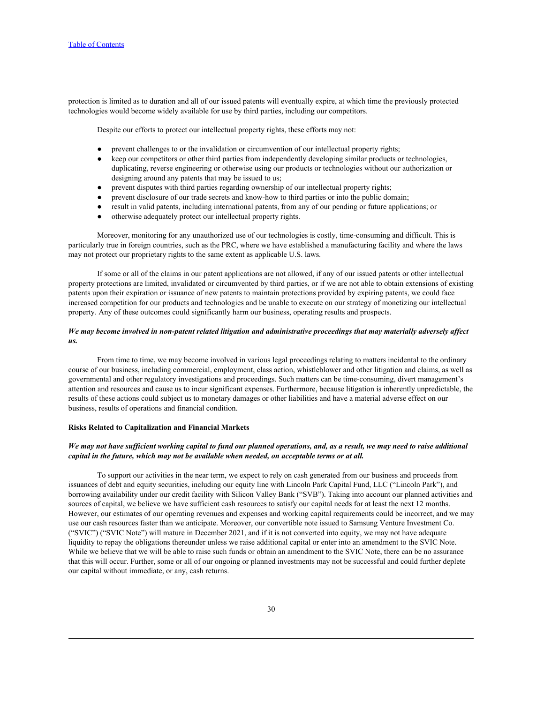protection is limited as to duration and all of our issued patents will eventually expire, at which time the previously protected technologies would become widely available for use by third parties, including our competitors.

Despite our efforts to protect our intellectual property rights, these efforts may not:

- prevent challenges to or the invalidation or circumvention of our intellectual property rights;
- keep our competitors or other third parties from independently developing similar products or technologies, duplicating, reverse engineering or otherwise using our products or technologies without our authorization or designing around any patents that may be issued to us;
- prevent disputes with third parties regarding ownership of our intellectual property rights;
- prevent disclosure of our trade secrets and know-how to third parties or into the public domain;
- result in valid patents, including international patents, from any of our pending or future applications; or
- otherwise adequately protect our intellectual property rights.

Moreover, monitoring for any unauthorized use of our technologies is costly, time-consuming and difficult. This is particularly true in foreign countries, such as the PRC, where we have established a manufacturing facility and where the laws may not protect our proprietary rights to the same extent as applicable U.S. laws.

If some or all of the claims in our patent applications are not allowed, if any of our issued patents or other intellectual property protections are limited, invalidated or circumvented by third parties, or if we are not able to obtain extensions of existing patents upon their expiration or issuance of new patents to maintain protections provided by expiring patents, we could face increased competition for our products and technologies and be unable to execute on our strategy of monetizing our intellectual property. Any of these outcomes could significantly harm our business, operating results and prospects.

### *We may become involved in non-patent related litigation and administrative proceedings that may materially adversely affect us.*

From time to time, we may become involved in various legal proceedings relating to matters incidental to the ordinary course of our business, including commercial, employment, class action, whistleblower and other litigation and claims, as well as governmental and other regulatory investigations and proceedings. Such matters can be time-consuming, divert management's attention and resources and cause us to incur significant expenses. Furthermore, because litigation is inherently unpredictable, the results of these actions could subject us to monetary damages or other liabilities and have a material adverse effect on our business, results of operations and financial condition.

### **Risks Related to Capitalization and Financial Markets**

# *We may not have sufficient working capital to fund our planned operations, and, as a result, we may need to raise additional capital in the future, which may not be available when needed, on acceptable terms or at all.*

To support our activities in the near term, we expect to rely on cash generated from our business and proceeds from issuances of debt and equity securities, including our equity line with Lincoln Park Capital Fund, LLC ("Lincoln Park"), and borrowing availability under our credit facility with Silicon Valley Bank ("SVB"). Taking into account our planned activities and sources of capital, we believe we have sufficient cash resources to satisfy our capital needs for at least the next 12 months. However, our estimates of our operating revenues and expenses and working capital requirements could be incorrect, and we may use our cash resources faster than we anticipate. Moreover, our convertible note issued to Samsung Venture Investment Co. ("SVIC") ("SVIC Note") will mature in December 2021, and if it is not converted into equity, we may not have adequate liquidity to repay the obligations thereunder unless we raise additional capital or enter into an amendment to the SVIC Note. While we believe that we will be able to raise such funds or obtain an amendment to the SVIC Note, there can be no assurance that this will occur. Further, some or all of our ongoing or planned investments may not be successful and could further deplete our capital without immediate, or any, cash returns.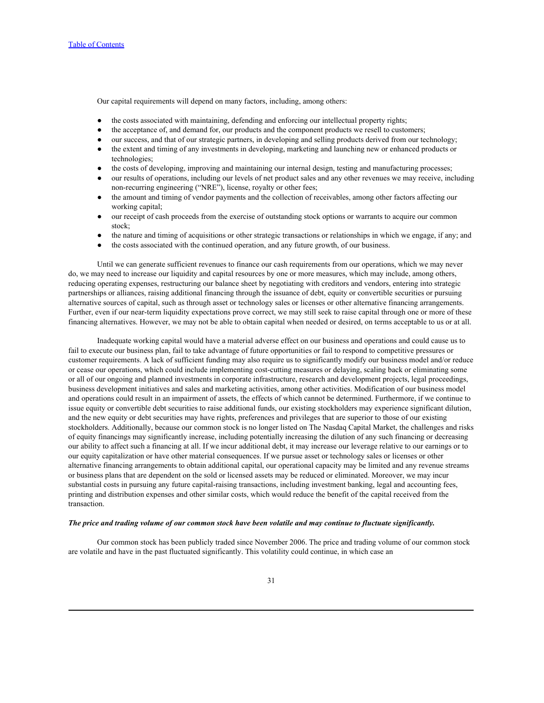Our capital requirements will depend on many factors, including, among others:

- the costs associated with maintaining, defending and enforcing our intellectual property rights;
- the acceptance of, and demand for, our products and the component products we resell to customers;
- our success, and that of our strategic partners, in developing and selling products derived from our technology;
- the extent and timing of any investments in developing, marketing and launching new or enhanced products or technologies;
- the costs of developing, improving and maintaining our internal design, testing and manufacturing processes;
- our results of operations, including our levels of net product sales and any other revenues we may receive, including non-recurring engineering ("NRE"), license, royalty or other fees;
- the amount and timing of vendor payments and the collection of receivables, among other factors affecting our working capital;
- our receipt of cash proceeds from the exercise of outstanding stock options or warrants to acquire our common stock;
- the nature and timing of acquisitions or other strategic transactions or relationships in which we engage, if any; and
- the costs associated with the continued operation, and any future growth, of our business.

Until we can generate sufficient revenues to finance our cash requirements from our operations, which we may never do, we may need to increase our liquidity and capital resources by one or more measures, which may include, among others, reducing operating expenses, restructuring our balance sheet by negotiating with creditors and vendors, entering into strategic partnerships or alliances, raising additional financing through the issuance of debt, equity or convertible securities or pursuing alternative sources of capital, such as through asset or technology sales or licenses or other alternative financing arrangements. Further, even if our near-term liquidity expectations prove correct, we may still seek to raise capital through one or more of these financing alternatives. However, we may not be able to obtain capital when needed or desired, on terms acceptable to us or at all.

Inadequate working capital would have a material adverse effect on our business and operations and could cause us to fail to execute our business plan, fail to take advantage of future opportunities or fail to respond to competitive pressures or customer requirements. A lack of sufficient funding may also require us to significantly modify our business model and/or reduce or cease our operations, which could include implementing cost-cutting measures or delaying, scaling back or eliminating some or all of our ongoing and planned investments in corporate infrastructure, research and development projects, legal proceedings, business development initiatives and sales and marketing activities, among other activities. Modification of our business model and operations could result in an impairment of assets, the effects of which cannot be determined. Furthermore, if we continue to issue equity or convertible debt securities to raise additional funds, our existing stockholders may experience significant dilution, and the new equity or debt securities may have rights, preferences and privileges that are superior to those of our existing stockholders. Additionally, because our common stock is no longer listed on The Nasdaq Capital Market, the challenges and risks of equity financings may significantly increase, including potentially increasing the dilution of any such financing or decreasing our ability to affect such a financing at all. If we incur additional debt, it may increase our leverage relative to our earnings or to our equity capitalization or have other material consequences. If we pursue asset or technology sales or licenses or other alternative financing arrangements to obtain additional capital, our operational capacity may be limited and any revenue streams or business plans that are dependent on the sold or licensed assets may be reduced or eliminated. Moreover, we may incur substantial costs in pursuing any future capital-raising transactions, including investment banking, legal and accounting fees, printing and distribution expenses and other similar costs, which would reduce the benefit of the capital received from the transaction.

#### *The price and trading volume of our common stock have been volatile and may continue to fluctuate significantly.*

Our common stock has been publicly traded since November 2006. The price and trading volume of our common stock are volatile and have in the past fluctuated significantly. This volatility could continue, in which case an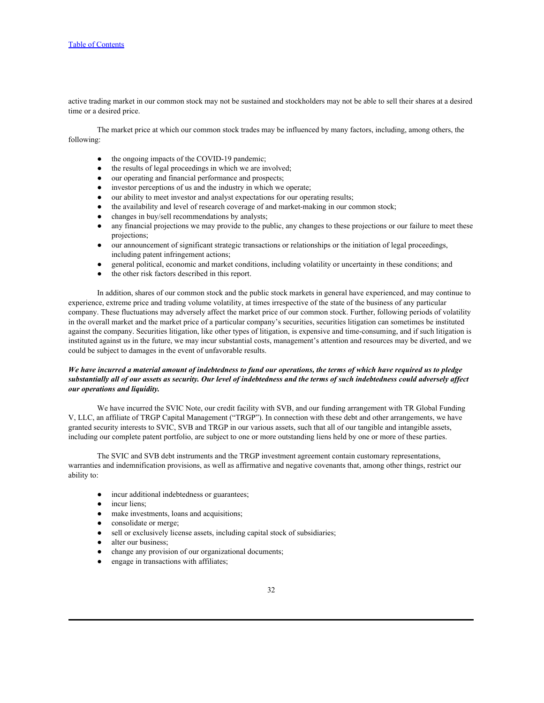active trading market in our common stock may not be sustained and stockholders may not be able to sell their shares at a desired time or a desired price.

The market price at which our common stock trades may be influenced by many factors, including, among others, the following:<br>● the ongoing impacts of the COVID-19 pandemic;

- 
- the results of legal proceedings in which we are involved;
- our operating and financial performance and prospects;
- investor perceptions of us and the industry in which we operate;
- our ability to meet investor and analyst expectations for our operating results;
- the availability and level of research coverage of and market-making in our common stock;
- changes in buy/sell recommendations by analysts;
- any financial projections we may provide to the public, any changes to these projections or our failure to meet these projections;
- our announcement of significant strategic transactions or relationships or the initiation of legal proceedings, including patent infringement actions;
- general political, economic and market conditions, including volatility or uncertainty in these conditions; and
- the other risk factors described in this report.

In addition, shares of our common stock and the public stock markets in general have experienced, and may continue to experience, extreme price and trading volume volatility, at times irrespective of the state of the business of any particular company. These fluctuations may adversely affect the market price of our common stock. Further, following periods of volatility in the overall market and the market price of a particular company's securities, securities litigation can sometimes be instituted against the company. Securities litigation, like other types of litigation, is expensive and time-consuming, and if such litigation is instituted against us in the future, we may incur substantial costs, management's attention and resources may be diverted, and we could be subject to damages in the event of unfavorable results.

# *We have incurred a material amount of indebtedness to fund our operations, the terms of which have required us to pledge substantially all of our assets as security. Our level of indebtedness and the terms of such indebtedness could adversely affect our operations and liquidity.*

We have incurred the SVIC Note, our credit facility with SVB, and our funding arrangement with TR Global Funding V, LLC, an affiliate of TRGP Capital Management ("TRGP"). In connection with these debt and other arrangements, we have granted security interests to SVIC, SVB and TRGP in our various assets, such that all of our tangible and intangible assets, including our complete patent portfolio, are subject to one or more outstanding liens held by one or more of these parties.

The SVIC and SVB debt instruments and the TRGP investment agreement contain customary representations, warranties and indemnification provisions, as well as affirmative and negative covenants that, among other things, restrict our ability to:<br>● incur additional indebtedness or guarantees;

- 
- incur liens;
- make investments, loans and acquisitions;
- consolidate or merge;
- sell or exclusively license assets, including capital stock of subsidiaries;
- alter our business;
- change any provision of our organizational documents;
- engage in transactions with affiliates;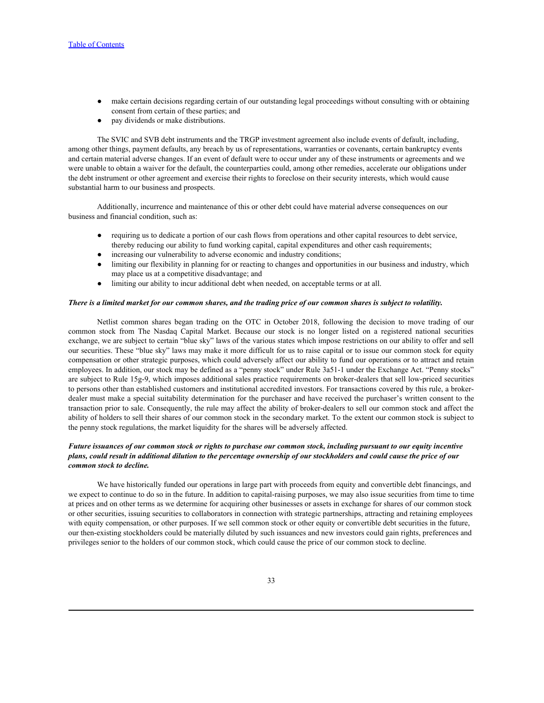- make certain decisions regarding certain of our outstanding legal proceedings without consulting with or obtaining consent from certain of these parties; and
- pay dividends or make distributions.

The SVIC and SVB debt instruments and the TRGP investment agreement also include events of default, including, among other things, payment defaults, any breach by us of representations, warranties or covenants, certain bankruptcy events and certain material adverse changes. If an event of default were to occur under any of these instruments or agreements and we were unable to obtain a waiver for the default, the counterparties could, among other remedies, accelerate our obligations under the debt instrument or other agreement and exercise their rights to foreclose on their security interests, which would cause substantial harm to our business and prospects.

Additionally, incurrence and maintenance of this or other debt could have material adverse consequences on our business and financial condition, such as:

- requiring us to dedicate a portion of our cash flows from operations and other capital resources to debt service, thereby reducing our ability to fund working capital, capital expenditures and other cash requirements;
- increasing our vulnerability to adverse economic and industry conditions;
- limiting our flexibility in planning for or reacting to changes and opportunities in our business and industry, which may place us at a competitive disadvantage; and
- limiting our ability to incur additional debt when needed, on acceptable terms or at all.

# *There is a limited market for our common shares, and the trading price of our common shares is subject to volatility.*

Contents<br>
• make cortain decisions regarding cortain of our oustannding legal proceedings without consulting with or obtaining<br>
• pay dividends or muke distributions<br>
• pay dividends or muke distributions<br>
• PayCra als SVC **CollectContents**<br> **Common stock from stock from the ECO** investment agreement the induced ing with the original Market Capital Market. The SVIC and SVB debt instruments and the TRGP investment agreement this induced con exchange, we are subject to certain "blue sky" laws of the various states which impose restrictions on our ability to offer and sell our securities. These "blue sky" laws may make it more difficult for us to raise capital or to issue our common stock for equity compensation or other strategic purposes, which could adversely affect our ability to fund our operations or to attract and retain employees. In addition, our stock may be defined as a "penny stock" under Rule 3a51-1 under the Exchange Act. "Penny stocks" are subject to Rule 15g-9, which imposes additional sales practice requirements on broker-dealers that sell low-priced securities to persons other than established customers and institutional accredited investors. For transactions covered by this rule, a brokerdealer must make a special suitability determination for the purchaser and have received the purchaser's written consent to the transaction prior to sale. Consequently, the rule may affect the ability of broker-dealers to sell our common stock and affect the ability of holders to sell their shares of our common stock in the secondary market. To the extent our common stock is subject to the penny stock regulations, the market liquidity for the shares will be adversely affected.

# *Future issuances of our common stock or rights to purchase our common stock, including pursuant to our equity incentive plans, could result in additional dilution to the percentage ownership of our stockholders and could cause the price of our common stock to decline.*

We have historically funded our operations in large part with proceeds from equity and convertible debt financings, and we expect to continue to do so in the future. In addition to capital-raising purposes, we may also issue securities from time to time at prices and on other terms as we determine for acquiring other businesses or assets in exchange for shares of our common stock or other securities, issuing securities to collaborators in connection with strategic partnerships, attracting and retaining employees with equity compensation, or other purposes. If we sell common stock or other equity or convertible debt securities in the future, our then-existing stockholders could be materially diluted by such issuances and new investors could gain rights, preferences and privileges senior to the holders of our common stock, which could cause the price of our common stock to decline.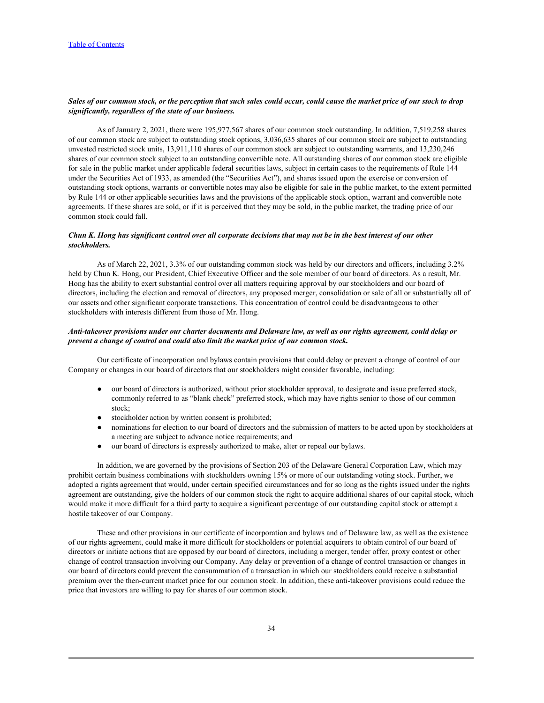# *Sales of our common stock, or the perception that such sales could occur, could cause the market price of our stock to drop significantly, regardless of the state of our business.*

As of January 2, 2021, there were 195,977,567 shares of our common stock outstanding. In addition, 7,519,258 shares of our common stock are subject to outstanding stock options, 3,036,635 shares of our common stock are subject to outstanding unvested restricted stock units, 13,911,110 shares of our common stock are subject to outstanding warrants, and 13,230,246 shares of our common stock subject to an outstanding convertible note. All outstanding shares of our common stock are eligible for sale in the public market under applicable federal securities laws, subject in certain cases to the requirements of Rule 144 under the Securities Act of 1933, as amended (the "Securities Act"), and shares issued upon the exercise or conversion of outstanding stock options, warrants or convertible notes may also be eligible for sale in the public market, to the extent permitted by Rule 144 or other applicable securities laws and the provisions of the applicable stock option, warrant and convertible note agreements. If these shares are sold, or if it is perceived that they may be sold, in the public market, the trading price of our common stock could fall.

### *Chun K. Hong has significant control over all corporate decisions that may not be in the best interest of our other stockholders.*

As of March 22, 2021, 3.3% of our outstanding common stock was held by our directors and officers, including 3.2% held by Chun K. Hong, our President, Chief Executive Officer and the sole member of our board of directors. As a result, Mr. Hong has the ability to exert substantial control over all matters requiring approval by our stockholders and our board of directors, including the election and removal of directors, any proposed merger, consolidation or sale of all or substantially all of our assets and other significant corporate transactions. This concentration of control could be disadvantageous to other stockholders with interests different from those of Mr. Hong.

### *Anti-takeover provisions under our charter documents and Delaware law, as well as our rights agreement, could delay or prevent a change of control and could also limit the market price of our common stock.*

Our certificate of incorporation and bylaws contain provisions that could delay or prevent a change of control of our Company or changes in our board of directors that our stockholders might consider favorable, including:

- our board of directors is authorized, without prior stockholder approval, to designate and issue preferred stock, commonly referred to as "blank check" preferred stock, which may have rights senior to those of our common stock;
- stockholder action by written consent is prohibited;
- nominations for election to our board of directors and the submission of matters to be acted upon by stockholders at a meeting are subject to advance notice requirements; and
- our board of directors is expressly authorized to make, alter or repeal our bylaws.

In addition, we are governed by the provisions of Section 203 of the Delaware General Corporation Law, which may prohibit certain business combinations with stockholders owning 15% or more of our outstanding voting stock. Further, we adopted a rights agreement that would, under certain specified circumstances and for so long as the rights issued under the rights agreement are outstanding, give the holders of our common stock the right to acquire additional shares of our capital stock, which would make it more difficult for a third party to acquire a significant percentage of our outstanding capital stock or attempt a hostile takeover of our Company.

These and other provisions in our certificate of incorporation and bylaws and of Delaware law, as well as the existence of our rights agreement, could make it more difficult for stockholders or potential acquirers to obtain control of our board of directors or initiate actions that are opposed by our board of directors, including a merger, tender offer, proxy contest or other change of control transaction involving our Company. Any delay or prevention of a change of control transaction or changes in our board of directors could prevent the consummation of a transaction in which our stockholders could receive a substantial premium over the then-current market price for our common stock. In addition, these anti-takeover provisions could reduce the price that investors are willing to pay for shares of our common stock.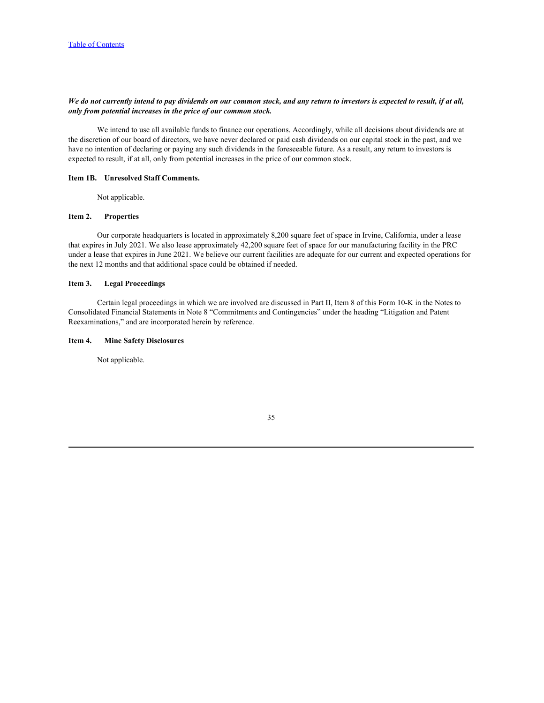# *We do not currently intend to pay dividends on our common stock, and any return to investors is expected to result, if at all, only from potential increases in the price of our common stock.*

We intend to use all available funds to finance our operations. Accordingly, while all decisions about dividends are at the discretion of our board of directors, we have never declared or paid cash dividends on our capital stock in the past, and we have no intention of declaring or paying any such dividends in the foreseeable future. As a result, any return to investors is expected to result, if at all, only from potential increases in the price of our common stock.

### <span id="page-35-0"></span>**Item 1B. Unresolved Staff Comments.**

Not applicable.

## <span id="page-35-1"></span>**Item 2. Properties**

Our corporate headquarters is located in approximately 8,200 square feet of space in Irvine, California, under a lease that expires in July 2021. We also lease approximately 42,200 square feet of space for our manufacturing facility in the PRC under a lease that expires in June 2021. We believe our current facilities are adequate for our current and expected operations for the next 12 months and that additional space could be obtained if needed.

# <span id="page-35-2"></span>**Item 3. Legal Proceedings**

Certain legal proceedings in which we are involved are discussed in Part II, Item 8 of this Form 10-K in the Notes to Consolidated Financial Statements in Note 8 "Commitments and Contingencies" under the heading "Litigation and Patent Reexaminations," and are incorporated herein by reference.

# <span id="page-35-3"></span>**Item 4. Mine Safety Disclosures**

Not applicable.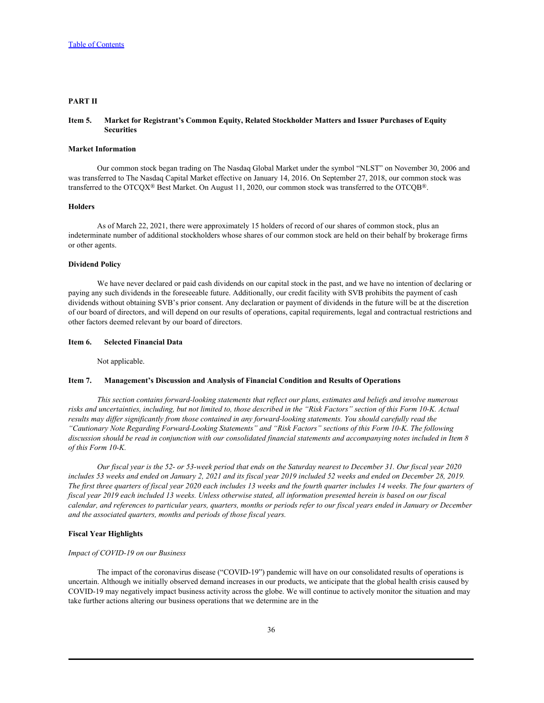## **PART II**

## **Item 5. Market for Registrant's Common Equity, Related Stockholder Matters and Issuer Purchases of Equity Securities**

#### **Market Information**

Our common stock began trading on The Nasdaq Global Market under the symbol "NLST" on November 30, 2006 and was transferred to The Nasdaq Capital Market effective on January 14, 2016. On September 27, 2018, our common stock was transferred to the OTCQX® Best Market. On August 11, 2020, our common stock was transferred to the OTCQB®.

## **Holders**

As of March 22, 2021, there were approximately 15 holders of record of our shares of common stock, plus an indeterminate number of additional stockholders whose shares of our common stock are held on their behalf by brokerage firms or other agents.

#### **Dividend Policy**

We have never declared or paid cash dividends on our capital stock in the past, and we have no intention of declaring or paying any such dividends in the foreseeable future. Additionally, our credit facility with SVB prohibits the payment of cash dividends without obtaining SVB's prior consent. Any declaration or payment of dividends in the future will be at the discretion of our board of directors, and will depend on our results of operations, capital requirements, legal and contractual restrictions and other factors deemed relevant by our board of directors.

## **Item 6. Selected Financial Data**

Not applicable.

## **Item 7. Management's Discussion and Analysis of Financial Condition and Results of Operations**

*This section contains forward-looking statements that reflect our plans, estimates and beliefs and involve numerous risks and uncertainties, including, but not limited to, those described in the "Risk Factors" section of this Form 10-K. Actual results may differ significantly from those contained in any forward-looking statements. You should carefully read the "Cautionary Note Regarding Forward-Looking Statements" and "Risk Factors" sections of this Form 10-K. The following discussion should be read in conjunction with our consolidated financial statements and accompanying notes included in Item 8 of this Form 10-K.*

*Our fiscal year is the 52- or 53-week period that ends on the Saturday nearest to December 31. Our fiscal year 2020 includes 53 weeks and ended on January 2, 2021 and its fiscal year 2019 included 52 weeks and ended on December 28, 2019. The first three quarters of fiscal year 2020 each includes 13 weeks and the fourth quarter includes 14 weeks. The four quarters of fiscal year 2019 each included 13 weeks. Unless otherwise stated, all information presented herein is based on our fiscal calendar, and references to particular years, quarters, months or periods refer to our fiscal years ended in January or December and the associated quarters, months and periods of those fiscal years.*

#### **Fiscal Year Highlights**

## *Impact of COVID-19 on our Business*

The impact of the coronavirus disease ("COVID-19") pandemic will have on our consolidated results of operations is uncertain. Although we initially observed demand increases in our products, we anticipate that the global health crisis caused by COVID-19 may negatively impact business activity across the globe. We will continue to actively monitor the situation and may take further actions altering our business operations that we determine are in the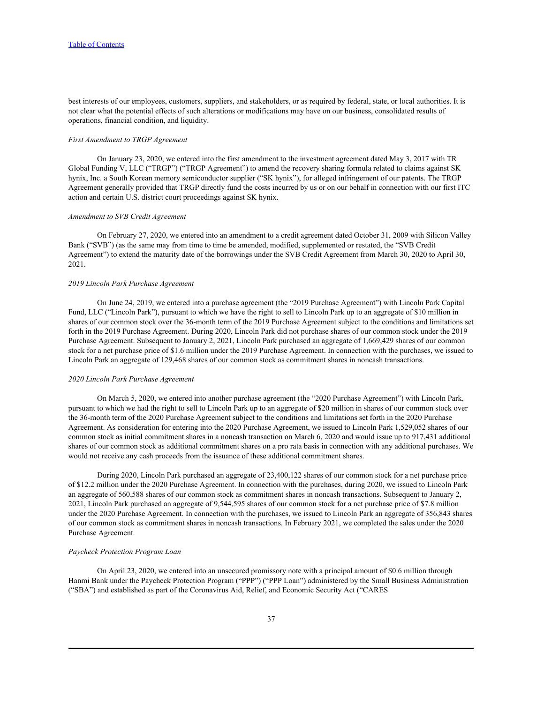best interests of our employees, customers, suppliers, and stakeholders, or as required by federal, state, or local authorities. It is not clear what the potential effects of such alterations or modifications may have on our business, consolidated results of operations, financial condition, and liquidity.

#### *First Amendment to TRGP Agreement*

On January 23, 2020, we entered into the first amendment to the investment agreement dated May 3, 2017 with TR Global Funding V, LLC ("TRGP") ("TRGP Agreement") to amend the recovery sharing formula related to claims against SK hynix, Inc. a South Korean memory semiconductor supplier ("SK hynix"), for alleged infringement of our patents. The TRGP Agreement generally provided that TRGP directly fund the costs incurred by us or on our behalf in connection with our first ITC action and certain U.S. district court proceedings against SK hynix.

## *Amendment to SVB Credit Agreement*

On February 27, 2020, we entered into an amendment to a credit agreement dated October 31, 2009 with Silicon Valley Bank ("SVB") (as the same may from time to time be amended, modified, supplemented or restated, the "SVB Credit Agreement") to extend the maturity date of the borrowings under the SVB Credit Agreement from March 30, 2020 to April 30, 2021.

#### *2019 Lincoln Park Purchase Agreement*

On June 24, 2019, we entered into a purchase agreement (the "2019 Purchase Agreement") with Lincoln Park Capital Fund, LLC ("Lincoln Park"), pursuant to which we have the right to sell to Lincoln Park up to an aggregate of \$10 million in shares of our common stock over the 36-month term of the 2019 Purchase Agreement subject to the conditions and limitations set forth in the 2019 Purchase Agreement. During 2020, Lincoln Park did not purchase shares of our common stock under the 2019 Purchase Agreement. Subsequent to January 2, 2021, Lincoln Park purchased an aggregate of 1,669,429 shares of our common stock for a net purchase price of \$1.6 million under the 2019 Purchase Agreement. In connection with the purchases, we issued to Lincoln Park an aggregate of 129,468 shares of our common stock as commitment shares in noncash transactions.

## *2020 Lincoln Park Purchase Agreement*

On March 5, 2020, we entered into another purchase agreement (the "2020 Purchase Agreement") with Lincoln Park, pursuant to which we had the right to sell to Lincoln Park up to an aggregate of \$20 million in shares of our common stock over the 36-month term of the 2020 Purchase Agreement subject to the conditions and limitations set forth in the 2020 Purchase Agreement. As consideration for entering into the 2020 Purchase Agreement, we issued to Lincoln Park 1,529,052 shares of our common stock as initial commitment shares in a noncash transaction on March 6, 2020 and would issue up to 917,431 additional shares of our common stock as additional commitment shares on a pro rata basis in connection with any additional purchases. We would not receive any cash proceeds from the issuance of these additional commitment shares.

During 2020, Lincoln Park purchased an aggregate of 23,400,122 shares of our common stock for a net purchase price of \$12.2 million under the 2020 Purchase Agreement. In connection with the purchases, during 2020, we issued to Lincoln Park an aggregate of 560,588 shares of our common stock as commitment shares in noncash transactions. Subsequent to January 2, 2021, Lincoln Park purchased an aggregate of 9,544,595 shares of our common stock for a net purchase price of \$7.8 million under the 2020 Purchase Agreement. In connection with the purchases, we issued to Lincoln Park an aggregate of 356,843 shares of our common stock as commitment shares in noncash transactions. In February 2021, we completed the sales under the 2020 Purchase Agreement.

#### *Paycheck Protection Program Loan*

On April 23, 2020, we entered into an unsecured promissory note with a principal amount of \$0.6 million through Hanmi Bank under the Paycheck Protection Program ("PPP") ("PPP Loan") administered by the Small Business Administration ("SBA") and established as part of the Coronavirus Aid, Relief, and Economic Security Act ("CARES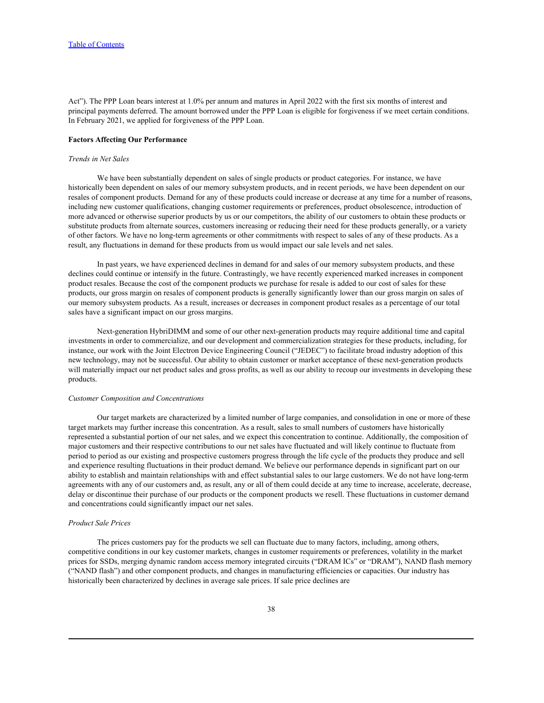Act"). The PPP Loan bears interest at 1.0% per annum and matures in April 2022 with the first six months of interest and principal payments deferred. The amount borrowed under the PPP Loan is eligible for forgiveness if we meet certain conditions. In February 2021, we applied for forgiveness of the PPP Loan.

## **Factors Affecting Our Performance**

#### *Trends in Net Sales*

We have been substantially dependent on sales of single products or product categories. For instance, we have historically been dependent on sales of our memory subsystem products, and in recent periods, we have been dependent on our resales of component products. Demand for any of these products could increase or decrease at any time for a number of reasons, including new customer qualifications, changing customer requirements or preferences, product obsolescence, introduction of more advanced or otherwise superior products by us or our competitors, the ability of our customers to obtain these products or substitute products from alternate sources, customers increasing or reducing their need for these products generally, or a variety of other factors. We have no long-term agreements or other commitments with respect to sales of any of these products. As a result, any fluctuations in demand for these products from us would impact our sale levels and net sales.

In past years, we have experienced declines in demand for and sales of our memory subsystem products, and these declines could continue or intensify in the future. Contrastingly, we have recently experienced marked increases in component product resales. Because the cost of the component products we purchase for resale is added to our cost of sales for these products, our gross margin on resales of component products is generally significantly lower than our gross margin on sales of our memory subsystem products. As a result, increases or decreases in component product resales as a percentage of our total sales have a significant impact on our gross margins.

Next-generation HybriDIMM and some of our other next-generation products may require additional time and capital investments in order to commercialize, and our development and commercialization strategies for these products, including, for instance, our work with the Joint Electron Device Engineering Council ("JEDEC") to facilitate broad industry adoption of this new technology, may not be successful. Our ability to obtain customer or market acceptance of these next-generation products will materially impact our net product sales and gross profits, as well as our ability to recoup our investments in developing these products.

### *Customer Composition and Concentrations*

Our target markets are characterized by a limited number of large companies, and consolidation in one or more of these target markets may further increase this concentration. As a result, sales to small numbers of customers have historically represented a substantial portion of our net sales, and we expect this concentration to continue. Additionally, the composition of major customers and their respective contributions to our net sales have fluctuated and will likely continue to fluctuate from period to period as our existing and prospective customers progress through the life cycle of the products they produce and sell and experience resulting fluctuations in their product demand. We believe our performance depends in significant part on our ability to establish and maintain relationships with and effect substantial sales to our large customers. We do not have long-term agreements with any of our customers and, as result, any or all of them could decide at any time to increase, accelerate, decrease, delay or discontinue their purchase of our products or the component products we resell. These fluctuations in customer demand and concentrations could significantly impact our net sales.

## *Product Sale Prices*

The prices customers pay for the products we sell can fluctuate due to many factors, including, among others, competitive conditions in our key customer markets, changes in customer requirements or preferences, volatility in the market prices for SSDs, merging dynamic random access memory integrated circuits ("DRAM ICs" or "DRAM"), NAND flash memory ("NAND flash") and other component products, and changes in manufacturing efficiencies or capacities. Our industry has historically been characterized by declines in average sale prices. If sale price declines are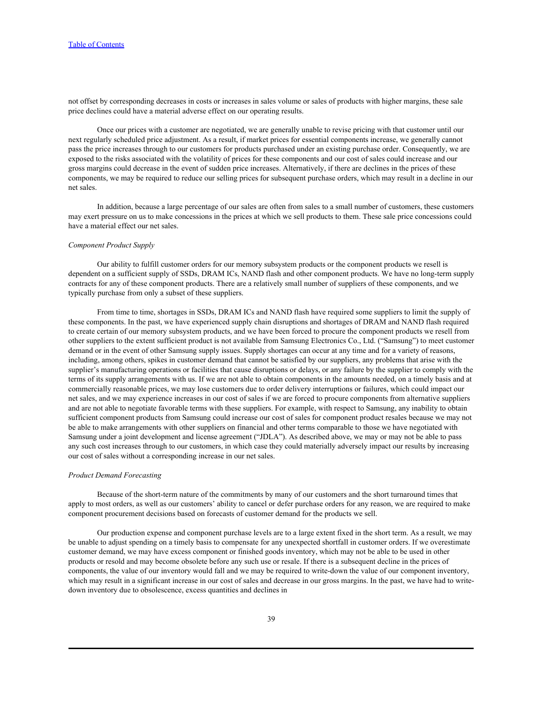not offset by corresponding decreases in costs or increases in sales volume or sales of products with higher margins, these sale price declines could have a material adverse effect on our operating results.

Once our prices with a customer are negotiated, we are generally unable to revise pricing with that customer until our next regularly scheduled price adjustment. As a result, if market prices for essential components increase, we generally cannot pass the price increases through to our customers for products purchased under an existing purchase order. Consequently, we are exposed to the risks associated with the volatility of prices for these components and our cost of sales could increase and our gross margins could decrease in the event of sudden price increases. Alternatively, if there are declines in the prices of these components, we may be required to reduce our selling prices for subsequent purchase orders, which may result in a decline in our net sales.

In addition, because a large percentage of our sales are often from sales to a small number of customers, these customers may exert pressure on us to make concessions in the prices at which we sell products to them. These sale price concessions could have a material effect our net sales.

#### *Component Product Supply*

Our ability to fulfill customer orders for our memory subsystem products or the component products we resell is dependent on a sufficient supply of SSDs, DRAM ICs, NAND flash and other component products. We have no long-term supply contracts for any of these component products. There are a relatively small number of suppliers of these components, and we typically purchase from only a subset of these suppliers.

From time to time, shortages in SSDs, DRAM ICs and NAND flash have required some suppliers to limit the supply of these components. In the past, we have experienced supply chain disruptions and shortages of DRAM and NAND flash required to create certain of our memory subsystem products, and we have been forced to procure the component products we resell from other suppliers to the extent sufficient product is not available from Samsung Electronics Co., Ltd. ("Samsung") to meet customer demand or in the event of other Samsung supply issues. Supply shortages can occur at any time and for a variety of reasons, including, among others, spikes in customer demand that cannot be satisfied by our suppliers, any problems that arise with the supplier's manufacturing operations or facilities that cause disruptions or delays, or any failure by the supplier to comply with the terms of its supply arrangements with us. If we are not able to obtain components in the amounts needed, on a timely basis and at commercially reasonable prices, we may lose customers due to order delivery interruptions or failures, which could impact our net sales, and we may experience increases in our cost of sales if we are forced to procure components from alternative suppliers and are not able to negotiate favorable terms with these suppliers. For example, with respect to Samsung, any inability to obtain sufficient component products from Samsung could increase our cost of sales for component product resales because we may not be able to make arrangements with other suppliers on financial and other terms comparable to those we have negotiated with Samsung under a joint development and license agreement ("JDLA"). As described above, we may or may not be able to pass any such cost increases through to our customers, in which case they could materially adversely impact our results by increasing our cost of sales without a corresponding increase in our net sales.

#### *Product Demand Forecasting*

Because of the short-term nature of the commitments by many of our customers and the short turnaround times that apply to most orders, as well as our customers' ability to cancel or defer purchase orders for any reason, we are required to make component procurement decisions based on forecasts of customer demand for the products we sell.

Our production expense and component purchase levels are to a large extent fixed in the short term. As a result, we may be unable to adjust spending on a timely basis to compensate for any unexpected shortfall in customer orders. If we overestimate customer demand, we may have excess component or finished goods inventory, which may not be able to be used in other products or resold and may become obsolete before any such use or resale. If there is a subsequent decline in the prices of components, the value of our inventory would fall and we may be required to write-down the value of our component inventory, which may result in a significant increase in our cost of sales and decrease in our gross margins. In the past, we have had to writedown inventory due to obsolescence, excess quantities and declines in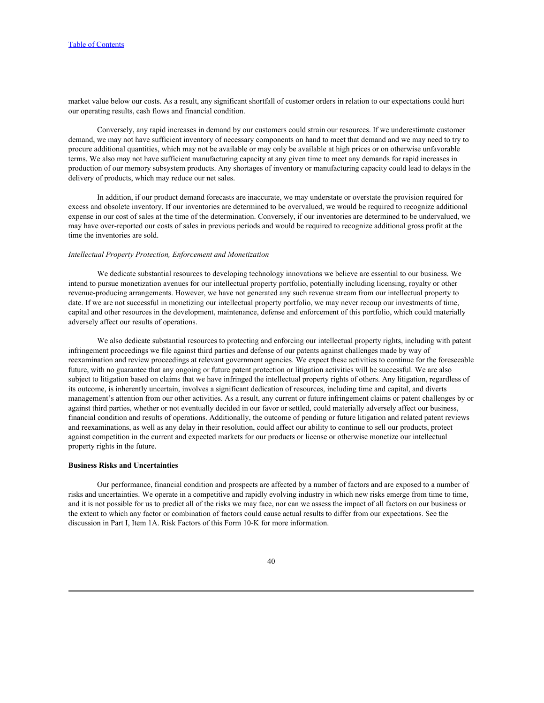market value below our costs. As a result, any significant shortfall of customer orders in relation to our expectations could hurt our operating results, cash flows and financial condition.

Conversely, any rapid increases in demand by our customers could strain our resources. If we underestimate customer demand, we may not have sufficient inventory of necessary components on hand to meet that demand and we may need to try to procure additional quantities, which may not be available or may only be available at high prices or on otherwise unfavorable terms. We also may not have sufficient manufacturing capacity at any given time to meet any demands for rapid increases in production of our memory subsystem products. Any shortages of inventory or manufacturing capacity could lead to delays in the delivery of products, which may reduce our net sales.

In addition, if our product demand forecasts are inaccurate, we may understate or overstate the provision required for excess and obsolete inventory. If our inventories are determined to be overvalued, we would be required to recognize additional expense in our cost of sales at the time of the determination. Conversely, if our inventories are determined to be undervalued, we may have over-reported our costs of sales in previous periods and would be required to recognize additional gross profit at the time the inventories are sold.

#### *Intellectual Property Protection, Enforcement and Monetization*

We dedicate substantial resources to developing technology innovations we believe are essential to our business. We intend to pursue monetization avenues for our intellectual property portfolio, potentially including licensing, royalty or other revenue-producing arrangements. However, we have not generated any such revenue stream from our intellectual property to date. If we are not successful in monetizing our intellectual property portfolio, we may never recoup our investments of time, capital and other resources in the development, maintenance, defense and enforcement of this portfolio, which could materially adversely affect our results of operations.

We also dedicate substantial resources to protecting and enforcing our intellectual property rights, including with patent infringement proceedings we file against third parties and defense of our patents against challenges made by way of reexamination and review proceedings at relevant government agencies. We expect these activities to continue for the foreseeable future, with no guarantee that any ongoing or future patent protection or litigation activities will be successful. We are also subject to litigation based on claims that we have infringed the intellectual property rights of others. Any litigation, regardless of its outcome, is inherently uncertain, involves a significant dedication of resources, including time and capital, and diverts management's attention from our other activities. As a result, any current or future infringement claims or patent challenges by or against third parties, whether or not eventually decided in our favor or settled, could materially adversely affect our business, financial condition and results of operations. Additionally, the outcome of pending or future litigation and related patent reviews and reexaminations, as well as any delay in their resolution, could affect our ability to continue to sell our products, protect against competition in the current and expected markets for our products or license or otherwise monetize our intellectual property rights in the future.

#### **Business Risks and Uncertainties**

Our performance, financial condition and prospects are affected by a number of factors and are exposed to a number of risks and uncertainties. We operate in a competitive and rapidly evolving industry in which new risks emerge from time to time, and it is not possible for us to predict all of the risks we may face, nor can we assess the impact of all factors on our business or the extent to which any factor or combination of factors could cause actual results to differ from our expectations. See the discussion in Part I, Item 1A. Risk Factors of this Form 10-K for more information.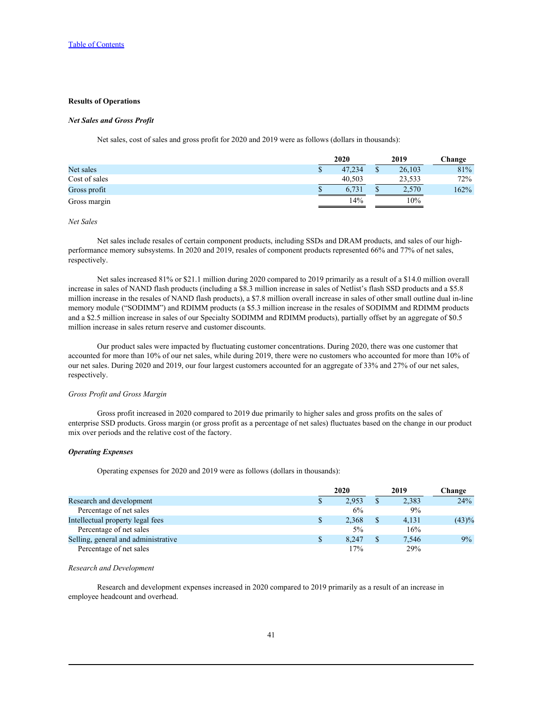## **Results of Operations**

#### *Net Sales and Gross Profit*

Net sales, cost of sales and gross profit for 2020 and 2019 were as follows (dollars in thousands):

|               | 2020        | 2019   | Change |
|---------------|-------------|--------|--------|
| Net sales     | 47,234      | 26,103 | 81%    |
| Cost of sales | 40,503      | 23,533 | 72%    |
| Gross profit  | 721<br>6.13 | 2,570  | 162%   |
| Gross margin  | 14%         | 10%    |        |

## *Net Sales*

Net sales include resales of certain component products, including SSDs and DRAM products, and sales of our highperformance memory subsystems. In 2020 and 2019, resales of component products represented 66% and 77% of net sales, respectively.

Net sales increased 81% or \$21.1 million during 2020 compared to 2019 primarily as a result of a \$14.0 million overall increase in sales of NAND flash products (including a \$8.3 million increase in sales of Netlist's flash SSD products and a \$5.8 million increase in the resales of NAND flash products), a \$7.8 million overall increase in sales of other small outline dual in-line memory module ("SODIMM") and RDIMM products (a \$5.3 million increase in the resales of SODIMM and RDIMM products and a \$2.5 million increase in sales of our Specialty SODIMM and RDIMM products), partially offset by an aggregate of \$0.5 million increase in sales return reserve and customer discounts.

Our product sales were impacted by fluctuating customer concentrations. During 2020, there was one customer that accounted for more than 10% of our net sales, while during 2019, there were no customers who accounted for more than 10% of our net sales. During 2020 and 2019, our four largest customers accounted for an aggregate of 33% and 27% of our net sales, respectively.

## *Gross Profit and Gross Margin*

Gross profit increased in 2020 compared to 2019 due primarily to higher sales and gross profits on the sales of enterprise SSD products. Gross margin (or gross profit as a percentage of net sales) fluctuates based on the change in our product mix over periods and the relative cost of the factory.

#### *Operating Expenses*

Operating expenses for 2020 and 2019 were as follows (dollars in thousands):

|                                     | 2020  | 2019  | <b>Change</b> |
|-------------------------------------|-------|-------|---------------|
| Research and development            | 2,953 | 2,383 | 24%           |
| Percentage of net sales             | 6%    | 9%    |               |
| Intellectual property legal fees    | 2,368 | 4,131 | (43)%         |
| Percentage of net sales             | 5%    | 16%   |               |
| Selling, general and administrative | 8,247 | 7,546 | $9\%$         |
| Percentage of net sales             | 17%   | 29%   |               |

## *Research and Development*

Research and development expenses increased in 2020 compared to 2019 primarily as a result of an increase in employee headcount and overhead.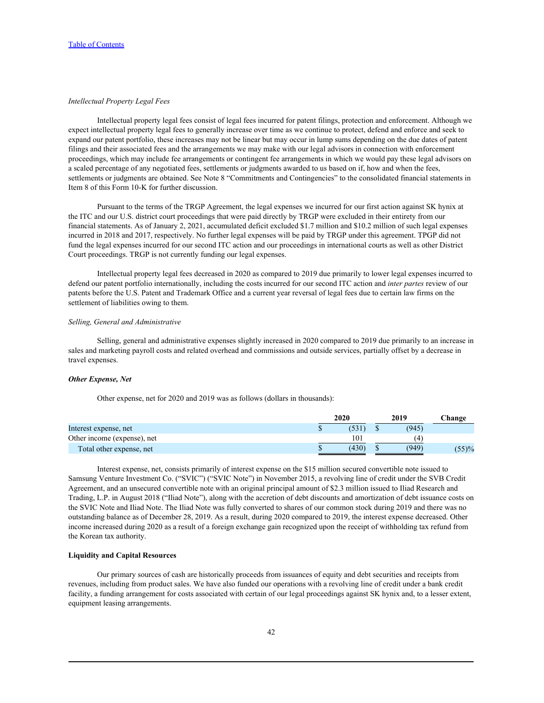## *Intellectual Property Legal Fees*

Intellectual property legal fees consist of legal fees incurred for patent filings, protection and enforcement. Although we expect intellectual property legal fees to generally increase over time as we continue to protect, defend and enforce and seek to expand our patent portfolio, these increases may not be linear but may occur in lump sums depending on the due dates of patent filings and their associated fees and the arrangements we may make with our legal advisors in connection with enforcement proceedings, which may include fee arrangements or contingent fee arrangements in which we would pay these legal advisors on a scaled percentage of any negotiated fees, settlements or judgments awarded to us based on if, how and when the fees, settlements or judgments are obtained. See Note 8 "Commitments and Contingencies" to the consolidated financial statements in Item 8 of this Form 10-K for further discussion.

Pursuant to the terms of the TRGP Agreement, the legal expenses we incurred for our first action against SK hynix at the ITC and our U.S. district court proceedings that were paid directly by TRGP were excluded in their entirety from our financial statements. As of January 2, 2021, accumulated deficit excluded \$1.7 million and \$10.2 million of such legal expenses incurred in 2018 and 2017, respectively. No further legal expenses will be paid by TRGP under this agreement. TPGP did not fund the legal expenses incurred for our second ITC action and our proceedings in international courts as well as other District Court proceedings. TRGP is not currently funding our legal expenses.

Intellectual property legal fees decreased in 2020 as compared to 2019 due primarily to lower legal expenses incurred to defend our patent portfolio internationally, including the costs incurred for our second ITC action and *inter partes* review of our patents before the U.S. Patent and Trademark Office and a current year reversal of legal fees due to certain law firms on the settlement of liabilities owing to them.

#### *Selling, General and Administrative*

Selling, general and administrative expenses slightly increased in 2020 compared to 2019 due primarily to an increase in sales and marketing payroll costs and related overhead and commissions and outside services, partially offset by a decrease in travel expenses.

## *Other Expense, Net*

Other expense, net for 2020 and 2019 was as follows (dollars in thousands):

|                             | 2020  | 2019  | Change |
|-----------------------------|-------|-------|--------|
| Interest expense, net       | (531) | (945) |        |
| Other income (expense), net | 101   |       |        |
| Total other expense, net    | (430) | (949) | (55)%  |

Interest expense, net, consists primarily of interest expense on the \$15 million secured convertible note issued to Samsung Venture Investment Co. ("SVIC") ("SVIC Note") in November 2015, a revolving line of credit under the SVB Credit Agreement, and an unsecured convertible note with an original principal amount of \$2.3 million issued to Iliad Research and Trading, L.P. in August 2018 ("Iliad Note"), along with the accretion of debt discounts and amortization of debt issuance costs on the SVIC Note and Iliad Note. The Iliad Note was fully converted to shares of our common stock during 2019 and there was no outstanding balance as of December 28, 2019. As a result, during 2020 compared to 2019, the interest expense decreased. Other income increased during 2020 as a result of a foreign exchange gain recognized upon the receipt of withholding tax refund from the Korean tax authority.

## **Liquidity and Capital Resources**

Our primary sources of cash are historically proceeds from issuances of equity and debt securities and receipts from revenues, including from product sales. We have also funded our operations with a revolving line of credit under a bank credit facility, a funding arrangement for costs associated with certain of our legal proceedings against SK hynix and, to a lesser extent, equipment leasing arrangements.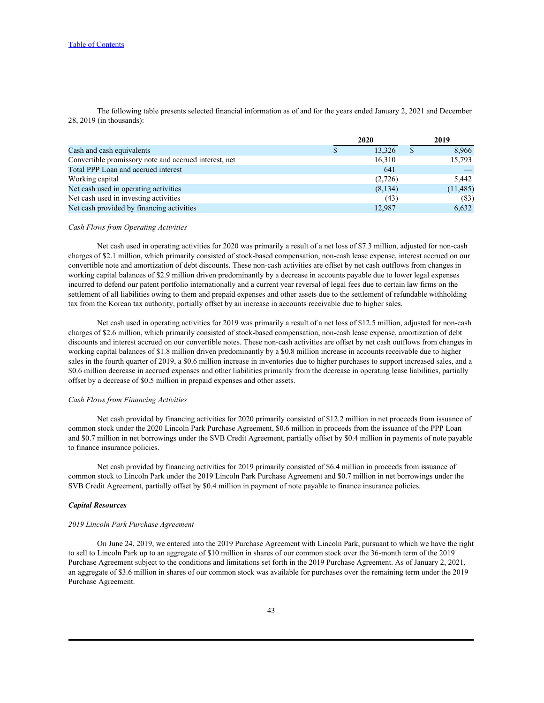The following table presents selected financial information as of and for the years ended January 2, 2021 and December 28, 2019 (in thousands):

|                                                       | 2020    | 2019      |
|-------------------------------------------------------|---------|-----------|
| Cash and cash equivalents                             | 13,326  | 8,966     |
| Convertible promissory note and accrued interest, net | 16,310  | 15,793    |
| Total PPP Loan and accrued interest                   | 641     |           |
| Working capital                                       | (2,726) | 5,442     |
| Net cash used in operating activities                 | (8,134) | (11, 485) |
| Net cash used in investing activities                 | (43)    | (83)      |
| Net cash provided by financing activities             | 12,987  | 6,632     |

#### *Cash Flows from Operating Activities*

Net cash used in operating activities for 2020 was primarily a result of a net loss of \$7.3 million, adjusted for non-cash charges of \$2.1 million, which primarily consisted of stock-based compensation, non-cash lease expense, interest accrued on our convertible note and amortization of debt discounts. These non-cash activities are offset by net cash outflows from changes in working capital balances of \$2.9 million driven predominantly by a decrease in accounts payable due to lower legal expenses incurred to defend our patent portfolio internationally and a current year reversal of legal fees due to certain law firms on the settlement of all liabilities owing to them and prepaid expenses and other assets due to the settlement of refundable withholding tax from the Korean tax authority, partially offset by an increase in accounts receivable due to higher sales.

Net cash used in operating activities for 2019 was primarily a result of a net loss of \$12.5 million, adjusted for non-cash charges of \$2.6 million, which primarily consisted of stock-based compensation, non-cash lease expense, amortization of debt discounts and interest accrued on our convertible notes. These non-cash activities are offset by net cash outflows from changes in working capital balances of \$1.8 million driven predominantly by a \$0.8 million increase in accounts receivable due to higher sales in the fourth quarter of 2019, a \$0.6 million increase in inventories due to higher purchases to support increased sales, and a \$0.6 million decrease in accrued expenses and other liabilities primarily from the decrease in operating lease liabilities, partially offset by a decrease of \$0.5 million in prepaid expenses and other assets.

#### *Cash Flows from Financing Activities*

Net cash provided by financing activities for 2020 primarily consisted of \$12.2 million in net proceeds from issuance of common stock under the 2020 Lincoln Park Purchase Agreement, \$0.6 million in proceeds from the issuance of the PPP Loan and \$0.7 million in net borrowings under the SVB Credit Agreement, partially offset by \$0.4 million in payments of note payable to finance insurance policies.

Net cash provided by financing activities for 2019 primarily consisted of \$6.4 million in proceeds from issuance of common stock to Lincoln Park under the 2019 Lincoln Park Purchase Agreement and \$0.7 million in net borrowings under the SVB Credit Agreement, partially offset by \$0.4 million in payment of note payable to finance insurance policies.

#### *Capital Resources*

#### *2019 Lincoln Park Purchase Agreement*

On June 24, 2019, we entered into the 2019 Purchase Agreement with Lincoln Park, pursuant to which we have the right to sell to Lincoln Park up to an aggregate of \$10 million in shares of our common stock over the 36-month term of the 2019 Purchase Agreement subject to the conditions and limitations set forth in the 2019 Purchase Agreement. As of January 2, 2021, an aggregate of \$3.6 million in shares of our common stock was available for purchases over the remaining term under the 2019 Purchase Agreement.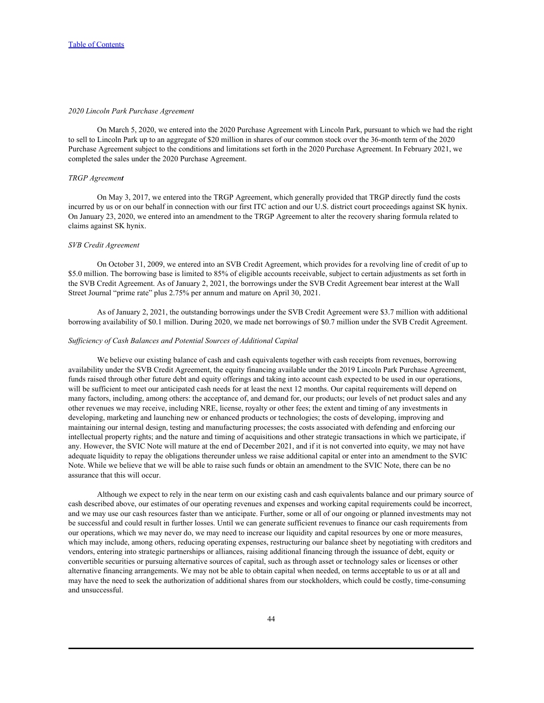#### *2020 Lincoln Park Purchase Agreement*

On March 5, 2020, we entered into the 2020 Purchase Agreement with Lincoln Park, pursuant to which we had the right to sell to Lincoln Park up to an aggregate of \$20 million in shares of our common stock over the 36-month term of the 2020 Purchase Agreement subject to the conditions and limitations set forth in the 2020 Purchase Agreement. In February 2021, we completed the sales under the 2020 Purchase Agreement.

#### *TRGP Agreement*

On May 3, 2017, we entered into the TRGP Agreement, which generally provided that TRGP directly fund the costs incurred by us or on our behalf in connection with our first ITC action and our U.S. district court proceedings against SK hynix. On January 23, 2020, we entered into an amendment to the TRGP Agreement to alter the recovery sharing formula related to claims against SK hynix.

#### *SVB Credit Agreement*

On October 31, 2009, we entered into an SVB Credit Agreement, which provides for a revolving line of credit of up to \$5.0 million. The borrowing base is limited to 85% of eligible accounts receivable, subject to certain adjustments as set forth in the SVB Credit Agreement. As of January 2, 2021, the borrowings under the SVB Credit Agreement bear interest at the Wall Street Journal "prime rate" plus 2.75% per annum and mature on April 30, 2021.

As of January 2, 2021, the outstanding borrowings under the SVB Credit Agreement were \$3.7 million with additional borrowing availability of \$0.1 million. During 2020, we made net borrowings of \$0.7 million under the SVB Credit Agreement.

## *Sufficiency of Cash Balances and Potential Sources of Additional Capital*

We believe our existing balance of cash and cash equivalents together with cash receipts from revenues, borrowing availability under the SVB Credit Agreement, the equity financing available under the 2019 Lincoln Park Purchase Agreement, funds raised through other future debt and equity offerings and taking into account cash expected to be used in our operations, will be sufficient to meet our anticipated cash needs for at least the next 12 months. Our capital requirements will depend on many factors, including, among others: the acceptance of, and demand for, our products; our levels of net product sales and any other revenues we may receive, including NRE, license, royalty or other fees; the extent and timing of any investments in developing, marketing and launching new or enhanced products or technologies; the costs of developing, improving and maintaining our internal design, testing and manufacturing processes; the costs associated with defending and enforcing our intellectual property rights; and the nature and timing of acquisitions and other strategic transactions in which we participate, if any. However, the SVIC Note will mature at the end of December 2021, and if it is not converted into equity, we may not have adequate liquidity to repay the obligations thereunder unless we raise additional capital or enter into an amendment to the SVIC Note. While we believe that we will be able to raise such funds or obtain an amendment to the SVIC Note, there can be no assurance that this will occur.

Although we expect to rely in the near term on our existing cash and cash equivalents balance and our primary source of cash described above, our estimates of our operating revenues and expenses and working capital requirements could be incorrect, and we may use our cash resources faster than we anticipate. Further, some or all of our ongoing or planned investments may not be successful and could result in further losses. Until we can generate sufficient revenues to finance our cash requirements from our operations, which we may never do, we may need to increase our liquidity and capital resources by one or more measures, which may include, among others, reducing operating expenses, restructuring our balance sheet by negotiating with creditors and vendors, entering into strategic partnerships or alliances, raising additional financing through the issuance of debt, equity or convertible securities or pursuing alternative sources of capital, such as through asset or technology sales or licenses or other alternative financing arrangements. We may not be able to obtain capital when needed, on terms acceptable to us or at all and may have the need to seek the authorization of additional shares from our stockholders, which could be costly, time-consuming and unsuccessful.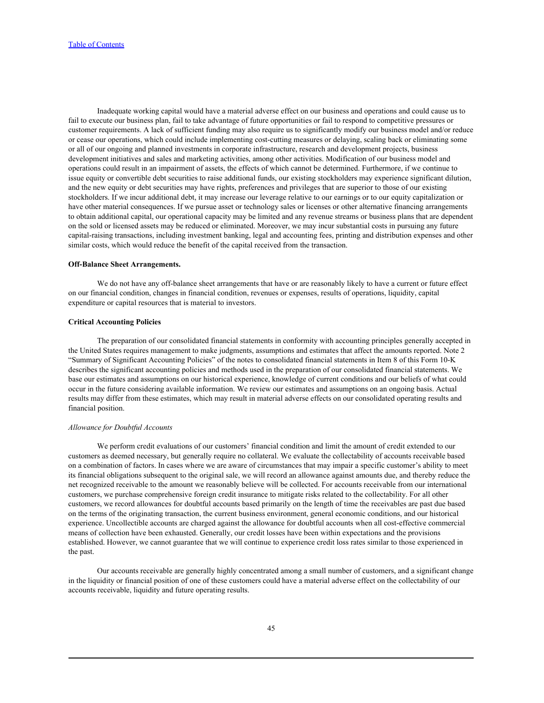Inadequate working capital would have a material adverse effect on our business and operations and could cause us to fail to execute our business plan, fail to take advantage of future opportunities or fail to respond to competitive pressures or customer requirements. A lack of sufficient funding may also require us to significantly modify our business model and/or reduce or cease our operations, which could include implementing cost-cutting measures or delaying, scaling back or eliminating some or all of our ongoing and planned investments in corporate infrastructure, research and development projects, business development initiatives and sales and marketing activities, among other activities. Modification of our business model and operations could result in an impairment of assets, the effects of which cannot be determined. Furthermore, if we continue to issue equity or convertible debt securities to raise additional funds, our existing stockholders may experience significant dilution, and the new equity or debt securities may have rights, preferences and privileges that are superior to those of our existing stockholders. If we incur additional debt, it may increase our leverage relative to our earnings or to our equity capitalization or have other material consequences. If we pursue asset or technology sales or licenses or other alternative financing arrangements to obtain additional capital, our operational capacity may be limited and any revenue streams or business plans that are dependent on the sold or licensed assets may be reduced or eliminated. Moreover, we may incur substantial costs in pursuing any future capital-raising transactions, including investment banking, legal and accounting fees, printing and distribution expenses and other similar costs, which would reduce the benefit of the capital received from the transaction.

#### **Off-Balance Sheet Arrangements.**

We do not have any off-balance sheet arrangements that have or are reasonably likely to have a current or future effect on our financial condition, changes in financial condition, revenues or expenses, results of operations, liquidity, capital expenditure or capital resources that is material to investors.

## **Critical Accounting Policies**

The preparation of our consolidated financial statements in conformity with accounting principles generally accepted in the United States requires management to make judgments, assumptions and estimates that affect the amounts reported. Note 2 "Summary of Significant Accounting Policies" of the notes to consolidated financial statements in Item 8 of this Form 10-K describes the significant accounting policies and methods used in the preparation of our consolidated financial statements. We base our estimates and assumptions on our historical experience, knowledge of current conditions and our beliefs of what could occur in the future considering available information. We review our estimates and assumptions on an ongoing basis. Actual results may differ from these estimates, which may result in material adverse effects on our consolidated operating results and financial position.

#### *Allowance for Doubtful Accounts*

We perform credit evaluations of our customers' financial condition and limit the amount of credit extended to our customers as deemed necessary, but generally require no collateral. We evaluate the collectability of accounts receivable based on a combination of factors. In cases where we are aware of circumstances that may impair a specific customer's ability to meet its financial obligations subsequent to the original sale, we will record an allowance against amounts due, and thereby reduce the net recognized receivable to the amount we reasonably believe will be collected. For accounts receivable from our international customers, we purchase comprehensive foreign credit insurance to mitigate risks related to the collectability. For all other customers, we record allowances for doubtful accounts based primarily on the length of time the receivables are past due based on the terms of the originating transaction, the current business environment, general economic conditions, and our historical experience. Uncollectible accounts are charged against the allowance for doubtful accounts when all cost-effective commercial means of collection have been exhausted. Generally, our credit losses have been within expectations and the provisions established. However, we cannot guarantee that we will continue to experience credit loss rates similar to those experienced in the past.

Our accounts receivable are generally highly concentrated among a small number of customers, and a significant change in the liquidity or financial position of one of these customers could have a material adverse effect on the collectability of our accounts receivable, liquidity and future operating results.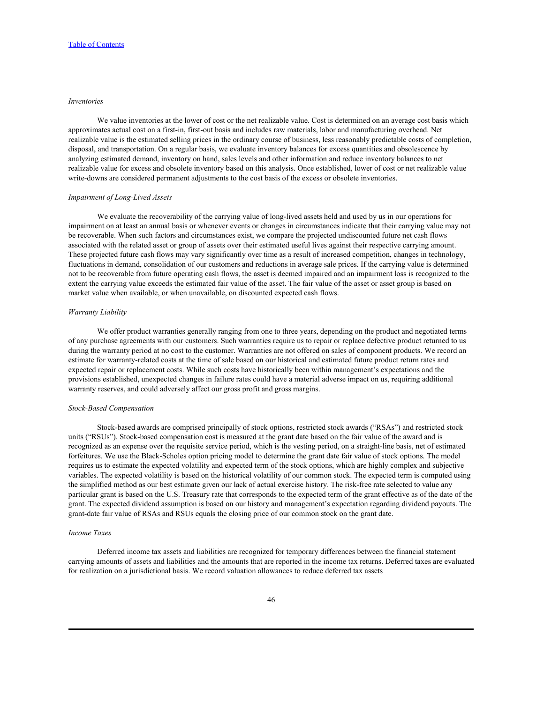## *Inventories*

We value inventories at the lower of cost or the net realizable value. Cost is determined on an average cost basis which approximates actual cost on a first-in, first-out basis and includes raw materials, labor and manufacturing overhead. Net realizable value is the estimated selling prices in the ordinary course of business, less reasonably predictable costs of completion, disposal, and transportation. On a regular basis, we evaluate inventory balances for excess quantities and obsolescence by analyzing estimated demand, inventory on hand, sales levels and other information and reduce inventory balances to net realizable value for excess and obsolete inventory based on this analysis. Once established, lower of cost or net realizable value write-downs are considered permanent adjustments to the cost basis of the excess or obsolete inventories.

#### *Impairment of Long-Lived Assets*

We evaluate the recoverability of the carrying value of long-lived assets held and used by us in our operations for impairment on at least an annual basis or whenever events or changes in circumstances indicate that their carrying value may not be recoverable. When such factors and circumstances exist, we compare the projected undiscounted future net cash flows associated with the related asset or group of assets over their estimated useful lives against their respective carrying amount. These projected future cash flows may vary significantly over time as a result of increased competition, changes in technology, fluctuations in demand, consolidation of our customers and reductions in average sale prices. If the carrying value is determined not to be recoverable from future operating cash flows, the asset is deemed impaired and an impairment loss is recognized to the extent the carrying value exceeds the estimated fair value of the asset. The fair value of the asset or asset group is based on market value when available, or when unavailable, on discounted expected cash flows.

## *Warranty Liability*

We offer product warranties generally ranging from one to three years, depending on the product and negotiated terms of any purchase agreements with our customers. Such warranties require us to repair or replace defective product returned to us during the warranty period at no cost to the customer. Warranties are not offered on sales of component products. We record an estimate for warranty-related costs at the time of sale based on our historical and estimated future product return rates and expected repair or replacement costs. While such costs have historically been within management's expectations and the provisions established, unexpected changes in failure rates could have a material adverse impact on us, requiring additional warranty reserves, and could adversely affect our gross profit and gross margins.

#### *Stock-Based Compensation*

Stock-based awards are comprised principally of stock options, restricted stock awards ("RSAs") and restricted stock units ("RSUs"). Stock-based compensation cost is measured at the grant date based on the fair value of the award and is recognized as an expense over the requisite service period, which is the vesting period, on a straight-line basis, net of estimated forfeitures. We use the Black-Scholes option pricing model to determine the grant date fair value of stock options. The model requires us to estimate the expected volatility and expected term of the stock options, which are highly complex and subjective variables. The expected volatility is based on the historical volatility of our common stock. The expected term is computed using the simplified method as our best estimate given our lack of actual exercise history. The risk-free rate selected to value any particular grant is based on the U.S. Treasury rate that corresponds to the expected term of the grant effective as of the date of the grant. The expected dividend assumption is based on our history and management's expectation regarding dividend payouts. The grant-date fair value of RSAs and RSUs equals the closing price of our common stock on the grant date.

### *Income Taxes*

Deferred income tax assets and liabilities are recognized for temporary differences between the financial statement carrying amounts of assets and liabilities and the amounts that are reported in the income tax returns. Deferred taxes are evaluated for realization on a jurisdictional basis. We record valuation allowances to reduce deferred tax assets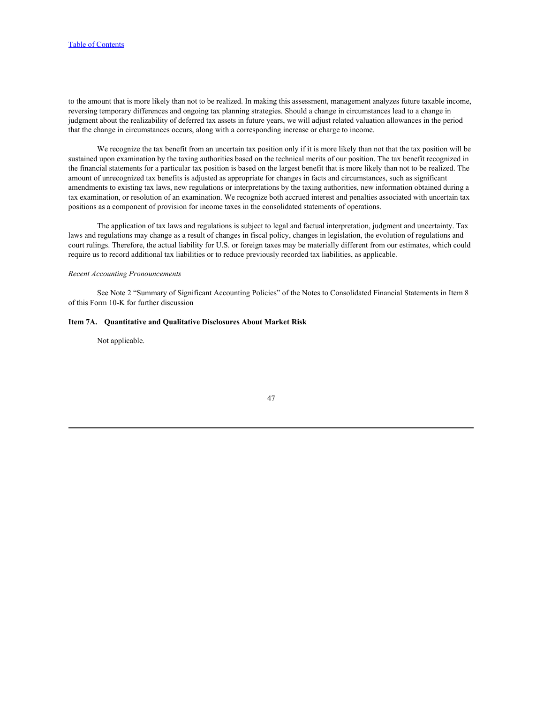to the amount that is more likely than not to be realized. In making this assessment, management analyzes future taxable income, reversing temporary differences and ongoing tax planning strategies. Should a change in circumstances lead to a change in judgment about the realizability of deferred tax assets in future years, we will adjust related valuation allowances in the period that the change in circumstances occurs, along with a corresponding increase or charge to income.

We recognize the tax benefit from an uncertain tax position only if it is more likely than not that the tax position will be sustained upon examination by the taxing authorities based on the technical merits of our position. The tax benefit recognized in the financial statements for a particular tax position is based on the largest benefit that is more likely than not to be realized. The amount of unrecognized tax benefits is adjusted as appropriate for changes in facts and circumstances, such as significant amendments to existing tax laws, new regulations or interpretations by the taxing authorities, new information obtained during a tax examination, or resolution of an examination. We recognize both accrued interest and penalties associated with uncertain tax positions as a component of provision for income taxes in the consolidated statements of operations.

The application of tax laws and regulations is subject to legal and factual interpretation, judgment and uncertainty. Tax laws and regulations may change as a result of changes in fiscal policy, changes in legislation, the evolution of regulations and court rulings. Therefore, the actual liability for U.S. or foreign taxes may be materially different from our estimates, which could require us to record additional tax liabilities or to reduce previously recorded tax liabilities, as applicable.

#### *Recent Accounting Pronouncements*

See Note 2 "Summary of Significant Accounting Policies" of the Notes to Consolidated Financial Statements in Item 8 of this Form 10-K for further discussion

## **Item 7A. Quantitative and Qualitative Disclosures About Market Risk**

Not applicable.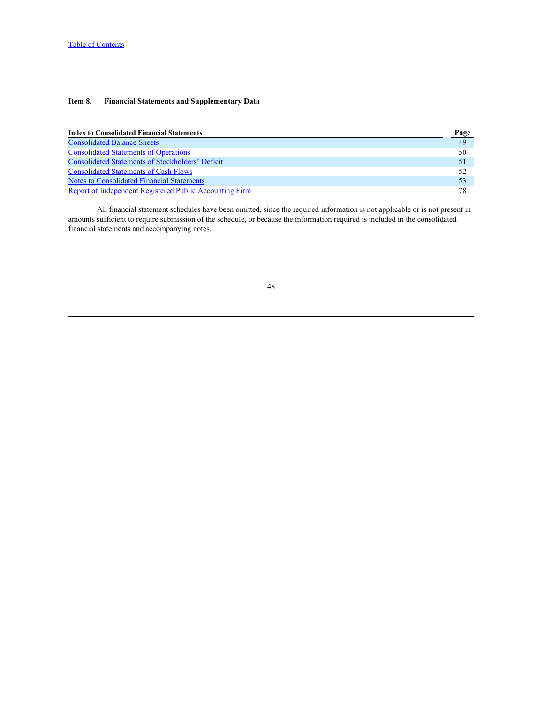## **Item 8. Financial Statements and Supplementary Data**

| <b>Index to Consolidated Financial Statements</b>       | Page |
|---------------------------------------------------------|------|
| <b>Consolidated Balance Sheets</b>                      | 49   |
| <b>Consolidated Statements of Operations</b>            | 50   |
| <b>Consolidated Statements of Stockholders' Deficit</b> | υı   |
| <b>Consolidated Statements of Cash Flows</b>            |      |
| Notes to Consolidated Financial Statements              | 53   |
| Report of Independent Registered Public Accounting Firm | 78   |

All financial statement schedules have been omitted, since the required information is not applicable or is not present in amounts sufficient to require submission of the schedule, or because the information required is included in the consolidated financial statements and accompanying notes.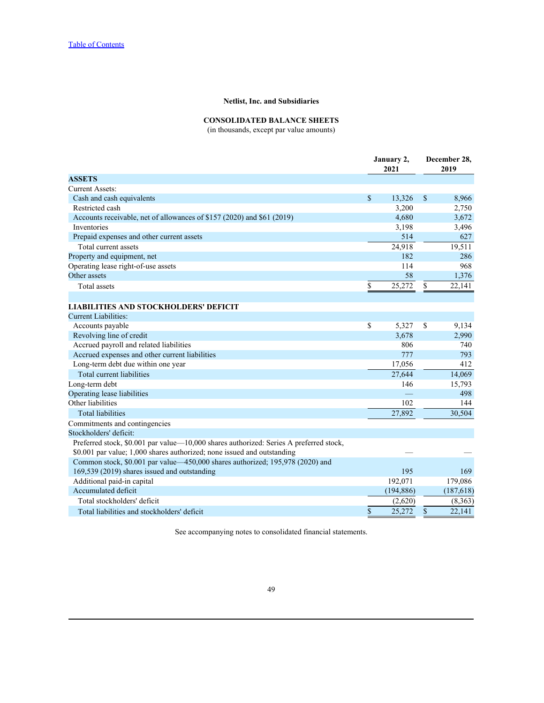## **CONSOLIDATED BALANCE SHEETS**

(in thousands, except par value amounts)

<span id="page-49-0"></span>

|                                                                                        |              | January 2,<br>2021 |             | December 28,<br>2019 |
|----------------------------------------------------------------------------------------|--------------|--------------------|-------------|----------------------|
| <b>ASSETS</b>                                                                          |              |                    |             |                      |
| <b>Current Assets:</b>                                                                 |              |                    |             |                      |
| Cash and cash equivalents                                                              | $\mathbf{s}$ | 13,326 \$          |             | 8,966                |
| Restricted cash                                                                        |              | 3,200              |             | 2,750                |
| Accounts receivable, net of allowances of \$157 (2020) and \$61 (2019)                 |              | 4,680              |             | 3,672                |
| Inventories                                                                            |              | 3,198              |             | 3,496                |
| Prepaid expenses and other current assets                                              |              | 514                |             | 627                  |
| Total current assets                                                                   |              | 24,918             |             | 19,511               |
| Property and equipment, net                                                            |              | 182                |             | 286                  |
| Operating lease right-of-use assets                                                    |              | 114                |             | 968                  |
| Other assets                                                                           |              | 58                 |             | 1,376                |
| Total assets                                                                           |              | 25,272             | $\mathbf S$ | 22,141               |
|                                                                                        |              |                    |             |                      |
| <b>LIABILITIES AND STOCKHOLDERS' DEFICIT</b>                                           |              |                    |             |                      |
| <b>Current Liabilities:</b>                                                            |              |                    |             |                      |
| Accounts payable                                                                       | \$           | 5,327 \$           |             | 9,134                |
| Revolving line of credit                                                               |              | 3,678              |             | 2,990                |
| Accrued payroll and related liabilities                                                |              | 806                |             | 740                  |
| Accrued expenses and other current liabilities                                         |              | 777                |             | 793                  |
| Long-term debt due within one year                                                     |              | 17,056             |             | 412                  |
| Total current liabilities                                                              |              | 27,644             |             | 14,069               |
| Long-term debt                                                                         |              | 146                |             | 15,793               |
| Operating lease liabilities                                                            |              | $\frac{1}{2}$      |             | 498                  |
| Other liabilities                                                                      |              | 102                |             | 144                  |
| <b>Total liabilities</b>                                                               |              | 27,892             |             | 30,504               |
| Commitments and contingencies                                                          |              |                    |             |                      |
| Stockholders' deficit:                                                                 |              |                    |             |                      |
| Preferred stock, \$0.001 par value-10,000 shares authorized: Series A preferred stock, |              |                    |             |                      |
| \$0.001 par value; 1,000 shares authorized; none issued and outstanding                |              |                    |             |                      |
| Common stock, \$0.001 par value-450,000 shares authorized; 195,978 (2020) and          |              |                    |             |                      |
| 169,539 (2019) shares issued and outstanding                                           |              | 195                |             | 169                  |
| Additional paid-in capital                                                             |              | 192,071            |             | 179,086              |
| Accumulated deficit                                                                    |              | (194, 886)         |             | (187, 618)           |
| Total stockholders' deficit                                                            |              | (2,620)            |             | (8,363)              |
| Total liabilities and stockholders' deficit                                            |              | 25,272             |             | 22,141               |
|                                                                                        |              |                    |             |                      |

See accompanying notes to consolidated financial statements.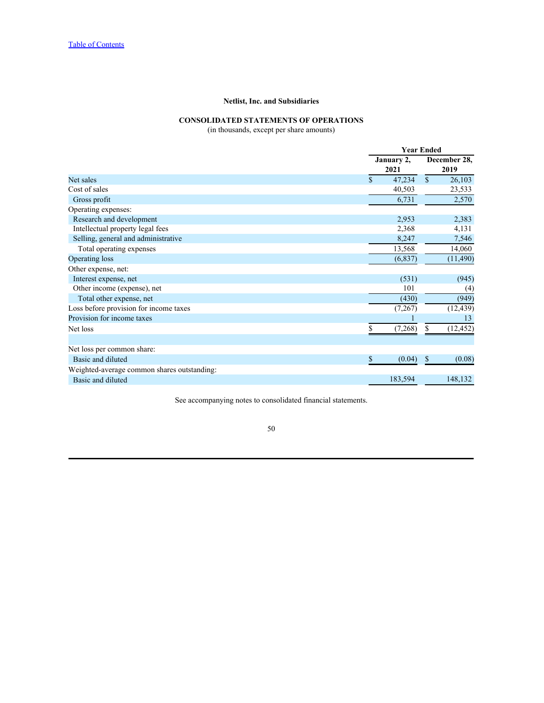## **CONSOLIDATED STATEMENTS OF OPERATIONS**

(in thousands, except per share amounts)

<span id="page-50-0"></span>

| <b>Year Ended</b> |          |               |              |  |  |
|-------------------|----------|---------------|--------------|--|--|
| January 2,        |          |               | December 28, |  |  |
|                   |          |               | 2019         |  |  |
| $\mathbb{S}$      | 47,234   | $\mathbb{S}$  | 26,103       |  |  |
|                   | 40,503   |               | 23,533       |  |  |
|                   | 6,731    |               | 2,570        |  |  |
|                   |          |               |              |  |  |
|                   | 2,953    |               | 2,383        |  |  |
|                   | 2,368    |               | 4,131        |  |  |
|                   | 8,247    |               | 7,546        |  |  |
|                   | 13,568   |               | 14,060       |  |  |
|                   | (6, 837) |               | (11, 490)    |  |  |
|                   |          |               |              |  |  |
|                   | (531)    |               | (945)        |  |  |
|                   | 101      |               | (4)          |  |  |
|                   | (430)    |               | (949)        |  |  |
|                   | (7, 267) |               | (12, 439)    |  |  |
|                   |          |               | 13           |  |  |
|                   | (7, 268) | \$            | (12, 452)    |  |  |
|                   |          |               |              |  |  |
|                   |          |               |              |  |  |
|                   | (0.04)   | <sup>\$</sup> | (0.08)       |  |  |
|                   |          |               |              |  |  |
|                   | 183,594  |               | 148,132      |  |  |
|                   |          | 2021          |              |  |  |

See accompanying notes to consolidated financial statements.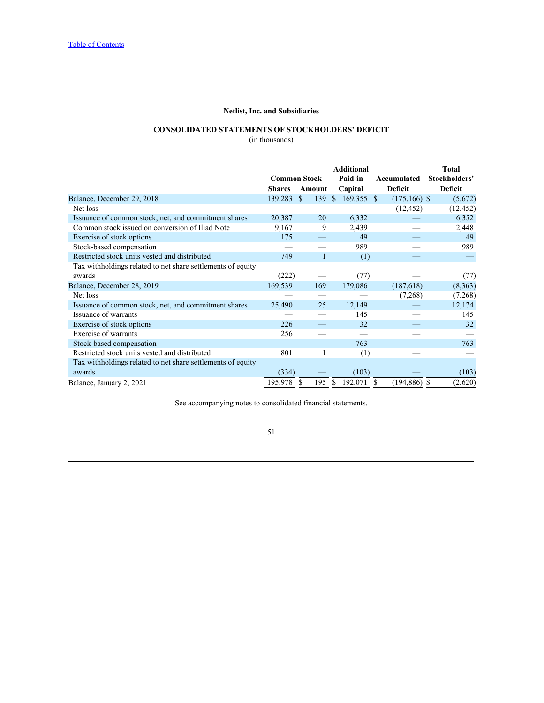# **CONSOLIDATED STATEMENTS OF STOCKHOLDERS' DEFICIT**

(in thousands)

<span id="page-51-0"></span>

|                                                             |                     |                                | <b>Additional</b>        |                               | <b>Total</b>  |
|-------------------------------------------------------------|---------------------|--------------------------------|--------------------------|-------------------------------|---------------|
|                                                             | <b>Common Stock</b> |                                | Paid-in                  | Accumulated                   | Stockholders' |
|                                                             | <b>Shares</b>       | Amount                         | Capital                  | Deficit                       | Deficit       |
| Balance, December 29, 2018                                  | 139,283             | 139                            | $169,355$ \$             | $(175, 166)$ \$               | (5,672)       |
| Net loss                                                    |                     |                                |                          | (12, 452)                     | (12, 452)     |
| Issuance of common stock, net, and commitment shares        | 20,387              | 20                             | 6,332                    | $\overbrace{\phantom{aaaaa}}$ | 6,352         |
| Common stock issued on conversion of Iliad Note             | 9,167               | 9                              | 2,439                    | $\overline{\phantom{0}}$      | 2,448         |
| Exercise of stock options                                   | 175                 | $\qquad \qquad -$              | 49                       |                               | 49            |
| Stock-based compensation                                    |                     |                                | 989                      |                               | 989           |
| Restricted stock units vested and distributed               | 749                 |                                | (1)                      |                               |               |
| Tax withholdings related to net share settlements of equity |                     |                                |                          |                               |               |
| awards                                                      | (222)               |                                | (77)                     |                               | 177           |
| Balance, December 28, 2019                                  | 169,539             | 169                            | 179,086                  | (187,618)                     | (8,363)       |
| Net loss                                                    |                     |                                |                          | (7,268)                       | (7,268)       |
| Issuance of common stock, net, and commitment shares        | 25,490              | 25                             | 12,149                   | $\hspace{0.05cm}$             | 12,174        |
| Issuance of warrants                                        |                     |                                | 145                      |                               | 145           |
| Exercise of stock options                                   | 226                 | $\overbrace{\phantom{123321}}$ | 32                       |                               | 32            |
| Exercise of warrants                                        | 256                 |                                | $\overline{\phantom{m}}$ |                               |               |
| Stock-based compensation                                    |                     |                                | 763                      |                               | 763           |
| Restricted stock units vested and distributed               | 801                 |                                | (1)                      |                               |               |
| Tax withholdings related to net share settlements of equity |                     |                                |                          |                               |               |
| awards                                                      | (334)               |                                | (103)                    |                               | (103)         |
| Balance, January 2, 2021                                    | 195,978             | 195                            | 192,071                  | $(194,886)$ \$                | (2,620)       |

See accompanying notes to consolidated financial statements.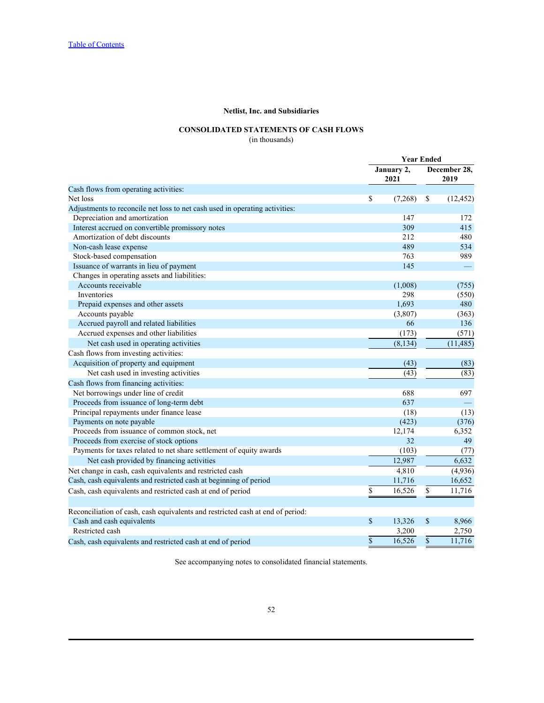# **CONSOLIDATED STATEMENTS OF CASH FLOWS**

(in thousands)

<span id="page-52-0"></span>

|                                                                                |               | <b>Year Ended</b>       |              |              |  |
|--------------------------------------------------------------------------------|---------------|-------------------------|--------------|--------------|--|
|                                                                                |               | January $\overline{2,}$ |              | December 28, |  |
|                                                                                |               | 2021                    |              | 2019         |  |
| Cash flows from operating activities:                                          |               |                         |              |              |  |
| Net loss                                                                       | <sup>\$</sup> | $(7,268)$ \$            |              | (12, 452)    |  |
| Adjustments to reconcile net loss to net cash used in operating activities:    |               |                         |              |              |  |
| Depreciation and amortization                                                  |               | 147                     |              | 172          |  |
| Interest accrued on convertible promissory notes                               |               | 309                     |              | 415          |  |
| Amortization of debt discounts                                                 |               | 212                     |              | 480          |  |
| Non-cash lease expense                                                         |               | 489                     |              | 534          |  |
| Stock-based compensation                                                       |               | 763                     |              | 989          |  |
| Issuance of warrants in lieu of payment                                        |               | 145                     |              |              |  |
| Changes in operating assets and liabilities:                                   |               |                         |              |              |  |
| Accounts receivable                                                            |               | (1,008)                 |              | (755)        |  |
| Inventories                                                                    |               | 298                     |              | (550)        |  |
| Prepaid expenses and other assets                                              |               | 1,693                   |              | 480          |  |
| Accounts payable                                                               |               | (3,807)                 |              | (363)        |  |
| Accrued payroll and related liabilities                                        |               | 66                      |              | 136          |  |
| Accrued expenses and other liabilities                                         |               | (173)                   |              | (571)        |  |
| Net cash used in operating activities                                          |               | (8, 134)                |              | (11, 485)    |  |
| Cash flows from investing activities:                                          |               |                         |              |              |  |
| Acquisition of property and equipment                                          |               | (43)                    |              | (83)         |  |
| Net cash used in investing activities                                          |               | (43)                    |              | (83)         |  |
| Cash flows from financing activities:                                          |               |                         |              |              |  |
| Net borrowings under line of credit                                            |               | 688                     |              | 697          |  |
| Proceeds from issuance of long-term debt                                       |               | 637                     |              |              |  |
| Principal repayments under finance lease                                       |               | (18)                    |              | (13)         |  |
| Payments on note payable                                                       |               | (423)                   |              | (376)        |  |
| Proceeds from issuance of common stock, net                                    |               | 12,174                  |              | 6,352        |  |
| Proceeds from exercise of stock options                                        |               | $32\,$                  |              | 49           |  |
| Payments for taxes related to net share settlement of equity awards            |               | (103)                   |              | (77)         |  |
| Net cash provided by financing activities                                      |               | 12,987                  |              | 6,632        |  |
| Net change in cash, cash equivalents and restricted cash                       |               | 4,810                   |              | (4,936)      |  |
| Cash, cash equivalents and restricted cash at beginning of period              |               | 11,716                  |              | 16,652       |  |
|                                                                                |               | 16,526                  | <sup>S</sup> | 11,716       |  |
| Cash, cash equivalents and restricted cash at end of period                    |               |                         |              |              |  |
| Reconciliation of cash, cash equivalents and restricted cash at end of period: |               |                         |              |              |  |
| Cash and cash equivalents                                                      | <sup>\$</sup> | 13,326                  | -S           | 8,966        |  |
| Restricted cash                                                                |               | 3,200                   |              | 2,750        |  |
| Cash, cash equivalents and restricted cash at end of period                    | <sup>\$</sup> | 16,526                  | $\mathbb{S}$ | 11,716       |  |

See accompanying notes to consolidated financial statements.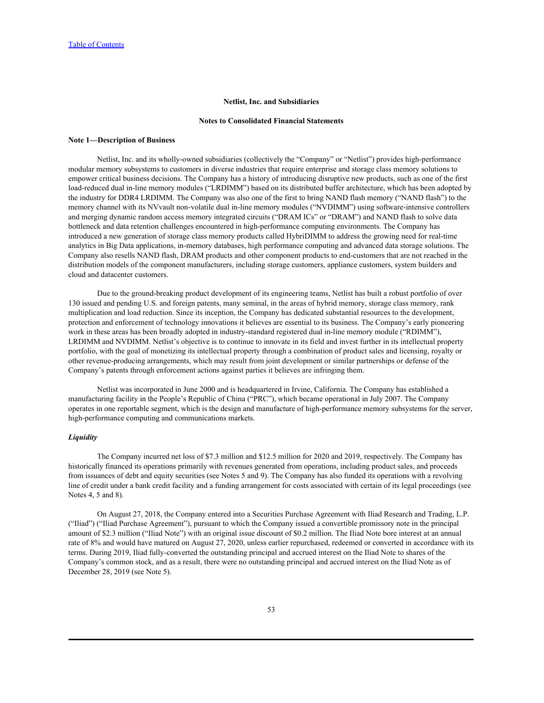#### **Notes to Consolidated Financial Statements**

### <span id="page-53-0"></span>**Note 1—Description of Business**

Netlist, Inc. and its wholly-owned subsidiaries (collectively the "Company" or "Netlist") provides high-performance modular memory subsystems to customers in diverse industries that require enterprise and storage class memory solutions to empower critical business decisions. The Company has a history of introducing disruptive new products, such as one of the first load-reduced dual in-line memory modules ("LRDIMM") based on its distributed buffer architecture, which has been adopted by the industry for DDR4 LRDIMM. The Company was also one of the first to bring NAND flash memory ("NAND flash") to the memory channel with its NVvault non-volatile dual in-line memory modules ("NVDIMM") using software-intensive controllers and merging dynamic random access memory integrated circuits ("DRAM ICs" or "DRAM") and NAND flash to solve data bottleneck and data retention challenges encountered in high-performance computing environments. The Company has introduced a new generation of storage class memory products called HybriDIMM to address the growing need for real-time analytics in Big Data applications, in-memory databases, high performance computing and advanced data storage solutions. The Company also resells NAND flash, DRAM products and other component products to end-customers that are not reached in the distribution models of the component manufacturers, including storage customers, appliance customers, system builders and cloud and datacenter customers.

Due to the ground-breaking product development of its engineering teams, Netlist has built a robust portfolio of over 130 issued and pending U.S. and foreign patents, many seminal, in the areas of hybrid memory, storage class memory, rank multiplication and load reduction. Since its inception, the Company has dedicated substantial resources to the development, protection and enforcement of technology innovations it believes are essential to its business. The Company's early pioneering work in these areas has been broadly adopted in industry-standard registered dual in-line memory module ("RDIMM"), LRDIMM and NVDIMM. Netlist's objective is to continue to innovate in its field and invest further in its intellectual property portfolio, with the goal of monetizing its intellectual property through a combination of product sales and licensing, royalty or other revenue-producing arrangements, which may result from joint development or similar partnerships or defense of the Company's patents through enforcement actions against parties it believes are infringing them.

Netlist was incorporated in June 2000 and is headquartered in Irvine, California. The Company has established a manufacturing facility in the People's Republic of China ("PRC"), which became operational in July 2007. The Company operates in one reportable segment, which is the design and manufacture of high-performance memory subsystems for the server, high-performance computing and communications markets.

## *Liquidity*

The Company incurred net loss of \$7.3 million and \$12.5 million for 2020 and 2019, respectively. The Company has historically financed its operations primarily with revenues generated from operations, including product sales, and proceeds from issuances of debt and equity securities (see Notes 5 and 9). The Company has also funded its operations with a revolving line of credit under a bank credit facility and a funding arrangement for costs associated with certain of its legal proceedings (see Notes 4, 5 and 8).

On August 27, 2018, the Company entered into a Securities Purchase Agreement with Iliad Research and Trading, L.P. ("Iliad") ("Iliad Purchase Agreement"), pursuant to which the Company issued a convertible promissory note in the principal amount of \$2.3 million ("Iliad Note") with an original issue discount of \$0.2 million. The Iliad Note bore interest at an annual rate of 8% and would have matured on August 27, 2020, unless earlier repurchased, redeemed or converted in accordance with its terms. During 2019, Iliad fully-converted the outstanding principal and accrued interest on the Iliad Note to shares of the Company's common stock, and as a result, there were no outstanding principal and accrued interest on the Iliad Note as of December 28, 2019 (see Note 5).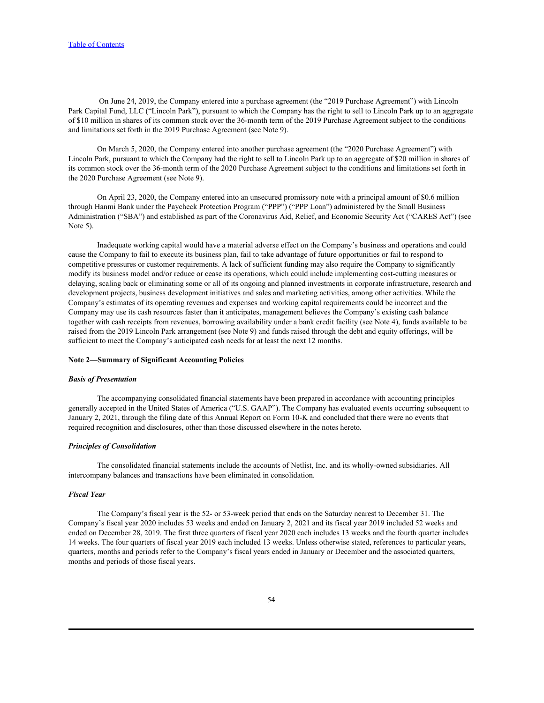On June 24, 2019, the Company entered into a purchase agreement (the "2019 Purchase Agreement") with Lincoln Park Capital Fund, LLC ("Lincoln Park"), pursuant to which the Company has the right to sell to Lincoln Park up to an aggregate of \$10 million in shares of its common stock over the 36-month term of the 2019 Purchase Agreement subject to the conditions and limitations set forth in the 2019 Purchase Agreement (see Note 9).

On March 5, 2020, the Company entered into another purchase agreement (the "2020 Purchase Agreement") with Lincoln Park, pursuant to which the Company had the right to sell to Lincoln Park up to an aggregate of \$20 million in shares of its common stock over the 36-month term of the 2020 Purchase Agreement subject to the conditions and limitations set forth in the 2020 Purchase Agreement (see Note 9).

On April 23, 2020, the Company entered into an unsecured promissory note with a principal amount of \$0.6 million through Hanmi Bank under the Paycheck Protection Program ("PPP") ("PPP Loan") administered by the Small Business Administration ("SBA") and established as part of the Coronavirus Aid, Relief, and Economic Security Act ("CARES Act") (see Note 5).

Inadequate working capital would have a material adverse effect on the Company's business and operations and could cause the Company to fail to execute its business plan, fail to take advantage of future opportunities or fail to respond to competitive pressures or customer requirements. A lack of sufficient funding may also require the Company to significantly modify its business model and/or reduce or cease its operations, which could include implementing cost-cutting measures or delaying, scaling back or eliminating some or all of its ongoing and planned investments in corporate infrastructure, research and development projects, business development initiatives and sales and marketing activities, among other activities. While the Company's estimates of its operating revenues and expenses and working capital requirements could be incorrect and the Company may use its cash resources faster than it anticipates, management believes the Company's existing cash balance together with cash receipts from revenues, borrowing availability under a bank credit facility (see Note 4), funds available to be raised from the 2019 Lincoln Park arrangement (see Note 9) and funds raised through the debt and equity offerings, will be sufficient to meet the Company's anticipated cash needs for at least the next 12 months.

#### **Note 2—Summary of Significant Accounting Policies**

### *Basis of Presentation*

The accompanying consolidated financial statements have been prepared in accordance with accounting principles generally accepted in the United States of America ("U.S. GAAP"). The Company has evaluated events occurring subsequent to January 2, 2021, through the filing date of this Annual Report on Form 10-K and concluded that there were no events that required recognition and disclosures, other than those discussed elsewhere in the notes hereto.

#### *Principles of Consolidation*

The consolidated financial statements include the accounts of Netlist, Inc. and its wholly-owned subsidiaries. All intercompany balances and transactions have been eliminated in consolidation.

## *Fiscal Year*

The Company's fiscal year is the 52- or 53-week period that ends on the Saturday nearest to December 31. The Company's fiscal year 2020 includes 53 weeks and ended on January 2, 2021 and its fiscal year 2019 included 52 weeks and ended on December 28, 2019. The first three quarters of fiscal year 2020 each includes 13 weeks and the fourth quarter includes 14 weeks. The four quarters of fiscal year 2019 each included 13 weeks. Unless otherwise stated, references to particular years, quarters, months and periods refer to the Company's fiscal years ended in January or December and the associated quarters, months and periods of those fiscal years.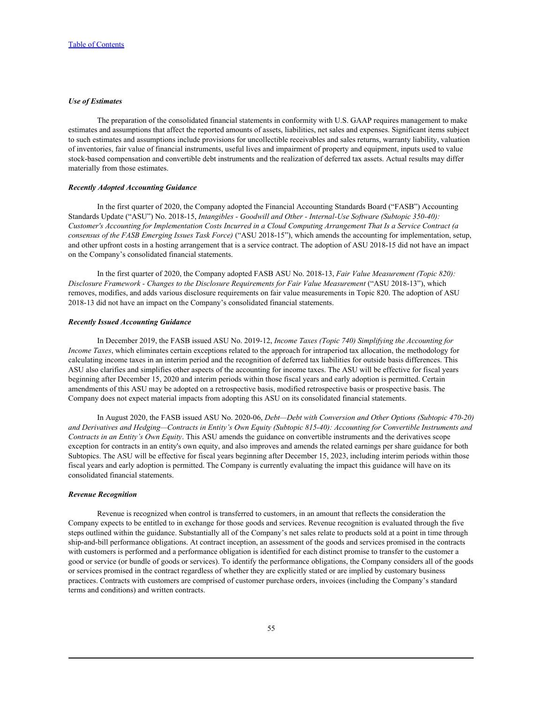## *Use of Estimates*

The preparation of the consolidated financial statements in conformity with U.S. GAAP requires management to make estimates and assumptions that affect the reported amounts of assets, liabilities, net sales and expenses. Significant items subject to such estimates and assumptions include provisions for uncollectible receivables and sales returns, warranty liability, valuation of inventories, fair value of financial instruments, useful lives and impairment of property and equipment, inputs used to value stock-based compensation and convertible debt instruments and the realization of deferred tax assets. Actual results may differ materially from those estimates.

#### *Recently Adopted Accounting Guidance*

In the first quarter of 2020, the Company adopted the Financial Accounting Standards Board ("FASB") Accounting Standards Update ("ASU") No. 2018-15, *Intangibles - Goodwill and Other - Internal-Use Software (Subtopic 350-40): Customer's Accounting for Implementation Costs Incurred in a Cloud Computing Arrangement That Is a Service Contract (a consensus of the FASB Emerging Issues Task Force)* ("ASU 2018-15"), which amends the accounting for implementation, setup, and other upfront costs in a hosting arrangement that is a service contract. The adoption of ASU 2018-15 did not have an impact on the Company's consolidated financial statements.

In the first quarter of 2020, the Company adopted FASB ASU No. 2018-13, *Fair Value Measurement (Topic 820): Disclosure Framework - Changes to the Disclosure Requirements for Fair Value Measurement* ("ASU 2018-13"), which removes, modifies, and adds various disclosure requirements on fair value measurements in Topic 820. The adoption of ASU 2018-13 did not have an impact on the Company's consolidated financial statements.

#### *Recently Issued Accounting Guidance*

In December 2019, the FASB issued ASU No. 2019-12, *Income Taxes (Topic 740) Simplifying the Accounting for Income Taxes*, which eliminates certain exceptions related to the approach for intraperiod tax allocation, the methodology for calculating income taxes in an interim period and the recognition of deferred tax liabilities for outside basis differences. This ASU also clarifies and simplifies other aspects of the accounting for income taxes. The ASU will be effective for fiscal years beginning after December 15, 2020 and interim periods within those fiscal years and early adoption is permitted. Certain amendments of this ASU may be adopted on a retrospective basis, modified retrospective basis or prospective basis. The Company does not expect material impacts from adopting this ASU on its consolidated financial statements.

In August 2020, the FASB issued ASU No. 2020-06, *Debt—Debt with Conversion and Other Options (Subtopic 470-20) and Derivatives and Hedging—Contracts in Entity's Own Equity (Subtopic 815-40): Accounting for Convertible Instruments and Contracts in an Entity's Own Equity*. This ASU amends the guidance on convertible instruments and the derivatives scope exception for contracts in an entity's own equity, and also improves and amends the related earnings per share guidance for both Subtopics. The ASU will be effective for fiscal years beginning after December 15, 2023, including interim periods within those fiscal years and early adoption is permitted. The Company is currently evaluating the impact this guidance will have on its consolidated financial statements.

#### *Revenue Recognition*

Revenue is recognized when control is transferred to customers, in an amount that reflects the consideration the Company expects to be entitled to in exchange for those goods and services. Revenue recognition is evaluated through the five steps outlined within the guidance. Substantially all of the Company's net sales relate to products sold at a point in time through ship-and-bill performance obligations. At contract inception, an assessment of the goods and services promised in the contracts with customers is performed and a performance obligation is identified for each distinct promise to transfer to the customer a good or service (or bundle of goods or services). To identify the performance obligations, the Company considers all of the goods or services promised in the contract regardless of whether they are explicitly stated or are implied by customary business practices. Contracts with customers are comprised of customer purchase orders, invoices (including the Company's standard terms and conditions) and written contracts.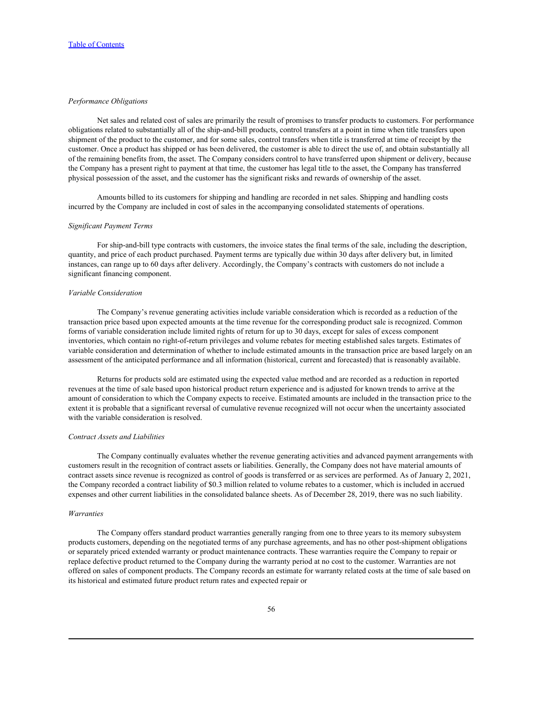## *Performance Obligations*

Net sales and related cost of sales are primarily the result of promises to transfer products to customers. For performance obligations related to substantially all of the ship-and-bill products, control transfers at a point in time when title transfers upon shipment of the product to the customer, and for some sales, control transfers when title is transferred at time of receipt by the customer. Once a product has shipped or has been delivered, the customer is able to direct the use of, and obtain substantially all of the remaining benefits from, the asset. The Company considers control to have transferred upon shipment or delivery, because the Company has a present right to payment at that time, the customer has legal title to the asset, the Company has transferred physical possession of the asset, and the customer has the significant risks and rewards of ownership of the asset.

Amounts billed to its customers for shipping and handling are recorded in net sales. Shipping and handling costs incurred by the Company are included in cost of sales in the accompanying consolidated statements of operations.

#### *Significant Payment Terms*

For ship-and-bill type contracts with customers, the invoice states the final terms of the sale, including the description, quantity, and price of each product purchased. Payment terms are typically due within 30 days after delivery but, in limited instances, can range up to 60 days after delivery. Accordingly, the Company's contracts with customers do not include a significant financing component.

## *Variable Consideration*

The Company's revenue generating activities include variable consideration which is recorded as a reduction of the transaction price based upon expected amounts at the time revenue for the corresponding product sale is recognized. Common forms of variable consideration include limited rights of return for up to 30 days, except for sales of excess component inventories, which contain no right-of-return privileges and volume rebates for meeting established sales targets. Estimates of variable consideration and determination of whether to include estimated amounts in the transaction price are based largely on an assessment of the anticipated performance and all information (historical, current and forecasted) that is reasonably available.

Returns for products sold are estimated using the expected value method and are recorded as a reduction in reported revenues at the time of sale based upon historical product return experience and is adjusted for known trends to arrive at the amount of consideration to which the Company expects to receive. Estimated amounts are included in the transaction price to the extent it is probable that a significant reversal of cumulative revenue recognized will not occur when the uncertainty associated with the variable consideration is resolved.

## *Contract Assets and Liabilities*

The Company continually evaluates whether the revenue generating activities and advanced payment arrangements with customers result in the recognition of contract assets or liabilities. Generally, the Company does not have material amounts of contract assets since revenue is recognized as control of goods is transferred or as services are performed. As of January 2, 2021, the Company recorded a contract liability of \$0.3 million related to volume rebates to a customer, which is included in accrued expenses and other current liabilities in the consolidated balance sheets. As of December 28, 2019, there was no such liability.

## *Warranties*

The Company offers standard product warranties generally ranging from one to three years to its memory subsystem products customers, depending on the negotiated terms of any purchase agreements, and has no other post-shipment obligations or separately priced extended warranty or product maintenance contracts. These warranties require the Company to repair or replace defective product returned to the Company during the warranty period at no cost to the customer. Warranties are not offered on sales of component products. The Company records an estimate for warranty related costs at the time of sale based on its historical and estimated future product return rates and expected repair or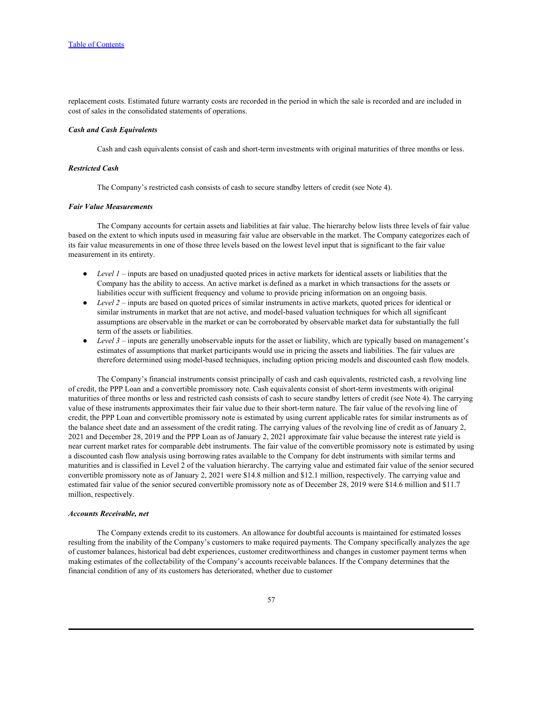replacement costs. Estimated future warranty costs are recorded in the period in which the sale is recorded and are included in cost of sales in the consolidated statements of operations.

### *Cash and Cash Equivalents*

Cash and cash equivalents consist of cash and short-term investments with original maturities of three months or less.

#### *Restricted Cash*

The Company's restricted cash consists of cash to secure standby letters of credit (see Note 4).

### *Fair Value Measurements*

The Company accounts for certain assets and liabilities at fair value. The hierarchy below lists three levels of fair value based on the extent to which inputs used in measuring fair value are observable in the market. The Company categorizes each of its fair value measurements in one of those three levels based on the lowest level input that is significant to the fair value measurement in its entirety.

- *Level 1* inputs are based on unadjusted quoted prices in active markets for identical assets or liabilities that the Company has the ability to access. An active market is defined as a market in which transactions for the assets or liabilities occur with sufficient frequency and volume to provide pricing information on an ongoing basis.
- *Level 2* inputs are based on quoted prices of similar instruments in active markets, quoted prices for identical or similar instruments in market that are not active, and model-based valuation techniques for which all significant assumptions are observable in the market or can be corroborated by observable market data for substantially the full term of the assets or liabilities.
- *Level 3* inputs are generally unobservable inputs for the asset or liability, which are typically based on management's estimates of assumptions that market participants would use in pricing the assets and liabilities. The fair values are therefore determined using model-based techniques, including option pricing models and discounted cash flow models.

The Company's financial instruments consist principally of cash and cash equivalents, restricted cash, a revolving line of credit, the PPP Loan and a convertible promissory note. Cash equivalents consist of short-term investments with original maturities of three months or less and restricted cash consists of cash to secure standby letters of credit (see Note 4). The carrying value of these instruments approximates their fair value due to their short-term nature. The fair value of the revolving line of credit, the PPP Loan and convertible promissory note is estimated by using current applicable rates for similar instruments as of the balance sheet date and an assessment of the credit rating. The carrying values of the revolving line of credit as of January 2, 2021 and December 28, 2019 and the PPP Loan as of January 2, 2021 approximate fair value because the interest rate yield is near current market rates for comparable debt instruments. The fair value of the convertible promissory note is estimated by using a discounted cash flow analysis using borrowing rates available to the Company for debt instruments with similar terms and maturities and is classified in Level 2 of the valuation hierarchy. The carrying value and estimated fair value of the senior secured convertible promissory note as of January 2, 2021 were \$14.8 million and \$12.1 million, respectively. The carrying value and estimated fair value of the senior secured convertible promissory note as of December 28, 2019 were \$14.6 million and \$11.7 million, respectively.

## *Accounts Receivable, net*

The Company extends credit to its customers. An allowance for doubtful accounts is maintained for estimated losses resulting from the inability of the Company's customers to make required payments. The Company specifically analyzes the age of customer balances, historical bad debt experiences, customer creditworthiness and changes in customer payment terms when making estimates of the collectability of the Company's accounts receivable balances. If the Company determines that the financial condition of any of its customers has deteriorated, whether due to customer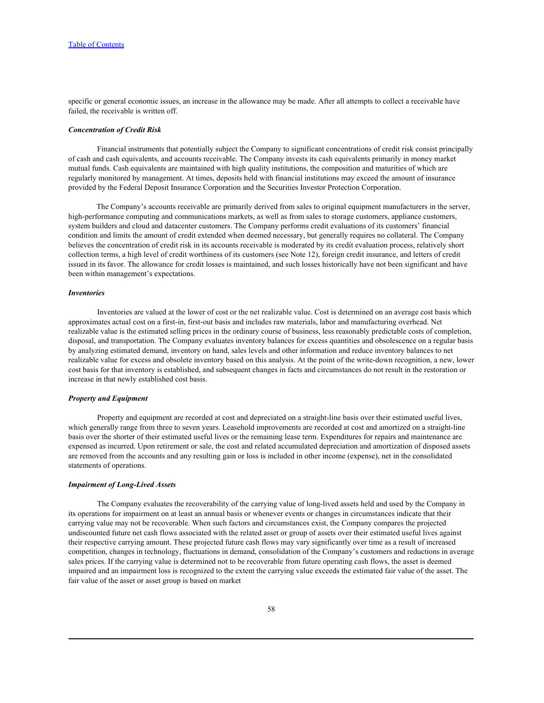specific or general economic issues, an increase in the allowance may be made. After all attempts to collect a receivable have failed, the receivable is written off.

#### *Concentration of Credit Risk*

Financial instruments that potentially subject the Company to significant concentrations of credit risk consist principally of cash and cash equivalents, and accounts receivable. The Company invests its cash equivalents primarily in money market mutual funds. Cash equivalents are maintained with high quality institutions, the composition and maturities of which are regularly monitored by management. At times, deposits held with financial institutions may exceed the amount of insurance provided by the Federal Deposit Insurance Corporation and the Securities Investor Protection Corporation.

The Company's accounts receivable are primarily derived from sales to original equipment manufacturers in the server, high-performance computing and communications markets, as well as from sales to storage customers, appliance customers, system builders and cloud and datacenter customers. The Company performs credit evaluations of its customers' financial condition and limits the amount of credit extended when deemed necessary, but generally requires no collateral. The Company believes the concentration of credit risk in its accounts receivable is moderated by its credit evaluation process, relatively short collection terms, a high level of credit worthiness of its customers (see Note 12), foreign credit insurance, and letters of credit issued in its favor. The allowance for credit losses is maintained, and such losses historically have not been significant and have been within management's expectations.

## *Inventories*

Inventories are valued at the lower of cost or the net realizable value. Cost is determined on an average cost basis which approximates actual cost on a first-in, first-out basis and includes raw materials, labor and manufacturing overhead. Net realizable value is the estimated selling prices in the ordinary course of business, less reasonably predictable costs of completion, disposal, and transportation. The Company evaluates inventory balances for excess quantities and obsolescence on a regular basis by analyzing estimated demand, inventory on hand, sales levels and other information and reduce inventory balances to net realizable value for excess and obsolete inventory based on this analysis. At the point of the write-down recognition, a new, lower cost basis for that inventory is established, and subsequent changes in facts and circumstances do not result in the restoration or increase in that newly established cost basis.

## *Property and Equipment*

Property and equipment are recorded at cost and depreciated on a straight-line basis over their estimated useful lives, which generally range from three to seven years. Leasehold improvements are recorded at cost and amortized on a straight-line basis over the shorter of their estimated useful lives or the remaining lease term. Expenditures for repairs and maintenance are expensed as incurred. Upon retirement or sale, the cost and related accumulated depreciation and amortization of disposed assets are removed from the accounts and any resulting gain or loss is included in other income (expense), net in the consolidated statements of operations.

## *Impairment of Long-Lived Assets*

The Company evaluates the recoverability of the carrying value of long-lived assets held and used by the Company in its operations for impairment on at least an annual basis or whenever events or changes in circumstances indicate that their carrying value may not be recoverable. When such factors and circumstances exist, the Company compares the projected undiscounted future net cash flows associated with the related asset or group of assets over their estimated useful lives against their respective carrying amount. These projected future cash flows may vary significantly over time as a result of increased competition, changes in technology, fluctuations in demand, consolidation of the Company's customers and reductions in average sales prices. If the carrying value is determined not to be recoverable from future operating cash flows, the asset is deemed impaired and an impairment loss is recognized to the extent the carrying value exceeds the estimated fair value of the asset. The fair value of the asset or asset group is based on market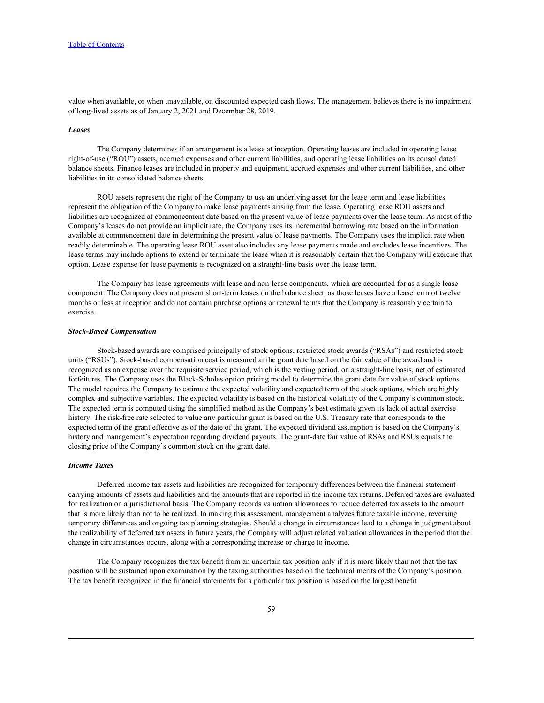value when available, or when unavailable, on discounted expected cash flows. The management believes there is no impairment of long-lived assets as of January 2, 2021 and December 28, 2019.

#### *Leases*

The Company determines if an arrangement is a lease at inception. Operating leases are included in operating lease right-of-use ("ROU") assets, accrued expenses and other current liabilities, and operating lease liabilities on its consolidated balance sheets. Finance leases are included in property and equipment, accrued expenses and other current liabilities, and other liabilities in its consolidated balance sheets.

ROU assets represent the right of the Company to use an underlying asset for the lease term and lease liabilities represent the obligation of the Company to make lease payments arising from the lease. Operating lease ROU assets and liabilities are recognized at commencement date based on the present value of lease payments over the lease term. As most of the Company's leases do not provide an implicit rate, the Company uses its incremental borrowing rate based on the information available at commencement date in determining the present value of lease payments. The Company uses the implicit rate when readily determinable. The operating lease ROU asset also includes any lease payments made and excludes lease incentives. The lease terms may include options to extend or terminate the lease when it is reasonably certain that the Company will exercise that option. Lease expense for lease payments is recognized on a straight-line basis over the lease term.

The Company has lease agreements with lease and non-lease components, which are accounted for as a single lease component. The Company does not present short-term leases on the balance sheet, as those leases have a lease term of twelve months or less at inception and do not contain purchase options or renewal terms that the Company is reasonably certain to exercise.

#### *Stock-Based Compensation*

Stock-based awards are comprised principally of stock options, restricted stock awards ("RSAs") and restricted stock units ("RSUs"). Stock-based compensation cost is measured at the grant date based on the fair value of the award and is recognized as an expense over the requisite service period, which is the vesting period, on a straight-line basis, net of estimated forfeitures. The Company uses the Black-Scholes option pricing model to determine the grant date fair value of stock options. The model requires the Company to estimate the expected volatility and expected term of the stock options, which are highly complex and subjective variables. The expected volatility is based on the historical volatility of the Company's common stock. The expected term is computed using the simplified method as the Company's best estimate given its lack of actual exercise history. The risk-free rate selected to value any particular grant is based on the U.S. Treasury rate that corresponds to the expected term of the grant effective as of the date of the grant. The expected dividend assumption is based on the Company's history and management's expectation regarding dividend payouts. The grant-date fair value of RSAs and RSUs equals the closing price of the Company's common stock on the grant date.

#### *Income Taxes*

Deferred income tax assets and liabilities are recognized for temporary differences between the financial statement carrying amounts of assets and liabilities and the amounts that are reported in the income tax returns. Deferred taxes are evaluated for realization on a jurisdictional basis. The Company records valuation allowances to reduce deferred tax assets to the amount that is more likely than not to be realized. In making this assessment, management analyzes future taxable income, reversing temporary differences and ongoing tax planning strategies. Should a change in circumstances lead to a change in judgment about the realizability of deferred tax assets in future years, the Company will adjust related valuation allowances in the period that the change in circumstances occurs, along with a corresponding increase or charge to income.

The Company recognizes the tax benefit from an uncertain tax position only if it is more likely than not that the tax position will be sustained upon examination by the taxing authorities based on the technical merits of the Company's position. The tax benefit recognized in the financial statements for a particular tax position is based on the largest benefit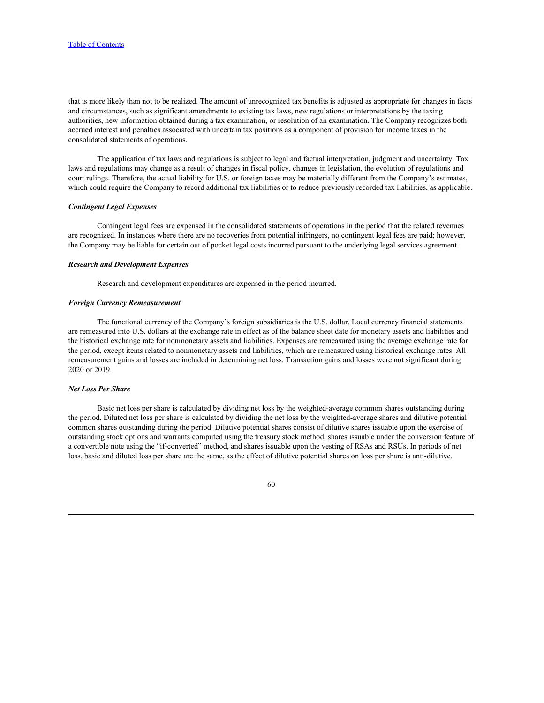that is more likely than not to be realized. The amount of unrecognized tax benefits is adjusted as appropriate for changes in facts and circumstances, such as significant amendments to existing tax laws, new regulations or interpretations by the taxing authorities, new information obtained during a tax examination, or resolution of an examination. The Company recognizes both accrued interest and penalties associated with uncertain tax positions as a component of provision for income taxes in the consolidated statements of operations.

The application of tax laws and regulations is subject to legal and factual interpretation, judgment and uncertainty. Tax laws and regulations may change as a result of changes in fiscal policy, changes in legislation, the evolution of regulations and court rulings. Therefore, the actual liability for U.S. or foreign taxes may be materially different from the Company's estimates, which could require the Company to record additional tax liabilities or to reduce previously recorded tax liabilities, as applicable.

### *Contingent Legal Expenses*

Contingent legal fees are expensed in the consolidated statements of operations in the period that the related revenues are recognized. In instances where there are no recoveries from potential infringers, no contingent legal fees are paid; however, the Company may be liable for certain out of pocket legal costs incurred pursuant to the underlying legal services agreement.

#### *Research and Development Expenses*

Research and development expenditures are expensed in the period incurred.

#### *Foreign Currency Remeasurement*

The functional currency of the Company's foreign subsidiaries is the U.S. dollar. Local currency financial statements are remeasured into U.S. dollars at the exchange rate in effect as of the balance sheet date for monetary assets and liabilities and the historical exchange rate for nonmonetary assets and liabilities. Expenses are remeasured using the average exchange rate for the period, except items related to nonmonetary assets and liabilities, which are remeasured using historical exchange rates. All remeasurement gains and losses are included in determining net loss. Transaction gains and losses were not significant during 2020 or 2019.

### *Net Loss Per Share*

Basic net loss per share is calculated by dividing net loss by the weighted-average common shares outstanding during the period. Diluted net loss per share is calculated by dividing the net loss by the weighted-average shares and dilutive potential common shares outstanding during the period. Dilutive potential shares consist of dilutive shares issuable upon the exercise of outstanding stock options and warrants computed using the treasury stock method, shares issuable under the conversion feature of a convertible note using the "if-converted" method, and shares issuable upon the vesting of RSAs and RSUs. In periods of net loss, basic and diluted loss per share are the same, as the effect of dilutive potential shares on loss per share is anti-dilutive.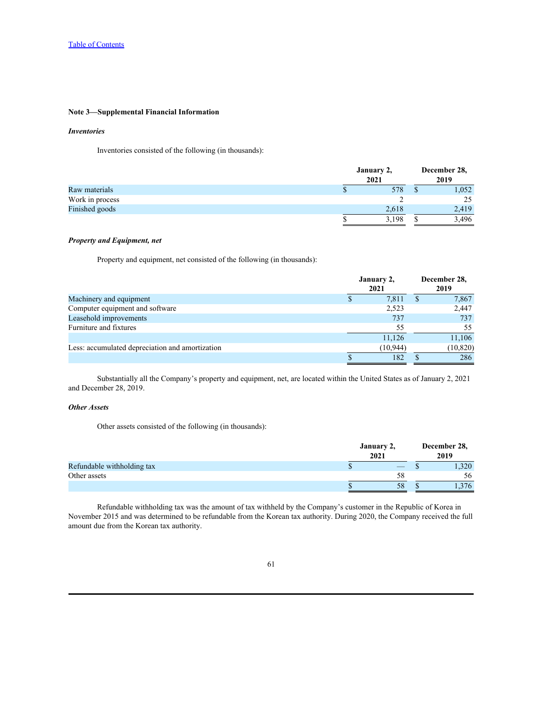## **Note 3—Supplemental Financial Information**

## *Inventories*

Inventories consisted of the following (in thousands):

|                 | January 2, |       | December 28, |
|-----------------|------------|-------|--------------|
|                 | 2021       |       | 2019         |
| Raw materials   |            | 578   | 1,052        |
| Work in process |            | ∸     | つく<br>ر گ    |
| Finished goods  |            | 2,618 | 2,419        |
|                 |            | 3,198 | 3,496        |

## *Property and Equipment, net*

Property and equipment, net consisted of the following (in thousands):

|                                                 | January 2,<br>2021 | December 28,<br>2019 |
|-------------------------------------------------|--------------------|----------------------|
| Machinery and equipment                         | 7.811              | 7,867                |
| Computer equipment and software                 | 2,523              | 2,447                |
| Leasehold improvements                          | 737                | 737                  |
| Furniture and fixtures                          | 55                 |                      |
|                                                 | 11,126             | 11,106               |
| Less: accumulated depreciation and amortization | (10, 944)          | (10, 820)            |
|                                                 | 182                | 286                  |

Substantially all the Company's property and equipment, net, are located within the United States as of January 2, 2021 and December 28, 2019.

## *Other Assets*

Other assets consisted of the following (in thousands):

|                            | January 2,<br>2021    | December 28,<br>2019 |
|----------------------------|-----------------------|----------------------|
| Refundable withholding tax |                       | 1,320                |
| Other assets               |                       | DС.                  |
|                            | 50<br>30 <sub>o</sub> | $\sim$<br>1, 3/0     |

Refundable withholding tax was the amount of tax withheld by the Company's customer in the Republic of Korea in November 2015 and was determined to be refundable from the Korean tax authority. During 2020, the Company received the full amount due from the Korean tax authority.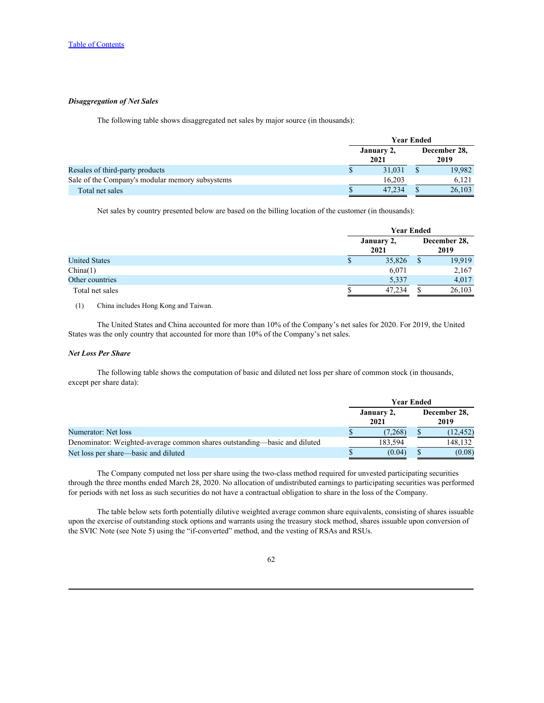## *Disaggregation of Net Sales*

The following table shows disaggregated net sales by major source (in thousands):

|                                                 | <b>Year Ended</b> |                    |  |                      |  |  |
|-------------------------------------------------|-------------------|--------------------|--|----------------------|--|--|
|                                                 |                   | January 2,<br>2021 |  | December 28.<br>2019 |  |  |
| Resales of third-party products                 |                   | 31,031             |  | 19,982               |  |  |
| Sale of the Company's modular memory subsystems |                   | 16.203             |  | 6,121                |  |  |
| Total net sales                                 |                   | 47,234             |  | 26,103               |  |  |

Net sales by country presented below are based on the billing location of the customer (in thousands):

|                      |  | <b>Year Ended</b>  |                      |        |  |  |
|----------------------|--|--------------------|----------------------|--------|--|--|
|                      |  | January 2,<br>2021 | December 28,<br>2019 |        |  |  |
| <b>United States</b> |  | 35,826             |                      | 19,919 |  |  |
| China(1)             |  | 6,071              |                      | 2,167  |  |  |
| Other countries      |  | 5,337              |                      | 4,017  |  |  |
| Total net sales      |  | 47,234             |                      | 26,103 |  |  |

## (1) China includes Hong Kong and Taiwan.

The United States and China accounted for more than 10% of the Company's net sales for 2020. For 2019, the United States was the only country that accounted for more than 10% of the Company's net sales.

#### *Net Loss Per Share*

The following table shows the computation of basic and diluted net loss per share of common stock (in thousands, except per share data):

|                                                                           | <b>Year Ended</b> |                    |  |                      |  |
|---------------------------------------------------------------------------|-------------------|--------------------|--|----------------------|--|
|                                                                           |                   | January 2,<br>2021 |  | December 28,<br>2019 |  |
| Numerator: Net loss                                                       |                   | (7.268)            |  | (12, 452)            |  |
| Denominator: Weighted-average common shares outstanding—basic and diluted |                   | 183,594            |  | 148.132              |  |
| Net loss per share—basic and diluted                                      |                   | (0.04)             |  | (0.08)               |  |

The Company computed net loss per share using the two-class method required for unvested participating securities through the three months ended March 28, 2020. No allocation of undistributed earnings to participating securities was performed for periods with net loss as such securities do not have a contractual obligation to share in the loss of the Company.

The table below sets forth potentially dilutive weighted average common share equivalents, consisting of shares issuable upon the exercise of outstanding stock options and warrants using the treasury stock method, shares issuable upon conversion of the SVIC Note (see Note 5) using the "if-converted" method, and the vesting of RSAs and RSUs.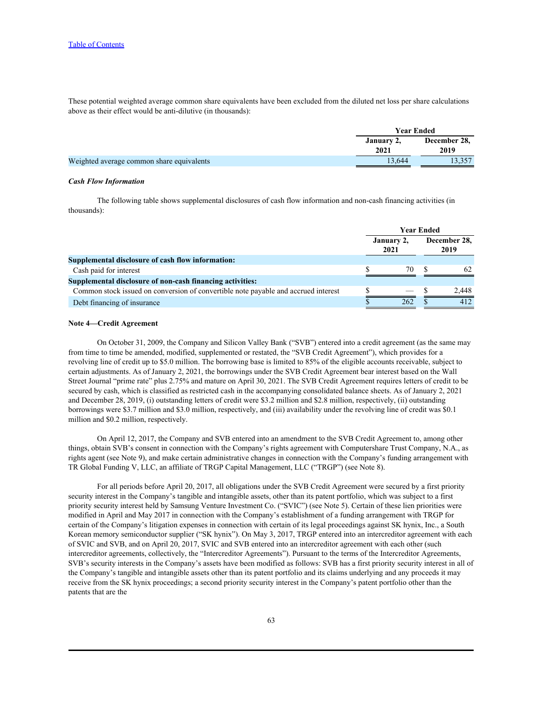These potential weighted average common share equivalents have been excluded from the diluted net loss per share calculations above as their effect would be anti-dilutive (in thousands):

|                                           | <b>Year Ended</b> |              |  |
|-------------------------------------------|-------------------|--------------|--|
|                                           | January 2,        | December 28. |  |
|                                           | 2021              | 2019         |  |
| Weighted average common share equivalents | 13,644            | 13,357       |  |

### *Cash Flow Information*

The following table shows supplemental disclosures of cash flow information and non-cash financing activities (in thousands):

|  |     |                    | December 28,<br>2019 |  |
|--|-----|--------------------|----------------------|--|
|  |     |                    |                      |  |
|  | 70  |                    | -62                  |  |
|  |     |                    |                      |  |
|  |     |                    | 2,448                |  |
|  | 262 |                    | 412                  |  |
|  |     | January 2,<br>2021 | <b>Year Ended</b>    |  |

## **Note 4—Credit Agreement**

On October 31, 2009, the Company and Silicon Valley Bank ("SVB") entered into a credit agreement (as the same may from time to time be amended, modified, supplemented or restated, the "SVB Credit Agreement"), which provides for a revolving line of credit up to \$5.0 million. The borrowing base is limited to 85% of the eligible accounts receivable, subject to certain adjustments. As of January 2, 2021, the borrowings under the SVB Credit Agreement bear interest based on the Wall Street Journal "prime rate" plus 2.75% and mature on April 30, 2021. The SVB Credit Agreement requires letters of credit to be secured by cash, which is classified as restricted cash in the accompanying consolidated balance sheets. As of January 2, 2021 and December 28, 2019, (i) outstanding letters of credit were \$3.2 million and \$2.8 million, respectively, (ii) outstanding borrowings were \$3.7 million and \$3.0 million, respectively, and (iii) availability under the revolving line of credit was \$0.1 million and \$0.2 million, respectively.

On April 12, 2017, the Company and SVB entered into an amendment to the SVB Credit Agreement to, among other things, obtain SVB's consent in connection with the Company's rights agreement with Computershare Trust Company, N.A., as rights agent (see Note 9), and make certain administrative changes in connection with the Company's funding arrangement with TR Global Funding V, LLC, an affiliate of TRGP Capital Management, LLC ("TRGP") (see Note 8).

For all periods before April 20, 2017, all obligations under the SVB Credit Agreement were secured by a first priority security interest in the Company's tangible and intangible assets, other than its patent portfolio, which was subject to a first priority security interest held by Samsung Venture Investment Co. ("SVIC") (see Note 5). Certain of these lien priorities were modified in April and May 2017 in connection with the Company's establishment of a funding arrangement with TRGP for certain of the Company's litigation expenses in connection with certain of its legal proceedings against SK hynix, Inc., a South Korean memory semiconductor supplier ("SK hynix"). On May 3, 2017, TRGP entered into an intercreditor agreement with each of SVIC and SVB, and on April 20, 2017, SVIC and SVB entered into an intercreditor agreement with each other (such intercreditor agreements, collectively, the "Intercreditor Agreements"). Pursuant to the terms of the Intercreditor Agreements, SVB's security interests in the Company's assets have been modified as follows: SVB has a first priority security interest in all of the Company's tangible and intangible assets other than its patent portfolio and its claims underlying and any proceeds it may receive from the SK hynix proceedings; a second priority security interest in the Company's patent portfolio other than the patents that are the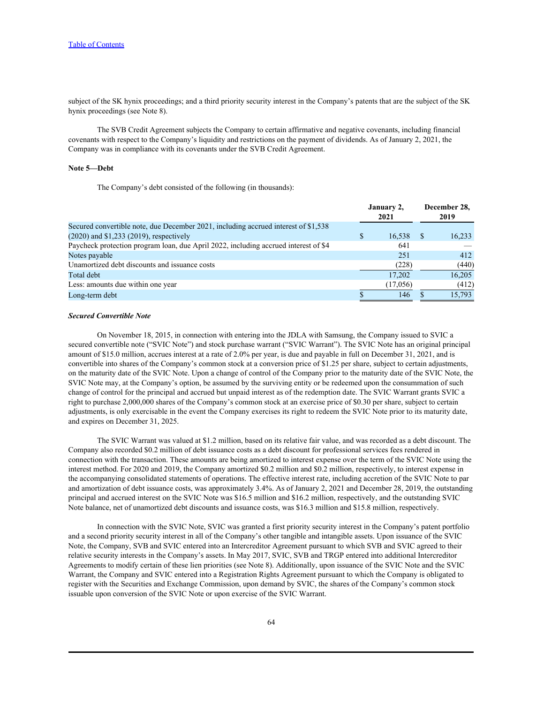subject of the SK hynix proceedings; and a third priority security interest in the Company's patents that are the subject of the SK hynix proceedings (see Note 8).

The SVB Credit Agreement subjects the Company to certain affirmative and negative covenants, including financial covenants with respect to the Company's liquidity and restrictions on the payment of dividends. As of January 2, 2021, the Company was in compliance with its covenants under the SVB Credit Agreement.

#### **Note 5—Debt**

The Company's debt consisted of the following (in thousands):

## *Secured Convertible Note*

On November 18, 2015, in connection with entering into the JDLA with Samsung, the Company issued to SVIC a secured convertible note ("SVIC Note") and stock purchase warrant ("SVIC Warrant"). The SVIC Note has an original principal amount of \$15.0 million, accrues interest at a rate of 2.0% per year, is due and payable in full on December 31, 2021, and is convertible into shares of the Company's common stock at a conversion price of \$1.25 per share, subject to certain adjustments, on the maturity date of the SVIC Note. Upon a change of control of the Company prior to the maturity date of the SVIC Note, the SVIC Note may, at the Company's option, be assumed by the surviving entity or be redeemed upon the consummation of such change of control for the principal and accrued but unpaid interest as of the redemption date. The SVIC Warrant grants SVIC a right to purchase 2,000,000 shares of the Company's common stock at an exercise price of \$0.30 per share, subject to certain adjustments, is only exercisable in the event the Company exercises its right to redeem the SVIC Note prior to its maturity date, and expires on December 31, 2025.

The SVIC Warrant was valued at \$1.2 million, based on its relative fair value, and was recorded as a debt discount. The Company also recorded \$0.2 million of debt issuance costs as a debt discount for professional services fees rendered in connection with the transaction. These amounts are being amortized to interest expense over the term of the SVIC Note using the interest method. For 2020 and 2019, the Company amortized \$0.2 million and \$0.2 million, respectively, to interest expense in the accompanying consolidated statements of operations. The effective interest rate, including accretion of the SVIC Note to par and amortization of debt issuance costs, was approximately 3.4%. As of January 2, 2021 and December 28, 2019, the outstanding principal and accrued interest on the SVIC Note was \$16.5 million and \$16.2 million, respectively, and the outstanding SVIC Note balance, net of unamortized debt discounts and issuance costs, was \$16.3 million and \$15.8 million, respectively.

In connection with the SVIC Note, SVIC was granted a first priority security interest in the Company's patent portfolio and a second priority security interest in all of the Company's other tangible and intangible assets. Upon issuance of the SVIC Note, the Company, SVB and SVIC entered into an Intercreditor Agreement pursuant to which SVB and SVIC agreed to their relative security interests in the Company's assets. In May 2017, SVIC, SVB and TRGP entered into additional Intercreditor Agreements to modify certain of these lien priorities (see Note 8). Additionally, upon issuance of the SVIC Note and the SVIC Warrant, the Company and SVIC entered into a Registration Rights Agreement pursuant to which the Company is obligated to register with the Securities and Exchange Commission, upon demand by SVIC, the shares of the Company's common stock issuable upon conversion of the SVIC Note or upon exercise of the SVIC Warrant.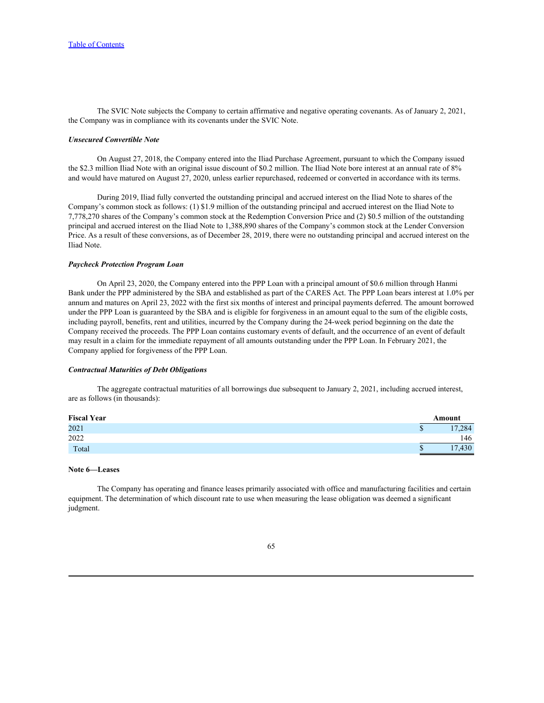The SVIC Note subjects the Company to certain affirmative and negative operating covenants. As of January 2, 2021, the Company was in compliance with its covenants under the SVIC Note.

#### *Unsecured Convertible Note*

On August 27, 2018, the Company entered into the Iliad Purchase Agreement, pursuant to which the Company issued the \$2.3 million Iliad Note with an original issue discount of \$0.2 million. The Iliad Note bore interest at an annual rate of 8% and would have matured on August 27, 2020, unless earlier repurchased, redeemed or converted in accordance with its terms.

During 2019, Iliad fully converted the outstanding principal and accrued interest on the Iliad Note to shares of the Company's common stock as follows: (1) \$1.9 million of the outstanding principal and accrued interest on the Iliad Note to 7,778,270 shares of the Company's common stock at the Redemption Conversion Price and (2) \$0.5 million of the outstanding principal and accrued interest on the Iliad Note to 1,388,890 shares of the Company's common stock at the Lender Conversion Price. As a result of these conversions, as of December 28, 2019, there were no outstanding principal and accrued interest on the Iliad Note.

### *Paycheck Protection Program Loan*

On April 23, 2020, the Company entered into the PPP Loan with a principal amount of \$0.6 million through Hanmi Bank under the PPP administered by the SBA and established as part of the CARES Act. The PPP Loan bears interest at 1.0% per annum and matures on April 23, 2022 with the first six months of interest and principal payments deferred. The amount borrowed under the PPP Loan is guaranteed by the SBA and is eligible for forgiveness in an amount equal to the sum of the eligible costs, including payroll, benefits, rent and utilities, incurred by the Company during the 24-week period beginning on the date the Company received the proceeds. The PPP Loan contains customary events of default, and the occurrence of an event of default may result in a claim for the immediate repayment of all amounts outstanding under the PPP Loan. In February 2021, the Company applied for forgiveness of the PPP Loan.

## *Contractual Maturities of Debt Obligations*

The aggregate contractual maturities of all borrowings due subsequent to January 2, 2021, including accrued interest, are as follows (in thousands):

| Amount |
|--------|
| 17,284 |
| 146    |
| 17,430 |
|        |

## **Note 6—Leases**

The Company has operating and finance leases primarily associated with office and manufacturing facilities and certain equipment. The determination of which discount rate to use when measuring the lease obligation was deemed a significant judgment.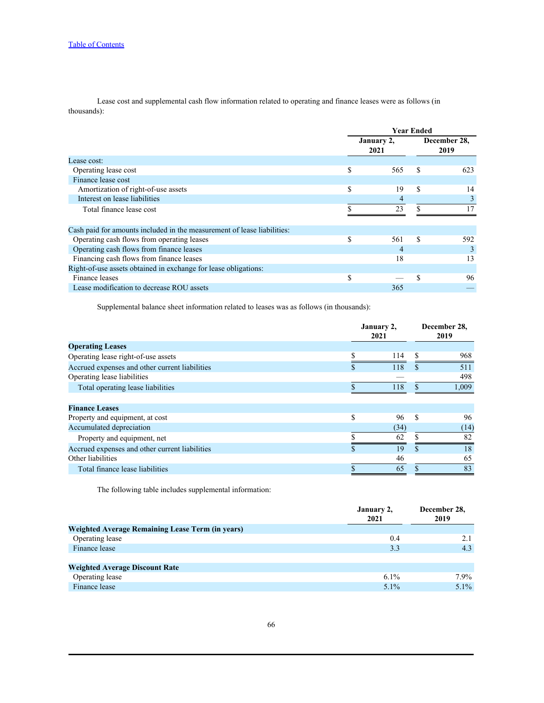Lease cost and supplemental cash flow information related to operating and finance leases were as follows (in thousands):

|                |                           | December 28,<br>2019 |
|----------------|---------------------------|----------------------|
|                |                           |                      |
|                |                           |                      |
|                |                           | 623                  |
|                |                           |                      |
| 19             |                           | 14                   |
|                |                           |                      |
| 23             |                           |                      |
|                |                           |                      |
|                |                           |                      |
| 561            |                           | 592                  |
| $\overline{4}$ |                           |                      |
| 18             |                           |                      |
|                |                           |                      |
|                |                           | 96                   |
| 365            |                           | __                   |
|                | January 2,<br>2021<br>565 | <b>Year Ended</b>    |

Supplemental balance sheet information related to leases was as follows (in thousands):

|                                                | January 2,<br>2021 |      | December 28,<br>2019 |       |
|------------------------------------------------|--------------------|------|----------------------|-------|
| <b>Operating Leases</b>                        |                    |      |                      |       |
| Operating lease right-of-use assets            |                    | 114  |                      | 968   |
| Accrued expenses and other current liabilities |                    | 118  |                      | 511   |
| Operating lease liabilities                    |                    |      |                      | 498   |
| Total operating lease liabilities              |                    | 118  |                      | 1,009 |
|                                                |                    |      |                      |       |
| <b>Finance Leases</b>                          |                    |      |                      |       |
| Property and equipment, at cost                |                    | 96   |                      | 96    |
| Accumulated depreciation                       |                    | (34) |                      | (14)  |
| Property and equipment, net                    |                    | 62   |                      | 82    |
| Accrued expenses and other current liabilities |                    | 19   |                      | 18    |
| Other liabilities                              |                    | 46   |                      | 65    |
| Total finance lease liabilities                |                    | 65   |                      | 83    |
|                                                |                    |      |                      |       |

The following table includes supplemental information:

| January 2,<br>2021 | December 28,<br>2019 |
|--------------------|----------------------|
|                    |                      |
| 0.4                | $\mathcal{L}$ . I    |
| 3.3                | 4.3                  |
|                    |                      |
|                    |                      |
| $6.1\%$            | 7.9%                 |
| 5.1%               | 5.1%                 |
|                    |                      |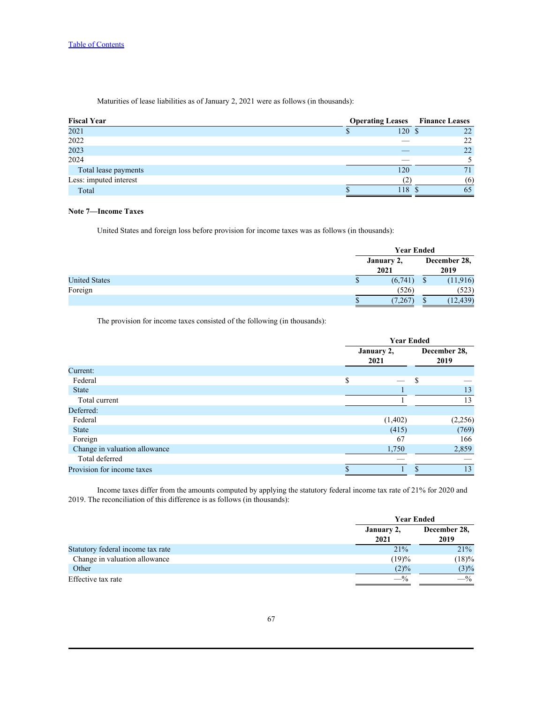| <b>Fiscal Year</b>     | <b>Operating Leases</b> | <b>Finance Leases</b> |
|------------------------|-------------------------|-----------------------|
| 2021                   | 120S                    | 22                    |
| 2022                   |                         | 22                    |
| 2023                   |                         | 22                    |
| 2024                   |                         |                       |
| Total lease payments   | 120                     |                       |
| Less: imputed interest |                         | (6)                   |
| Total                  | 118                     | 6J                    |

## Maturities of lease liabilities as of January 2, 2021 were as follows (in thousands):

## **Note 7—Income Taxes**

United States and foreign loss before provision for income taxes was as follows (in thousands):

|                      |                    | <b>Year Ended</b> |                      |  |
|----------------------|--------------------|-------------------|----------------------|--|
|                      | January 2,<br>2021 |                   | December 28,<br>2019 |  |
| <b>United States</b> | (6,741)            |                   | (11, 916)            |  |
| Foreign              | (526)              |                   | (523)                |  |
|                      | (7, 267)           |                   | (12, 439)            |  |

The provision for income taxes consisted of the following (in thousands):

|                               | <b>Year Ended</b>               |  |                      |  |
|-------------------------------|---------------------------------|--|----------------------|--|
|                               | January 2,<br>2021              |  | December 28,<br>2019 |  |
| Current:                      |                                 |  |                      |  |
| Federal                       | $\hspace{0.1mm}-\hspace{0.1mm}$ |  |                      |  |
| State                         |                                 |  |                      |  |
| Total current                 |                                 |  |                      |  |
| Deferred:                     |                                 |  |                      |  |
| Federal                       | (1, 402)                        |  | (2,256)              |  |
| State                         | (415)                           |  | (769)                |  |
| Foreign                       | 67                              |  | 166                  |  |
| Change in valuation allowance | 1,750                           |  | 2,859                |  |
| Total deferred                | $\hspace{0.05cm}$               |  |                      |  |
| Provision for income taxes    |                                 |  |                      |  |

Income taxes differ from the amounts computed by applying the statutory federal income tax rate of 21% for 2020 and 2019. The reconciliation of this difference is as follows (in thousands):

| January 2,<br>2021       | December 28,<br>2019 |
|--------------------------|----------------------|
| 21%                      | 21%                  |
| (19)%                    | (18)%                |
| $(2)\%$                  | (3)%                 |
| $\overline{\phantom{0}}$ | $-y_0$               |
|                          | <b>Year Ended</b>    |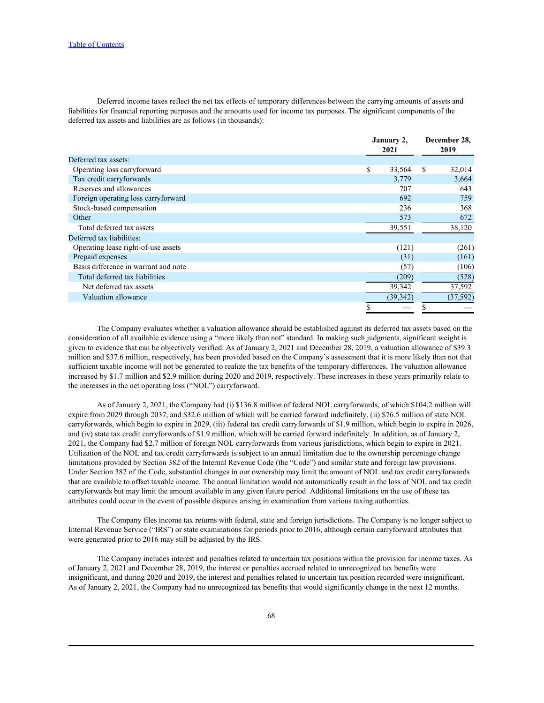Deferred income taxes reflect the net tax effects of temporary differences between the carrying amounts of assets and liabilities for financial reporting purposes and the amounts used for income tax purposes. The significant components of the deferred tax assets and liabilities are as follows (in thousands):

|                                      |    | January 2,<br>2021 |  | December 28,<br>2019 |  |
|--------------------------------------|----|--------------------|--|----------------------|--|
| Deferred tax assets:                 |    |                    |  |                      |  |
| Operating loss carryforward          | Ъ. | 33,564 \$          |  | 32,014               |  |
| Tax credit carryforwards             |    | 3,779              |  | 3,664                |  |
| Reserves and allowances              |    | 707                |  | 643                  |  |
| Foreign operating loss carryforward  |    | 692                |  | 759                  |  |
| Stock-based compensation             |    | 236                |  | 368                  |  |
| Other                                |    | 573                |  | 672                  |  |
| Total deferred tax assets            |    | 39,551             |  | 38,120               |  |
| Deferred tax liabilities:            |    |                    |  |                      |  |
| Operating lease right-of-use assets  |    | (121)              |  | (261)                |  |
| Prepaid expenses                     |    | (31)               |  | (161)                |  |
| Basis difference in warrant and note |    | (57)               |  | (106)                |  |
| Total deferred tax liabilities       |    | (209)              |  | (528)                |  |
| Net deferred tax assets              |    | 39,342             |  | 37,592               |  |
| Valuation allowance                  |    | (39, 342)          |  | (37, 592)            |  |
|                                      |    |                    |  |                      |  |

The Company evaluates whether a valuation allowance should be established against its deferred tax assets based on the consideration of all available evidence using a "more likely than not" standard. In making such judgments, significant weight is given to evidence that can be objectively verified. As of January 2, 2021 and December 28, 2019, a valuation allowance of \$39.3 million and \$37.6 million, respectively, has been provided based on the Company's assessment that it is more likely than not that sufficient taxable income will not be generated to realize the tax benefits of the temporary differences. The valuation allowance increased by \$1.7 million and \$2.9 million during 2020 and 2019, respectively. These increases in these years primarily relate to the increases in the net operating loss ("NOL") carryforward.

As of January 2, 2021, the Company had (i) \$136.8 million of federal NOL carryforwards, of which \$104.2 million will expire from 2029 through 2037, and \$32.6 million of which will be carried forward indefinitely, (ii) \$76.5 million of state NOL carryforwards, which begin to expire in 2029, (iii) federal tax credit carryforwards of \$1.9 million, which begin to expire in 2026, and (iv) state tax credit carryforwards of \$1.9 million, which will be carried forward indefinitely. In addition, as of January 2, 2021, the Company had \$2.7 million of foreign NOL carryforwards from various jurisdictions, which begin to expire in 2021. Utilization of the NOL and tax credit carryforwards is subject to an annual limitation due to the ownership percentage change limitations provided by Section 382 of the Internal Revenue Code (the "Code") and similar state and foreign law provisions. Under Section 382 of the Code, substantial changes in our ownership may limit the amount of NOL and tax credit carryforwards that are available to offset taxable income. The annual limitation would not automatically result in the loss of NOL and tax credit carryforwards but may limit the amount available in any given future period. Additional limitations on the use of these tax attributes could occur in the event of possible disputes arising in examination from various taxing authorities.

The Company files income tax returns with federal, state and foreign jurisdictions. The Company is no longer subject to Internal Revenue Service ("IRS") or state examinations for periods prior to 2016, although certain carryforward attributes that were generated prior to 2016 may still be adjusted by the IRS.

The Company includes interest and penalties related to uncertain tax positions within the provision for income taxes. As of January 2, 2021 and December 28, 2019, the interest or penalties accrued related to unrecognized tax benefits were insignificant, and during 2020 and 2019, the interest and penalties related to uncertain tax position recorded were insignificant. As of January 2, 2021, the Company had no unrecognized tax benefits that would significantly change in the next 12 months.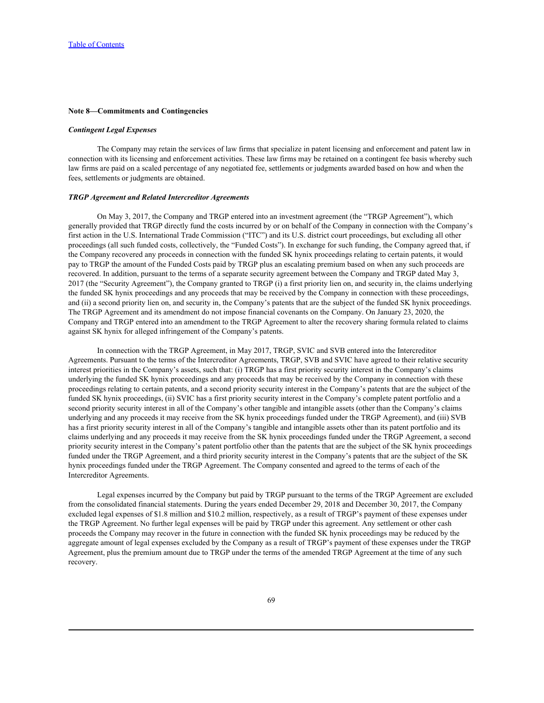#### **Note 8—Commitments and Contingencies**

#### *Contingent Legal Expenses*

The Company may retain the services of law firms that specialize in patent licensing and enforcement and patent law in connection with its licensing and enforcement activities. These law firms may be retained on a contingent fee basis whereby such law firms are paid on a scaled percentage of any negotiated fee, settlements or judgments awarded based on how and when the fees, settlements or judgments are obtained.

#### *TRGP Agreement and Related Intercreditor Agreements*

On May 3, 2017, the Company and TRGP entered into an investment agreement (the "TRGP Agreement"), which generally provided that TRGP directly fund the costs incurred by or on behalf of the Company in connection with the Company's first action in the U.S. International Trade Commission ("ITC") and its U.S. district court proceedings, but excluding all other proceedings (all such funded costs, collectively, the "Funded Costs"). In exchange for such funding, the Company agreed that, if the Company recovered any proceeds in connection with the funded SK hynix proceedings relating to certain patents, it would pay to TRGP the amount of the Funded Costs paid by TRGP plus an escalating premium based on when any such proceeds are recovered. In addition, pursuant to the terms of a separate security agreement between the Company and TRGP dated May 3, 2017 (the "Security Agreement"), the Company granted to TRGP (i) a first priority lien on, and security in, the claims underlying the funded SK hynix proceedings and any proceeds that may be received by the Company in connection with these proceedings, and (ii) a second priority lien on, and security in, the Company's patents that are the subject of the funded SK hynix proceedings. The TRGP Agreement and its amendment do not impose financial covenants on the Company. On January 23, 2020, the Company and TRGP entered into an amendment to the TRGP Agreement to alter the recovery sharing formula related to claims against SK hynix for alleged infringement of the Company's patents.

In connection with the TRGP Agreement, in May 2017, TRGP, SVIC and SVB entered into the Intercreditor Agreements. Pursuant to the terms of the Intercreditor Agreements, TRGP, SVB and SVIC have agreed to their relative security interest priorities in the Company's assets, such that: (i) TRGP has a first priority security interest in the Company's claims underlying the funded SK hynix proceedings and any proceeds that may be received by the Company in connection with these proceedings relating to certain patents, and a second priority security interest in the Company's patents that are the subject of the funded SK hynix proceedings, (ii) SVIC has a first priority security interest in the Company's complete patent portfolio and a second priority security interest in all of the Company's other tangible and intangible assets (other than the Company's claims underlying and any proceeds it may receive from the SK hynix proceedings funded under the TRGP Agreement), and (iii) SVB has a first priority security interest in all of the Company's tangible and intangible assets other than its patent portfolio and its claims underlying and any proceeds it may receive from the SK hynix proceedings funded under the TRGP Agreement, a second priority security interest in the Company's patent portfolio other than the patents that are the subject of the SK hynix proceedings funded under the TRGP Agreement, and a third priority security interest in the Company's patents that are the subject of the SK hynix proceedings funded under the TRGP Agreement. The Company consented and agreed to the terms of each of the Intercreditor Agreements.

Legal expenses incurred by the Company but paid by TRGP pursuant to the terms of the TRGP Agreement are excluded from the consolidated financial statements. During the years ended December 29, 2018 and December 30, 2017, the Company excluded legal expenses of \$1.8 million and \$10.2 million, respectively, as a result of TRGP's payment of these expenses under the TRGP Agreement. No further legal expenses will be paid by TRGP under this agreement. Any settlement or other cash proceeds the Company may recover in the future in connection with the funded SK hynix proceedings may be reduced by the aggregate amount of legal expenses excluded by the Company as a result of TRGP's payment of these expenses under the TRGP Agreement, plus the premium amount due to TRGP under the terms of the amended TRGP Agreement at the time of any such recovery.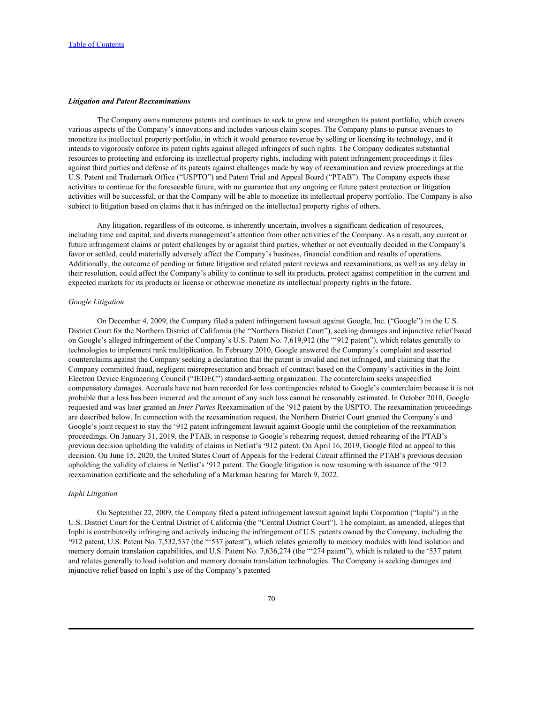## *Litigation and Patent Reexaminations*

The Company owns numerous patents and continues to seek to grow and strengthen its patent portfolio, which covers various aspects of the Company's innovations and includes various claim scopes. The Company plans to pursue avenues to monetize its intellectual property portfolio, in which it would generate revenue by selling or licensing its technology, and it intends to vigorously enforce its patent rights against alleged infringers of such rights. The Company dedicates substantial resources to protecting and enforcing its intellectual property rights, including with patent infringement proceedings it files against third parties and defense of its patents against challenges made by way of reexamination and review proceedings at the U.S. Patent and Trademark Office ("USPTO") and Patent Trial and Appeal Board ("PTAB"). The Company expects these activities to continue for the foreseeable future, with no guarantee that any ongoing or future patent protection or litigation activities will be successful, or that the Company will be able to monetize its intellectual property portfolio. The Company is also subject to litigation based on claims that it has infringed on the intellectual property rights of others.

Any litigation, regardless of its outcome, is inherently uncertain, involves a significant dedication of resources, including time and capital, and diverts management's attention from other activities of the Company. As a result, any current or future infringement claims or patent challenges by or against third parties, whether or not eventually decided in the Company's favor or settled, could materially adversely affect the Company's business, financial condition and results of operations. Additionally, the outcome of pending or future litigation and related patent reviews and reexaminations, as well as any delay in their resolution, could affect the Company's ability to continue to sell its products, protect against competition in the current and expected markets for its products or license or otherwise monetize its intellectual property rights in the future.

#### *Google Litigation*

On December 4, 2009, the Company filed a patent infringement lawsuit against Google, Inc. ("Google") in the U.S. District Court for the Northern District of California (the "Northern District Court"), seeking damages and injunctive relief based on Google's alleged infringement of the Company's U.S. Patent No. 7,619,912 (the "'912 patent"), which relates generally to technologies to implement rank multiplication. In February 2010, Google answered the Company's complaint and asserted counterclaims against the Company seeking a declaration that the patent is invalid and not infringed, and claiming that the Company committed fraud, negligent misrepresentation and breach of contract based on the Company's activities in the Joint Electron Device Engineering Council ("JEDEC") standard-setting organization. The counterclaim seeks unspecified compensatory damages. Accruals have not been recorded for loss contingencies related to Google's counterclaim because it is not probable that a loss has been incurred and the amount of any such loss cannot be reasonably estimated. In October 2010, Google requested and was later granted an *Inter Partes* Reexamination of the '912 patent by the USPTO. The reexamination proceedings are described below. In connection with the reexamination request, the Northern District Court granted the Company's and Google's joint request to stay the '912 patent infringement lawsuit against Google until the completion of the reexamination proceedings. On January 31, 2019, the PTAB, in response to Google's rehearing request, denied rehearing of the PTAB's previous decision upholding the validity of claims in Netlist's '912 patent. On April 16, 2019, Google filed an appeal to this decision. On June 15, 2020, the United States Court of Appeals for the Federal Circuit affirmed the PTAB's previous decision upholding the validity of claims in Netlist's '912 patent. The Google litigation is now resuming with issuance of the '912 reexamination certificate and the scheduling of a Markman hearing for March 9, 2022.

#### *Inphi Litigation*

On September 22, 2009, the Company filed a patent infringement lawsuit against Inphi Corporation ("Inphi") in the U.S. District Court for the Central District of California (the "Central District Court"). The complaint, as amended, alleges that Inphi is contributorily infringing and actively inducing the infringement of U.S. patents owned by the Company, including the '912 patent, U.S. Patent No. 7,532,537 (the "'537 patent"), which relates generally to memory modules with load isolation and memory domain translation capabilities, and U.S. Patent No. 7,636,274 (the "'274 patent"), which is related to the '537 patent and relates generally to load isolation and memory domain translation technologies. The Company is seeking damages and injunctive relief based on Inphi's use of the Company's patented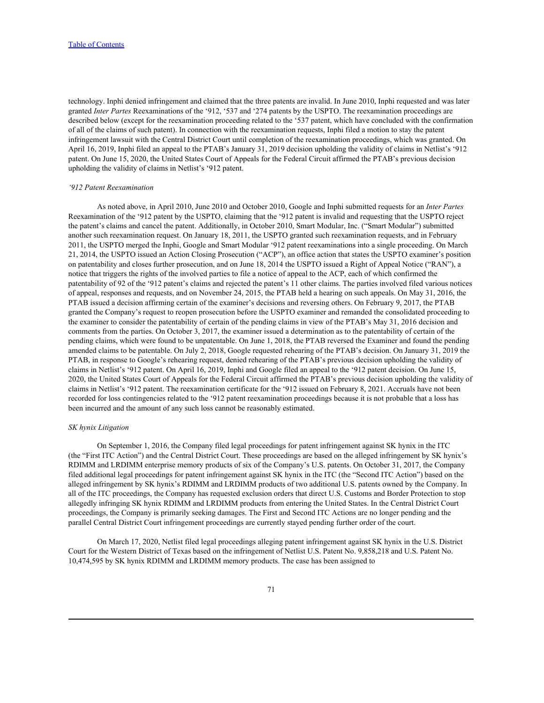technology. Inphi denied infringement and claimed that the three patents are invalid. In June 2010, Inphi requested and was later granted *Inter Partes* Reexaminations of the '912, '537 and '274 patents by the USPTO. The reexamination proceedings are described below (except for the reexamination proceeding related to the '537 patent, which have concluded with the confirmation of all of the claims of such patent). In connection with the reexamination requests, Inphi filed a motion to stay the patent infringement lawsuit with the Central District Court until completion of the reexamination proceedings, which was granted. On April 16, 2019, Inphi filed an appeal to the PTAB's January 31, 2019 decision upholding the validity of claims in Netlist's '912 patent. On June 15, 2020, the United States Court of Appeals for the Federal Circuit affirmed the PTAB's previous decision upholding the validity of claims in Netlist's '912 patent.

#### *'912 Patent Reexamination*

As noted above, in April 2010, June 2010 and October 2010, Google and Inphi submitted requests for an *Inter Partes* Reexamination of the '912 patent by the USPTO, claiming that the '912 patent is invalid and requesting that the USPTO reject the patent's claims and cancel the patent. Additionally, in October 2010, Smart Modular, Inc. ("Smart Modular") submitted another such reexamination request. On January 18, 2011, the USPTO granted such reexamination requests, and in February 2011, the USPTO merged the Inphi, Google and Smart Modular '912 patent reexaminations into a single proceeding. On March 21, 2014, the USPTO issued an Action Closing Prosecution ("ACP"), an office action that states the USPTO examiner's position on patentability and closes further prosecution, and on June 18, 2014 the USPTO issued a Right of Appeal Notice ("RAN"), a notice that triggers the rights of the involved parties to file a notice of appeal to the ACP, each of which confirmed the patentability of 92 of the '912 patent's claims and rejected the patent's 11 other claims. The parties involved filed various notices of appeal, responses and requests, and on November 24, 2015, the PTAB held a hearing on such appeals. On May 31, 2016, the PTAB issued a decision affirming certain of the examiner's decisions and reversing others. On February 9, 2017, the PTAB granted the Company's request to reopen prosecution before the USPTO examiner and remanded the consolidated proceeding to the examiner to consider the patentability of certain of the pending claims in view of the PTAB's May 31, 2016 decision and comments from the parties. On October 3, 2017, the examiner issued a determination as to the patentability of certain of the pending claims, which were found to be unpatentable. On June 1, 2018, the PTAB reversed the Examiner and found the pending amended claims to be patentable. On July 2, 2018, Google requested rehearing of the PTAB's decision. On January 31, 2019 the PTAB, in response to Google's rehearing request, denied rehearing of the PTAB's previous decision upholding the validity of claims in Netlist's '912 patent. On April 16, 2019, Inphi and Google filed an appeal to the '912 patent decision. On June 15, 2020, the United States Court of Appeals for the Federal Circuit affirmed the PTAB's previous decision upholding the validity of claims in Netlist's '912 patent. The reexamination certificate for the '912 issued on February 8, 2021. Accruals have not been recorded for loss contingencies related to the '912 patent reexamination proceedings because it is not probable that a loss has been incurred and the amount of any such loss cannot be reasonably estimated.

#### *SK hynix Litigation*

On September 1, 2016, the Company filed legal proceedings for patent infringement against SK hynix in the ITC (the "First ITC Action") and the Central District Court. These proceedings are based on the alleged infringement by SK hynix's RDIMM and LRDIMM enterprise memory products of six of the Company's U.S. patents. On October 31, 2017, the Company filed additional legal proceedings for patent infringement against SK hynix in the ITC (the "Second ITC Action") based on the alleged infringement by SK hynix's RDIMM and LRDIMM products of two additional U.S. patents owned by the Company. In all of the ITC proceedings, the Company has requested exclusion orders that direct U.S. Customs and Border Protection to stop allegedly infringing SK hynix RDIMM and LRDIMM products from entering the United States. In the Central District Court proceedings, the Company is primarily seeking damages. The First and Second ITC Actions are no longer pending and the parallel Central District Court infringement proceedings are currently stayed pending further order of the court.

On March 17, 2020, Netlist filed legal proceedings alleging patent infringement against SK hynix in the U.S. District Court for the Western District of Texas based on the infringement of Netlist U.S. Patent No. 9,858,218 and U.S. Patent No. 10,474,595 by SK hynix RDIMM and LRDIMM memory products. The case has been assigned to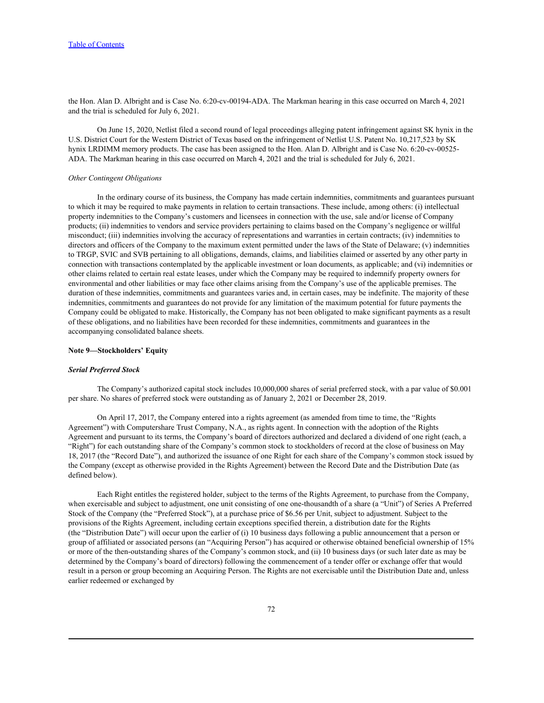the Hon. Alan D. Albright and is Case No. 6:20-cv-00194-ADA. The Markman hearing in this case occurred on March 4, 2021 and the trial is scheduled for July 6, 2021.

On June 15, 2020, Netlist filed a second round of legal proceedings alleging patent infringement against SK hynix in the U.S. District Court for the Western District of Texas based on the infringement of Netlist U.S. Patent No. 10,217,523 by SK hynix LRDIMM memory products. The case has been assigned to the Hon. Alan D. Albright and is Case No. 6:20-cv-00525- ADA. The Markman hearing in this case occurred on March 4, 2021 and the trial is scheduled for July 6, 2021.

### *Other Contingent Obligations*

In the ordinary course of its business, the Company has made certain indemnities, commitments and guarantees pursuant to which it may be required to make payments in relation to certain transactions. These include, among others: (i) intellectual property indemnities to the Company's customers and licensees in connection with the use, sale and/or license of Company products; (ii) indemnities to vendors and service providers pertaining to claims based on the Company's negligence or willful misconduct; (iii) indemnities involving the accuracy of representations and warranties in certain contracts; (iv) indemnities to directors and officers of the Company to the maximum extent permitted under the laws of the State of Delaware; (v) indemnities to TRGP, SVIC and SVB pertaining to all obligations, demands, claims, and liabilities claimed or asserted by any other party in connection with transactions contemplated by the applicable investment or loan documents, as applicable; and (vi) indemnities or other claims related to certain real estate leases, under which the Company may be required to indemnify property owners for environmental and other liabilities or may face other claims arising from the Company's use of the applicable premises. The duration of these indemnities, commitments and guarantees varies and, in certain cases, may be indefinite. The majority of these indemnities, commitments and guarantees do not provide for any limitation of the maximum potential for future payments the Company could be obligated to make. Historically, the Company has not been obligated to make significant payments as a result of these obligations, and no liabilities have been recorded for these indemnities, commitments and guarantees in the accompanying consolidated balance sheets.

# **Note 9—Stockholders' Equity**

#### *Serial Preferred Stock*

The Company's authorized capital stock includes 10,000,000 shares of serial preferred stock, with a par value of \$0.001 per share. No shares of preferred stock were outstanding as of January 2, 2021 or December 28, 2019.

On April 17, 2017, the Company entered into a rights agreement (as amended from time to time, the "Rights Agreement") with Computershare Trust Company, N.A., as rights agent. In connection with the adoption of the Rights Agreement and pursuant to its terms, the Company's board of directors authorized and declared a dividend of one right (each, a "Right") for each outstanding share of the Company's common stock to stockholders of record at the close of business on May 18, 2017 (the "Record Date"), and authorized the issuance of one Right for each share of the Company's common stock issued by the Company (except as otherwise provided in the Rights Agreement) between the Record Date and the Distribution Date (as defined below).

Each Right entitles the registered holder, subject to the terms of the Rights Agreement, to purchase from the Company, when exercisable and subject to adjustment, one unit consisting of one one-thousandth of a share (a "Unit") of Series A Preferred Stock of the Company (the "Preferred Stock"), at a purchase price of \$6.56 per Unit, subject to adjustment. Subject to the provisions of the Rights Agreement, including certain exceptions specified therein, a distribution date for the Rights (the "Distribution Date") will occur upon the earlier of (i) 10 business days following a public announcement that a person or group of affiliated or associated persons (an "Acquiring Person") has acquired or otherwise obtained beneficial ownership of 15% or more of the then-outstanding shares of the Company's common stock, and (ii) 10 business days (or such later date as may be determined by the Company's board of directors) following the commencement of a tender offer or exchange offer that would result in a person or group becoming an Acquiring Person. The Rights are not exercisable until the Distribution Date and, unless earlier redeemed or exchanged by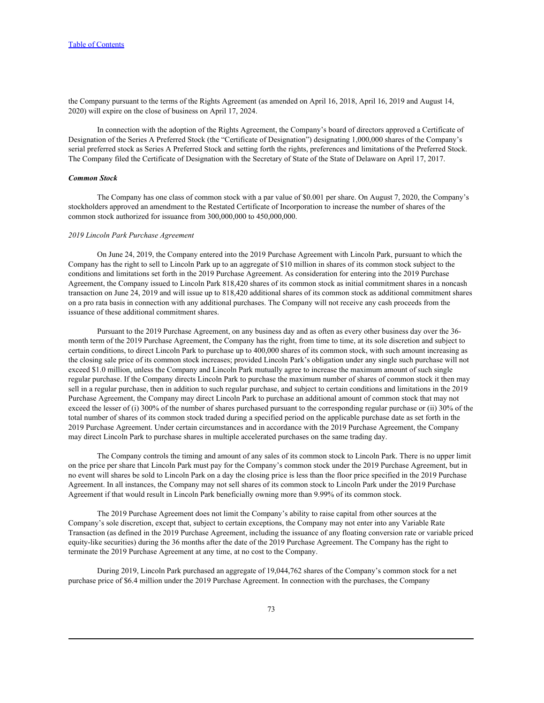the Company pursuant to the terms of the Rights Agreement (as amended on April 16, 2018, April 16, 2019 and August 14, 2020) will expire on the close of business on April 17, 2024.

In connection with the adoption of the Rights Agreement, the Company's board of directors approved a Certificate of Designation of the Series A Preferred Stock (the "Certificate of Designation") designating 1,000,000 shares of the Company's serial preferred stock as Series A Preferred Stock and setting forth the rights, preferences and limitations of the Preferred Stock. The Company filed the Certificate of Designation with the Secretary of State of the State of Delaware on April 17, 2017.

### *Common Stock*

The Company has one class of common stock with a par value of \$0.001 per share. On August 7, 2020, the Company's stockholders approved an amendment to the Restated Certificate of Incorporation to increase the number of shares of the common stock authorized for issuance from 300,000,000 to 450,000,000.

### *2019 Lincoln Park Purchase Agreement*

On June 24, 2019, the Company entered into the 2019 Purchase Agreement with Lincoln Park, pursuant to which the Company has the right to sell to Lincoln Park up to an aggregate of \$10 million in shares of its common stock subject to the conditions and limitations set forth in the 2019 Purchase Agreement. As consideration for entering into the 2019 Purchase Agreement, the Company issued to Lincoln Park 818,420 shares of its common stock as initial commitment shares in a noncash transaction on June 24, 2019 and will issue up to 818,420 additional shares of its common stock as additional commitment shares on a pro rata basis in connection with any additional purchases. The Company will not receive any cash proceeds from the issuance of these additional commitment shares.

Pursuant to the 2019 Purchase Agreement, on any business day and as often as every other business day over the 36 month term of the 2019 Purchase Agreement, the Company has the right, from time to time, at its sole discretion and subject to certain conditions, to direct Lincoln Park to purchase up to 400,000 shares of its common stock, with such amount increasing as the closing sale price of its common stock increases; provided Lincoln Park's obligation under any single such purchase will not exceed \$1.0 million, unless the Company and Lincoln Park mutually agree to increase the maximum amount of such single regular purchase. If the Company directs Lincoln Park to purchase the maximum number of shares of common stock it then may sell in a regular purchase, then in addition to such regular purchase, and subject to certain conditions and limitations in the 2019 Purchase Agreement, the Company may direct Lincoln Park to purchase an additional amount of common stock that may not exceed the lesser of (i) 300% of the number of shares purchased pursuant to the corresponding regular purchase or (ii) 30% of the total number of shares of its common stock traded during a specified period on the applicable purchase date as set forth in the 2019 Purchase Agreement. Under certain circumstances and in accordance with the 2019 Purchase Agreement, the Company may direct Lincoln Park to purchase shares in multiple accelerated purchases on the same trading day.

The Company controls the timing and amount of any sales of its common stock to Lincoln Park. There is no upper limit on the price per share that Lincoln Park must pay for the Company's common stock under the 2019 Purchase Agreement, but in no event will shares be sold to Lincoln Park on a day the closing price is less than the floor price specified in the 2019 Purchase Agreement. In all instances, the Company may not sell shares of its common stock to Lincoln Park under the 2019 Purchase Agreement if that would result in Lincoln Park beneficially owning more than 9.99% of its common stock.

The 2019 Purchase Agreement does not limit the Company's ability to raise capital from other sources at the Company's sole discretion, except that, subject to certain exceptions, the Company may not enter into any Variable Rate Transaction (as defined in the 2019 Purchase Agreement, including the issuance of any floating conversion rate or variable priced equity-like securities) during the 36 months after the date of the 2019 Purchase Agreement. The Company has the right to terminate the 2019 Purchase Agreement at any time, at no cost to the Company.

During 2019, Lincoln Park purchased an aggregate of 19,044,762 shares of the Company's common stock for a net purchase price of \$6.4 million under the 2019 Purchase Agreement. In connection with the purchases, the Company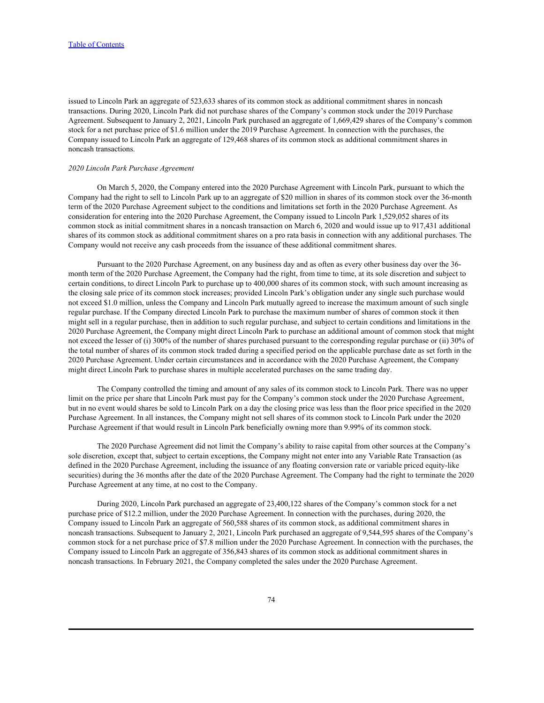issued to Lincoln Park an aggregate of 523,633 shares of its common stock as additional commitment shares in noncash transactions. During 2020, Lincoln Park did not purchase shares of the Company's common stock under the 2019 Purchase Agreement. Subsequent to January 2, 2021, Lincoln Park purchased an aggregate of 1,669,429 shares of the Company's common stock for a net purchase price of \$1.6 million under the 2019 Purchase Agreement. In connection with the purchases, the Company issued to Lincoln Park an aggregate of 129,468 shares of its common stock as additional commitment shares in noncash transactions.

#### *2020 Lincoln Park Purchase Agreement*

On March 5, 2020, the Company entered into the 2020 Purchase Agreement with Lincoln Park, pursuant to which the Company had the right to sell to Lincoln Park up to an aggregate of \$20 million in shares of its common stock over the 36-month term of the 2020 Purchase Agreement subject to the conditions and limitations set forth in the 2020 Purchase Agreement. As consideration for entering into the 2020 Purchase Agreement, the Company issued to Lincoln Park 1,529,052 shares of its common stock as initial commitment shares in a noncash transaction on March 6, 2020 and would issue up to 917,431 additional shares of its common stock as additional commitment shares on a pro rata basis in connection with any additional purchases. The Company would not receive any cash proceeds from the issuance of these additional commitment shares.

Pursuant to the 2020 Purchase Agreement, on any business day and as often as every other business day over the 36 month term of the 2020 Purchase Agreement, the Company had the right, from time to time, at its sole discretion and subject to certain conditions, to direct Lincoln Park to purchase up to 400,000 shares of its common stock, with such amount increasing as the closing sale price of its common stock increases; provided Lincoln Park's obligation under any single such purchase would not exceed \$1.0 million, unless the Company and Lincoln Park mutually agreed to increase the maximum amount of such single regular purchase. If the Company directed Lincoln Park to purchase the maximum number of shares of common stock it then might sell in a regular purchase, then in addition to such regular purchase, and subject to certain conditions and limitations in the 2020 Purchase Agreement, the Company might direct Lincoln Park to purchase an additional amount of common stock that might not exceed the lesser of (i) 300% of the number of shares purchased pursuant to the corresponding regular purchase or (ii) 30% of the total number of shares of its common stock traded during a specified period on the applicable purchase date as set forth in the 2020 Purchase Agreement. Under certain circumstances and in accordance with the 2020 Purchase Agreement, the Company might direct Lincoln Park to purchase shares in multiple accelerated purchases on the same trading day.

The Company controlled the timing and amount of any sales of its common stock to Lincoln Park. There was no upper limit on the price per share that Lincoln Park must pay for the Company's common stock under the 2020 Purchase Agreement, but in no event would shares be sold to Lincoln Park on a day the closing price was less than the floor price specified in the 2020 Purchase Agreement. In all instances, the Company might not sell shares of its common stock to Lincoln Park under the 2020 Purchase Agreement if that would result in Lincoln Park beneficially owning more than 9.99% of its common stock.

The 2020 Purchase Agreement did not limit the Company's ability to raise capital from other sources at the Company's sole discretion, except that, subject to certain exceptions, the Company might not enter into any Variable Rate Transaction (as defined in the 2020 Purchase Agreement, including the issuance of any floating conversion rate or variable priced equity-like securities) during the 36 months after the date of the 2020 Purchase Agreement. The Company had the right to terminate the 2020 Purchase Agreement at any time, at no cost to the Company.

During 2020, Lincoln Park purchased an aggregate of 23,400,122 shares of the Company's common stock for a net purchase price of \$12.2 million, under the 2020 Purchase Agreement. In connection with the purchases, during 2020, the Company issued to Lincoln Park an aggregate of 560,588 shares of its common stock, as additional commitment shares in noncash transactions. Subsequent to January 2, 2021, Lincoln Park purchased an aggregate of 9,544,595 shares of the Company's common stock for a net purchase price of \$7.8 million under the 2020 Purchase Agreement. In connection with the purchases, the Company issued to Lincoln Park an aggregate of 356,843 shares of its common stock as additional commitment shares in noncash transactions. In February 2021, the Company completed the sales under the 2020 Purchase Agreement.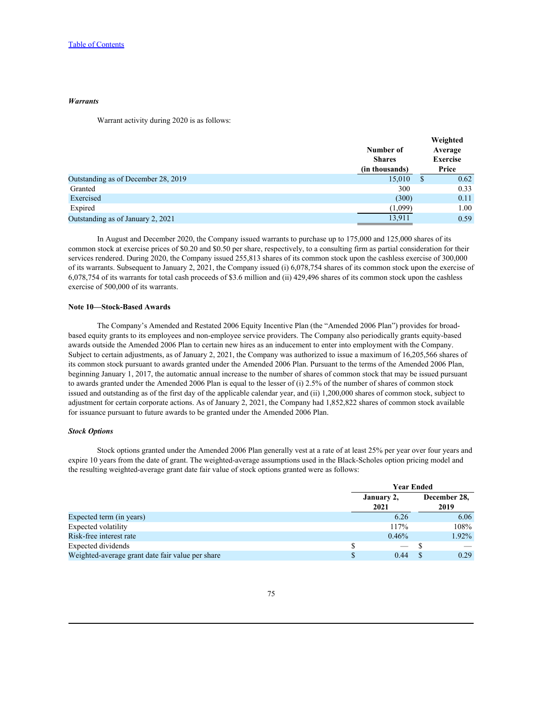# *Warrants*

Warrant activity during 2020 is as follows:

|                                     |                | Weighted |
|-------------------------------------|----------------|----------|
|                                     | Number of      | Average  |
|                                     | <b>Shares</b>  | Exercise |
|                                     | (in thousands) | Price    |
| Outstanding as of December 28, 2019 | 15,010         | 0.62     |
| Granted                             | 300            | 0.33     |
| Exercised                           | (300)          | 0.11     |
| Expired                             | (1,099)        | 1.00     |
| Outstanding as of January 2, 2021   | 13,911         | 0.59     |

In August and December 2020, the Company issued warrants to purchase up to 175,000 and 125,000 shares of its common stock at exercise prices of \$0.20 and \$0.50 per share, respectively, to a consulting firm as partial consideration for their services rendered. During 2020, the Company issued 255,813 shares of its common stock upon the cashless exercise of 300,000 of its warrants. Subsequent to January 2, 2021, the Company issued (i) 6,078,754 shares of its common stock upon the exercise of 6,078,754 of its warrants for total cash proceeds of \$3.6 million and (ii) 429,496 shares of its common stock upon the cashless exercise of 500,000 of its warrants.

# **Note 10—Stock-Based Awards**

The Company's Amended and Restated 2006 Equity Incentive Plan (the "Amended 2006 Plan") provides for broadbased equity grants to its employees and non-employee service providers. The Company also periodically grants equity-based awards outside the Amended 2006 Plan to certain new hires as an inducement to enter into employment with the Company. Subject to certain adjustments, as of January 2, 2021, the Company was authorized to issue a maximum of 16,205,566 shares of its common stock pursuant to awards granted under the Amended 2006 Plan. Pursuant to the terms of the Amended 2006 Plan, beginning January 1, 2017, the automatic annual increase to the number of shares of common stock that may be issued pursuant to awards granted under the Amended 2006 Plan is equal to the lesser of (i) 2.5% of the number of shares of common stock issued and outstanding as of the first day of the applicable calendar year, and (ii) 1,200,000 shares of common stock, subject to adjustment for certain corporate actions. As of January 2, 2021, the Company had 1,852,822 shares of common stock available for issuance pursuant to future awards to be granted under the Amended 2006 Plan.

### *Stock Options*

Stock options granted under the Amended 2006 Plan generally vest at a rate of at least 25% per year over four years and expire 10 years from the date of grant. The weighted-average assumptions used in the Black-Scholes option pricing model and the resulting weighted-average grant date fair value of stock options granted were as follows:

|                                                  | <b>Year Ended</b>               |                      |
|--------------------------------------------------|---------------------------------|----------------------|
|                                                  | January 2,<br>2021              | December 28,<br>2019 |
| Expected term (in years)                         | 6.26                            | 6.06                 |
| Expected volatility                              | 117%                            | 108%                 |
| Risk-free interest rate                          | 0.46%                           | 1.92%                |
| Expected dividends                               | $\hspace{0.1mm}-\hspace{0.1mm}$ |                      |
| Weighted-average grant date fair value per share | 0.44                            | 0.29                 |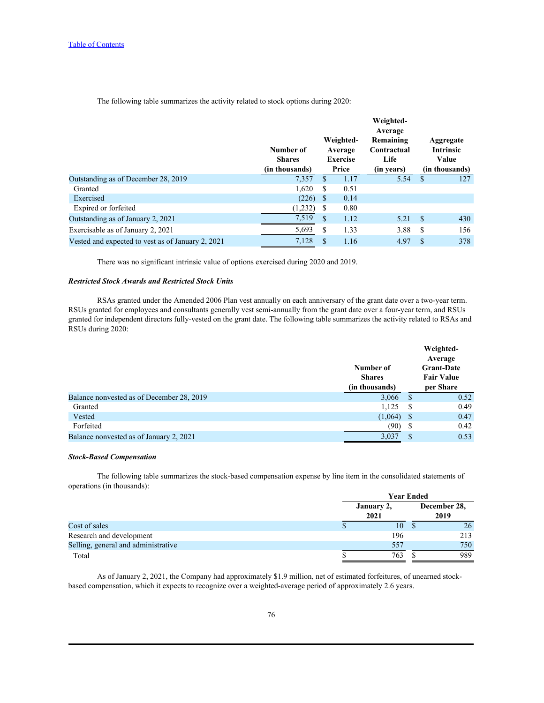|                                                   |                |                 | Weighted-   |   |                |
|---------------------------------------------------|----------------|-----------------|-------------|---|----------------|
|                                                   |                |                 | Average     |   |                |
|                                                   |                | Weighted-       | Remaining   |   | Aggregate      |
|                                                   | Number of      | Average         | Contractual |   | Intrinsic      |
|                                                   | <b>Shares</b>  | <b>Exercise</b> | Life        |   | Value          |
|                                                   | (in thousands) | Price           | (in years)  |   | (in thousands) |
| Outstanding as of December 28, 2019               | 7,357          | 1.17            | 5.54        |   | 127            |
| Granted                                           | 1,620          | 0.51            |             |   |                |
| Exercised                                         | $(226)$ \$     | 0.14            |             |   |                |
| Expired or forfeited                              | $(1,232)$ \$   | 0.80            |             |   |                |
| Outstanding as of January 2, 2021                 | 7,519          | 1.12            | 5.21        | S | 430            |
| Exercisable as of January 2, 2021                 | 5,693          | 1.33            | 3.88        | S | 156            |
| Vested and expected to vest as of January 2, 2021 | 7,128          | 1.16            | 4.97        |   | 378            |

The following table summarizes the activity related to stock options during 2020:

There was no significant intrinsic value of options exercised during 2020 and 2019.

## *Restricted Stock Awards and Restricted Stock Units*

RSAs granted under the Amended 2006 Plan vest annually on each anniversary of the grant date over a two-year term. RSUs granted for employees and consultants generally vest semi-annually from the grant date over a four-year term, and RSUs granted for independent directors fully-vested on the grant date. The following table summarizes the activity related to RSAs and RSUs during 2020:

|                                           |                | Weighted-         |
|-------------------------------------------|----------------|-------------------|
|                                           |                | Average           |
|                                           | Number of      | <b>Grant-Date</b> |
|                                           | <b>Shares</b>  | <b>Fair Value</b> |
|                                           | (in thousands) | per Share         |
| Balance nonvested as of December 28, 2019 | 3,066          | 0.52              |
| Granted                                   | 1,125          | 0.49              |
| Vested                                    | $(1,064)$ \$   | 0.47              |
| Forfeited                                 | $(90)$ \$      | 0.42              |
| Balance nonvested as of January 2, 2021   | 3,037          | 0.53              |

# *Stock-Based Compensation*

The following table summarizes the stock-based compensation expense by line item in the consolidated statements of operations (in thousands):

|                                     |                    |     | <b>Year Ended</b> |                      |
|-------------------------------------|--------------------|-----|-------------------|----------------------|
|                                     | January 2,<br>2021 |     |                   | December 28,<br>2019 |
| Cost of sales                       |                    | 10  |                   | 26                   |
| Research and development            |                    | 196 |                   | 213                  |
| Selling, general and administrative |                    | 557 |                   | 750                  |
| Total                               |                    | 763 |                   | 989                  |

As of January 2, 2021, the Company had approximately \$1.9 million, net of estimated forfeitures, of unearned stockbased compensation, which it expects to recognize over a weighted-average period of approximately 2.6 years.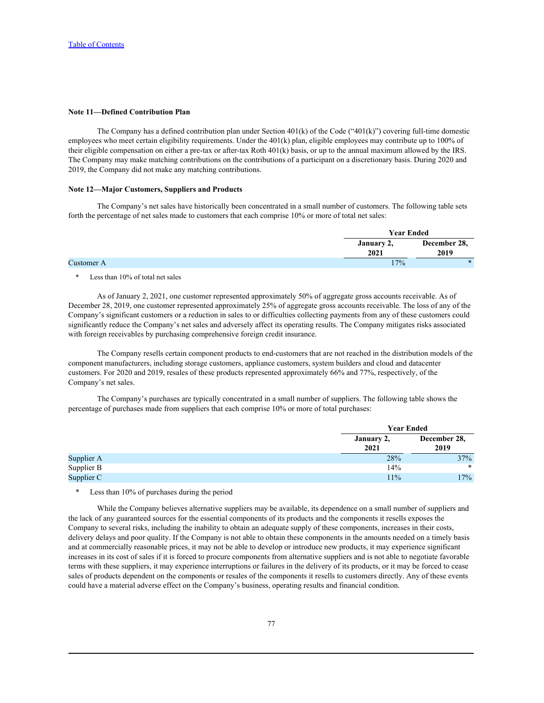#### **Note 11—Defined Contribution Plan**

The Company has a defined contribution plan under Section  $401(k)$  of the Code (" $401(k)$ ") covering full-time domestic employees who meet certain eligibility requirements. Under the 401(k) plan, eligible employees may contribute up to 100% of their eligible compensation on either a pre-tax or after-tax Roth 401(k) basis, or up to the annual maximum allowed by the IRS. The Company may make matching contributions on the contributions of a participant on a discretionary basis. During 2020 and 2019, the Company did not make any matching contributions.

### **Note 12—Major Customers, Suppliers and Products**

The Company's net sales have historically been concentrated in a small number of customers. The following table sets forth the percentage of net sales made to customers that each comprise 10% or more of total net sales:

|            | $\sim$<br>Year Ended       |  |
|------------|----------------------------|--|
|            | December 28,<br>January 2, |  |
|            | 2021<br>2019               |  |
| Customer A | 17%                        |  |

# Less than 10% of total net sales

As of January 2, 2021, one customer represented approximately 50% of aggregate gross accounts receivable. As of December 28, 2019, one customer represented approximately 25% of aggregate gross accounts receivable. The loss of any of the Company's significant customers or a reduction in sales to or difficulties collecting payments from any of these customers could significantly reduce the Company's net sales and adversely affect its operating results. The Company mitigates risks associated with foreign receivables by purchasing comprehensive foreign credit insurance.

The Company resells certain component products to end-customers that are not reached in the distribution models of the component manufacturers, including storage customers, appliance customers, system builders and cloud and datacenter customers. For 2020 and 2019, resales of these products represented approximately 66% and 77%, respectively, of the Company's net sales.

The Company's purchases are typically concentrated in a small number of suppliers. The following table shows the percentage of purchases made from suppliers that each comprise 10% or more of total purchases:

|            |                    | <b>Year Ended</b>    |  |  |
|------------|--------------------|----------------------|--|--|
|            | January 2,<br>2021 | December 28,<br>2019 |  |  |
| Supplier A | 28%                | 37%                  |  |  |
| Supplier B | 14%                |                      |  |  |
| Supplier C | 11%                | 17%                  |  |  |

# \* Less than 10% of purchases during the period

While the Company believes alternative suppliers may be available, its dependence on a small number of suppliers and the lack of any guaranteed sources for the essential components of its products and the components it resells exposes the Company to several risks, including the inability to obtain an adequate supply of these components, increases in their costs, delivery delays and poor quality. If the Company is not able to obtain these components in the amounts needed on a timely basis and at commercially reasonable prices, it may not be able to develop or introduce new products, it may experience significant increases in its cost of sales if it is forced to procure components from alternative suppliers and is not able to negotiate favorable terms with these suppliers, it may experience interruptions or failures in the delivery of its products, or it may be forced to cease sales of products dependent on the components or resales of the components it resells to customers directly. Any of these events could have a material adverse effect on the Company's business, operating results and financial condition.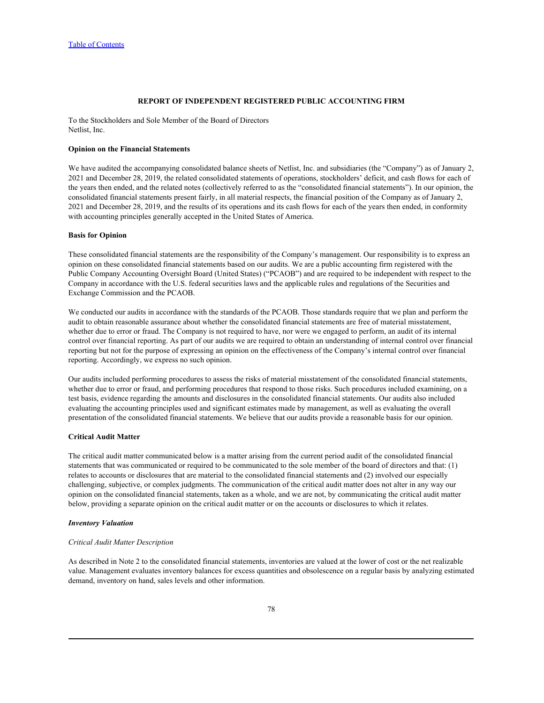# **REPORT OF INDEPENDENT REGISTERED PUBLIC ACCOUNTING FIRM**

<span id="page-78-0"></span>To the Stockholders and Sole Member of the Board of Directors Netlist, Inc.

# **Opinion on the Financial Statements**

We have audited the accompanying consolidated balance sheets of Netlist, Inc. and subsidiaries (the "Company") as of January 2, 2021 and December 28, 2019, the related consolidated statements of operations, stockholders' deficit, and cash flows for each of the years then ended, and the related notes (collectively referred to as the "consolidated financial statements"). In our opinion, the consolidated financial statements present fairly, in all material respects, the financial position of the Company as of January 2, 2021 and December 28, 2019, and the results of its operations and its cash flows for each of the years then ended, in conformity with accounting principles generally accepted in the United States of America.

### **Basis for Opinion**

These consolidated financial statements are the responsibility of the Company's management. Our responsibility is to express an opinion on these consolidated financial statements based on our audits. We are a public accounting firm registered with the Public Company Accounting Oversight Board (United States) ("PCAOB") and are required to be independent with respect to the Company in accordance with the U.S. federal securities laws and the applicable rules and regulations of the Securities and Exchange Commission and the PCAOB.

We conducted our audits in accordance with the standards of the PCAOB. Those standards require that we plan and perform the audit to obtain reasonable assurance about whether the consolidated financial statements are free of material misstatement, whether due to error or fraud. The Company is not required to have, nor were we engaged to perform, an audit of its internal control over financial reporting. As part of our audits we are required to obtain an understanding of internal control over financial reporting but not for the purpose of expressing an opinion on the effectiveness of the Company's internal control over financial reporting. Accordingly, we express no such opinion.

Our audits included performing procedures to assess the risks of material misstatement of the consolidated financial statements, whether due to error or fraud, and performing procedures that respond to those risks. Such procedures included examining, on a test basis, evidence regarding the amounts and disclosures in the consolidated financial statements. Our audits also included evaluating the accounting principles used and significant estimates made by management, as well as evaluating the overall presentation of the consolidated financial statements. We believe that our audits provide a reasonable basis for our opinion.

# **Critical Audit Matter**

The critical audit matter communicated below is a matter arising from the current period audit of the consolidated financial statements that was communicated or required to be communicated to the sole member of the board of directors and that: (1) relates to accounts or disclosures that are material to the consolidated financial statements and (2) involved our especially challenging, subjective, or complex judgments. The communication of the critical audit matter does not alter in any way our opinion on the consolidated financial statements, taken as a whole, and we are not, by communicating the critical audit matter below, providing a separate opinion on the critical audit matter or on the accounts or disclosures to which it relates.

### *Inventory Valuation*

# *Critical Audit Matter Description*

As described in Note 2 to the consolidated financial statements, inventories are valued at the lower of cost or the net realizable value. Management evaluates inventory balances for excess quantities and obsolescence on a regular basis by analyzing estimated demand, inventory on hand, sales levels and other information.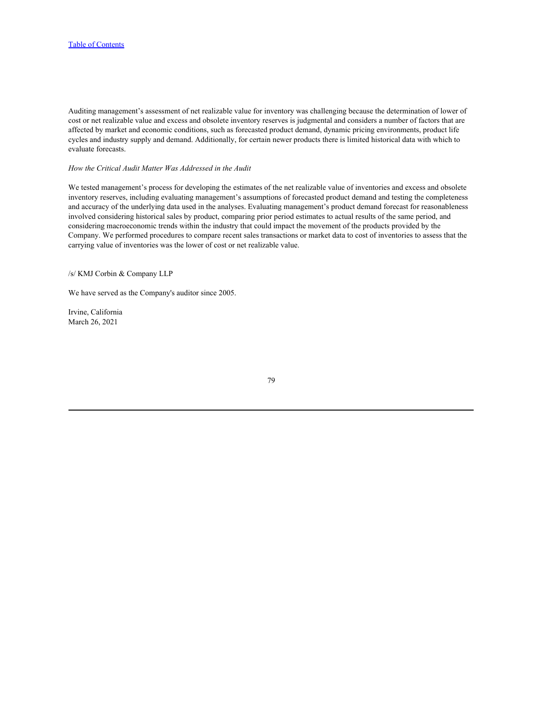Auditing management's assessment of net realizable value for inventory was challenging because the determination of lower of cost or net realizable value and excess and obsolete inventory reserves is judgmental and considers a number of factors that are affected by market and economic conditions, such as forecasted product demand, dynamic pricing environments, product life cycles and industry supply and demand. Additionally, for certain newer products there is limited historical data with which to evaluate forecasts.

### *How the Critical Audit Matter Was Addressed in the Audit*

We tested management's process for developing the estimates of the net realizable value of inventories and excess and obsolete inventory reserves, including evaluating management's assumptions of forecasted product demand and testing the completeness and accuracy of the underlying data used in the analyses. Evaluating management's product demand forecast for reasonableness involved considering historical sales by product, comparing prior period estimates to actual results of the same period, and considering macroeconomic trends within the industry that could impact the movement of the products provided by the Company. We performed procedures to compare recent sales transactions or market data to cost of inventories to assess that the carrying value of inventories was the lower of cost or net realizable value.

/s/ KMJ Corbin & Company LLP

We have served as the Company's auditor since 2005.

Irvine, California March 26, 2021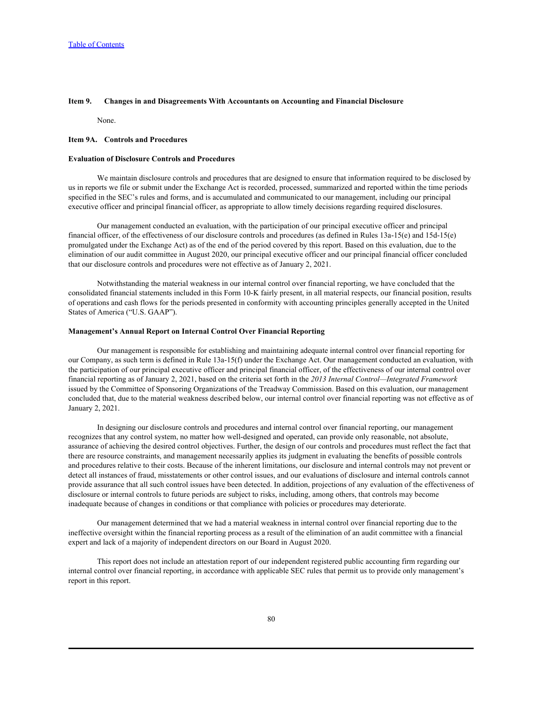## **Item 9. Changes in and Disagreements With Accountants on Accounting and Financial Disclosure**

None.

### **Item 9A. Controls and Procedures**

#### **Evaluation of Disclosure Controls and Procedures**

We maintain disclosure controls and procedures that are designed to ensure that information required to be disclosed by us in reports we file or submit under the Exchange Act is recorded, processed, summarized and reported within the time periods specified in the SEC's rules and forms, and is accumulated and communicated to our management, including our principal executive officer and principal financial officer, as appropriate to allow timely decisions regarding required disclosures.

Our management conducted an evaluation, with the participation of our principal executive officer and principal financial officer, of the effectiveness of our disclosure controls and procedures (as defined in Rules 13a-15(e) and 15d-15(e) promulgated under the Exchange Act) as of the end of the period covered by this report. Based on this evaluation, due to the elimination of our audit committee in August 2020, our principal executive officer and our principal financial officer concluded that our disclosure controls and procedures were not effective as of January 2, 2021.

Notwithstanding the material weakness in our internal control over financial reporting, we have concluded that the consolidated financial statements included in this Form 10-K fairly present, in all material respects, our financial position, results of operations and cash flows for the periods presented in conformity with accounting principles generally accepted in the United States of America ("U.S. GAAP").

### **Management's Annual Report on Internal Control Over Financial Reporting**

Our management is responsible for establishing and maintaining adequate internal control over financial reporting for our Company, as such term is defined in Rule 13a-15(f) under the Exchange Act. Our management conducted an evaluation, with the participation of our principal executive officer and principal financial officer, of the effectiveness of our internal control over financial reporting as of January 2, 2021, based on the criteria set forth in the *2013 Internal Control—Integrated Framework* issued by the Committee of Sponsoring Organizations of the Treadway Commission. Based on this evaluation, our management concluded that, due to the material weakness described below, our internal control over financial reporting was not effective as of January 2, 2021.

In designing our disclosure controls and procedures and internal control over financial reporting, our management recognizes that any control system, no matter how well-designed and operated, can provide only reasonable, not absolute, assurance of achieving the desired control objectives. Further, the design of our controls and procedures must reflect the fact that there are resource constraints, and management necessarily applies its judgment in evaluating the benefits of possible controls and procedures relative to their costs. Because of the inherent limitations, our disclosure and internal controls may not prevent or detect all instances of fraud, misstatements or other control issues, and our evaluations of disclosure and internal controls cannot provide assurance that all such control issues have been detected. In addition, projections of any evaluation of the effectiveness of disclosure or internal controls to future periods are subject to risks, including, among others, that controls may become inadequate because of changes in conditions or that compliance with policies or procedures may deteriorate.

Our management determined that we had a material weakness in internal control over financial reporting due to the ineffective oversight within the financial reporting process as a result of the elimination of an audit committee with a financial expert and lack of a majority of independent directors on our Board in August 2020.

This report does not include an attestation report of our independent registered public accounting firm regarding our internal control over financial reporting, in accordance with applicable SEC rules that permit us to provide only management's report in this report.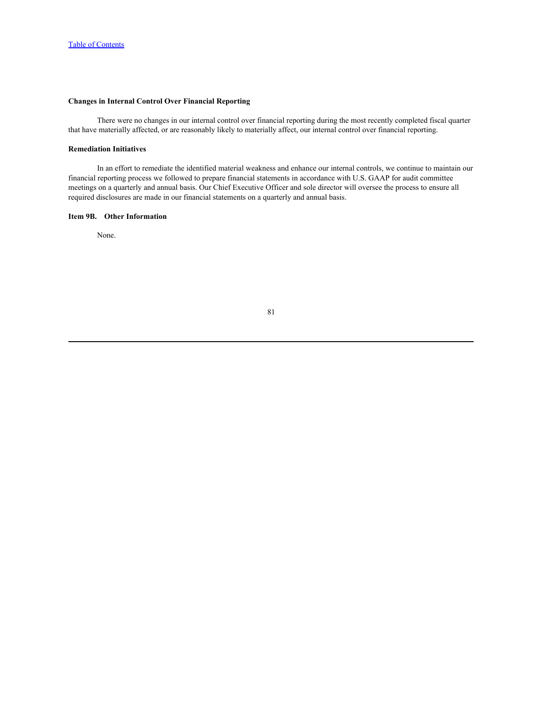# **Changes in Internal Control Over Financial Reporting**

There were no changes in our internal control over financial reporting during the most recently completed fiscal quarter that have materially affected, or are reasonably likely to materially affect, our internal control over financial reporting.

# **Remediation Initiatives**

In an effort to remediate the identified material weakness and enhance our internal controls, we continue to maintain our financial reporting process we followed to prepare financial statements in accordance with U.S. GAAP for audit committee meetings on a quarterly and annual basis. Our Chief Executive Officer and sole director will oversee the process to ensure all required disclosures are made in our financial statements on a quarterly and annual basis.

# **Item 9B. Other Information**

None.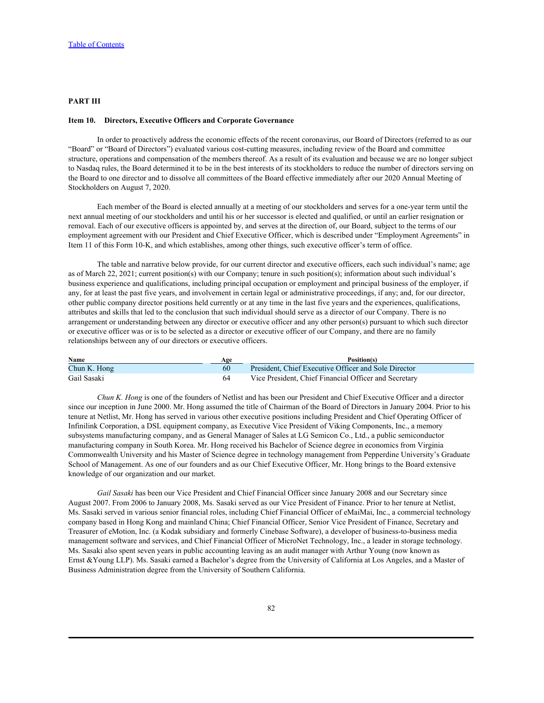# **PART III**

### **Item 10. Directors, Executive Officers and Corporate Governance**

In order to proactively address the economic effects of the recent coronavirus, our Board of Directors (referred to as our "Board" or "Board of Directors") evaluated various cost-cutting measures, including review of the Board and committee structure, operations and compensation of the members thereof. As a result of its evaluation and because we are no longer subject to Nasdaq rules, the Board determined it to be in the best interests of its stockholders to reduce the number of directors serving on the Board to one director and to dissolve all committees of the Board effective immediately after our 2020 Annual Meeting of Stockholders on August 7, 2020.

Each member of the Board is elected annually at a meeting of our stockholders and serves for a one-year term until the next annual meeting of our stockholders and until his or her successor is elected and qualified, or until an earlier resignation or removal. Each of our executive officers is appointed by, and serves at the direction of, our Board, subject to the terms of our employment agreement with our President and Chief Executive Officer, which is described under "Employment Agreements" in Item 11 of this Form 10-K, and which establishes, among other things, such executive officer's term of office.

The table and narrative below provide, for our current director and executive officers, each such individual's name; age as of March 22, 2021; current position(s) with our Company; tenure in such position(s); information about such individual's business experience and qualifications, including principal occupation or employment and principal business of the employer, if any, for at least the past five years, and involvement in certain legal or administrative proceedings, if any; and, for our director, other public company director positions held currently or at any time in the last five years and the experiences, qualifications, attributes and skills that led to the conclusion that such individual should serve as a director of our Company. There is no arrangement or understanding between any director or executive officer and any other person(s) pursuant to which such director or executive officer was or is to be selected as a director or executive officer of our Company, and there are no family relationships between any of our directors or executive officers.

| Name         | Age | Position(s)                                           |
|--------------|-----|-------------------------------------------------------|
| Chun K. Hong | 60  | President, Chief Executive Officer and Sole Director  |
| Gail Sasaki  | 64  | Vice President, Chief Financial Officer and Secretary |

*Chun K. Hong* is one of the founders of Netlist and has been our President and Chief Executive Officer and a director since our inception in June 2000. Mr. Hong assumed the title of Chairman of the Board of Directors in January 2004. Prior to his tenure at Netlist, Mr. Hong has served in various other executive positions including President and Chief Operating Officer of Infinilink Corporation, a DSL equipment company, as Executive Vice President of Viking Components, Inc., a memory subsystems manufacturing company, and as General Manager of Sales at LG Semicon Co., Ltd., a public semiconductor manufacturing company in South Korea. Mr. Hong received his Bachelor of Science degree in economics from Virginia Commonwealth University and his Master of Science degree in technology management from Pepperdine University's Graduate School of Management. As one of our founders and as our Chief Executive Officer, Mr. Hong brings to the Board extensive knowledge of our organization and our market.

*Gail Sasaki* has been our Vice President and Chief Financial Officer since January 2008 and our Secretary since August 2007. From 2006 to January 2008, Ms. Sasaki served as our Vice President of Finance. Prior to her tenure at Netlist, Ms. Sasaki served in various senior financial roles, including Chief Financial Officer of eMaiMai, Inc., a commercial technology company based in Hong Kong and mainland China; Chief Financial Officer, Senior Vice President of Finance, Secretary and Treasurer of eMotion, Inc. (a Kodak subsidiary and formerly Cinebase Software), a developer of business-to-business media management software and services, and Chief Financial Officer of MicroNet Technology, Inc., a leader in storage technology. Ms. Sasaki also spent seven years in public accounting leaving as an audit manager with Arthur Young (now known as Ernst &Young LLP). Ms. Sasaki earned a Bachelor's degree from the University of California at Los Angeles, and a Master of Business Administration degree from the University of Southern California.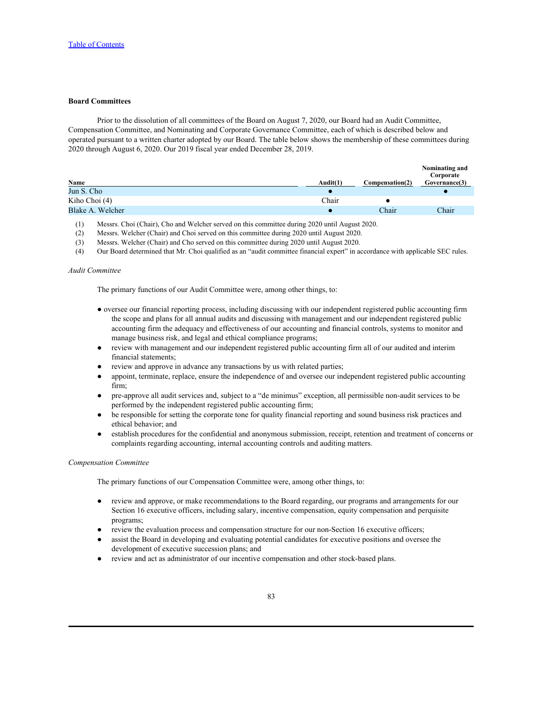### **Board Committees**

Prior to the dissolution of all committees of the Board on August 7, 2020, our Board had an Audit Committee, Compensation Committee, and Nominating and Corporate Governance Committee, each of which is described below and operated pursuant to a written charter adopted by our Board. The table below shows the membership of these committees during 2020 through August 6, 2020. Our 2019 fiscal year ended December 28, 2019.

|                  |          |                 | Nominating and<br>Corporate |
|------------------|----------|-----------------|-----------------------------|
| Name             | Audit(1) | Compensation(2) | Governance(3)               |
| Jun S. Cho       |          |                 |                             |
| Kiho Choi (4)    | Chair    |                 |                             |
| Blake A. Welcher |          | Chair           | Chair                       |

(1) Messrs. Choi (Chair), Cho and Welcher served on this committee during 2020 until August 2020.

(2) Messrs. Welcher (Chair) and Choi served on this committee during 2020 until August 2020.

(3) Messrs. Welcher (Chair) and Cho served on this committee during 2020 until August 2020.

(4) Our Board determined that Mr. Choi qualified as an "audit committee financial expert" in accordance with applicable SEC rules.

### *Audit Committee*

The primary functions of our Audit Committee were, among other things, to:

- oversee our financial reporting process, including discussing with our independent registered public accounting firm the scope and plans for all annual audits and discussing with management and our independent registered public accounting firm the adequacy and effectiveness of our accounting and financial controls, systems to monitor and manage business risk, and legal and ethical compliance programs;<br>review with management and our independent registered public accounting firm all of our audited and interim
- financial statements; review and approve in advance any transactions by us with related parties; appoint, terminate, replace, ensure the independence of and oversee our independent registered public accounting
- 
- firm;
- pre-approve all audit services and, subject to a "de minimus" exception, all permissible non-audit services to be performed by the independent registered public accounting firm;<br>be responsible for setting the corporate tone for quality financial reporting and sound business risk practices and
- ethical behavior; and<br>establish procedures for the confidential and anonymous submission, receipt, retention and treatment of concerns or
- complaints regarding accounting, internal accounting controls and auditing matters.

### *Compensation Committee*

The primary functions of our Compensation Committee were, among other things, to:

- review and approve, or make recommendations to the Board regarding, our programs and arrangements for our Section 16 executive officers, including salary, incentive compensation, equity compensation and perquisite programs; review the evaluation process and compensation structure for our non-Section 16 executive officers; <br>assist the Board in developing and evaluating potential candidates for executive positions and oversee the
- 
- development of executive succession plans; and<br>review and act as administrator of our incentive compensation and other stock-based plans.
-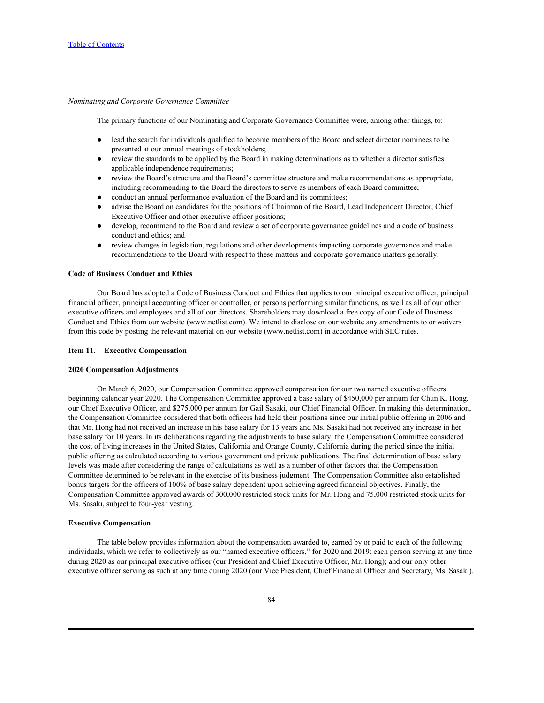### *Nominating and Corporate Governance Committee*

The primary functions of our Nominating and Corporate Governance Committee were, among other things, to:

- lead the search for individuals qualified to become members of the Board and select director nominees to be
- presented at our annual meetings of stockholders; review the standards to be applied by the Board in making determinations as to whether a director satisfies applicable independence requirements; ● review the Board's structure and the Board's committee structure and make recommendations as appropriate,
- including recommending to the Board the directors to serve as members of each Board committee;<br>
 conduct an annual performance evaluation of the Board and its committees;<br>
 advise the Board on candidates for the position
- 
- Executive Officer and other executive officer positions; develop, recommend to the Board and review a set of corporate governance guidelines and a code of business
- conduct and ethics; and<br>● review changes in legislation, regulations and other developments impacting corporate governance and make
- recommendations to the Board with respect to these matters and corporate governance matters generally.

### **Code of Business Conduct and Ethics**

Our Board has adopted a Code of Business Conduct and Ethics that applies to our principal executive officer, principal financial officer, principal accounting officer or controller, or persons performing similar functions, as well as all of our other executive officers and employees and all of our directors. Shareholders may download a free copy of our Code of Business Conduct and Ethics from our website (www.netlist.com). We intend to disclose on our website any amendments to or waivers from this code by posting the relevant material on our website (www.netlist.com) in accordance with SEC rules.

# **Item 11. Executive Compensation**

#### **2020 Compensation Adjustments**

On March 6, 2020, our Compensation Committee approved compensation for our two named executive officers beginning calendar year 2020. The Compensation Committee approved a base salary of \$450,000 per annum for Chun K. Hong, our Chief Executive Officer, and \$275,000 per annum for Gail Sasaki, our Chief Financial Officer. In making this determination, the Compensation Committee considered that both officers had held their positions since our initial public offering in 2006 and that Mr. Hong had not received an increase in his base salary for 13 years and Ms. Sasaki had not received any increase in her base salary for 10 years. In its deliberations regarding the adjustments to base salary, the Compensation Committee considered the cost of living increases in the United States, California and Orange County, California during the period since the initial public offering as calculated according to various government and private publications. The final determination of base salary levels was made after considering the range of calculations as well as a number of other factors that the Compensation Committee determined to be relevant in the exercise of its business judgment. The Compensation Committee also established bonus targets for the officers of 100% of base salary dependent upon achieving agreed financial objectives. Finally, the Compensation Committee approved awards of 300,000 restricted stock units for Mr. Hong and 75,000 restricted stock units for Ms. Sasaki, subject to four-year vesting.

### **Executive Compensation**

The table below provides information about the compensation awarded to, earned by or paid to each of the following individuals, which we refer to collectively as our "named executive officers," for 2020 and 2019: each person serving at any time during 2020 as our principal executive officer (our President and Chief Executive Officer, Mr. Hong); and our only other executive officer serving as such at any time during 2020 (our Vice President, Chief Financial Officer and Secretary, Ms. Sasaki).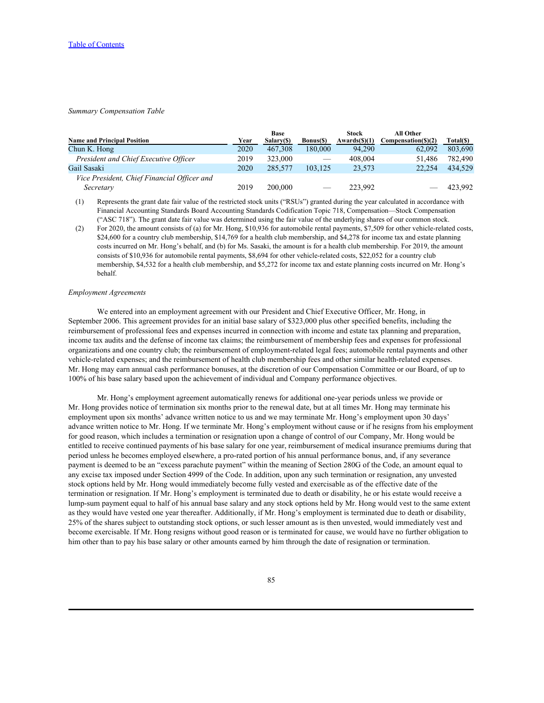#### *Summary Compensation Table*

|                                             |      | <b>Base</b>       |           | <b>Stock</b>            | <b>All Other</b>         |           |
|---------------------------------------------|------|-------------------|-----------|-------------------------|--------------------------|-----------|
| <b>Name and Principal Position</b>          | Year | <b>Salary(\$)</b> | Bonus(\$) | Awards $(\text{\$})(1)$ | Comparison(5)(2)         | Total(\$) |
| Chun K. Hong                                | 2020 | 467,308           | 180,000   | 94,290                  | 62,092                   | 803,690   |
| President and Chief Executive Officer       | 2019 | 323,000           |           | 408,004                 | 1,486                    | 782,490   |
| Gail Sasaki                                 | 2020 | 285.577           | 103.125   | 23,573                  | 22,254                   | 434,529   |
| Vice President, Chief Financial Officer and |      |                   |           |                         |                          |           |
| Secretary                                   | 2019 | 200,000           |           | 223,992                 | $\overline{\phantom{0}}$ | 423,992   |

(1) Represents the grant date fair value of the restricted stock units ("RSUs") granted during the year calculated in accordance with Financial Accounting Standards Board Accounting Standards Codification Topic 718, Compensation—Stock Compensation ("ASC 718"). The grant date fair value was determined using the fair value of the underlying shares of our common stock.

(2) For 2020, the amount consists of (a) for Mr. Hong, \$10,936 for automobile rental payments, \$7,509 for other vehicle-related costs, \$24,600 for a country club membership, \$14,769 for a health club membership, and \$4,278 for income tax and estate planning costs incurred on Mr. Hong's behalf, and (b) for Ms. Sasaki, the amount is for a health club membership. For 2019, the amount consists of \$10,936 for automobile rental payments, \$8,694 for other vehicle-related costs, \$22,052 for a country club membership, \$4,532 for a health club membership, and \$5,272 for income tax and estate planning costs incurred on Mr. Hong's behalf.

### *Employment Agreements*

We entered into an employment agreement with our President and Chief Executive Officer, Mr. Hong, in September 2006. This agreement provides for an initial base salary of \$323,000 plus other specified benefits, including the reimbursement of professional fees and expenses incurred in connection with income and estate tax planning and preparation, income tax audits and the defense of income tax claims; the reimbursement of membership fees and expenses for professional organizations and one country club; the reimbursement of employment-related legal fees; automobile rental payments and other vehicle-related expenses; and the reimbursement of health club membership fees and other similar health-related expenses. Mr. Hong may earn annual cash performance bonuses, at the discretion of our Compensation Committee or our Board, of up to 100% of his base salary based upon the achievement of individual and Company performance objectives.

Mr. Hong's employment agreement automatically renews for additional one-year periods unless we provide or Mr. Hong provides notice of termination six months prior to the renewal date, but at all times Mr. Hong may terminate his employment upon six months' advance written notice to us and we may terminate Mr. Hong's employment upon 30 days' advance written notice to Mr. Hong. If we terminate Mr. Hong's employment without cause or if he resigns from his employment for good reason, which includes a termination or resignation upon a change of control of our Company, Mr. Hong would be entitled to receive continued payments of his base salary for one year, reimbursement of medical insurance premiums during that period unless he becomes employed elsewhere, a pro-rated portion of his annual performance bonus, and, if any severance payment is deemed to be an "excess parachute payment" within the meaning of Section 280G of the Code, an amount equal to any excise tax imposed under Section 4999 of the Code. In addition, upon any such termination or resignation, any unvested stock options held by Mr. Hong would immediately become fully vested and exercisable as of the effective date of the termination or resignation. If Mr. Hong's employment is terminated due to death or disability, he or his estate would receive a lump-sum payment equal to half of his annual base salary and any stock options held by Mr. Hong would vest to the same extent as they would have vested one year thereafter. Additionally, if Mr. Hong's employment is terminated due to death or disability, 25% of the shares subject to outstanding stock options, or such lesser amount as is then unvested, would immediately vest and become exercisable. If Mr. Hong resigns without good reason or is terminated for cause, we would have no further obligation to him other than to pay his base salary or other amounts earned by him through the date of resignation or termination.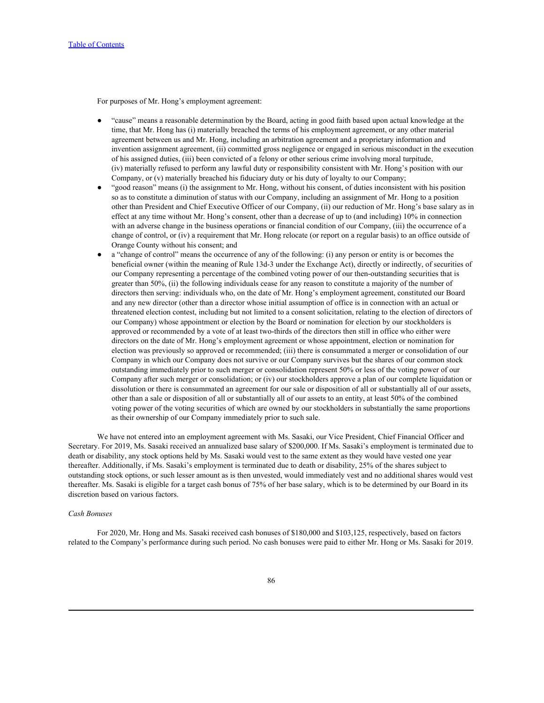For purposes of Mr. Hong's employment agreement:

- "cause" means a reasonable determination by the Board, acting in good faith based upon actual knowledge at the time, that Mr. Hong has (i) materially breached the terms of his employment agreement, or any other material agreement between us and Mr. Hong, including an arbitration agreement and a proprietary information and invention assignment agreement, (ii) committed gross negligence or engaged in serious misconduct in the execution of his assigned duties, (iii) been convicted of a felony or other serious crime involving moral turpitude, (iv) materially refused to perform any lawful duty or responsibility consistent with Mr. Hong's position with our Company, or (v) materially breached his fiduciary duty or his duty of loyalty to our Company;  $"good reason" means (i) the assignment to Mr. Hong, without his consent, of duties inconsistent with his position$
- so as to constitute a diminution of status with our Company, including an assignment of Mr. Hong to a position other than President and Chief Executive Officer of our Company, (ii) our reduction of Mr. Hong's base salary as in effect at any time without Mr. Hong's consent, other than a decrease of up to (and including) 10% in connection with an adverse change in the business operations or financial condition of our Company, (iii) the occurrence of a change of control, or (iv) a requirement that Mr. Hong relocate (or report on a regular basis) to an office outside of Orange County without his consent; and<br>a "change of control" means the occurrence of any of the following: (i) any person or entity is or becomes the
- beneficial owner (within the meaning of Rule 13d-3 under the Exchange Act), directly or indirectly, of securities of our Company representing a percentage of the combined voting power of our then-outstanding securities that is greater than 50%, (ii) the following individuals cease for any reason to constitute a majority of the number of directors then serving: individuals who, on the date of Mr. Hong's employment agreement, constituted our Board and any new director (other than a director whose initial assumption of office is in connection with an actual or threatened election contest, including but not limited to a consent solicitation, relating to the election of directors of our Company) whose appointment or election by the Board or nomination for election by our stockholders is approved or recommended by a vote of at least two-thirds of the directors then still in office who either were directors on the date of Mr. Hong's employment agreement or whose appointment, election or nomination for election was previously so approved or recommended; (iii) there is consummated a merger or consolidation of our Company in which our Company does not survive or our Company survives but the shares of our common stock outstanding immediately prior to such merger or consolidation represent 50% or less of the voting power of our Company after such merger or consolidation; or (iv) our stockholders approve a plan of our complete liquidation or dissolution or there is consummated an agreement for our sale or disposition of all or substantially all of our assets, other than a sale or disposition of all or substantially all of our assets to an entity, at least 50% of the combined voting power of the voting securities of which are owned by our stockholders in substantially the same proportions as their ownership of our Company immediately prior to such sale.

We have not entered into an employment agreement with Ms. Sasaki, our Vice President, Chief Financial Officer and Secretary. For 2019, Ms. Sasaki received an annualized base salary of \$200,000. If Ms. Sasaki's employment is terminated due to death or disability, any stock options held by Ms. Sasaki would vest to the same extent as they would have vested one year thereafter. Additionally, if Ms. Sasaki's employment is terminated due to death or disability, 25% of the shares subject to outstanding stock options, or such lesser amount as is then unvested, would immediately vest and no additional shares would vest thereafter. Ms. Sasaki is eligible for a target cash bonus of 75% of her base salary, which is to be determined by our Board in its discretion based on various factors.

# *Cash Bonuses*

For 2020, Mr. Hong and Ms. Sasaki received cash bonuses of \$180,000 and \$103,125, respectively, based on factors related to the Company's performance during such period. No cash bonuses were paid to either Mr. Hong or Ms. Sasaki for 2019.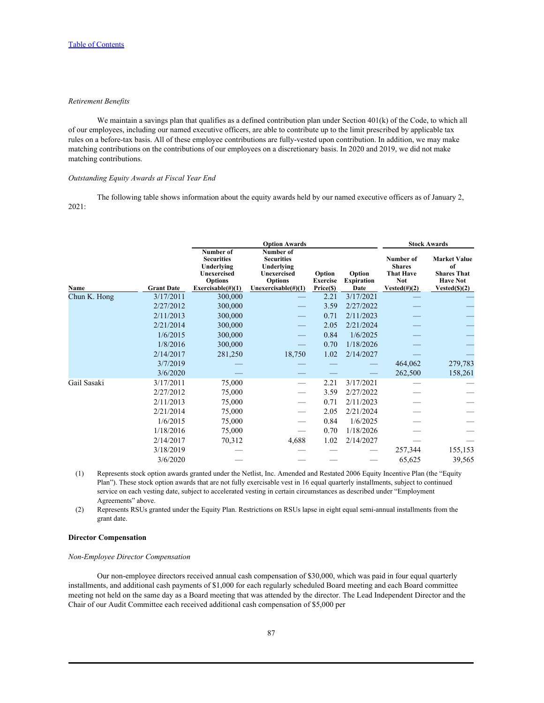### *Retirement Benefits*

We maintain a savings plan that qualifies as a defined contribution plan under Section 401(k) of the Code, to which all of our employees, including our named executive officers, are able to contribute up to the limit prescribed by applicable tax rules on a before-tax basis. All of these employee contributions are fully-vested upon contribution. In addition, we may make matching contributions on the contributions of our employees on a discretionary basis. In 2020 and 2019, we did not make matching contributions.

### *Outstanding Equity Awards at Fiscal Year End*

The following table shows information about the equity awards held by our named executive officers as of January 2, 2021:

|              |                   |                                                                                                    | <b>Option Awards</b>                                                                          |                                        |                                     | <b>Stock Awards</b>                                                       |                                                                                       |  |
|--------------|-------------------|----------------------------------------------------------------------------------------------------|-----------------------------------------------------------------------------------------------|----------------------------------------|-------------------------------------|---------------------------------------------------------------------------|---------------------------------------------------------------------------------------|--|
| Name         | <b>Grant Date</b> | Number of<br><b>Securities</b><br>Underlying<br>Unexercised<br><b>Options</b><br>Exercisable(#)(1) | Number of<br><b>Securities</b><br>Underlying<br>Unexercised<br>Options<br>Unexercisable(#)(1) | Option<br><b>Exercise</b><br>Price(\$) | Option<br><b>Expiration</b><br>Date | Number of<br><b>Shares</b><br><b>That Have</b><br>Not<br>Vested $(\#)(2)$ | <b>Market Value</b><br>of<br><b>Shares That</b><br><b>Have Not</b><br>Vested $(S)(2)$ |  |
| Chun K. Hong | 3/17/2011         | 300,000                                                                                            | $\hspace{0.05cm}$                                                                             | 2.21                                   | 3/17/2021                           |                                                                           |                                                                                       |  |
|              |                   |                                                                                                    |                                                                                               |                                        |                                     |                                                                           |                                                                                       |  |
|              | 2/27/2012         | 300,000                                                                                            | $\hspace{0.05cm}$                                                                             | 3.59                                   | 2/27/2022                           |                                                                           |                                                                                       |  |
|              | 2/11/2013         | 300,000                                                                                            | $\hspace{0.05cm}$                                                                             | 0.71                                   | 2/11/2023                           |                                                                           |                                                                                       |  |
|              | 2/21/2014         | 300,000                                                                                            | $\hspace{0.05cm}$                                                                             | 2.05                                   | 2/21/2024                           |                                                                           |                                                                                       |  |
|              | 1/6/2015          | 300,000                                                                                            | $\hspace{0.05cm}$                                                                             | 0.84                                   | 1/6/2025                            |                                                                           |                                                                                       |  |
|              | 1/8/2016          | 300,000                                                                                            | $\hspace{0.05cm}$                                                                             | 0.70                                   | 1/18/2026                           |                                                                           |                                                                                       |  |
|              | 2/14/2017         | 281,250                                                                                            | 18,750                                                                                        | 1.02                                   | 2/14/2027                           |                                                                           |                                                                                       |  |
|              | 3/7/2019          | $\overbrace{\phantom{12332}}$                                                                      |                                                                                               |                                        | $\overbrace{\phantom{123321}}$      | 464,062                                                                   | 279,783                                                                               |  |
|              | 3/6/2020          | $\overbrace{\phantom{12332}}$                                                                      |                                                                                               |                                        |                                     | 262,500                                                                   | 158,261                                                                               |  |
| Gail Sasaki  | 3/17/2011         | 75,000                                                                                             | $\hspace{0.05cm}$                                                                             | $2.2^{\circ}$                          | 3/17/2021                           |                                                                           | __                                                                                    |  |
|              | 2/27/2012         | 75,000                                                                                             | $\hspace{0.1mm}-\hspace{0.1mm}$                                                               | 3.59                                   | 2/27/2022                           |                                                                           | __                                                                                    |  |
|              | 2/11/2013         | 75,000                                                                                             | $\hspace{0.05cm}$                                                                             | 0.71                                   | 2/11/2023                           |                                                                           | __                                                                                    |  |
|              | 2/21/2014         | 75,000                                                                                             | $\hspace{0.05cm}$                                                                             | 2.05                                   | 2/21/2024                           |                                                                           |                                                                                       |  |
|              | 1/6/2015          | 75,000                                                                                             | $\hspace{0.05cm}$                                                                             | 0.84                                   | 1/6/2025                            |                                                                           |                                                                                       |  |
|              | 1/18/2016         | 75,000                                                                                             | $\hspace{0.05cm}$                                                                             | 0.70                                   | 1/18/2026                           |                                                                           |                                                                                       |  |
|              | 2/14/2017         | 70,312                                                                                             | 4,688                                                                                         | 1.02                                   | 2/14/2027                           |                                                                           |                                                                                       |  |
|              | 3/18/2019         |                                                                                                    |                                                                                               |                                        |                                     | 257,344                                                                   | 155,153                                                                               |  |
|              | 3/6/2020          | $\overbrace{\phantom{aaaaa}}^{}$                                                                   |                                                                                               |                                        |                                     | 65,625                                                                    | 39,565                                                                                |  |

(1) Represents stock option awards granted under the Netlist, Inc. Amended and Restated 2006 Equity Incentive Plan (the "Equity Plan"). These stock option awards that are not fully exercisable vest in 16 equal quarterly installments, subject to continued service on each vesting date, subject to accelerated vesting in certain circumstances as described under "Employment Agreements" above.

(2) Represents RSUs granted under the Equity Plan. Restrictions on RSUs lapse in eight equal semi-annual installments from the grant date.

# **Director Compensation**

### *Non-Employee Director Compensation*

Our non-employee directors received annual cash compensation of \$30,000, which was paid in four equal quarterly installments, and additional cash payments of \$1,000 for each regularly scheduled Board meeting and each Board committee meeting not held on the same day as a Board meeting that was attended by the director. The Lead Independent Director and the Chair of our Audit Committee each received additional cash compensation of \$5,000 per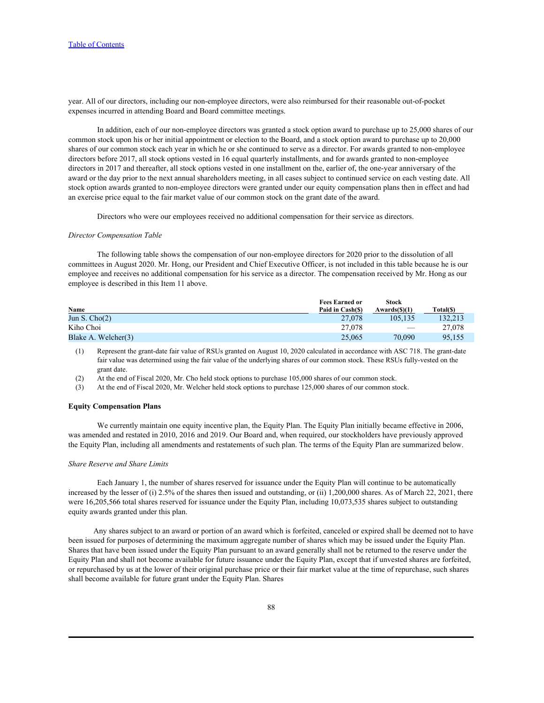year. All of our directors, including our non-employee directors, were also reimbursed for their reasonable out-of-pocket expenses incurred in attending Board and Board committee meetings.

In addition, each of our non-employee directors was granted a stock option award to purchase up to 25,000 shares of our common stock upon his or her initial appointment or election to the Board, and a stock option award to purchase up to 20,000 shares of our common stock each year in which he or she continued to serve as a director. For awards granted to non-employee directors before 2017, all stock options vested in 16 equal quarterly installments, and for awards granted to non-employee directors in 2017 and thereafter, all stock options vested in one installment on the, earlier of, the one-year anniversary of the award or the day prior to the next annual shareholders meeting, in all cases subject to continued service on each vesting date. All stock option awards granted to non-employee directors were granted under our equity compensation plans then in effect and had an exercise price equal to the fair market value of our common stock on the grant date of the award.

Directors who were our employees received no additional compensation for their service as directors.

#### *Director Compensation Table*

The following table shows the compensation of our non-employee directors for 2020 prior to the dissolution of all committees in August 2020. Mr. Hong, our President and Chief Executive Officer, is not included in this table because he is our employee and receives no additional compensation for his service as a director. The compensation received by Mr. Hong as our employee is described in this Item 11 above.

|                     | <b>Fees Earned or</b> | <b>Stock</b>                    |           |
|---------------------|-----------------------|---------------------------------|-----------|
| Name                | Paid in Cash(\$)      | Awards(3)(1)                    | Total(\$) |
| Jun S. $Cho(2)$     | 27,078                | 105,135                         | 132,213   |
| Kiho Choi           | 27,078                | $\hspace{0.1mm}-\hspace{0.1mm}$ | 27,078    |
| Blake A. Welcher(3) | 25,065                | 70,090                          | 95,155    |

(1) Represent the grant-date fair value of RSUs granted on August 10, 2020 calculated in accordance with ASC 718. The grant-date fair value was determined using the fair value of the underlying shares of our common stock. These RSUs fully-vested on the grant date.

(2) At the end of Fiscal 2020, Mr. Cho held stock options to purchase 105,000 shares of our common stock.

(3) At the end of Fiscal 2020, Mr. Welcher held stock options to purchase 125,000 shares of our common stock.

### **Equity Compensation Plans**

We currently maintain one equity incentive plan, the Equity Plan. The Equity Plan initially became effective in 2006, was amended and restated in 2010, 2016 and 2019. Our Board and, when required, our stockholders have previously approved the Equity Plan, including all amendments and restatements of such plan. The terms of the Equity Plan are summarized below.

#### *Share Reserve and Share Limits*

Each January 1, the number of shares reserved for issuance under the Equity Plan will continue to be automatically increased by the lesser of (i) 2.5% of the shares then issued and outstanding, or (ii) 1,200,000 shares. As of March 22, 2021, there were 16,205,566 total shares reserved for issuance under the Equity Plan, including 10,073,535 shares subject to outstanding equity awards granted under this plan.

Any shares subject to an award or portion of an award which is forfeited, canceled or expired shall be deemed not to have been issued for purposes of determining the maximum aggregate number of shares which may be issued under the Equity Plan. Shares that have been issued under the Equity Plan pursuant to an award generally shall not be returned to the reserve under the Equity Plan and shall not become available for future issuance under the Equity Plan, except that if unvested shares are forfeited, or repurchased by us at the lower of their original purchase price or their fair market value at the time of repurchase, such shares shall become available for future grant under the Equity Plan. Shares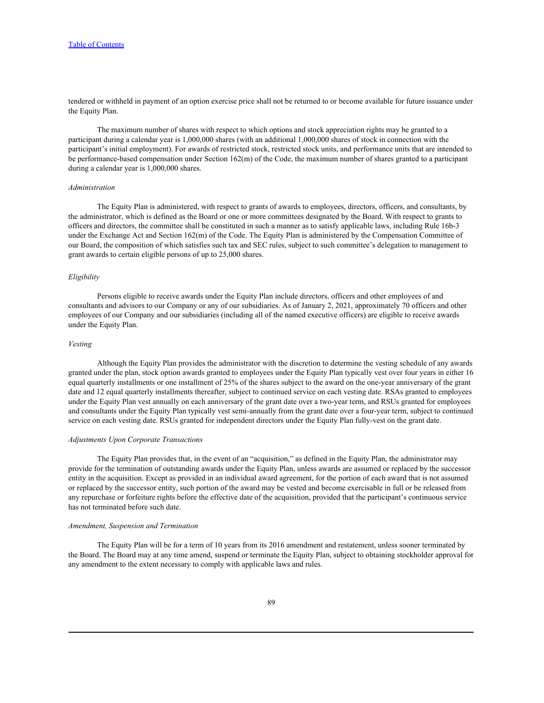tendered or withheld in payment of an option exercise price shall not be returned to or become available for future issuance under the Equity Plan.

The maximum number of shares with respect to which options and stock appreciation rights may be granted to a participant during a calendar year is 1,000,000 shares (with an additional 1,000,000 shares of stock in connection with the participant's initial employment). For awards of restricted stock, restricted stock units, and performance units that are intended to be performance-based compensation under Section 162(m) of the Code, the maximum number of shares granted to a participant during a calendar year is 1,000,000 shares.

### *Administration*

The Equity Plan is administered, with respect to grants of awards to employees, directors, officers, and consultants, by the administrator, which is defined as the Board or one or more committees designated by the Board. With respect to grants to officers and directors, the committee shall be constituted in such a manner as to satisfy applicable laws, including Rule 16b-3 under the Exchange Act and Section 162(m) of the Code. The Equity Plan is administered by the Compensation Committee of our Board, the composition of which satisfies such tax and SEC rules, subject to such committee's delegation to management to grant awards to certain eligible persons of up to 25,000 shares.

# *Eligibility*

Persons eligible to receive awards under the Equity Plan include directors, officers and other employees of and consultants and advisors to our Company or any of our subsidiaries. As of January 2, 2021, approximately 70 officers and other employees of our Company and our subsidiaries (including all of the named executive officers) are eligible to receive awards under the Equity Plan.

### *Vesting*

Although the Equity Plan provides the administrator with the discretion to determine the vesting schedule of any awards granted under the plan, stock option awards granted to employees under the Equity Plan typically vest over four years in either 16 equal quarterly installments or one installment of 25% of the shares subject to the award on the one-year anniversary of the grant date and 12 equal quarterly installments thereafter, subject to continued service on each vesting date. RSAs granted to employees under the Equity Plan vest annually on each anniversary of the grant date over a two-year term, and RSUs granted for employees and consultants under the Equity Plan typically vest semi-annually from the grant date over a four-year term, subject to continued service on each vesting date. RSUs granted for independent directors under the Equity Plan fully-vest on the grant date.

### *Adjustments Upon Corporate Transactions*

The Equity Plan provides that, in the event of an "acquisition," as defined in the Equity Plan, the administrator may provide for the termination of outstanding awards under the Equity Plan, unless awards are assumed or replaced by the successor entity in the acquisition. Except as provided in an individual award agreement, for the portion of each award that is not assumed or replaced by the successor entity, such portion of the award may be vested and become exercisable in full or be released from any repurchase or forfeiture rights before the effective date of the acquisition, provided that the participant's continuous service has not terminated before such date.

### *Amendment, Suspension and Termination*

The Equity Plan will be for a term of 10 years from its 2016 amendment and restatement, unless sooner terminated by the Board. The Board may at any time amend, suspend or terminate the Equity Plan, subject to obtaining stockholder approval for any amendment to the extent necessary to comply with applicable laws and rules.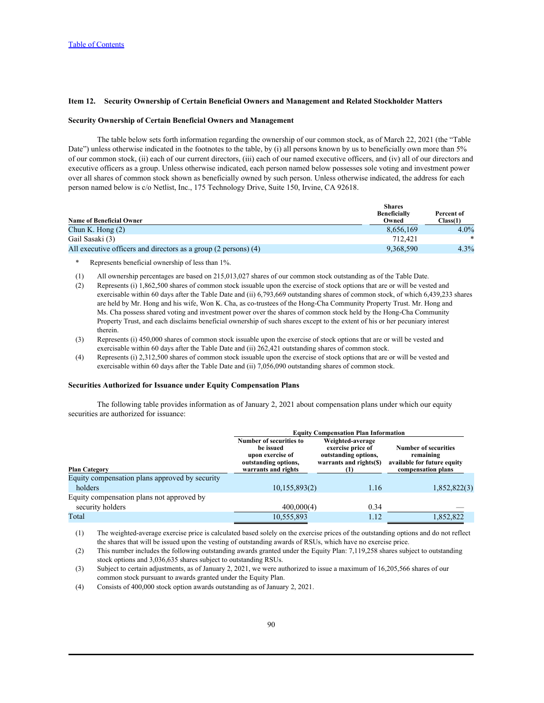# **Item 12. Security Ownership of Certain Beneficial Owners and Management and Related Stockholder Matters**

### **Security Ownership of Certain Beneficial Owners and Management**

The table below sets forth information regarding the ownership of our common stock, as of March 22, 2021 (the "Table Date") unless otherwise indicated in the footnotes to the table, by (i) all persons known by us to beneficially own more than 5% of our common stock, (ii) each of our current directors, (iii) each of our named executive officers, and (iv) all of our directors and executive officers as a group. Unless otherwise indicated, each person named below possesses sole voting and investment power over all shares of common stock shown as beneficially owned by such person. Unless otherwise indicated, the address for each person named below is c/o Netlist, Inc., 175 Technology Drive, Suite 150, Irvine, CA 92618.

|                                                                 | <b>Shares</b>       |            |  |
|-----------------------------------------------------------------|---------------------|------------|--|
|                                                                 | <b>Beneficially</b> | Percent of |  |
| <b>Name of Beneficial Owner</b>                                 | Owned               | Class(1)   |  |
| Chun K. Hong $(2)$                                              | 8,656,169           | 4.0%       |  |
| Gail Sasaki (3)                                                 | 712,421             |            |  |
| All executive officers and directors as a group (2 persons) (4) | 9,368,590           | 4.3%       |  |

\* Represents beneficial ownership of less than 1%.

(1) All ownership percentages are based on 215,013,027 shares of our common stock outstanding as of the Table Date.

- (2) Represents (i) 1,862,500 shares of common stock issuable upon the exercise of stock options that are or will be vested and exercisable within 60 days after the Table Date and (ii) 6,793,669 outstanding shares of common stock, of which 6,439,233 shares are held by Mr. Hong and his wife, Won K. Cha, as co-trustees of the Hong-Cha Community Property Trust. Mr. Hong and Ms. Cha possess shared voting and investment power over the shares of common stock held by the Hong-Cha Community Property Trust, and each disclaims beneficial ownership of such shares except to the extent of his or her pecuniary interest therein.
- (3) Represents (i) 450,000 shares of common stock issuable upon the exercise of stock options that are or will be vested and exercisable within 60 days after the Table Date and (ii) 262,421 outstanding shares of common stock.
- (4) Represents (i) 2,312,500 shares of common stock issuable upon the exercise of stock options that are or will be vested and exercisable within 60 days after the Table Date and (ii) 7,056,090 outstanding shares of common stock.

### **Securities Authorized for Issuance under Equity Compensation Plans**

The following table provides information as of January 2, 2021 about compensation plans under which our equity securities are authorized for issuance:

|                                                |                                                                                  | <b>Equity Compensation Plan Information</b>                                              |                                                                         |  |  |  |  |
|------------------------------------------------|----------------------------------------------------------------------------------|------------------------------------------------------------------------------------------|-------------------------------------------------------------------------|--|--|--|--|
|                                                | Number of securities to<br>be issued<br>upon exercise of<br>outstanding options, | Weighted-average<br>exercise price of<br>outstanding options,<br>warrants and rights(\$) | <b>Number of securities</b><br>remaining<br>available for future equity |  |  |  |  |
| <b>Plan Category</b>                           | warrants and rights                                                              |                                                                                          | compensation plans                                                      |  |  |  |  |
| Equity compensation plans approved by security |                                                                                  |                                                                                          |                                                                         |  |  |  |  |
| holders                                        | 10,155,893(2)                                                                    | 1.16                                                                                     | 1,852,822(3)                                                            |  |  |  |  |
| Equity compensation plans not approved by      |                                                                                  |                                                                                          |                                                                         |  |  |  |  |
| security holders                               | 400,000(4)                                                                       | 0.34                                                                                     |                                                                         |  |  |  |  |
| Total                                          | 10,555,893                                                                       | 1.12                                                                                     | 1,852,822                                                               |  |  |  |  |
|                                                |                                                                                  |                                                                                          |                                                                         |  |  |  |  |

(1) The weighted-average exercise price is calculated based solely on the exercise prices of the outstanding options and do not reflect the shares that will be issued upon the vesting of outstanding awards of RSUs, which have no exercise price.

(4) Consists of 400,000 stock option awards outstanding as of January 2, 2021.

<sup>(2)</sup> This number includes the following outstanding awards granted under the Equity Plan: 7,119,258 shares subject to outstanding stock options and 3,036,635 shares subject to outstanding RSUs.

<sup>(3)</sup> Subject to certain adjustments, as of January 2, 2021, we were authorized to issue a maximum of 16,205,566 shares of our common stock pursuant to awards granted under the Equity Plan.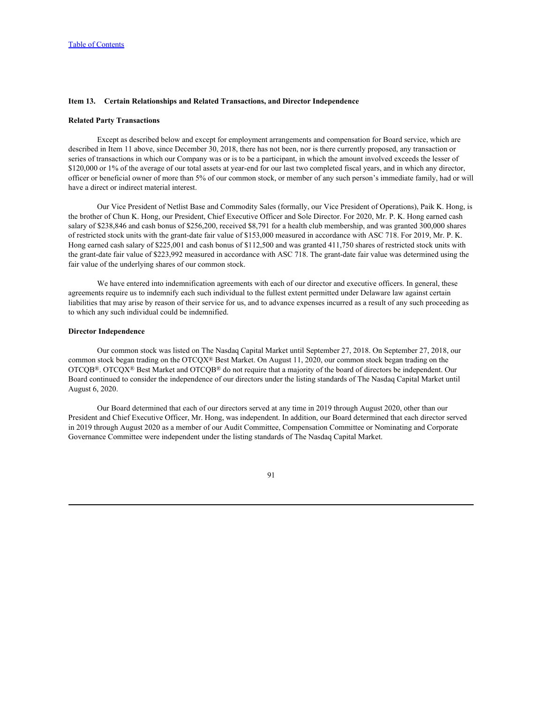### **Item 13. Certain Relationships and Related Transactions, and Director Independence**

### **Related Party Transactions**

Except as described below and except for employment arrangements and compensation for Board service, which are described in Item 11 above, since December 30, 2018, there has not been, nor is there currently proposed, any transaction or series of transactions in which our Company was or is to be a participant, in which the amount involved exceeds the lesser of \$120,000 or 1% of the average of our total assets at year-end for our last two completed fiscal years, and in which any director, officer or beneficial owner of more than 5% of our common stock, or member of any such person's immediate family, had or will have a direct or indirect material interest.

Our Vice President of Netlist Base and Commodity Sales (formally, our Vice President of Operations), Paik K. Hong, is the brother of Chun K. Hong, our President, Chief Executive Officer and Sole Director. For 2020, Mr. P. K. Hong earned cash salary of \$238,846 and cash bonus of \$256,200, received \$8,791 for a health club membership, and was granted 300,000 shares of restricted stock units with the grant-date fair value of \$153,000 measured in accordance with ASC 718. For 2019, Mr. P. K. Hong earned cash salary of \$225,001 and cash bonus of \$112,500 and was granted 411,750 shares of restricted stock units with the grant-date fair value of \$223,992 measured in accordance with ASC 718. The grant-date fair value was determined using the fair value of the underlying shares of our common stock.

We have entered into indemnification agreements with each of our director and executive officers. In general, these agreements require us to indemnify each such individual to the fullest extent permitted under Delaware law against certain liabilities that may arise by reason of their service for us, and to advance expenses incurred as a result of any such proceeding as to which any such individual could be indemnified.

#### **Director Independence**

Our common stock was listed on The Nasdaq Capital Market until September 27, 2018. On September 27, 2018, our common stock began trading on the OTCQX® Best Market. On August 11, 2020, our common stock began trading on the OTCQB®. OTCQX® Best Market and OTCQB® do not require that a majority of the board of directors be independent. Our Board continued to consider the independence of our directors under the listing standards of The Nasdaq Capital Market until August 6, 2020.

Our Board determined that each of our directors served at any time in 2019 through August 2020, other than our President and Chief Executive Officer, Mr. Hong, was independent. In addition, our Board determined that each director served in 2019 through August 2020 as a member of our Audit Committee, Compensation Committee or Nominating and Corporate Governance Committee were independent under the listing standards of The Nasdaq Capital Market.

91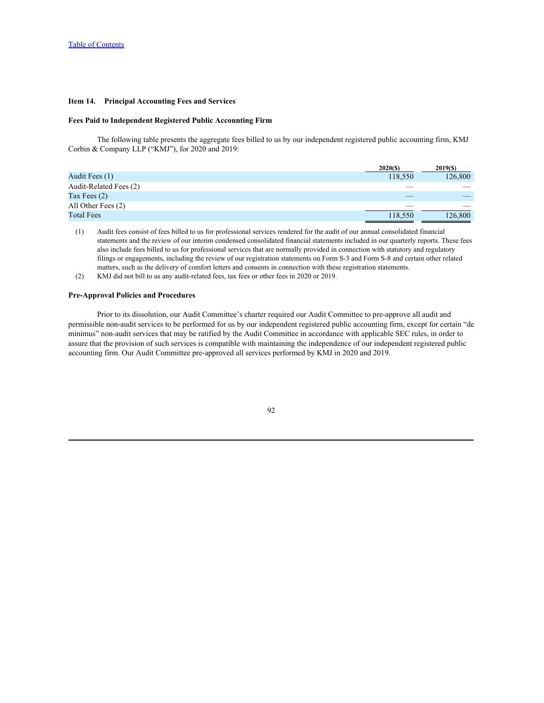### **Item 14. Principal Accounting Fees and Services**

#### **Fees Paid to Independent Registered Public Accounting Firm**

The following table presents the aggregate fees billed to us by our independent registered public accounting firm, KMJ Corbin & Company LLP ("KMJ"), for 2020 and 2019:

|                        | 2020 <sub>(\$</sub>      | $2019($ S)                      |
|------------------------|--------------------------|---------------------------------|
| Audit Fees (1)         | 118,550                  | 126,800                         |
| Audit-Related Fees (2) |                          | $\hspace{0.1mm}-\hspace{0.1mm}$ |
| Tax Fees $(2)$         | $\overline{\phantom{a}}$ |                                 |
| All Other Fees (2)     |                          | $\overline{\phantom{a}}$        |
| <b>Total Fees</b>      | 118,550                  | 126,800                         |

(1) Audit fees consist of fees billed to us for professional services rendered for the audit of our annual consolidated financial statements and the review of our interim condensed consolidated financial statements included in our quarterly reports. These fees also include fees billed to us for professional services that are normally provided in connection with statutory and regulatory filings or engagements, including the review of our registration statements on Form S-3 and Form S-8 and certain other related matters, such as the delivery of comfort letters and consents in connection with these registration statements.

(2) KMJ did not bill to us any audit-related fees, tax fees or other fees in 2020 or 2019.

### **Pre-Approval Policies and Procedures**

Prior to its dissolution, our Audit Committee's charter required our Audit Committee to pre-approve all audit and permissible non-audit services to be performed for us by our independent registered public accounting firm, except for certain "de minimus" non-audit services that may be ratified by the Audit Committee in accordance with applicable SEC rules, in order to assure that the provision of such services is compatible with maintaining the independence of our independent registered public accounting firm. Our Audit Committee pre-approved all services performed by KMJ in 2020 and 2019.

92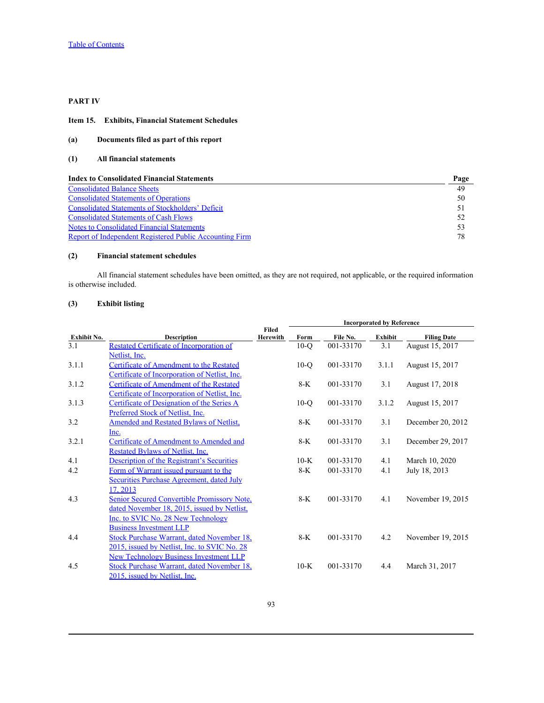# **PART IV**

# **Item 15. Exhibits, Financial Statement Schedules**

**(a) Documents filed as part of this report**

# **(1) All financial statements**

# **Index to Consolidated Financial Statements Page**

|                                                         | $-1$ |
|---------------------------------------------------------|------|
| <b>Consolidated Balance Sheets</b>                      | 49   |
| <b>Consolidated Statements of Operations</b>            | 50   |
| <b>Consolidated Statements of Stockholders' Deficit</b> |      |
| <b>Consolidated Statements of Cash Flows</b>            | ىدر  |
| Notes to Consolidated Financial Statements              |      |
| Report of Independent Registered Public Accounting Firm | 78   |
|                                                         |      |

# **(2) Financial statement schedules**

All financial statement schedules have been omitted, as they are not required, not applicable, or the required information is otherwise included.

# **(3) Exhibit listing**

|             |                                                                                                   |                          | <b>Incorporated by Reference</b> |           |         |                    |
|-------------|---------------------------------------------------------------------------------------------------|--------------------------|----------------------------------|-----------|---------|--------------------|
| Exhibit No. | <b>Description</b>                                                                                | <b>Filed</b><br>Herewith | Form                             | File No.  | Exhibit | <b>Filing Date</b> |
| 3.1         | <b>Restated Certificate of Incorporation of</b>                                                   |                          | $10-Q$                           | 001-33170 | 3.1     | August 15, 2017    |
|             | Netlist, Inc.                                                                                     |                          |                                  |           |         |                    |
| 3.1.1       | <b>Certificate of Amendment to the Restated</b>                                                   |                          | $10-Q$                           | 001-33170 | 3.1.1   | August 15, 2017    |
|             | Certificate of Incorporation of Netlist, Inc.                                                     |                          |                                  |           |         |                    |
| 3.1.2       | Certificate of Amendment of the Restated                                                          |                          | $8-K$                            | 001-33170 | 3.1     | August 17, 2018    |
|             | Certificate of Incorporation of Netlist, Inc.                                                     |                          |                                  |           |         |                    |
| 3.1.3       | Certificate of Designation of the Series A                                                        |                          | $10-Q$                           | 001-33170 | 3.1.2   | August 15, 2017    |
|             | Preferred Stock of Netlist, Inc.                                                                  |                          |                                  |           |         |                    |
| 3.2         | <b>Amended and Restated Bylaws of Netlist,</b>                                                    |                          | $8-K$                            | 001-33170 | 3.1     | December 20, 2012  |
|             | Inc.                                                                                              |                          |                                  |           |         |                    |
| 3.2.1       | Certificate of Amendment to Amended and                                                           |                          | $8-K$                            | 001-33170 | 3.1     | December 29, 2017  |
|             | Restated Bylaws of Netlist, Inc.                                                                  |                          |                                  |           |         |                    |
| 4.1         | Description of the Registrant's Securities                                                        |                          | $10-K$                           | 001-33170 | 4.1     | March 10, 2020     |
| 4.2         | Form of Warrant issued pursuant to the                                                            |                          | 8-K                              | 001-33170 | 4.1     | July 18, 2013      |
|             | Securities Purchase Agreement, dated July                                                         |                          |                                  |           |         |                    |
| 4.3         | 17, 2013                                                                                          |                          | $8-K$                            | 001-33170 | 4.1     |                    |
|             | <b>Senior Secured Convertible Promissory Note,</b><br>dated November 18, 2015, issued by Netlist, |                          |                                  |           |         | November 19, 2015  |
|             | Inc. to SVIC No. 28 New Technology                                                                |                          |                                  |           |         |                    |
|             | <b>Business Investment LLP</b>                                                                    |                          |                                  |           |         |                    |
| 4.4         | Stock Purchase Warrant, dated November 18,                                                        |                          | $8-K$                            | 001-33170 | 4.2     | November 19, 2015  |
|             | 2015, issued by Netlist, Inc. to SVIC No. 28                                                      |                          |                                  |           |         |                    |
|             | <b>New Technology Business Investment LLP</b>                                                     |                          |                                  |           |         |                    |
| 4.5         | Stock Purchase Warrant, dated November 18,                                                        |                          | $10-K$                           | 001-33170 | 4.4     | March 31, 2017     |
|             | 2015, issued by Netlist, Inc.                                                                     |                          |                                  |           |         |                    |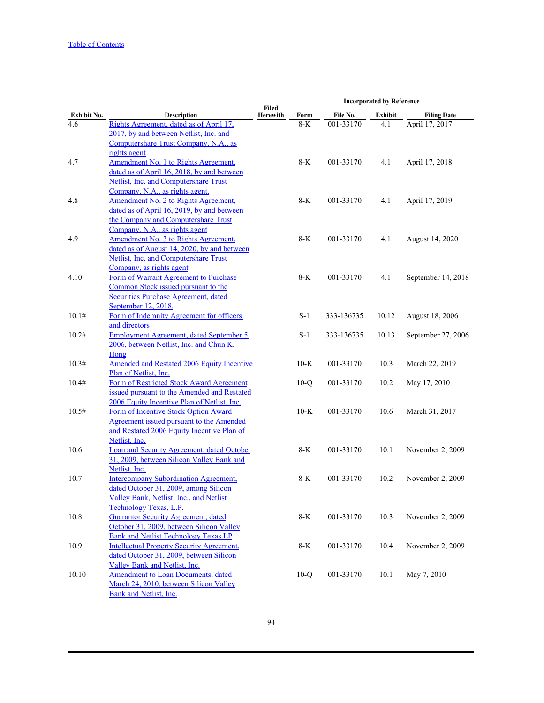|             |                                                   |                   |        |            | <b>Incorporated by Reference</b> |                    |
|-------------|---------------------------------------------------|-------------------|--------|------------|----------------------------------|--------------------|
| Exhibit No. | <b>Description</b>                                | Filed<br>Herewith | Form   | File No.   | Exhibit                          | <b>Filing Date</b> |
| 4.6         | Rights Agreement, dated as of April 17,           |                   | $8-K$  | 001-33170  | 4.1                              | April 17, 2017     |
|             | 2017, by and between Netlist, Inc. and            |                   |        |            |                                  |                    |
|             | Computershare Trust Company, N.A., as             |                   |        |            |                                  |                    |
|             | rights agent                                      |                   |        |            |                                  |                    |
| 4.7         | Amendment No. 1 to Rights Agreement,              |                   | $8-K$  | 001-33170  | 4.1                              | April 17, 2018     |
|             | dated as of April 16, 2018, by and between        |                   |        |            |                                  |                    |
|             | Netlist, Inc. and Computershare Trust             |                   |        |            |                                  |                    |
|             | Company, N.A., as rights agent.                   |                   |        |            |                                  |                    |
| 4.8         | Amendment No. 2 to Rights Agreement,              |                   | 8-K    | 001-33170  | 4.1                              | April 17, 2019     |
|             | dated as of April 16, 2019, by and between        |                   |        |            |                                  |                    |
|             | the Company and Computershare Trust               |                   |        |            |                                  |                    |
|             | Company, N.A., as rights agent                    |                   |        |            |                                  |                    |
| 4.9         | Amendment No. 3 to Rights Agreement,              |                   | 8-K    | 001-33170  | 4.1                              | August 14, 2020    |
|             | dated as of August 14, 2020, by and between       |                   |        |            |                                  |                    |
|             | Netlist, Inc. and Computershare Trust             |                   |        |            |                                  |                    |
|             | Company, as rights agent                          |                   |        |            |                                  |                    |
| 4.10        | Form of Warrant Agreement to Purchase             |                   | $8-K$  | 001-33170  | 4.1                              | September 14, 2018 |
|             | Common Stock issued pursuant to the               |                   |        |            |                                  |                    |
|             | <b>Securities Purchase Agreement</b> , dated      |                   |        |            |                                  |                    |
|             | September 12, 2018.                               |                   |        |            |                                  |                    |
| 10.1#       | Form of Indemnity Agreement for officers          |                   | $S-1$  | 333-136735 | 10.12                            | August 18, 2006    |
|             | and directors                                     |                   |        |            |                                  |                    |
| 10.2#       | Employment Agreement, dated September 5,          |                   | $S-1$  | 333-136735 | 10.13                            | September 27, 2006 |
|             | 2006, between Netlist, Inc. and Chun K.           |                   |        |            |                                  |                    |
|             | Hong                                              |                   |        |            |                                  |                    |
| 10.3#       | <b>Amended and Restated 2006 Equity Incentive</b> |                   | $10-K$ | 001-33170  | 10.3                             | March 22, 2019     |
|             | Plan of Netlist, Inc.                             |                   |        |            |                                  |                    |
| 10.4#       | Form of Restricted Stock Award Agreement          |                   | $10-Q$ | 001-33170  | 10.2                             | May 17, 2010       |
|             | issued pursuant to the Amended and Restated       |                   |        |            |                                  |                    |
|             | 2006 Equity Incentive Plan of Netlist, Inc.       |                   |        |            |                                  |                    |
| 10.5#       | Form of Incentive Stock Option Award              |                   | $10-K$ | 001-33170  | 10.6                             | March 31, 2017     |
|             | Agreement issued pursuant to the Amended          |                   |        |            |                                  |                    |
|             | and Restated 2006 Equity Incentive Plan of        |                   |        |            |                                  |                    |
|             | Netlist, Inc.                                     |                   |        |            |                                  |                    |
| 10.6        | Loan and Security Agreement, dated October        |                   | 8-K    | 001-33170  | 10.1                             | November 2, 2009   |
|             | 31, 2009, between Silicon Valley Bank and         |                   |        |            |                                  |                    |
|             | Netlist, Inc.                                     |                   |        |            |                                  |                    |
| 10.7        | <b>Intercompany Subordination Agreement,</b>      |                   | $8-K$  | 001-33170  | 10.2                             | November 2, 2009   |
|             | dated October 31, 2009, among Silicon             |                   |        |            |                                  |                    |
|             | Valley Bank, Netlist, Inc., and Netlist           |                   |        |            |                                  |                    |
|             | Technology Texas, L.P.                            |                   |        |            |                                  |                    |
| 10.8        | <b>Guarantor Security Agreement, dated</b>        |                   | $8-K$  | 001-33170  | 10.3                             | November 2, 2009   |
|             | October 31, 2009, between Silicon Valley          |                   |        |            |                                  |                    |
|             | <b>Bank and Netlist Technology Texas LP</b>       |                   |        |            |                                  |                    |
| 10.9        | <b>Intellectual Property Security Agreement,</b>  |                   | $8-K$  | 001-33170  | 10.4                             | November 2, 2009   |
|             | dated October 31, 2009, between Silicon           |                   |        |            |                                  |                    |
|             | <b>Valley Bank and Netlist, Inc.</b>              |                   |        |            |                                  |                    |
| 10.10       | <b>Amendment to Loan Documents, dated</b>         |                   | $10-Q$ | 001-33170  | 10.1                             | May 7, 2010        |
|             | March 24, 2010, between Silicon Valley            |                   |        |            |                                  |                    |
|             | <b>Bank and Netlist</b> , Inc.                    |                   |        |            |                                  |                    |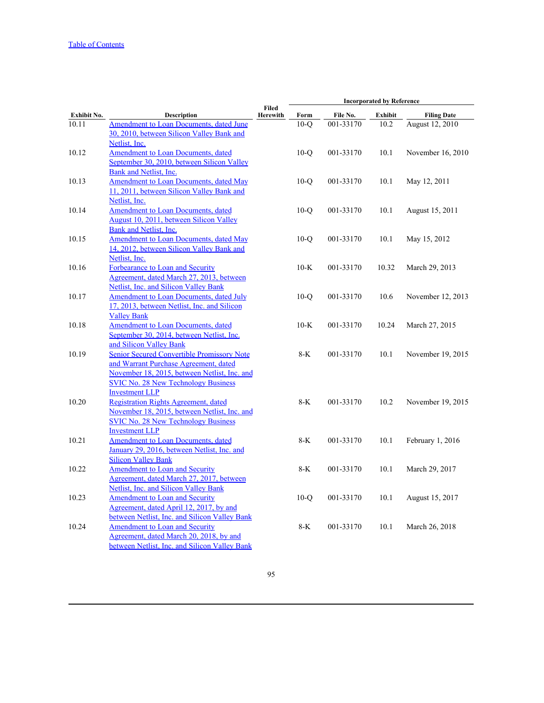|                    |                                                   |                   |        |           | <b>Incorporated by Reference</b> |                    |
|--------------------|---------------------------------------------------|-------------------|--------|-----------|----------------------------------|--------------------|
| <b>Exhibit No.</b> | <b>Description</b>                                | Filed<br>Herewith | Form   | File No.  | <b>Exhibit</b>                   | <b>Filing Date</b> |
| 10.11              | Amendment to Loan Documents, dated June           |                   | $10-o$ | 001-33170 | 10.2                             | August 12, 2010    |
|                    | 30, 2010, between Silicon Valley Bank and         |                   |        |           |                                  |                    |
|                    | Netlist, Inc.                                     |                   |        |           |                                  |                    |
| 10.12              | <b>Amendment to Loan Documents, dated</b>         |                   | $10-Q$ | 001-33170 | 10.1                             | November 16, 2010  |
|                    | September 30, 2010, between Silicon Valley        |                   |        |           |                                  |                    |
|                    | <b>Bank and Netlist, Inc.</b>                     |                   |        |           |                                  |                    |
| 10.13              | <b>Amendment to Loan Documents, dated May</b>     |                   | $10-Q$ | 001-33170 | 10.1                             | May 12, 2011       |
|                    | 11, 2011, between Silicon Valley Bank and         |                   |        |           |                                  |                    |
|                    | Netlist, Inc.                                     |                   |        |           |                                  |                    |
| 10.14              | Amendment to Loan Documents, dated                |                   | $10-Q$ | 001-33170 | 10.1                             | August 15, 2011    |
|                    | August 10, 2011, between Silicon Valley           |                   |        |           |                                  |                    |
|                    | <b>Bank and Netlist, Inc.</b>                     |                   |        |           |                                  |                    |
| 10.15              | <b>Amendment to Loan Documents, dated May</b>     |                   | $10-Q$ | 001-33170 | 10.1                             | May 15, 2012       |
|                    | 14, 2012, between Silicon Valley Bank and         |                   |        |           |                                  |                    |
|                    | Netlist, Inc.                                     |                   |        |           |                                  |                    |
| 10.16              | Forbearance to Loan and Security                  |                   | $10-K$ | 001-33170 | 10.32                            | March 29, 2013     |
|                    | Agreement, dated March 27, 2013, between          |                   |        |           |                                  |                    |
|                    | Netlist, Inc. and Silicon Valley Bank             |                   |        |           |                                  |                    |
| 10.17              | <b>Amendment to Loan Documents, dated July</b>    |                   | $10-Q$ | 001-33170 | 10.6                             | November 12, 2013  |
|                    | 17, 2013, between Netlist, Inc. and Silicon       |                   |        |           |                                  |                    |
|                    | <b>Valley Bank</b>                                |                   |        |           |                                  |                    |
| 10.18              | Amendment to Loan Documents, dated                |                   | $10-K$ | 001-33170 | 10.24                            | March 27, 2015     |
|                    | September 30, 2014, between Netlist, Inc.         |                   |        |           |                                  |                    |
|                    | and Silicon Valley Bank                           |                   |        |           |                                  |                    |
| 10.19              | <b>Senior Secured Convertible Promissory Note</b> |                   | $8-K$  | 001-33170 | 10.1                             | November 19, 2015  |
|                    | and Warrant Purchase Agreement, dated             |                   |        |           |                                  |                    |
|                    | November 18, 2015, between Netlist, Inc. and      |                   |        |           |                                  |                    |
|                    | <b>SVIC No. 28 New Technology Business</b>        |                   |        |           |                                  |                    |
|                    | <b>Investment LLP</b>                             |                   |        |           |                                  |                    |
| 10.20              | <b>Registration Rights Agreement, dated</b>       |                   | $8-K$  | 001-33170 | 10.2                             | November 19, 2015  |
|                    | November 18, 2015, between Netlist, Inc. and      |                   |        |           |                                  |                    |
|                    | <b>SVIC No. 28 New Technology Business</b>        |                   |        |           |                                  |                    |
|                    | <b>Investment LLP</b>                             |                   |        |           |                                  |                    |
| 10.21              | Amendment to Loan Documents, dated                |                   | $8-K$  | 001-33170 | 10.1                             | February 1, 2016   |
|                    | January 29, 2016, between Netlist, Inc. and       |                   |        |           |                                  |                    |
|                    | <b>Silicon Valley Bank</b>                        |                   |        |           |                                  |                    |
| 10.22              | Amendment to Loan and Security                    |                   | $8-K$  | 001-33170 | 10.1                             | March 29, 2017     |
|                    | Agreement, dated March 27, 2017, between          |                   |        |           |                                  |                    |
|                    | Netlist, Inc. and Silicon Valley Bank             |                   |        |           |                                  |                    |
| 10.23              | <b>Amendment to Loan and Security</b>             |                   | $10-Q$ | 001-33170 | 10.1                             | August 15, 2017    |
|                    | Agreement, dated April 12, 2017, by and           |                   |        |           |                                  |                    |
|                    | between Netlist, Inc. and Silicon Valley Bank     |                   |        |           |                                  |                    |
| 10.24              | <b>Amendment to Loan and Security</b>             |                   | $8-K$  | 001-33170 | 10.1                             | March 26, 2018     |
|                    | Agreement, dated March 20, 2018, by and           |                   |        |           |                                  |                    |
|                    | between Netlist, Inc. and Silicon Valley Bank     |                   |        |           |                                  |                    |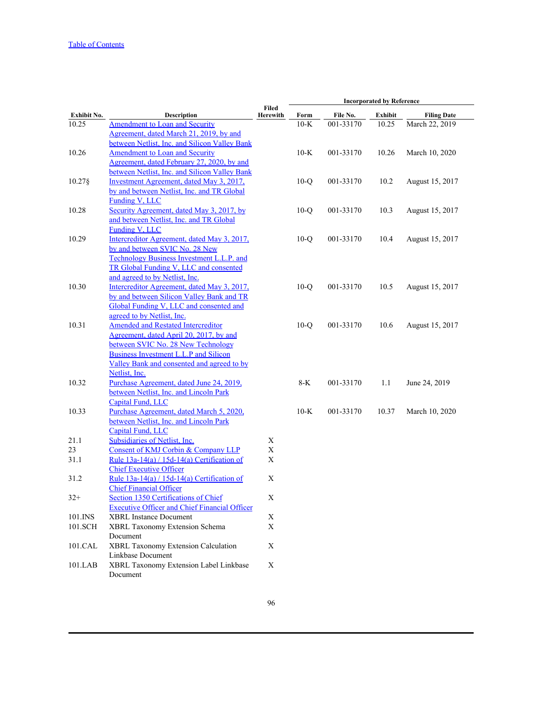|             |                                                      |                           |        |           | <b>Incorporated by Reference</b> |                    |
|-------------|------------------------------------------------------|---------------------------|--------|-----------|----------------------------------|--------------------|
| Exhibit No. | <b>Description</b>                                   | Filed<br>Herewith         | Form   | File No.  | Exhibit                          | <b>Filing Date</b> |
| 10.25       | <b>Amendment to Loan and Security</b>                |                           | $10-K$ | 001-33170 | 10.25                            | March 22, 2019     |
|             | Agreement, dated March 21, 2019, by and              |                           |        |           |                                  |                    |
|             | between Netlist, Inc. and Silicon Valley Bank        |                           |        |           |                                  |                    |
| 10.26       | <b>Amendment to Loan and Security</b>                |                           | $10-K$ | 001-33170 | 10.26                            | March 10, 2020     |
|             | Agreement, dated February 27, 2020, by and           |                           |        |           |                                  |                    |
|             | between Netlist, Inc. and Silicon Valley Bank        |                           |        |           |                                  |                    |
| $10.27\$    | Investment Agreement, dated May 3, 2017,             |                           | $10-Q$ | 001-33170 | 10.2                             | August 15, 2017    |
|             | by and between Netlist, Inc. and TR Global           |                           |        |           |                                  |                    |
|             | <b>Funding V, LLC</b>                                |                           |        |           |                                  |                    |
| 10.28       | Security Agreement, dated May 3, 2017, by            |                           | $10-Q$ | 001-33170 | 10.3                             | August 15, 2017    |
|             | and between Netlist, Inc. and TR Global              |                           |        |           |                                  |                    |
|             | Funding V, LLC                                       |                           |        |           |                                  |                    |
| 10.29       | Intercreditor Agreement, dated May 3, 2017,          |                           | $10-Q$ | 001-33170 | 10.4                             | August 15, 2017    |
|             | by and between SVIC No. 28 New                       |                           |        |           |                                  |                    |
|             | Technology Business Investment L.L.P. and            |                           |        |           |                                  |                    |
|             | TR Global Funding V, LLC and consented               |                           |        |           |                                  |                    |
|             | and agreed to by Netlist, Inc.                       |                           |        |           |                                  |                    |
| 10.30       | Intercreditor Agreement, dated May 3, 2017,          |                           | $10-Q$ | 001-33170 | 10.5                             | August 15, 2017    |
|             | by and between Silicon Valley Bank and TR            |                           |        |           |                                  |                    |
|             | Global Funding V, LLC and consented and              |                           |        |           |                                  |                    |
|             | agreed to by Netlist, Inc.                           |                           |        |           |                                  |                    |
| 10.31       | <b>Amended and Restated Intercreditor</b>            |                           | $10-Q$ | 001-33170 | 10.6                             | August 15, 2017    |
|             | Agreement, dated April 20, 2017, by and              |                           |        |           |                                  |                    |
|             | between SVIC No. 28 New Technology                   |                           |        |           |                                  |                    |
|             | <b>Business Investment L.L.P and Silicon</b>         |                           |        |           |                                  |                    |
|             | Valley Bank and consented and agreed to by           |                           |        |           |                                  |                    |
|             | Netlist, Inc.                                        |                           |        |           |                                  |                    |
| 10.32       | Purchase Agreement, dated June 24, 2019,             |                           | $8-K$  | 001-33170 | 1.1                              | June 24, 2019      |
|             | between Netlist, Inc. and Lincoln Park               |                           |        |           |                                  |                    |
|             | Capital Fund, LLC                                    |                           |        |           |                                  |                    |
| 10.33       | Purchase Agreement, dated March 5, 2020,             |                           | $10-K$ | 001-33170 | 10.37                            | March 10, 2020     |
|             | between Netlist, Inc. and Lincoln Park               |                           |        |           |                                  |                    |
|             | Capital Fund, LLC                                    |                           |        |           |                                  |                    |
| 21.1        | <b>Subsidiaries of Netlist, Inc.</b>                 | X                         |        |           |                                  |                    |
| 23          | Consent of KMJ Corbin & Company LLP                  | X                         |        |           |                                  |                    |
| 31.1        | Rule $13a-14(a)$ / $15d-14(a)$ Certification of      | $\boldsymbol{X}$          |        |           |                                  |                    |
|             | <b>Chief Executive Officer</b>                       |                           |        |           |                                  |                    |
| 31.2        | Rule $13a-14(a)$ / $15d-14(a)$ Certification of      | Χ                         |        |           |                                  |                    |
|             | <b>Chief Financial Officer</b>                       |                           |        |           |                                  |                    |
| $32+$       | Section 1350 Certifications of Chief                 | $\mathbf X$               |        |           |                                  |                    |
|             | <b>Executive Officer and Chief Financial Officer</b> |                           |        |           |                                  |                    |
| 101.INS     | <b>XBRL</b> Instance Document                        | $\mathbf X$               |        |           |                                  |                    |
| 101.SCH     | XBRL Taxonomy Extension Schema                       | $\mathbf X$               |        |           |                                  |                    |
|             | Document                                             |                           |        |           |                                  |                    |
| 101.CAL     | XBRL Taxonomy Extension Calculation                  | $\boldsymbol{\mathrm{X}}$ |        |           |                                  |                    |
|             | Linkbase Document                                    |                           |        |           |                                  |                    |
| 101.LAB     | XBRL Taxonomy Extension Label Linkbase               | $\boldsymbol{\mathrm{X}}$ |        |           |                                  |                    |
|             | Document                                             |                           |        |           |                                  |                    |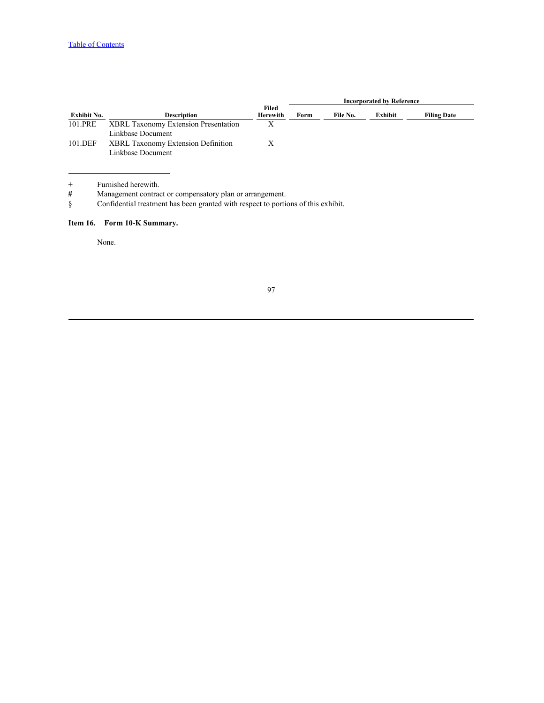| Exhibit No. | <b>Description</b>                          | Filed<br>Herewith | Form | File No. | <b>Exhibit</b> | <b>Filing Date</b> |  |
|-------------|---------------------------------------------|-------------------|------|----------|----------------|--------------------|--|
| 101.PRE     | <b>XBRL Taxonomy Extension Presentation</b> | △                 |      |          |                |                    |  |
|             | Linkbase Document                           |                   |      |          |                |                    |  |
| 101.DEF     | <b>XBRL Taxonomy Extension Definition</b>   |                   |      |          |                |                    |  |
|             | Linkbase Document                           |                   |      |          |                |                    |  |
|             |                                             |                   |      |          |                |                    |  |
|             |                                             |                   |      |          |                |                    |  |

+ Furnished herewith.<br>
# Management contrac

**#** Management contract or compensatory plan or arrangement.

§ Confidential treatment has been granted with respect to portions of this exhibit.

# **Item 16. Form 10-K Summary.**

None.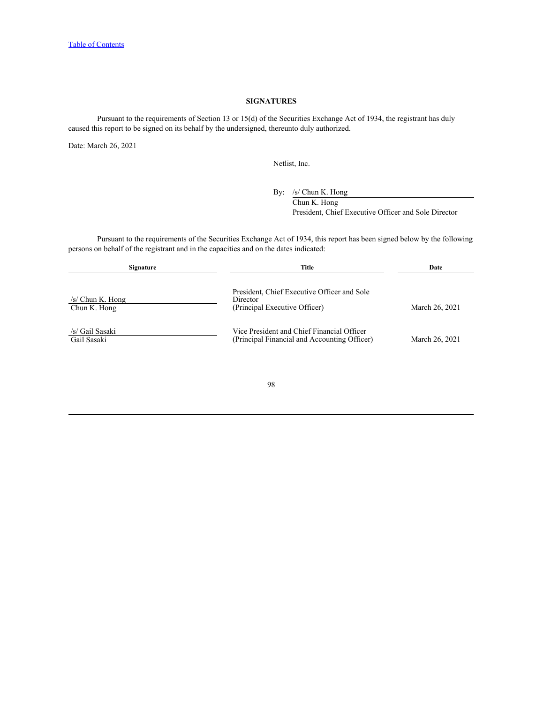# **SIGNATURES**

Pursuant to the requirements of Section 13 or 15(d) of the Securities Exchange Act of 1934, the registrant has duly caused this report to be signed on its behalf by the undersigned, thereunto duly authorized.

Date: March 26, 2021

Netlist, Inc.

By: /s/ Chun K. Hong Chun K. Hong

President, Chief Executive Officer and Sole Director

Pursuant to the requirements of the Securities Exchange Act of 1934, this report has been signed below by the following persons on behalf of the registrant and in the capacities and on the dates indicated:

| Signature                        | Title                                                                                      | Date           |
|----------------------------------|--------------------------------------------------------------------------------------------|----------------|
| /s/ Chun K. Hong<br>Chun K. Hong | President, Chief Executive Officer and Sole<br>Director<br>(Principal Executive Officer)   | March 26, 2021 |
| /s/ Gail Sasaki<br>Gail Sasaki   | Vice President and Chief Financial Officer<br>(Principal Financial and Accounting Officer) | March 26, 2021 |

98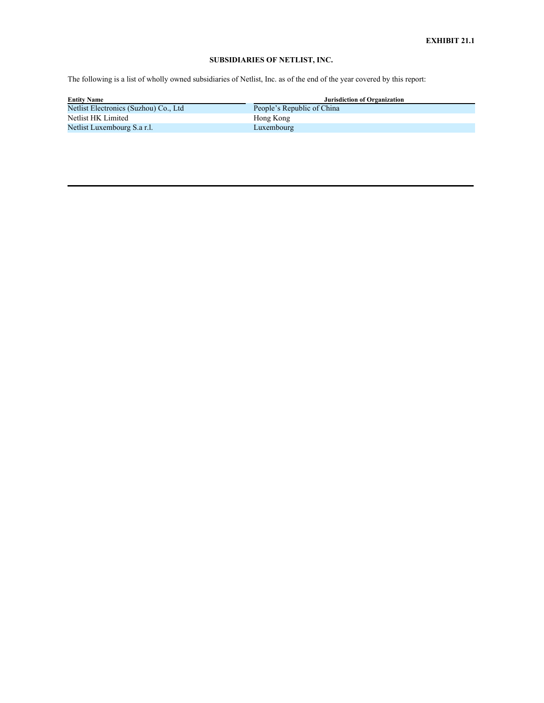# **SUBSIDIARIES OF NETLIST, INC.**

<span id="page-99-0"></span>The following is a list of wholly owned subsidiaries of Netlist, Inc. as of the end of the year covered by this report:

| <b>Entity Name</b>                    | <b>Jurisdiction of Organization</b> |
|---------------------------------------|-------------------------------------|
| Netlist Electronics (Suzhou) Co., Ltd | People's Republic of China          |
| Netlist HK Limited                    | Hong Kong                           |
| Netlist Luxembourg S.a r.l.           | Luxembourg                          |
|                                       |                                     |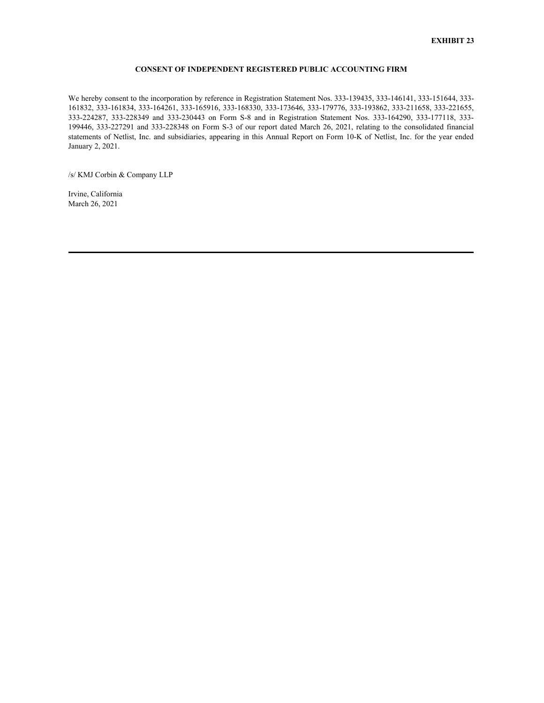# <span id="page-100-0"></span>**CONSENT OF INDEPENDENT REGISTERED PUBLIC ACCOUNTING FIRM**

We hereby consent to the incorporation by reference in Registration Statement Nos. 333-139435, 333-146141, 333-151644, 333-161832, 333-161834, 333-164261, 333-165916, 333-168330, 333-173646, 333-179776, 333-193862, 333-211658, 333-221655, EXHIBIT 23<br>
CONSENT OF INDEPENDENT REGISTERED PUBLIC ACCOUNTING FIRM<br>
We hereby consent to the incorporation by reference in Registration Statement Nos. 333-139435, 333-146141, 333-1522487, 333-164261, 333-164261, 333-1659 EXHIBIT 23<br>
CONSENT OF INDEPENDENT REGISTERED PUBLIC ACCOUNTING FIRM<br>
We hereby consent to the incorporation by reference in Registration Statement Nos. 333-139435, 333-146141, 333-151644, 333-<br>
161832, 333-12484, 333-2228 statements of Netlist, Inc. and subsidiaries, appearing in this Annual Report on Form 10-K of Netlist, Inc. for the year ended January 2, 2021.

/s/ KMJ Corbin & Company LLP

Irvine, California March 26, 2021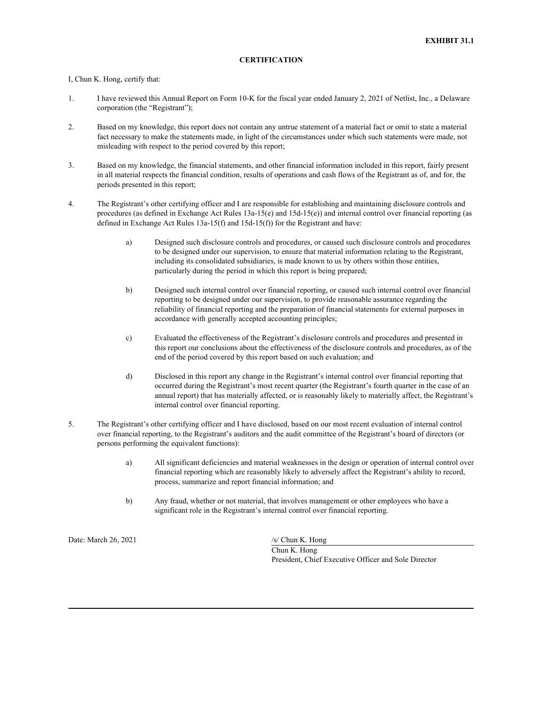# **CERTIFICATION**

<span id="page-101-0"></span>I, Chun K. Hong, certify that:

- 1. I have reviewed this Annual Report on Form 10-K for the fiscal year ended January 2, 2021 of Netlist, Inc., a Delaware corporation (the "Registrant");
- 2. Based on my knowledge, this report does not contain any untrue statement of a material fact or omit to state a material fact necessary to make the statements made, in light of the circumstances under which such statements were made, not misleading with respect to the period covered by this report;
- 3. Based on my knowledge, the financial statements, and other financial information included in this report, fairly present in all material respects the financial condition, results of operations and cash flows of the Registrant as of, and for, the periods presented in this report;
- 4. The Registrant's other certifying officer and I are responsible for establishing and maintaining disclosure controls and procedures (as defined in Exchange Act Rules 13a-15(e) and 15d-15(e)) and internal control over financial reporting (as defined in Exchange Act Rules 13a-15(f) and 15d-15(f)) for the Registrant and have:
	- a) Designed such disclosure controls and procedures, or caused such disclosure controls and procedures to be designed under our supervision, to ensure that material information relating to the Registrant, including its consolidated subsidiaries, is made known to us by others within those entities, particularly during the period in which this report is being prepared;
	- b) Designed such internal control over financial reporting, or caused such internal control over financial reporting to be designed under our supervision, to provide reasonable assurance regarding the reliability of financial reporting and the preparation of financial statements for external purposes in accordance with generally accepted accounting principles;
	- c) Evaluated the effectiveness of the Registrant's disclosure controls and procedures and presented in this report our conclusions about the effectiveness of the disclosure controls and procedures, as of the end of the period covered by this report based on such evaluation; and
	- d) Disclosed in this report any change in the Registrant's internal control over financial reporting that occurred during the Registrant's most recent quarter (the Registrant's fourth quarter in the case of an annual report) that has materially affected, or is reasonably likely to materially affect, the Registrant's internal control over financial reporting.
- 5. The Registrant's other certifying officer and I have disclosed, based on our most recent evaluation of internal control over financial reporting, to the Registrant's auditors and the audit committee of the Registrant's board of directors (or persons performing the equivalent functions):
	- a) All significant deficiencies and material weaknesses in the design or operation of internal control over financial reporting which are reasonably likely to adversely affect the Registrant's ability to record, process, summarize and report financial information; and
	- b) Any fraud, whether or not material, that involves management or other employees who have a significant role in the Registrant's internal control over financial reporting.

Date: March 26, 2021 /s/ Chun K. Hong

Chun K. Hong President, Chief Executive Officer and Sole Director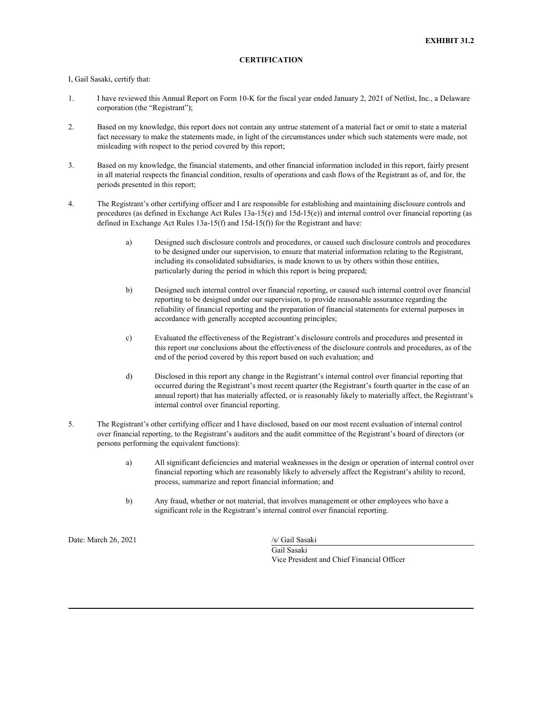# **CERTIFICATION**

<span id="page-102-0"></span>I, Gail Sasaki, certify that:

- 1. I have reviewed this Annual Report on Form 10-K for the fiscal year ended January 2, 2021 of Netlist, Inc., a Delaware corporation (the "Registrant");
- 2. Based on my knowledge, this report does not contain any untrue statement of a material fact or omit to state a material fact necessary to make the statements made, in light of the circumstances under which such statements were made, not misleading with respect to the period covered by this report;
- 3. Based on my knowledge, the financial statements, and other financial information included in this report, fairly present in all material respects the financial condition, results of operations and cash flows of the Registrant as of, and for, the periods presented in this report;
- 4. The Registrant's other certifying officer and I are responsible for establishing and maintaining disclosure controls and procedures (as defined in Exchange Act Rules 13a-15(e) and 15d-15(e)) and internal control over financial reporting (as defined in Exchange Act Rules 13a-15(f) and 15d-15(f)) for the Registrant and have:
	- a) Designed such disclosure controls and procedures, or caused such disclosure controls and procedures to be designed under our supervision, to ensure that material information relating to the Registrant, including its consolidated subsidiaries, is made known to us by others within those entities, particularly during the period in which this report is being prepared;
	- b) Designed such internal control over financial reporting, or caused such internal control over financial reporting to be designed under our supervision, to provide reasonable assurance regarding the reliability of financial reporting and the preparation of financial statements for external purposes in accordance with generally accepted accounting principles;
	- c) Evaluated the effectiveness of the Registrant's disclosure controls and procedures and presented in this report our conclusions about the effectiveness of the disclosure controls and procedures, as of the end of the period covered by this report based on such evaluation; and
	- d) Disclosed in this report any change in the Registrant's internal control over financial reporting that occurred during the Registrant's most recent quarter (the Registrant's fourth quarter in the case of an annual report) that has materially affected, or is reasonably likely to materially affect, the Registrant's internal control over financial reporting.
- 5. The Registrant's other certifying officer and I have disclosed, based on our most recent evaluation of internal control over financial reporting, to the Registrant's auditors and the audit committee of the Registrant's board of directors (or persons performing the equivalent functions):
	- a) All significant deficiencies and material weaknesses in the design or operation of internal control over financial reporting which are reasonably likely to adversely affect the Registrant's ability to record, process, summarize and report financial information; and
	- b) Any fraud, whether or not material, that involves management or other employees who have a significant role in the Registrant's internal control over financial reporting.

Date: March 26, 2021 /s/ Gail Sasaki

Gail Sasaki Vice President and Chief Financial Officer